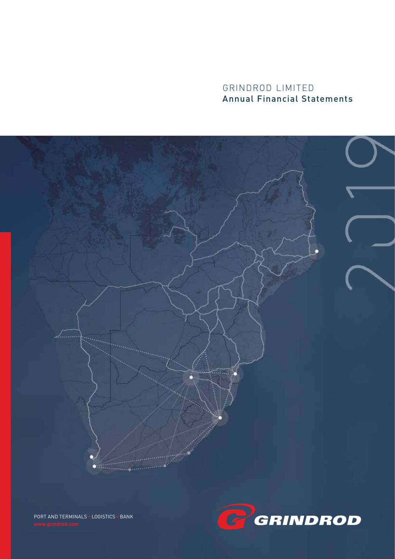## GRINDROD LIMITED Annual Financial Statements





PORT AND TERMINALS + LOGISTICS + BANK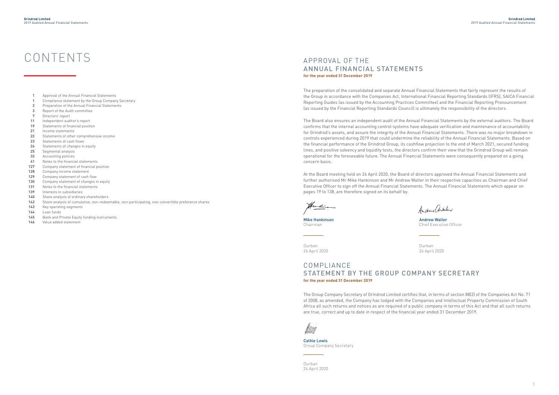Andrew arahr

## APPROVAL OF THE ANNUAL FINANCIAL STATEMENTS **for the year ended 31 December 2019**

The preparation of the consolidated and separate Annual Financial Statements that fairly represent the results of the Group in accordance with the Companies Act, International Financial Reporting Standards (IFRS), SAICA Financial Reporting Guides (as issued by the Accounting Practices Committee) and the Financial Reporting Pronouncement (as issued by the Financial Reporting Standards Council) is ultimately the responsibility of the directors.

Mike Hankinson **Andrew Waller** Chairman Chief Executive Officer

The Board also ensures an independent audit of the Annual Financial Statements by the external auditors. The Board confirms that the internal accounting control systems have adequate verification and maintenance of accountability for Grindrod's assets, and assure the integrity of the Annual Financial Statements. There was no major breakdown in controls experienced during 2019 that could undermine the reliability of the Annual Financial Statements. Based on the financial performance of the Grindrod Group, its cashflow projection to the end of March 2021, secured funding lines, and positive solvency and liquidity tests, the directors confirm their view that the Grindrod Group will remain operational for the foreseeable future. The Annual Financial Statements were consequently prepared on a going concern basis.

At the Board meeting held on 24 April 2020, the Board of directors approved the Annual Financial Statements and further authorised Mr Mike Hankinson and Mr Andrew Waller in their respective capacities as Chairman and Chief Executive Officer to sign off the Annual Financial Statements. The Annual Financial Statements which appear on pages 19 to 138, are therefore signed on its behalf by:

Durban Durban

24 April 2020 24 April 2020

## COMPLIANCE STATEMENT BY THE GROUP COMPANY SECRETARY **for the year ended 31 December 2019**

The Group Company Secretary of Grindrod Limited certifies that, in terms of section 88(2) of the Companies Act No. 71 of 2008, as amended, the Company has lodged with the Companies and Intellectual Property Commission of South Africa all such returns and notices as are required of a public company in terms of this Act and that all such returns are true, correct and up to date in respect of the financial year ended 31 December 2019.

lluni

Cathie Lewis Group Company Secretary

Durban 24 April 2020

# CONTENTS

- **1** Approval of the Annual Financial Statements
- **1** Compliance statement by the Group Company Secretary
- **2** Preparation of the Annual Financial Statements
- **3** Report of the Audit committee
- **7** Directors' report
- **11** Independent auditor's report
- 19 Statements of financial position
- **21** Income statements
- **22** Statements of other comprehensive income
- **23** Statements of cash flows
- 24 Statements of changes in equity
- **25** Segmental analysis
- **32** Accounting policies
- **41** Notes to the financial statements
- **127** Company statement of financial position
- **128** Company income statement
- **129** Company statement of cash flow
- **130** Company statement of changes in equity
- **131** Notes to the financial statements
- **139** Interests in subsidiaries
- **140** Share analysis of ordinary shareholders
- **142** Share analysis of cumulative, non-redeemable, non-participating, non-convertible preference shares
- **143** Key operating segments
- **144** Loan funds
- 145 Bank and Private Equity funding instruments
- **146** Value added statement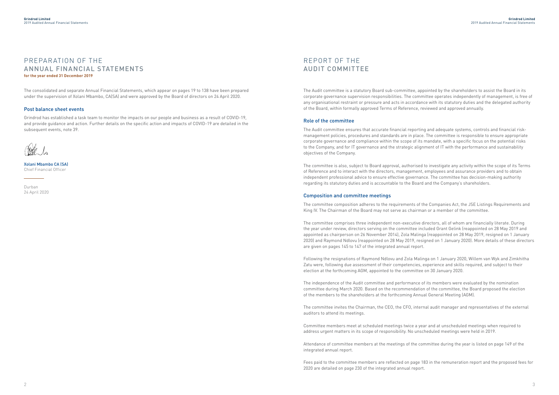The consolidated and separate Annual Financial Statements, which appear on pages 19 to 138 have been prepared under the supervision of Xolani Mbambo, CA(SA) and were approved by the Board of directors on 24 April 2020.

#### Post balance sheet events

Grindrod has established a task team to monitor the impacts on our people and business as a result of COVID-19, and provide guidance and action. Further details on the specific action and impacts of COVID-19 are detailed in the subsequent events, note 39.

Xolani Mbambo CA (SA) Chief Financial Officer

Durban 24 April 2020

## PREPARATION OF THE ANNUAL FINANCIAL STATEMENTS **for the year ended 31 December 2019**

The Audit committee is a statutory Board sub-committee, appointed by the shareholders to assist the Board in its corporate governance supervision responsibilities. The committee operates independently of management, is free of any organisational restraint or pressure and acts in accordance with its statutory duties and the delegated authority of the Board, within formally approved Terms of Reference, reviewed and approved annually.

### Role of the committee

The Audit committee ensures that accurate financial reporting and adequate systems, controls and financial riskmanagement policies, procedures and standards are in place. The committee is responsible to ensure appropriate corporate governance and compliance within the scope of its mandate, with a specific focus on the potential risks to the Company, and for IT governance and the strategic alignment of IT with the performance and sustainability objectives of the Company.

The committee is also, subject to Board approval, authorised to investigate any activity within the scope of its Terms of Reference and to interact with the directors, management, employees and assurance providers and to obtain independent professional advice to ensure effective governance. The committee has decision-making authority regarding its statutory duties and is accountable to the Board and the Company's shareholders.

### Composition and committee meetings

The committee composition adheres to the requirements of the Companies Act, the JSE Listings Requirements and King IV. The Chairman of the Board may not serve as chairman or a member of the committee.

The committee comprises three independent non-executive directors, all of whom are financially literate. During the year under review, directors serving on the committee included Grant Gelink (reappointed on 28 May 2019 and appointed as chairperson on 26 November 2014), Zola Malinga (reappointed on 28 May 2019, resigned on 1 January 2020) and Raymond Ndlovu (reappointed on 28 May 2019, resigned on 1 January 2020). More details of these directors are given on pages 145 to 147 of the integrated annual report.

Following the resignations of Raymond Ndlovu and Zola Malinga on 1 January 2020, Willem van Wyk and Zimkhitha Zatu were, following due assessment of their competencies, experience and skills required, and subject to their election at the forthcoming AGM, appointed to the committee on 30 January 2020.

The independence of the Audit committee and performance of its members were evaluated by the nomination committee during March 2020. Based on the recommendation of the committee, the Board proposed the election of the members to the shareholders at the forthcoming Annual General Meeting (AGM).

The committee invites the Chairman, the CEO, the CFO, internal audit manager and representatives of the external auditors to attend its meetings.

Committee members meet at scheduled meetings twice a year and at unscheduled meetings when required to address urgent matters in its scope of responsibility. No unscheduled meetings were held in 2019.

Attendance of committee members at the meetings of the committee during the year is listed on page 149 of the integrated annual report.

Fees paid to the committee members are reflected on page 183 in the remuneration report and the proposed fees for 2020 are detailed on page 230 of the integrated annual report.

## REPORT OF THE AUDIT COMMITTEE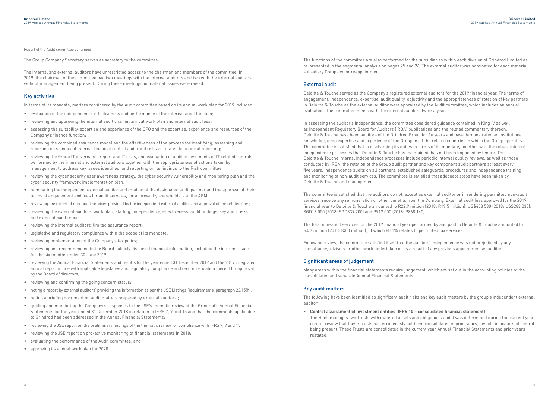The Group Company Secretary serves as secretary to the committee.

The internal and external auditors have unrestricted access to the chairman and members of the committee. In 2019, the chairman of the committee had two meetings with the internal auditors and two with the external auditors without management being present. During these meetings no material issues were raised.

### Key activities

In terms of its mandate, matters considered by the Audit committee based on its annual work plan for 2019 included:

- evaluation of the independence, effectiveness and performance of the internal audit function;
- reviewing and approving the internal audit charter, annual work plan and internal audit fees;
- assessing the suitability, expertise and experience of the CFO and the expertise, experience and resources of the Company's finance function;
- reviewing the combined assurance model and the effectiveness of the process for identifying, assessing and reporting on significant internal financial control and fraud risks as related to financial reporting;
- reviewing the Group IT governance report and IT risks, and evaluation of audit assessments of IT-related controls performed by the internal and external auditors together with the appropriateness of actions taken by management to address key issues identified, and reporting on its findings to the Risk committee;
- reviewing the cyber security user awareness strategy, the cyber security vulnerability and monitoring plan and the cyber security framework implementation plan;
- nominating the independent external auditor and rotation of the designated audit partner and the approval of their terms of engagement and fees for audit services, for approval by shareholders at the AGM;
- reviewing the extent of non-audit services provided by the independent external auditor and approval of the related fees;
- reviewing the external auditors' work plan, staffing, independence, effectiveness, audit findings, key audit risks and external audit report;
- reviewing the internal auditors' limited assurance report;
- legislative and regulatory compliance within the scope of its mandate;
- reviewing implementation of the Company's tax policy;
- reviewing and recommending to the Board publicly disclosed financial information, including the interim results for the six months ended 30 June 2019;
- reviewing the Annual Financial Statements and results for the year ended 31 December 2019 and the 2019 integrated annual report in line with applicable legislative and regulatory compliance and recommendation thereof for approval by the Board of directors;
- reviewing and confirming the going concern status;
- noting a report by external auditors' providing the information as per the JSE Listings Requirements, paragraph 22.15(h);
- noting a briefing document on audit matters prepared by external auditors';
- guiding and monitoring the Company's responses to the JSE's thematic review of the Grindrod's Annual Financial Statements for the year ended 31 December 2018 in relation to IFRS 7, 9 and 15 and that the comments applicable to Grindrod had been addressed in the Annual Financial Statements;
- reviewing the JSE report on the preliminary findings of the thematic review for compliance with IFRS 7, 9 and 15;
- reviewing the JSE report on pro-active monitoring of financial statements in 2018;
- evaluating the performance of the Audit committee; and
- approving its annual work plan for 2020.

The functions of the committee are also performed for the subsidiaries within each division of Grindrod Limited as re-presented in the segmental analysis on pages 25 and 26. The external auditor was nominated for each material subsidiary Company for reappointment.

#### External audit

Deloitte & Touche served as the Company's registered external auditors for the 2019 financial year. The terms of engagement, independence, expertise, audit quality, objectivity and the appropriateness of rotation of key partners in Deloitte & Touche as the external auditor were appraised by the Audit committee, which includes an annual evaluation. The committee meets with the external auditors twice a year.

In assessing the auditor's independence, the committee considered guidance contained in King IV as well as Independent Regulatory Board for Auditors (IRBA) publications and the related commentary thereon. Deloitte & Touche have been auditors of the Grindrod Group for 16 years and have demonstrated an institutional knowledge, deep expertise and experience of the Group in all the related countries in which the Group operates. The committee is satisfied that in discharging its duties in terms of its mandate, together with the robust internal independence processes that Deloitte & Touche has maintained, has not been impacted by tenure. The Deloitte & Touche internal independence processes include periodic internal quality reviews, as well as those conducted by IRBA, the rotation of the Group audit partner and key component audit partners at least every five years, independence audits on all partners, established safeguards, procedures and independence training and monitoring of non-audit services. The committee is satisfied that adequate steps have been taken by Deloitte & Touche and management.

The committee is satisfied that the auditors do not, except as external auditor or in rendering permitted non-audit services, receive any remuneration or other benefits from the Company. External audit fees approved for the 2019 financial year to Deloitte & Touche amounted to R22.9 million (2018: R19.5 million); US\$408 530 (2018: US\$283 233); SGD18 000 (2018: SGD339 200) and P912 000 (2018: P868 140).

The total non-audit services for the 2019 financial year performed by and paid to Deloitte & Touche amounted to R4.7 million (2018: R3.0 million), of which 80.1% relates to permitted tax services.

Following review, the committee satisfied itself that the auditors' independence was not prejudiced by any consultancy, advisory or other work undertaken or as a result of any previous appointment as auditor.

### Significant areas of judgement

Many areas within the financial statements require judgement, which are set out in the accounting policies of the consolidated and separate Annual Financial Statements.

### Key audit matters

The following have been identified as significant audit risks and key audit matters by the group's independent external auditor:

• **Control assessment of investment entities (IFRS 10 – consolidated financial statement)** The Bank manages two Trusts with material assets and obligations and it was determined during the current year control review that these Trusts had erroneously not been consolidated in prior years, despite indicators of control being present. These Trusts are consolidated in the current year Annual Financial Statements and prior years restated.

Report of the Audit committee continued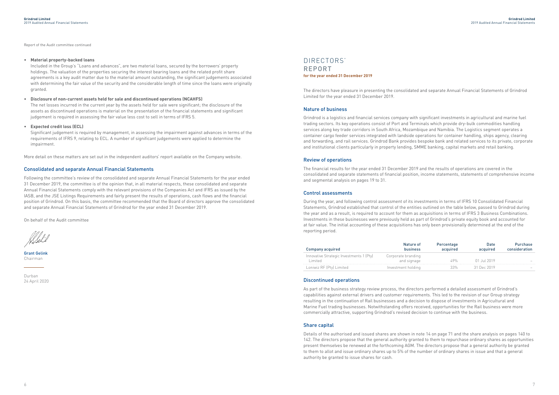#### • **Material property-backed loans**

Included in the Group's "Loans and advances", are two material loans, secured by the borrowers' property holdings. The valuation of the properties securing the interest bearing loans and the related profit share agreements is a key audit matter due to the material amount outstanding, the significant judgements associated with determining the fair value of the security and the considerable length of time since the loans were originally granted.

#### • **Disclosure of non-current assets held for sale and discontinued operations (NCAHFS)**

The net losses incurred in the current year by the assets held for sale were significant; the disclosure of the assets as discontinued operations is material on the presentation of the financial statements and significant judgement is required in assessing the fair value less cost to sell in terms of IFRS 5.

#### • **Expected credit loss (ECL)**

Significant judgement is required by management, in assessing the impairment against advances in terms of the requirements of IFRS 9, relating to ECL. A number of significant judgements were applied to determine the impairment.

More detail on these matters are set out in the independent auditors' report available on the Company website.

#### Consolidated and separate Annual Financial Statements

Following the committee's review of the consolidated and separate Annual Financial Statements for the year ended 31 December 2019, the committee is of the opinion that, in all material respects, these consolidated and separate Annual Financial Statements comply with the relevant provisions of the Companies Act and IFRS as issued by the IASB, and the JSE Listings Requirements and fairly present the results of operations, cash flows and the financial position of Grindrod. On this basis, the committee recommended that the Board of directors approve the consolidated and separate Annual Financial Statements of Grindrod for the year ended 31 December 2019.

On behalf of the Audit committee

Grant Gelink Chairman

Durban 24 April 2020

Report of the Audit committee continued

## DIRECTORS' REPORT **for the year ended 31 December 2019**

The directors have pleasure in presenting the consolidated and separate Annual Financial Statements of Grindrod Limited for the year ended 31 December 2019.

#### Nature of business

Grindrod is a logistics and financial services company with significant investments in agricultural and marine fuel trading sectors. Its key operations consist of Port and Terminals which provide dry-bulk commodities handling services along key trade corridors in South Africa, Mozambique and Namibia. The Logistics segment operates a container cargo feeder services integrated with landside operations for container handling, ships agency, clearing and forwarding, and rail services. Grindrod Bank provides bespoke bank and related services to its private, corporate and institutional clients particularly in property lending, SMME banking, capital markets and retail banking.

#### Review of operations

The financial results for the year ended 31 December 2019 and the results of operations are covered in the consolidated and separate statements of financial position, income statements, statements of comprehensive income and segmental analysis on pages 19 to 31.

#### Control assessments

During the year, and following control assessment of its investments in terms of IFRS 10 Consolidated Financial Statements, Grindrod established that control of the entities outlined on the table below, passed to Grindrod during the year and as a result, is required to account for them as acquisitions in terms of IFRS 3 Business Combinations. Investments in these businesses were previously held as part of Grindrod's private equity book and accounted for at fair value. The initial accounting of these acquisitions has only been provisionally determined at the end of the reporting period.

| Company acquired                                    | Nature of<br>business             | Percentage<br>acquired | Date<br>acquired | Purchase<br>consideration |
|-----------------------------------------------------|-----------------------------------|------------------------|------------------|---------------------------|
| Innovative Strategic Investments 1 (Pty)<br>Limited | Corporate branding<br>and signage | 49%                    | 01 Jul 2019      |                           |
| Loniwiz RF (Pty) Limited                            | Investment holding                | 33%                    | 31 Dec 2019      |                           |

#### Discontinued operations

As part of the business strategy review process, the directors performed a detailed assessment of Grindrod's capabilities against external drivers and customer requirements. This led to the revision of our Group strategy resulting in the continuation of Rail businesses and a decision to dispose of investments in Agricultural and Marine Fuel trading businesses. Notwithstanding offers received, opportunities for the Rail business were more commercially attractive, supporting Grindrod's revised decision to continue with the business.

#### Share capital

Details of the authorised and issued shares are shown in note 14 on page 71 and the share analysis on pages 140 to 142. The directors propose that the general authority granted to them to repurchase ordinary shares as opportunities present themselves be renewed at the forthcoming AGM. The directors propose that a general authority be granted to them to allot and issue ordinary shares up to 5% of the number of ordinary shares in issue and that a general authority be granted to issue shares for cash.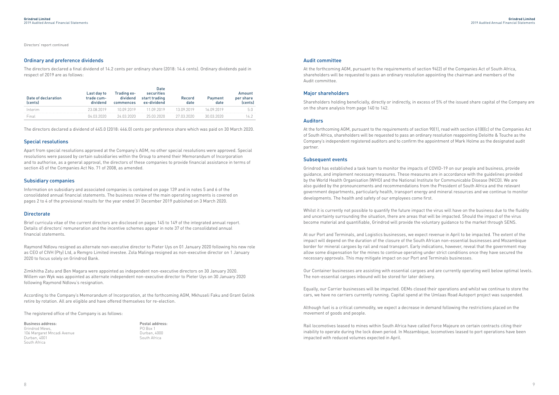Directors' report continued

#### Ordinary and preference dividends

The directors declared a final dividend of 14.2 cents per ordinary share (2018: 14.6 cents). Ordinary dividends paid in respect of 2019 are as follows:

| Date of declaration<br>(cents) | Last day to<br>trade cum-<br>dividend | Trading ex-<br>dividend<br>commences | Date<br>securities<br>start trading<br>ex-dividend | Record<br>date | Payment<br>date | Amount<br>per share<br>(cents) |
|--------------------------------|---------------------------------------|--------------------------------------|----------------------------------------------------|----------------|-----------------|--------------------------------|
| Interim                        | 23 08 2019                            | 10 09 2019                           | 11 09 2019                                         | 13 09 2019     | 16 09 2019      | 5.0                            |
| Final                          | 04 03 2020                            | 24 03 2020                           | 25 03 2020                                         | 27 03 2020     | 30032020        | 14.2                           |

The directors declared a dividend of 445.0 (2018: 446.0) cents per preference share which was paid on 30 March 2020.

### Special resolutions

Apart from special resolutions approved at the Company's AGM, no other special resolutions were approved. Special resolutions were passed by certain subsidiaries within the Group to amend their Memorandum of Incorporation and to authorise, as a general approval, the directors of these companies to provide financial assistance in terms of section 45 of the Companies Act No. 71 of 2008, as amended.

#### Subsidiary companies

Information on subsidiary and associated companies is contained on page 139 and in notes 5 and 6 of the consolidated annual financial statements. The business review of the main operating segments is covered on pages 2 to 4 of the provisional results for the year ended 31 December 2019 published on 3 March 2020.

### **Directorate**

Brief curricula vitae of the current directors are disclosed on pages 145 to 149 of the integrated annual report. Details of directors' remuneration and the incentive schemes appear in note 37 of the consolidated annual financial statements.

Raymond Ndlovu resigned as alternate non-executive director to Pieter Uys on 01 January 2020 following his new role as CEO of CIVH (Pty) Ltd, a Remgro Limited investee. Zola Malinga resigned as non-executive director on 1 January 2020 to focus solely on Grindrod Bank.

Zimkhitha Zatu and Ben Magara were appointed as independent non-executive directors on 30 January 2020. Willem van Wyk was appointed as alternate independent non-executive director to Pieter Uys on 30 January 2020 following Raymond Ndlovu's resignation.

According to the Company's Memorandum of Incorporation, at the forthcoming AGM, Mkhuseli Faku and Grant Gelink retire by rotation. All are eligible and have offered themselves for re-election.

The registered office of the Company is as follows:

Business address: Grindrod Mews, 106 Margaret Mncadi Avenue Durban, 4001 South Africa

Postal address: PO Box 1 Durban, 4000 South Africa

#### Audit committee

At the forthcoming AGM, pursuant to the requirements of section 94(2) of the Companies Act of South Africa, shareholders will be requested to pass an ordinary resolution appointing the chairman and members of the Audit committee.

### Major shareholders

Shareholders holding beneficially, directly or indirectly, in excess of 5% of the issued share capital of the Company are on the share analysis from page 140 to 142.

### **Auditors**

At the forthcoming AGM, pursuant to the requirements of section 90(1), read with section 61(8)(c) of the Companies Act of South Africa, shareholders will be requested to pass an ordinary resolution reappointing Deloitte & Touche as the Company's independent registered auditors and to confirm the appointment of Mark Holme as the designated audit partner.

### Subsequent events

Grindrod has established a task team to monitor the impacts of COVID-19 on our people and business, provide guidance, and implement necessary measures. These measures are in accordance with the guidelines provided by the World Health Organisation (WHO) and the National Institute for Communicable Disease (NICD). We are also guided by the pronouncements and recommendations from the President of South Africa and the relevant government departments, particularly health, transport energy and mineral resources and we continue to monitor developments. The health and safety of our employees come first.

Whilst it is currently not possible to quantify the future impact the virus will have on the business due to the fluidity and uncertainty surrounding the situation, there are areas that will be impacted. Should the impact of the virus become material and quantifiable, Grindrod will provide the voluntary guidance to the market through SENS.

At our Port and Terminals, and Logistics businesses, we expect revenue in April to be impacted. The extent of the impact will depend on the duration of the closure of the South African non-essential businesses and Mozambique border for mineral cargoes by rail and road transport. Early indications, however, reveal that the government may allow some dispensation for the mines to continue operating under strict conditions once they have secured the necessary approvals. This may mitigate impact on our Port and Terminals businesses.

Our Container businesses are assisting with essential cargoes and are currently operating well below optimal levels. The non-essential cargoes inbound will be stored for later delivery.

Equally, our Carrier businesses will be impacted. OEMs closed their operations and whilst we continue to store the cars, we have no carriers currently running. Capital spend at the Umlaas Road Autoport project was suspended.

Although fuel is a critical commodity, we expect a decrease in demand following the restrictions placed on the movement of goods and people.

Rail locomotives leased to mines within South Africa have called Force Majeure on certain contracts citing their inability to operate during the lock down period. In Mozambique, locomotives leased to port operations have been impacted with reduced volumes expected in April.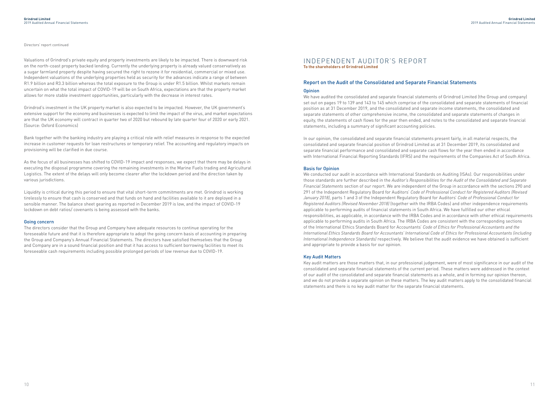Valuations of Grindrod's private equity and property investments are likely to be impacted. There is downward risk on the north-coast property backed lending. Currently the underlying property is already valued conservatively as a sugar farmland property despite having secured the right to rezone it for residential, commercial or mixed use. Independent valuations of the underlying properties held as security for the advances indicate a range of between R1.9 billion and R3.3 billion whereas the total exposure to the Group is under R1.5 billion. Whilst markets remain uncertain on what the total impact of COVID-19 will be on South Africa, expectations are that the property market allows for more stable investment opportunities, particularly with the decrease in interest rates.

Grindrod's investment in the UK property market is also expected to be impacted. However, the UK government's extensive support for the economy and businesses is expected to limit the impact of the virus, and market expectations are that the UK economy will contract in quarter two of 2020 but rebound by late quarter four of 2020 or early 2021. (Source: Oxford Economics)

Bank together with the banking industry are playing a critical role with relief measures in response to the expected increase in customer requests for loan restructures or temporary relief. The accounting and regulatory impacts on provisioning will be clarified in due course.

## Report on the Audit of the Consolidated and Separate Financial Statements **Opinion**

As the focus of all businesses has shifted to COVID-19 impact and responses, we expect that there may be delays in executing the disposal programme covering the remaining investments in the Marine Fuels trading and Agricultural Logistics. The extent of the delays will only become clearer after the lockdown period and the direction taken by various jurisdictions.

Liquidity is critical during this period to ensure that vital short-term commitments are met. Grindrod is working tirelessly to ensure that cash is conserved and that funds on hand and facilities available to it are deployed in a sensible manner. The balance sheet gearing as reported in December 2019 is low, and the impact of COVID-19 lockdown on debt ratios/ covenants is being assessed with the banks.

#### Going concern

The directors consider that the Group and Company have adequate resources to continue operating for the foreseeable future and that it is therefore appropriate to adopt the going concern basis of accounting in preparing the Group and Company's Annual Financial Statements. The directors have satisfied themselves that the Group and Company are in a sound financial position and that it has access to sufficient borrowing facilities to meet its foreseeable cash requirements including possible prolonged periods of low revenue due to COVID-19.

#### Directors' report continued

## INDEPENDENT AUDITOR'S REPORT **To the shareholders of Grindrod Limited**

We have audited the consolidated and separate financial statements of Grindrod Limited (the Group and company) set out on pages 19 to 139 and 143 to 145 which comprise of the consolidated and separate statements of financial position as at 31 December 2019, and the consolidated and separate income statements, the consolidated and separate statements of other comprehensive income, the consolidated and separate statements of changes in equity, the statements of cash flows for the year then ended, and notes to the consolidated and separate financial statements, including a summary of significant accounting policies.

In our opinion, the consolidated and separate financial statements present fairly, in all material respects, the consolidated and separate financial position of Grindrod Limited as at 31 December 2019, its consolidated and separate financial performance and consolidated and separate cash flows for the year then ended in accordance with International Financial Reporting Standards (IFRS) and the requirements of the Companies Act of South Africa.

### Basis for Opinion

We conducted our audit in accordance with International Standards on Auditing (ISAs). Our responsibilities under those standards are further described in the *Auditor's Responsibilities for the Audit of the Consolidated and Separate Financial Statements* section of our report. We are independent of the Group in accordance with the sections 290 and 291 of the Independent Regulatory Board for Auditors' *Code of Professional Conduct for Registered Auditors (Revised January 2018)*, parts 1 and 3 of the Independent Regulatory Board for Auditors' *Code of Professional Conduct for Registered Auditors (Revised November 2018)* (together with the IRBA Codes) and other independence requirements applicable to performing audits of financial statements in South Africa. We have fulfilled our other ethical responsibilities, as applicable, in accordance with the IRBA Codes and in accordance with other ethical requirements applicable to performing audits in South Africa. The IRBA Codes are consistent with the corresponding sections of the International Ethics Standards Board for Accountants' *Code of Ethics for Professional Accountants and the International Ethics Standards Board for Accountants' International Code of Ethics for Professional Accountants (including International Independence Standards)* respectively. We believe that the audit evidence we have obtained is sufficient and appropriate to provide a basis for our opinion.

### Key Audit Matters

Key audit matters are those matters that, in our professional judgement, were of most significance in our audit of the consolidated and separate financial statements of the current period. These matters were addressed in the context of our audit of the consolidated and separate financial statements as a whole, and in forming our opinion thereon, and we do not provide a separate opinion on these matters. The key audit matters apply to the consolidated financial statements and there is no key audit matter for the separate financial statements.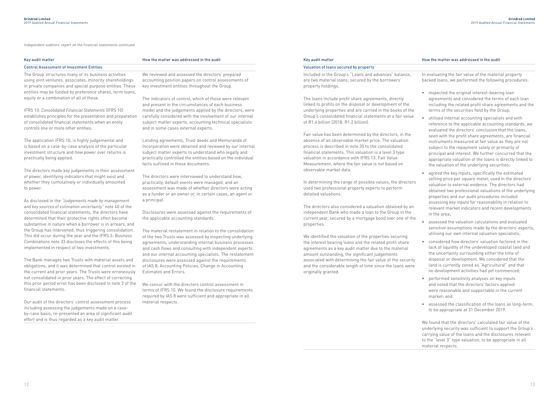#### Key audit matter **How the matter was addressed in the audit** How the matter was addressed in the audit

Independent auditors' report on the financial statements continued

#### Control Assessment of Investment Entities

The Group structures many of its business activities using joint ventures, associates, minority shareholdings in private companies and special purpose entities. These entities may be funded by preference shares, term loans, equity or a combination of all of these.

IFRS 10: *Consolidated Financial Statements* (IFRS 10) establishes principles for the presentation and preparation of consolidated financial statements when an entity controls one or more other entities.

The application IFRS 10, is highly judgemental and is based on a case-by-case analysis of the particular investment structure and how power over returns is practically being applied.

The directors made key judgements in their assessment of power, identifying indicators that might exist and whether they cumulatively or individually amounted to power.

As disclosed in the *"Judgements made by management and key sources of estimation uncertainty"* note 40 of the consolidated financial statements, the directors have determined that their protective rights often become substantive in nature when a borrower is in arrears, and the Group has intervened, thus triggering consolidation. This did occur during the year and the IFRS 3: *Business Combinations* note 33 discloses the effects of this being implemented in respect of two investments.

The Bank manages two Trusts with material assets and obligations, and it was determined that control existed in the current and prior years. The Trusts were erroneously not consolidated in prior years. The effect of correcting this prior period error has been disclosed in note 2 of the financial statements.

Our audit of the directors' control assessment process including assessing the judgements made on a caseby-case basis, re-presented an area of significant audit effort and is thus regarded as a key audit matter.

#### Key audit matter **How the matter was addressed in the audit** How the matter was addressed in the audit

We reviewed and assessed the directors' prepared accounting position papers on control assessments of key investment entities throughout the Group.

The indicators of control, which of those were relevant and present in the circumstances of each business model and the judgements applied by the directors, were carefully considered with the involvement of our internal subject matter experts, accounting technical specialists and in some cases external experts.

Lending agreements, Trust deeds and Memoranda of Incorporation were obtained and reviewed by our internal subject matter experts to understand who legally and practically controlled the entities based on the individual facts outlined in these documents.

The directors were interviewed to understand how, practically, default events were managed, and an assessment was made of whether directors were acting as a funder or an owner or, in certain cases, an agent or a principal.

Disclosures were assessed against the requirements of the applicable accounting standards.

The material restatement in relation to the consolidation of the two Trusts was assessed by inspecting underlying agreements, understanding internal business processes and cash flows and consulting with independent experts and our internal accounting specialists. The restatement disclosures were assessed against the requirements of IAS 8: Accounting Policies, Change in Accounting Estimates and Errors.

We concur with the directors control assessment in terms of IFRS 10. We found the disclosure requirements required by IAS 8 were sufficient and appropriate in all material respects.

#### Valuation of loans secured by property

Included in the Group's "Loans and advances" balance, are two material loans, secured by the borrowers' property holdings.

The loans include profit share agreements, directly linked to profits on the disposal or development of the underlying properties and are carried in the books of the Group's consolidated financial statements at a fair value of R1.4 billion (2018: R1.2 billion).

Fair value has been determined by the directors, in the absence of an observable market price. The valuation process is described in note 35 to the consolidated financial statements. This valuation is a level 3 type valuation in accordance with IFRS 13: Fair Value Measurement, where the fair value is not based on observable market data.

In determining the range of possible values, the directors used two professional property experts to perform detailed valuations.

The directors also considered a valuation obtained by an independent Bank who made a loan to the Group in the current year, secured by a mortgage bond over one of the properties.

We identified the valuation of the properties securing the interest bearing loans and the related profit share agreements as a key audit matter due to the material amount outstanding, the significant judgements associated with determining the fair value of the security and the considerable length of time since the loans were originally granted.

In evaluating the fair value of the material property backed loans, we performed the following procedures:

- inspected the original interest-bearing loan agreements and considered the terms of each loan including the related profit share agreements and the terms of the securities held by the Group;
- utilised internal accounting specialists and with reference to the applicable accounting standards, we evaluated the directors' conclusion that the loans, seen with the profit share agreements, are financial instruments measured at fair value as they are not subject to the repayment solely or primarily of principal and interest. We further concurred that the appropriate valuation of the loans is directly linked to the valuation of the underlying securities;
- agreed the key inputs, specifically the estimated selling price per square meter, used in the directors' valuation to external evidence. The directors had obtained two professional valuations of the underlying properties and our audit procedures included assessing key inputs for reasonability in relation to relevant market indicators and recent developments in the area;
- assessed the valuation calculations and evaluated sensitive assumptions made by the directors' experts, utilising our own internal valuation specialists;
- considered how directors' valuation factored in the lack of liquidity of the undeveloped coastal land and the uncertainty surrounding either the time of disposal or development. We considered that the land is currently zoned as "Agricultural" and that no development activities had yet commenced;
- performed sensitivity analyses on key inputs and noted that the directors' factors applied were reasonable and supportable in the current market; and
- assessed the classification of the loans as long-term, to be appropriate at 31 December 2019.

We found that the directors' calculated fair value of the underlying security was sufficient to support the Group's carrying value of the loans and the disclosures relevant to the "level 3" type valuation, to be appropriate in all material respects.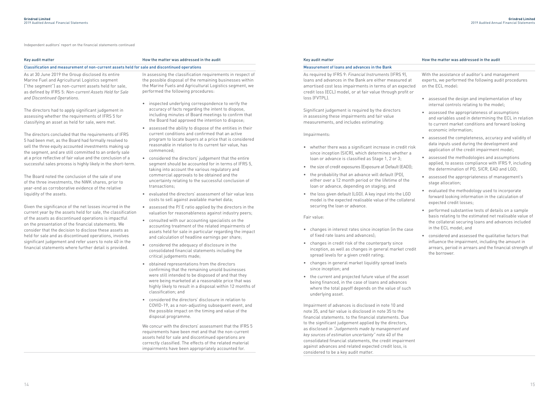#### Key audit matter **How the matter was addressed in the audit** How the matter was addressed in the audit

#### Classification and measurement of non-current assets held for sale and discontinued operations

As at 30 June 2019 the Group disclosed its entire Marine Fuel and Agricultural Logistics segment ("the segment") as non-current assets held for sale, as defined by IFRS 5: *Non-current Assets Held for Sale and Discontinued Operations*.

The directors had to apply significant judgement in assessing whether the requirements of IFRS 5 for classifying an asset as held for sale, were met.

The directors concluded that the requirements of IFRS 5 had been met, as the Board had formally resolved to sell the three equity accounted investments making up the segment, and are still committed to an orderly sale at a price reflective of fair value and the conclusion of a successful sales process is highly likely in the short-term.

The Board noted the conclusion of the sale of one of the three investments, the NWK shares, prior to year-end as corroborative evidence of the relative liquidity of the assets.

Given the significance of the net losses incurred in the current year by the assets held for sale, the classification of the assets as discontinued operations is impactful on the presentation of the financial statements. We consider that the decision to disclose these assets as held for sale and as discontinued operations, involves significant judgement and refer users to note 40 in the financial statements where further detail is provided.

In assessing the classification requirements in respect of the possible disposal of the remaining businesses within the Marine Fuels and Agricultural Logistics segment, we performed the following procedures:

- inspected underlying correspondence to verify the accuracy of facts regarding the intent to dispose, including minutes of Board meetings to confirm that the Board had approved the intention to dispose;
- assessed the ability to dispose of the entities in their current conditions and confirmed that an active program to locate buyers at a price that is considered reasonable in relation to its current fair value, has commenced;
- considered the directors' judgement that the entire segment should be accounted for in terms of IFRS 5, taking into account the various regulatory and commercial approvals to be obtained and the uncertainty relating to the successful conclusion of transactions;
- evaluated the directors' assessment of fair value less costs to sell against available market data;
- assessed the P/ E ratio applied by the directors in the valuation for reasonableness against industry peers;
- consulted with our accounting specialists on the accounting treatment of the related impairments of assets held for sale in particular regarding the impact and calculation of headline earnings per share;
- considered the adequacy of disclosure in the consolidated financial statements including the critical judgements made;
- obtained representations from the directors confirming that the remaining unsold businesses were still intended to be disposed of and that they were being marketed at a reasonable price that was highly likely to result in a disposal within 12 months of classification; and
- considered the directors' disclosure in relation to COVID-19, as a non-adjusting subsequent event, and the possible impact on the timing and value of the disposal programme.

We concur with the directors' assessment that the IFRS 5 requirements have been met and that the non-current assets held for sale and discontinued operations are correctly classified. The effects of the related material impairments have been appropriately accounted for.

Independent auditors' report on the financial statements continued

#### Key audit matter **How the matter was addressed in the audit** How the matter was addressed in the audit

#### Measurement of loans and advances in the Bank

Significant judgement is required by the directors in assessing these impairments and fair value measurements, and includes estimating:

Impairments:

- whether there was a significant increase in credit risk since inception (SICR), which determines whether a loan or advance is classified as Stage 1, 2 or 3;
- the size of credit exposures (Exposure at Default (EAD));
- the probability that an advance will default (PD), either over a 12 month period or the lifetime of the loan or advance, depending on staging; and
- the loss given default (LGD). A key input into the LGD model is the expected realisable value of the collateral securing the loan or advance.

Fair value:

As required by IFRS 9: *Financial Instruments* (IFRS 9), loans and advances in the Bank are either measured at amortised cost less impairments in terms of an expected credit loss (ECL) model, or at fair value through profit or loss (FVTPL). With the assistance of auditor's and management experts, we performed the following audit procedures on the ECL model:

- changes in interest rates since inception (in the case of fixed rate loans and advances);
- changes in credit risk of the counterparty since inception, as well as changes in general market credit spread levels for a given credit rating;
- changes in general market liquidity spread levels since inception; and
- the current and projected future value of the asset being financed, in the case of loans and advances where the total payoff depends on the value of such underlying asset.

Impairment of advances is disclosed in note 10 and note 35, and fair value is disclosed in note 35 to the financial statements. to the financial statements. Due to the significant judgement applied by the directors, as disclosed in *"Judgements made by management and key sources of estimation uncertainty"* note 40 of the consolidated financial statements, the credit impairment against advances and related expected credit loss, is considered to be a key audit matter.

- assessed the design and implementation of key internal controls relating to the model;
- assessed the appropriateness of assumptions and variables used in determining the ECL in relation to current market conditions and forward looking economic information;
- assessed the completeness, accuracy and validity of data inputs used during the development and application of the credit impairment model;
- assessed the methodologies and assumptions applied, to assess compliance with IFRS 9, including the determination of PD, SICR, EAD and LGD;
- assessed the appropriateness of management's stage allocation;
- evaluated the methodology used to incorporate forward looking information in the calculation of expected credit losses;
- performed substantive tests of details on a sample basis relating to the estimated net realisable value of the collateral securing loans and advances included in the ECL model; and
- considered and assessed the qualitative factors that influence the impairment, including the amount in arrears, period in arrears and the financial strength of the borrower.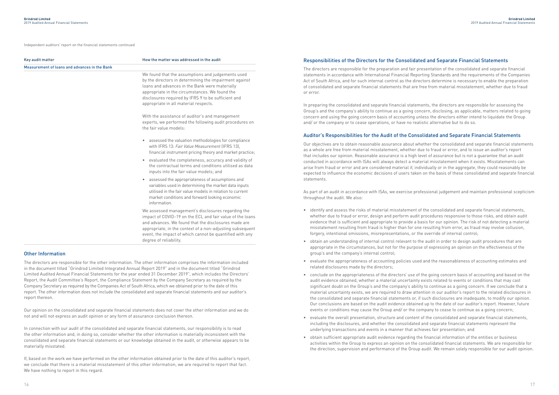| Key audit matter                              | How the matter was addressed in the audit                                                                                                                                                                                                                                                                                  |
|-----------------------------------------------|----------------------------------------------------------------------------------------------------------------------------------------------------------------------------------------------------------------------------------------------------------------------------------------------------------------------------|
| Measurement of loans and advances in the Bank |                                                                                                                                                                                                                                                                                                                            |
|                                               | We found that the assumptions and judgements used<br>by the directors in determining the impairment against<br>loans and advances in the Bank were materially<br>appropriate in the circumstances. We found the<br>disclosures required by IFRS 9 to be sufficient and<br>appropriate in all material respects.            |
|                                               | With the assistance of auditor's and management<br>experts, we performed the following audit procedures on<br>the fair value models:                                                                                                                                                                                       |
|                                               | assessed the valuation methodologies for compliance<br>$\bullet$<br>with IFRS 13: Fair Value Measurement (IFRS 13).<br>financial instrument pricing theory and market practice;                                                                                                                                            |
|                                               | evaluated the completeness, accuracy and validity of<br>$\bullet$<br>the contractual terms and conditions utilised as data<br>inputs into the fair value models; and                                                                                                                                                       |
|                                               | assessed the appropriateness of assumptions and<br>$\bullet$<br>variables used in determining the market data inputs<br>utilised in the fair value models in relation to current<br>market conditions and forward looking economic<br>information.                                                                         |
|                                               | We assessed management's disclosures regarding the<br>impact of COVID-19 on the ECL and fair value of the loans<br>and advances. We found that the disclosures made are<br>appropriate, in the context of a non-adjusting subsequent<br>event, the impact of which cannot be quantified with any<br>degree of reliability. |

### Other Information

The directors are responsible for the other information. The other information comprises the information included in the document titled "Grindrod Limited Integrated Annual Report 2019" and in the document titled "Grindrod Limited Audited Annual Financial Statements for the year ended 31 December 2019", which includes the Directors' Report, the Audit Committee's Report, the Compliance Statement by the Company Secretary as required by the Company Secretary as required by the Companies Act of South Africa, which we obtained prior to the date of this report. The other information does not include the consolidated and separate financial statements and our auditor's report thereon.

Our opinion on the consolidated and separate financial statements does not cover the other information and we do not and will not express an audit opinion or any form of assurance conclusion thereon.

In connection with our audit of the consolidated and separate financial statements, our responsibility is to read the other information and, in doing so, consider whether the other information is materially inconsistent with the consolidated and separate financial statements or our knowledge obtained in the audit, or otherwise appears to be materially misstated.

If, based on the work we have performed on the other information obtained prior to the date of this auditor's report, we conclude that there is a material misstatement of this other information, we are required to report that fact. We have nothing to report in this regard.

Independent auditors' report on the financial statements continued

## Responsibilities of the Directors for the Consolidated and Separate Financial Statements

The directors are responsible for the preparation and fair presentation of the consolidated and separate financial statements in accordance with International Financial Reporting Standards and the requirements of the Companies Act of South Africa, and for such internal control as the directors determine is necessary to enable the preparation of consolidated and separate financial statements that are free from material misstatement, whether due to fraud or error.

In preparing the consolidated and separate financial statements, the directors are responsible for assessing the Group's and the company's ability to continue as a going concern, disclosing, as applicable, matters related to going concern and using the going concern basis of accounting unless the directors either intend to liquidate the Group and/ or the company or to cease operations, or have no realistic alternative but to do so.

## Auditor's Responsibilities for the Audit of the Consolidated and Separate Financial Statements

Our objectives are to obtain reasonable assurance about whether the consolidated and separate financial statements as a whole are free from material misstatement, whether due to fraud or error, and to issue an auditor's report that includes our opinion. Reasonable assurance is a high level of assurance but is not a guarantee that an audit conducted in accordance with ISAs will always detect a material misstatement when it exists. Misstatements can arise from fraud or error and are considered material if, individually or in the aggregate, they could reasonably be expected to influence the economic decisions of users taken on the basis of these consolidated and separate financial statements.

As part of an audit in accordance with ISAs, we exercise professional judgement and maintain professional scepticism throughout the audit. We also:

- identify and assess the risks of material misstatement of the consolidated and separate financial statements, whether due to fraud or error, design and perform audit procedures responsive to those risks, and obtain audit evidence that is sufficient and appropriate to provide a basis for our opinion. The risk of not detecting a material misstatement resulting from fraud is higher than for one resulting from error, as fraud may involve collusion, forgery, intentional omissions, misrepresentations, or the override of internal control;
- obtain an understanding of internal control relevant to the audit in order to design audit procedures that are appropriate in the circumstances, but not for the purpose of expressing an opinion on the effectiveness of the group's and the company's internal control;
- evaluate the appropriateness of accounting policies used and the reasonableness of accounting estimates and related disclosures made by the directors;
- conclude on the appropriateness of the directors' use of the going concern basis of accounting and based on the audit evidence obtained, whether a material uncertainty exists related to events or conditions that may cast significant doubt on the Group's and the company's ability to continue as a going concern. If we conclude that a material uncertainty exists, we are required to draw attention in our auditor's report to the related disclosures in the consolidated and separate financial statements or, if such disclosures are inadequate, to modify our opinion. Our conclusions are based on the audit evidence obtained up to the date of our auditor's report. However, future events or conditions may cause the Group and/ or the company to cease to continue as a going concern;
- evaluate the overall presentation, structure and content of the consolidated and separate financial statements, including the disclosures, and whether the consolidated and separate financial statements represent the underlying transactions and events in a manner that achieves fair presentation; and
- obtain sufficient appropriate audit evidence regarding the financial information of the entities or business activities within the Group to express an opinion on the consolidated financial statements. We are responsible for the direction, supervision and performance of the Group audit. We remain solely responsible for our audit opinion.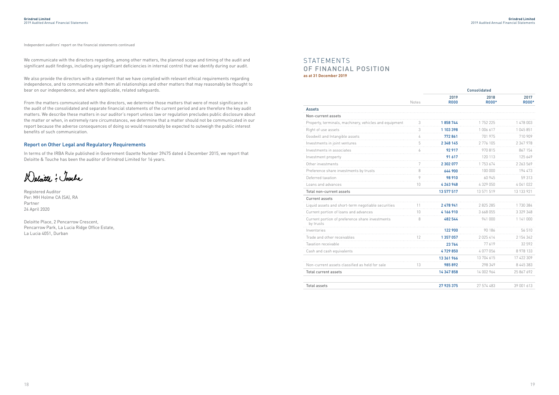## STATEMENTS OF FINANCIAL POSITION **as at 31 December 2019**

Consolidated

|                                                              |                 |                     | Consolidated  |               |
|--------------------------------------------------------------|-----------------|---------------------|---------------|---------------|
|                                                              | Notes           | 2019<br><b>R000</b> | 2018<br>R000* | 2017<br>R000* |
| <b>Assets</b>                                                |                 |                     |               |               |
| Non-current assets                                           |                 |                     |               |               |
| Property, terminals, machinery, vehicles and equipment       | 3               | 1858744             | 1 752 225     | 1 478 003     |
| Right of use assets                                          | 3               | 1 103 398           | 1006617       | 1 045 851     |
| Goodwill and Intangible assets                               | 4               | 772861              | 701 975       | 710 909       |
| Investments in joint ventures                                | 5               | 2 3 4 8 1 4 5       | 2 776 105     | 2 347 978     |
| Investments in associates                                    |                 | 92917               | 970 815       | 867 154       |
| Investment property                                          |                 | 91 617              | 120 113       | 125 649       |
| Other investments                                            |                 | 2 302 077           | 1 753 674     | 2 263 569     |
| Preference share investments by trusts                       | 8               | 644 900             | 100 000       | 194 473       |
| Deferred taxation                                            | 9               | 98 910              | 60 945        | 59 313        |
| Loans and advances                                           | 10 <sup>1</sup> | 4 263 948           | 4 329 050     | 4 041 022     |
| Total non-current assets                                     |                 | 13 577 517          | 13 571 519    | 13 133 921    |
| <b>Current assets</b>                                        |                 |                     |               |               |
| Liquid assets and short-term negotiable securities           |                 | 2 478 941           | 2825285       | 1 730 384     |
| Current portion of loans and advances                        | 10 <sup>1</sup> | 4166910             | 3 668 055     | 3 329 348     |
| Current portion of preference share investments<br>by trusts | 8               | 482 544             | 941 000       | 1 141 000     |
| Inventories                                                  |                 | 122 900             | 90 186        | 56 510        |
| Trade and other receivables                                  | 12              | 1 357 057           | 2025414       | 2 154 342     |
| Taxation receivable                                          |                 | 23764               | 77619         | 32 592        |
| Cash and cash equivalents                                    |                 | 4729850             | 4077056       | 8 978 133     |
|                                                              |                 | 13 361 966          | 13 704 615    | 17 422 309    |
| Non-current assets classified as held for sale               | 13              | 985892              | 298 349       | 8 4 4 5 3 8 3 |
| <b>Total current assets</b>                                  |                 | 14 347 858          | 14 002 964    | 25 867 692    |
| <b>Total assets</b>                                          |                 | 27 925 375          | 27 574 483    | 39 001 613    |

We communicate with the directors regarding, among other matters, the planned scope and timing of the audit and significant audit findings, including any significant deficiencies in internal control that we identify during our audit.

We also provide the directors with a statement that we have complied with relevant ethical requirements regarding independence, and to communicate with them all relationships and other matters that may reasonably be thought to bear on our independence, and where applicable, related safeguards.

From the matters communicated with the directors, we determine those matters that were of most significance in the audit of the consolidated and separate financial statements of the current period and are therefore the key audit matters. We describe these matters in our auditor's report unless law or regulation precludes public disclosure about the matter or when, in extremely rare circumstances, we determine that a matter should not be communicated in our report because the adverse consequences of doing so would reasonably be expected to outweigh the public interest benefits of such communication.

### Report on Other Legal and Regulatory Requirements

In terms of the IRBA Rule published in Government Gazette Number 39475 dated 4 December 2015, we report that Deloitte & Touche has been the auditor of Grindrod Limited for 16 years.

Deloitte : Touche

Registered Auditor Per: MH Holme CA (SA), RA Partner 24 April 2020

Deloitte Place, 2 Pencarrow Crescent, Pencarrow Park, La Lucia Ridge Office Estate, La Lucia 4051, Durban

Independent auditors' report on the financial statements continued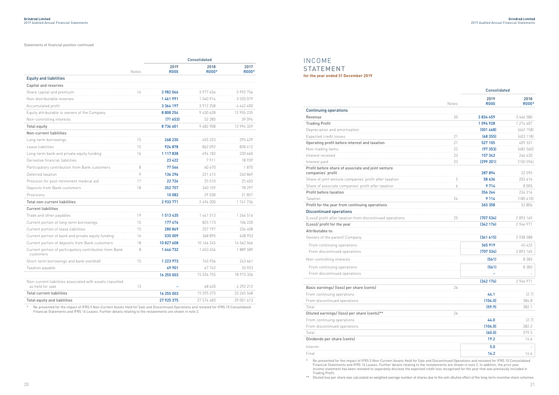#### Statements of financial position continued

|                                                                      |       |                     | <b>Consolidated</b> |               |
|----------------------------------------------------------------------|-------|---------------------|---------------------|---------------|
|                                                                      | Notes | 2019<br><b>R000</b> | 2018<br>R000*       | 2017<br>R000* |
| <b>Equity and liabilities</b>                                        |       |                     |                     |               |
| Capital and reserves                                                 |       |                     |                     |               |
| Share capital and premium                                            | 14    | 3 982 066           | 3 977 456           | 5 992 756     |
| Non-distributable reserves                                           |       | 1461991             | 1540914             | 3 520 079     |
| Accumulated profit                                                   |       | 3 364 197           | 3 912 258           | 4 442 400     |
| Equity attributable to owners of the Company                         |       | 8 8 0 8 2 5 4       | 9 430 628           | 13 955 235    |
| Non-controlling interests                                            |       | (71653)             | 52 280              | 39094         |
| Total equity                                                         |       | 8736601             | 9482908             | 13 994 329    |
| Non-current liabilities                                              |       |                     |                     |               |
| Long-term borrowings                                                 | 15    | 268 230             | 455 223             | 295 429       |
| Lease liabilities                                                    | 15    | 924878              | 862 092             | 828 412       |
| Long-term bank and private equity funding                            | 16    | 1 117 838           | 494 182             | 230 660       |
| Derivative financial liabilities                                     |       | 23 4 22             | 7911                | 18 939        |
| Participatory contribution from Bank customers                       | 8     | 77544               | 60 670              | 1870          |
| Deferred taxation                                                    | 9     | 136 296             | 221 415             | 240 869       |
| Provision for post-retirement medical aid                            | 17    | 22724               | 25 510              | 25 403        |
| Deposits from Bank customers                                         | 18    | 352757              | 340 159             | 78 297        |
| Provisions                                                           |       | 10 082              | 29 038              | 21857         |
| Total non-current liabilities                                        |       | 2933771             | 2496200             | 1 741 736     |
| <b>Current liabilities</b>                                           |       |                     |                     |               |
| Trade and other payables                                             | 19    | 1 513 435           | 1 441 513           | 1 264 516     |
| Current portion of long-term borrowings                              | 15    | 177476              | 825 173             | 106 220       |
| Current portion of lease liabilities                                 | 15    | 280 869             | 257 797             | 234 408       |
| Current portion of bank and private equity funding                   | 16    | 535 009             | 368 895             | 638 953       |
| Current portion of deposits from Bank customers                      | 18    | 10 827 608          | 10 166 245          | 14 562 066    |
| Current portion of participatory contribution from Bank<br>customers | 8     | 1646732             | 1 653 454           | 1889589       |
| Short-term borrowings and bank overdraft                             | 15    | 1 223 973           | 745 936             | 243 661       |
| Taxation payable                                                     |       | 49 901              | 67742               | 33 923        |
|                                                                      |       | 16 255 003          | 15 526 755          | 18 973 336    |
| Non-current liabilities associated with assets classified            |       |                     |                     |               |
| as held for sale                                                     | 13    |                     | 68 620              | 4 292 212     |
| <b>Total current liabilities</b>                                     |       | 16 255 003          | 15 595 375          | 23 265 548    |
| Total equity and liabilities                                         |       | 27 925 375          | 27 574 483          | 39 001 613    |

\* Re-presented for the impact of IFRS 5 Non-Current Assets Held for Sale and Discontinued Operations and restated for IFRS 10 Consolidated Financial Statements and IFRS 16 Leases. Further details relating to the restatements are shown in note 2.

|                                                                         |       | Consolidated        |               |
|-------------------------------------------------------------------------|-------|---------------------|---------------|
|                                                                         | Notes | 2019<br><b>R000</b> | 2018<br>R000* |
| <b>Continuing operations</b>                                            |       |                     |               |
| Revenue                                                                 | 20    | 3834459             | 3466580       |
| <b>Trading Profit</b>                                                   |       | 1096928             | 1 274 607     |
| Depreciation and amortisation                                           |       | [501 468]           | [462 158]     |
| Expected credit losses                                                  | 21    | (68355)             | [403 118]     |
| Operating profit before interest and taxation                           | 21    | 527 105             | 409 331       |
| Non-trading items                                                       | 22    | (97353)             | (482560)      |
| Interest received                                                       | 23    | 157 343             | 246 420       |
| Interest paid                                                           | 23    | (299 201)           | (150596)      |
| Profit before share of associate and joint venture<br>companies' profit |       | 287894              | 22 595        |
| Share of joint venture companies' profit after taxation                 | 5     | 58 636              | 203 616       |
| Share of associate companies' profit after taxation                     | 6     | 9 7 1 4             | 8 0 0 5       |
| Profit before taxation                                                  |       | 356 244             | 234 216       |
| Taxation                                                                | 24    | 9 1 1 4             | (180410)      |
| Profit for the year from continuing operations                          |       | 365 358             | 53 806        |
| <b>Discontinued operations</b>                                          |       |                     |               |
| (Loss)/ profit after taxation from discontinued operations              | 25    | (707534)            | 2893165       |
| (Loss)/ profit for the year                                             |       | (342176)            | 2 946 971     |
| Attributable to:                                                        |       |                     |               |
| Owners of the parent/ Company                                           |       | [341615]            | 2 938 588     |
| From continuing operations                                              |       | 365919              | 45 423        |
| From discontinued operations                                            |       | (707534)            | 2893165       |
| Non-controlling interests                                               |       | (561)               | 8 383         |
| From continuing operations<br>From discontinued operations              |       | (561)               | 8 3 8 3       |
|                                                                         |       | [342 176]           | 2946971       |
| Basic earnings/ (loss) per share (cents)                                | 26    |                     |               |
| From continuing operations                                              |       | 44.1                | (2.7)         |
| From discontinued operations                                            |       | (104.0)             | 384.8         |
| Total                                                                   |       | (59.9)              | 382.1         |
| Diluted earnings/ (loss) per share (cents)**                            | 26    |                     |               |
| From continuing operations                                              |       | 44.0                | [2.7]         |
| From discontinued operations                                            |       | (104.0)             | 382.2         |
| Total                                                                   |       | (60.0)              | 379.5         |
| Dividends per share (cents)                                             |       | 19.2                | 14.6          |
| Interim                                                                 |       | 5.0                 |               |
| Final                                                                   |       | 142                 | 14 6          |

for Sale and Discontinued Operations and restated for IFRS 10 Consolidated

|                                                                         | Notes | <b>RUUU</b> | RUUU      |
|-------------------------------------------------------------------------|-------|-------------|-----------|
| <b>Continuing operations</b>                                            |       |             |           |
| Revenue                                                                 | 20    | 3834459     | 3 466 580 |
| <b>Trading Profit</b>                                                   |       | 1096928     | 1 274 607 |
| Depreciation and amortisation                                           |       | (501468)    | (462 158  |
| Expected credit losses                                                  | 21    | (68355)     | (403 118  |
| Operating profit before interest and taxation                           | 21    | 527 105     | 409 331   |
| Non-trading items                                                       | 22    | (97353)     | (482 560  |
| Interest received                                                       | 23    | 157 343     | 246 420   |
| Interest paid                                                           | 23    | (299 201)   | (150 596  |
| Profit before share of associate and joint venture<br>companies' profit |       | 287894      | 22 595    |
| Share of joint venture companies' profit after taxation                 | 5     | 58 636      | 203 616   |
| Share of associate companies' profit after taxation                     | 6     | 9 7 1 4     | 8 0 0 5   |
| Profit before taxation                                                  |       | 356 244     | 234 216   |
| Taxation                                                                | 24    | 9 1 1 4     | [180410]  |
| Profit for the year from continuing operations                          |       | 365 358     | 53 806    |
| <b>Discontinued operations</b>                                          |       |             |           |
| (Loss)/ profit after taxation from discontinued operations              | 25    | (707534)    | 2 893 165 |
| (Loss)/ profit for the year                                             |       | (342176)    | 2 946 971 |
| Attributable to:                                                        |       |             |           |
| Owners of the parent/ Company                                           |       | (341615)    | 2 938 588 |
| From continuing operations                                              |       | 365919      | 45 423    |
| From discontinued operations                                            |       | [707534]    | 2 893 165 |
| Non-controlling interests                                               |       | [561]       | 8 3 8 3   |
| From continuing operations                                              |       | (561)       | 8 3 8 3   |
| From discontinued operations                                            |       |             |           |
|                                                                         |       | [342 176]   | 2 946 971 |
| Basic earnings/ (loss) per share (cents)                                | 26    |             |           |
| From continuing operations                                              |       | 44.1        | [2.7]     |
| From discontinued operations                                            |       | (104.0)     | 384.8     |
| Total                                                                   |       | (59.9)      | 382.1     |
| Diluted earnings/ (loss) per share (cents)**                            | 26    |             |           |
| From continuing operations                                              |       | 44.0        | (2.7)     |
| From discontinued operations                                            |       | (104.0)     | 382.2     |
| Total                                                                   |       | (60.0)      | 379.5     |
| Dividends per share (cents)                                             |       | 19.2        | 14.6      |
| Interim                                                                 |       | 5.0         |           |
| Final                                                                   |       | 14.2        | 14.6      |
|                                                                         |       |             |           |

Financial Statements and IFRS 16 Leases. Further details relating to the restatements are shown in note 2. In addition, the prior year income statement has been restated to separately disclose the expected credit loss recognised for the year that was previously included in Trading Profit.

\*\* Diluted loss per share was calculated on weighted average number of shares due to the anti-dilutive effect of the long-term incentive share schemes.

## INCOME STATEMENT **for the year ended 31 December 2019**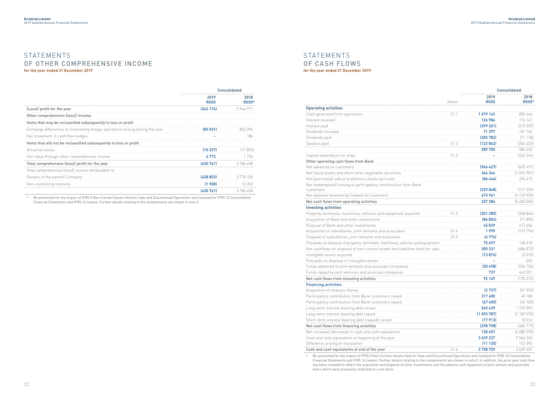|                                                                                |                     | <b>Consolidated</b> |
|--------------------------------------------------------------------------------|---------------------|---------------------|
|                                                                                | 2019<br><b>R000</b> | 2018<br>R000*       |
| (Loss)/ profit for the year                                                    | (342176)            | 2946971             |
| Other comprehensive (loss)/income                                              |                     |                     |
| Items that may be reclassified subsequently to loss or profit                  |                     |                     |
| Exchange differences on translating foreign operations arising during the year | (83031)             | 855396              |
| Net movement in cash flow hedges                                               |                     | 186                 |
| Items that will not be reclassified subsequently to loss or profit             |                     |                     |
| Actuarial losses                                                               | (10327)             | [17850]             |
| Fair value through other comprehensive income                                  | 4 7 7 3             | 1 755               |
| Total comprehensive (loss)/ profit for the year                                | [430761]            | 3786458             |
| Total comprehensive (loss)/income attributable to:                             |                     |                     |
| Owners of the parent/ Company                                                  | (428853)            | 3 776 105           |
| Non-controlling interests                                                      | (1908)              | 10 353              |
|                                                                                | (430761)            | 3786458             |

\* Re-presented for the impact of IFRS 5 Non-Current Assets Held for Sale and Discontinued Operations and restated for IFRS 10 Consolidated Financial Statements and IFRS 16 Leases. Further details relating to the restatements are shown in note 2.

## STATEMENTS OF OTHER COMPREHENSIVE INCOME **for the year ended 31 December 2019**

|                                                                                |       |                     | Consolidated  |
|--------------------------------------------------------------------------------|-------|---------------------|---------------|
|                                                                                | Notes | 2019<br><b>R000</b> | 2018<br>R000* |
| <b>Operating activities</b>                                                    |       |                     |               |
| Cash generated from operations                                                 | 31.1  | 1019162             | 800 444       |
| Interest received                                                              |       | 126 986             | 176 167       |
| Interest paid                                                                  |       | (299 201)           | (219559)      |
| Dividends received                                                             |       | 71397               | 101742        |
| Dividends paid                                                                 |       | (205782)            | (71118)       |
| Taxation paid                                                                  | 31.2  | (122862)            | [204 223]     |
|                                                                                |       | 589 700             | 583 453       |
| Capital expenditure on ships                                                   | 31.3  |                     | [242 244]     |
| Other operating cash flows from Bank                                           |       |                     |               |
| Net advances to customers                                                      |       | (946427)            | (632491)      |
| Net liquid assets and short-term negotiable securities                         |       | 346 344             | (1094901)     |
| Net (purchase)/ sale of preference shares by trusts                            |       | [86444]             | 294 473       |
| Net (redemption)/ raising of participatory contributions from Bank             |       |                     |               |
| customers                                                                      |       | (239848)            | (177335)      |
| Net deposits received by/ (repaid to) customers                                |       | 673961              | (4133959)     |
| Net cash flows from operating activities                                       |       | 337 286             | (5403004)     |
| <b>Investing activities</b>                                                    |       |                     |               |
| Property, terminals, machinery, vehicles and equipment acquired                | 31.3  | (201 280)           | [348846]      |
| Acquisition of Bank and other investments                                      |       | [86 804]            | (71890)       |
| Disposal of Bank and other investments                                         |       | 45839               | 472 654       |
| Acquisition of subsidiaries, joint ventures and associates                     | 31.4  | 1999                | (123794)      |
| Disposal of subsidiaries, joint ventures and associates                        | 31.5  | (4776)              |               |
| Proceeds on disposal of property, terminals, machinery, vehicles and equipment |       | 75 697              | 148 318       |
| Net cashflows on disposal of non-current assets and liabilities held-for-sale  |       | 305 331             | (486 872)     |
| Intangible assets acquired                                                     |       | (13876)             | (2010)        |
| Proceeds on disposal of intangible assets                                      |       |                     | 353           |
| Funds advanced to joint ventures and associate companies                       |       | (30698)             | [226 736]     |
| Funds repaid by joint ventures and associate companies                         |       | 737                 | 443 551       |
| Net cash flows from investing activities                                       |       | 92 169              | (195 272)     |
| <b>Financing activities</b>                                                    |       |                     |               |
| Acquisition of treasury shares                                                 |       | (2737)              | (57953)       |
| Participatory contribution from Bank customers raised                          |       | 317400              | 40 100        |
| Participatory contribution from Bank customers repaid                          |       | (67400)             | (40100)       |
| Long-term interest-bearing debt raised                                         |       | 565 639             | 1739893       |
| Long-term interest-bearing debt repaid                                         |       | (1093787)           | [2 182 075]   |
| Short-term interest-bearing debt (repaid)/ raised                              |       | (17913)             | 18016         |
| Net cash flows from financing activities                                       |       | (298798)            | (482 119)     |
| Net increase/ (decrease) in cash and cash equivalents                          |       | 130 657             | (6080395)     |
| Cash and cash equivalents at beginning of the year                             |       | 3 639 237           | 9 566 240     |
| Difference arising on translation                                              |       | (11135)             | 153 392       |
| Cash and cash equivalents at end of the year                                   | 31.6  | 3758759             | 3 639 237     |

Financial Statements and IFRS 16 Leases. Further details relating to the restatements are shown in note 2. In addition, the prior year cash flow

\* Re-presented for the impact of IFRS 5 Non-Current Assets Held for Sale and Discontinued Operations and restated for IFRS 10 Consolidated has been restated to reflect the acquisition and disposal of other investments and the advance and repayment of joint venture and associate loans which were previously reflected on a net basis.

## STATEMENTS OF CASH FLOWS **for the year ended 31 December 2019**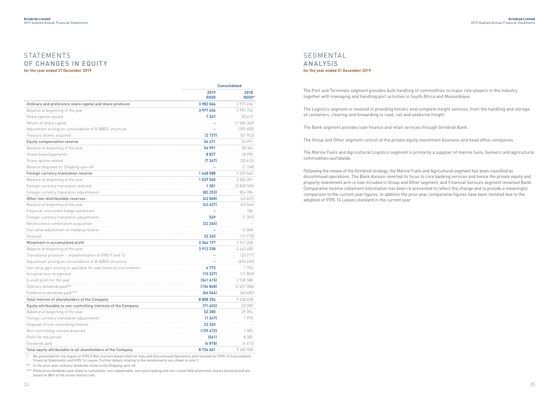|                                                                     |                     | Consolidated  |
|---------------------------------------------------------------------|---------------------|---------------|
|                                                                     | 2019<br><b>R000</b> | 2018<br>R000* |
| Ordinary and preference share capital and share premium             | 3 982 066           | 3 977 456     |
| Balance at beginning of the year                                    | 3 977 456           | 5 992 756     |
| Share options vested                                                | 7347                | 20 615        |
| Return of share capital                                             |                     | (1584362)     |
| Adjustment arising on consolidation of B-BBEE structure             |                     | (393600)      |
| Treasury shares acquired                                            | (2737)              | (57953)       |
| Equity compensation reserve                                         | 56 471              | 54 991        |
| Balance at beginning of the year                                    | 54 991              | 58 364        |
| Share-based payments                                                | 8827                | 18 990        |
| Share options vested                                                | (7347)              | [20 615]      |
| Balance disposed on Shipping spin-off                               |                     | (1748)        |
| Foreign currency translation reserve                                | 1 448 588           | 1 529 560     |
| Balance at beginning of the year                                    | 1529560             | 3 505 281     |
| Foreign currency translation realised                               | 1 2 8 1             | (2830505)     |
| Foreign currency translation adjustments                            | [82 253]            | 854 784       |
| Other non-distributable reserves                                    | (43068)             | [43637]       |
| Balance at beginning of the year                                    | (43637)             | [43 566]      |
| Financial instrument hedge settlement                               |                     | 186           |
| Foreign currency translation adjustments                            | 569                 | (1355)        |
| Net business combination acquisition                                | (22265)             |               |
| Fair value adjustment on hedging reserve                            |                     | 14 068        |
| Disposal                                                            | 22 265              | (12970)       |
| Movement in accumulated profit                                      | 3 3 6 4 1 9 7       | 3 912 258     |
| Balance at beginning of the year                                    | 3 912 258           | 4 442 400     |
| Transitional provision - implementation of IFRS 9 and 15            |                     | (33 217)      |
| Adjustment arising on consolidation of B-BBEE structure             |                     | (696650)      |
| Fair value gain arising on available for sale financial instruments | 4773                | 1755          |
| Actuarial loss recognised                                           | (10327)             | (17850)       |
| (Loss)/ profit for the year                                         | (341615)            | 2 938 588     |
| Ordinary dividends paid**                                           | (134848)            | [2657086]     |
| Preference dividends paid***                                        | (66044)             | (65682)       |
| Total interest of shareholders of the Company                       | 8 8 0 8 2 5 4       | 9 430 628     |
| Equity attributable to non-controlling interests of the Company     | (71653)             | 52 280        |
| Balance at beginning of the year                                    | 52 280              | 39 094        |
| Foreign currency translation adjustments                            | (1347)              | 1970          |
| Disposal of non-controlling interest                                | 22 265              |               |
| Non-controlling interest acquired                                   | (139 472)           | 7 505         |
| Profit for the period                                               | (561)               | 8 3 8 3       |
| Dividends paid                                                      | (4818)              | (4672)        |
| Total equity attributable to all shareholders of the Company        | 8736601             | 9 482 908     |

\*\*\* Preference dividends paid relate to cumulative, non-redeemable, non-participating and non-convertible preference shares declared and are based on 88% of the prime interest rate.

\* Re-presented for the impact of IFRS 5 Non-Current Assets Held for Sale and Discontinued Operations and restated for IFRS 10 Consolidated Financial Statements and IFRS 16 Leases. Further details relating to the restatements are shown in note 2.

\*\* In the prior year, ordinary dividends relate to the Shipping spin-off.

The Port and Terminals segment provides bulk handling of commodities to major role-players in the industry together with managing and handling port activities in South Africa and Mozambique.

The Logistics segment is involved in providing holistic and complete freight services, from the handling and storage of containers, clearing and forwarding to road, rail and seaborne freight.

The Bank segment provides loan finance and retail services through Grindrod Bank.

The Group and Other segment consist of the private equity investment business and head office companies.

The Marine Fuels and Agricultural Logistics segment is primarily a supplier of marine fuels, bunkers and agricultural commodities worldwide.

Following the review of the Grindrod strategy, the Marine Fuels and Agricultural segment has been classified as discontinued operations. The Bank division reverted its focus to core banking services and hence the private equity and property investment arm is now included in Group and Other segment, and Financial Services segment renamed Bank. Comparative income statement information has been re-presented to reflect the change and to provide a meaningful comparison to the current year figures. In addition the prior year comparative figures have been restated due to the adoption of IFRS 16 Leases standard in the current year.

## STATEMENTS OF CHANGES IN EQUITY **for the year ended 31 December 2019**

## SEGMENTAL ANALYSIS **for the year ended 31 December 2019**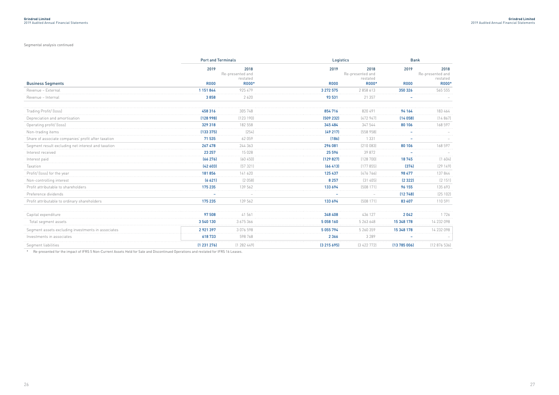|  |  |  |  |  |  | 2018             |
|--|--|--|--|--|--|------------------|
|  |  |  |  |  |  | Re-presented and |
|  |  |  |  |  |  | restated         |
|  |  |  |  |  |  | R000             |
|  |  |  |  |  |  | 565 555          |
|  |  |  |  |  |  |                  |
|  |  |  |  |  |  |                  |
|  |  |  |  |  |  | 183 464          |
|  |  |  |  |  |  | [14867]          |
|  |  |  |  |  |  | 168 597          |
|  |  |  |  |  |  |                  |
|  |  |  |  |  |  |                  |
|  |  |  |  |  |  |                  |
|  |  |  |  |  |  | 168 597          |
|  |  |  |  |  |  |                  |
|  |  |  |  |  |  | (1604)           |
|  |  |  |  |  |  | (29149)          |
|  |  |  |  |  |  | 137844           |
|  |  |  |  |  |  | [2 151]          |
|  |  |  |  |  |  | 135 693          |
|  |  |  |  |  |  | [25 102]         |
|  |  |  |  |  |  | 110591           |
|  |  |  |  |  |  |                  |
|  |  |  |  |  |  |                  |
|  |  |  |  |  |  | 726              |
|  |  |  |  |  |  | 14 232 098       |
|  |  |  |  |  |  |                  |
|  |  |  |  |  |  | 098<br>14 232    |
|  |  |  |  |  |  |                  |
|  |  |  |  |  |  | (12 876 536)     |

|                                                     | <b>Port and Terminals</b> |                                      | Logistics          | <b>Bank</b>                          |                  |                                      |
|-----------------------------------------------------|---------------------------|--------------------------------------|--------------------|--------------------------------------|------------------|--------------------------------------|
|                                                     | 2019                      | 2018<br>Re-presented and<br>restated | 2019               | 2018<br>Re-presented and<br>restated | 2019             | 2018<br>Re-presented and<br>restated |
| <b>Business Segments</b>                            | <b>R000</b>               | <b>R000*</b>                         | <b>R000</b>        | R000*                                | <b>R000</b>      | R000*                                |
| Revenue - External                                  | 1 151 844                 | 925 479                              | 3 272 575<br>93531 | 2 8 5 8 6 1 3                        | 350 326          | 565 555                              |
| Revenue - Internal                                  | 3858                      | 2620                                 |                    | 21 357                               |                  |                                      |
| Trading Profit/ (loss)                              | 458 316                   | 305 748                              | 854716             | 820 A9'                              | 94 164           | 183 464                              |
| Depreciation and amortisation                       | (128998)                  | (123 190)                            | (509 232)          | [472947]                             | (14058)          | (14867)                              |
| Operating profit/ (loss)                            | 329 318                   | 182 558                              | 345 484            | 347 544                              | 80 10 6          | 168 597                              |
| Non-trading items                                   | [133375]                  | 1254                                 | (49217)            | (558958)                             |                  |                                      |
| Share of associate companies' profit after taxation | 71535                     | 62 059                               | (186)              | 1 3 3 1                              |                  |                                      |
| Segment result excluding net interest and taxation  | 267478                    | 244 363                              | 296 081            | [210083]                             | 80 10 6          | 168 597                              |
| Interest received                                   | 23 257                    | 15 028                               | 25 5 9 6           | 39 872                               |                  |                                      |
| Interest paid                                       | (66276)                   | (60450)                              | (129827)           | (128700)                             | 18745            | (1604)                               |
| Taxation                                            | (42603)                   | (57321)                              | (66, 413)          | (177855)                             | (374)            | [29 149]                             |
| Profit/ (loss) for the year                         | 181856                    | 141 620                              | 125 437            | [476766]                             | 98 477           | 137844                               |
| Non-controlling interest                            | (6621)                    | (2058)                               | 8 2 5 7            | (31405)                              | (2322)           | (2151)                               |
| Profit attributable to shareholders                 | 175 235                   | 139 562                              | 133 694            | [508 171]                            | 96 155           | 135 693                              |
| Preference dividends                                |                           |                                      |                    |                                      | (12748)          | (25102)                              |
| Profit attributable to ordinary shareholders        | 175 235                   | 139 562                              | 133 694            | (508171)                             | 83 40 7          | 110591                               |
| Capital expenditure                                 | 97 508                    | 41561                                | 348 408            | 436 12'                              | 2042             | 1726                                 |
| Total segment assets                                | 3 540 130                 | 3 675 366                            | 5058160            | 5 263 648                            | 15 348 178       | 4 232 098                            |
| Segment assets excluding investments in associate:  | 2921397                   | 3076598                              | 5055794            | 5 260 359                            | 15 348 178       | 14 232 098                           |
| Investments in associates                           | 618733                    | 598768                               | 2 3 6 6            | 3 2 8 9                              |                  |                                      |
| Segment liabilities                                 | (1231276)                 | (1282449)                            | (3215695)          | [3 422 772]                          | $(13\ 785\ 006)$ | [12 876 536]                         |

\* Re-presented for the impact of IFRS 5 Non-Current Assets Held for Sale and Discontinued Operations and restated for IFRS 16 Leases.

#### Segmental analysis continued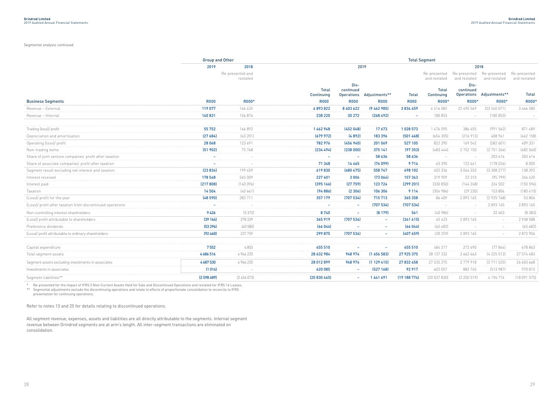#### Segmental analysis continued

|                                                           | <b>Group and Other</b> | <b>Total Segment</b>         |                            |                   |                          |               |                              |                   |                                           |                              |
|-----------------------------------------------------------|------------------------|------------------------------|----------------------------|-------------------|--------------------------|---------------|------------------------------|-------------------|-------------------------------------------|------------------------------|
|                                                           | 2019                   | 2018                         |                            | 2019              |                          |               |                              | 2018              |                                           |                              |
|                                                           |                        | Re-presented and<br>restated |                            |                   |                          |               | Re-presented<br>and restated | and restated      | Re-presented Re-presented<br>and restated | Re-presented<br>and restated |
|                                                           |                        |                              | <b>Total</b><br>Continuing | Dis-<br>continued | Operations Adjustments** | Total         | <b>Total</b><br>Continuing   | Dis-<br>continued | Operations Adjustments**                  | Total                        |
| <b>Business Segments</b>                                  | <b>R000</b>            | R000*                        | <b>R000</b>                | <b>R000</b>       | <b>R000</b>              | <b>R000</b>   | R000*                        | R000*             | R000*                                     | R000*                        |
| Revenue - External                                        | 119 077                | 166 435                      | 4893822                    | 8 4 0 3 6 2 2     | (9462985)                | 3 8 3 4 4 5 9 | 4516082                      | 22 490 569        | (23540071)                                | 3 466 580                    |
| Revenue - Internal                                        | 140 831                | 156 876                      | 238 220                    | 30 27 2           | (268492)                 |               | 180 853                      |                   | (180 853)                                 |                              |
| Trading (loss)/ profit                                    | 55 752                 | 166892                       | 1462948                    | (452048)          | 17673                    | 1 028 573     | 476 595                      | 386 455           | (991562)                                  | 871 489                      |
| Depreciation and amortisation                             | [27684]                | (43201)                      | (679972)                   | (4892)            | 183 396                  | (501468)      | (654205)                     | [216913]          | 408 961                                   | [462 158]                    |
| Operating (loss)/ profit                                  | 28 0 68                | 123 691                      | 782 976                    | (456940)          | 201 069                  | 527 105       | 822 390                      | 169 542           | (582601)                                  | 409 331                      |
| Non-trading items                                         | (51902)                | 75 768                       | [234 494]                  | (238000)          | 375 141                  | (97353)       | [483 444]                    | 2 752 150         | [2751266]                                 | (482560)                     |
| Share of joint venture companies' profit after taxation   |                        |                              |                            |                   | 58 6 36                  | 58 6 36       |                              |                   | 203 616                                   | 203 616                      |
| Share of associate companies' profit after taxation       |                        |                              | 71 348                     | 14 4 6 5          | (76099)                  | 9 7 1 4       | 63 390                       | 122 641           | (178026)                                  | 8 0 0 5                      |
| Segment result excluding net interest and taxation        | (23834)                | 199 459                      | 619830                     | (680475)          | 558747                   | 498 102       | 402 336                      | 3 044 333         | (3308277)                                 | 138 392                      |
| Interest received                                         | 178 548                | 265 009                      | 227 401                    | 3006              | (73064)                  | 157 343       | 319 909                      | 22 3 10           | (95799)                                   | 246 420                      |
| Interest paid                                             | (217808)               | (140096)                     | (395166)                   | (27759)           | 123724                   | (299 201)     | (330 850)                    | (144248)          | 324 502                                   | (150596)                     |
| <b>Taxation</b>                                           | 14 504                 | [40661]                      | (94886)                    | (2306)            | 106 306                  | 9 1 1 4       | (304986)                     | [29 230]          | 153 806                                   | (180410)                     |
| (Loss)/ profit for the year                               | (48590)                | 283 711                      | 357 179                    | (707534)          | 715 713                  | 365 358       | 86 409                       | 2 893 165         | [2925768]                                 | 53 806                       |
| (Loss)/ profit after taxation from discontinued operation |                        |                              |                            |                   | (707534)                 | (707534)      |                              |                   | 2893165                                   | 2 893 165                    |
| Non-controlling interest shareholders                     | 9426                   | (5372)                       | 8740                       |                   | [8 179]                  | 561           | (40986)                      |                   | 32 603                                    | (8383)                       |
| (Loss)/ profit attributable to shareholders               | [39 164]               | 278 339                      | 365919                     | (707534)          |                          | (341 615)     | 45 4 23                      | 2 893 165         |                                           | 2 938 588                    |
| Preference dividends                                      | [53 296]               | (40580)                      | (66044)                    |                   | $\overline{\phantom{a}}$ | (66044)       | (65682)                      |                   |                                           | (65682)                      |
| (Loss)/ profit attributable to ordinary shareholders      | (92,460)               | 237 759                      | 299 875                    | (707534)          | $\overline{\phantom{0}}$ | (407659)      | (20 259)                     | 2 893 165         |                                           | 2872906                      |
| Capital expenditure                                       | 7552                   | 4803                         | 455 510                    |                   |                          | 455 510       | 484 217                      | 272 490           | [77844]                                   | 678 863                      |
| Total segment assets                                      | 4686516                | 4966220                      | 28 632 984                 | 948 974           | (1656583)                | 27 925 375    | 28 137 332                   | 3 662 663         | (4225512)                                 | 27 574 483                   |
| Segment assets excluding investments in associate         | 4687530                | 4 966 220                    | 28 012 899                 | 948 974           | (1129415)                | 27 832 458    | 27 535 275                   | 2779918           | (3711525)                                 | 26 603 668                   |
| Investments in associates                                 | (1014)                 |                              | 620 085                    |                   | (527168)                 | 92917         | 602 057                      | 882 745           | (513987)                                  | 970 815                      |
| Segment liabilities**                                     | (2598489)              | [2456073]                    | (20830465)                 |                   | 1641691                  | (19188774)    | (20037830)                   | (2250519)         | 4 196 774                                 | (18091575)                   |

\* Re-presented for the impact of IFRS 5 Non-Current Assets Held for Sale and Discontinued Operations and restated for IFRS 16 Leases.

\*\* Segmental adjustments exclude the discontinuing operations and relate to effects of proportionate consolidation to reconcile to IFRS presentation for continuing operations.

Refer to notes 13 and 25 for details relating to discontinued operations.

All segment revenue, expenses, assets and liabilities are all directly attributable to the segments. Internal segment revenue between Grindrod segments are at arm's length. All inter-segment transactions are eliminated on consolidation.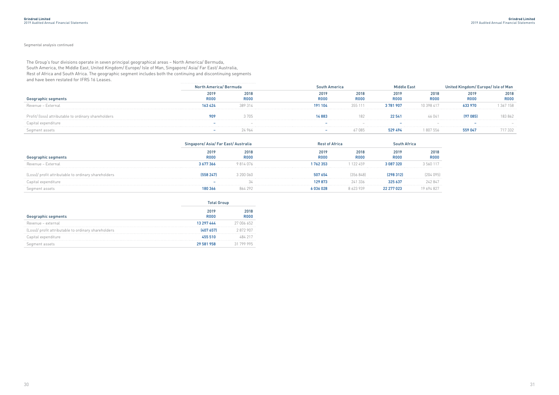The Group's four divisions operate in seven principal geographical areas – North America/ Bermuda, South America, the Middle East, United Kingdom/ Europe/ Isle of Man, Singapore/ Asia/ Far East/ Australia, Rest of Africa and South Africa. The geographic segment includes both the continuing and discontinuing segments and have been restated for IFRS 16 Leases. . . . . . . . . . . . .

#### Segmental analysis continued

|                                                      |             | Bermuda     |             |             |                    |             | United Kingdom/ Europe/ Isle of Man |             |
|------------------------------------------------------|-------------|-------------|-------------|-------------|--------------------|-------------|-------------------------------------|-------------|
|                                                      | 2019        | 2018        | 2019        | 2018        | 2019               | 2018        | 2019                                | 2018        |
|                                                      | <b>R000</b> | <b>R000</b> | <b>R000</b> | <b>R000</b> | <b>R000</b>        | <b>R000</b> | <b>R000</b>                         | <b>R000</b> |
| Revenue – External                                   | 163 424     | 389 314     | 91 104      | 355 TT      | 3781907            | 0 398 417   | 633 970                             | 367 158     |
| rofit/ [loss] attributable to ordinary shareholders' |             | 3 705       | .4 883      |             | 22.54 <sup>1</sup> | 46 U41      | (97 085)                            | 83862       |
| Capital expenditure                                  |             |             |             |             |                    |             |                                     |             |
|                                                      |             |             |             | 67 U85      |                    | 807 556     | 559 047                             | 17332       |

|                                                         | Singapore/ Asia/ Far East/ Australia |                     | Rest of Africa      | iouth Africa        |                     |                     |
|---------------------------------------------------------|--------------------------------------|---------------------|---------------------|---------------------|---------------------|---------------------|
|                                                         | 2019<br><b>R000</b>                  | 2018<br><b>R000</b> | 2019<br><b>R000</b> | 2018<br><b>R000</b> | 2019<br><b>R000</b> | 2018<br><b>R000</b> |
| Revenue - External                                      | 3677366                              | 2814076             | 762353              | . 122 459           | 3 087 320           | 3560117             |
| profit attributable to ordinary shareholders<br>,∟OSSJ/ | (558247)                             | 200 060             | 507 654             | [356848]            | [298312]            | 1204 0951           |
| `apital expenditure.                                    |                                      |                     | 29 873              | 241 336             | 25 637              | 112 817             |
|                                                         | 180 366                              | 864 292             | <u>, በ36 በ28 </u>   | 8623939             | 22 277 023          |                     |

|                                                      |                     | <b>Total Group</b>  |  |  |  |
|------------------------------------------------------|---------------------|---------------------|--|--|--|
| Geographic segments                                  | 2019<br><b>R000</b> | 2018<br><b>R000</b> |  |  |  |
| Revenue - external                                   | 13 297 444          | 27 006 652          |  |  |  |
| (Loss)/ profit attributable to ordinary shareholders | [407 657]           | 2872907             |  |  |  |
| Capital expenditure                                  | 455 510             | 484 217             |  |  |  |
| Segment assets                                       | 29 581 958          | 31 799 995          |  |  |  |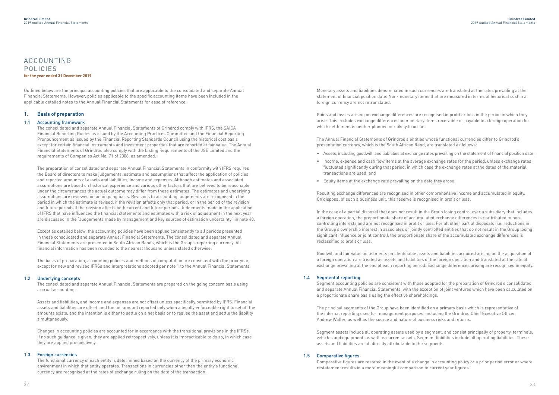Outlined below are the principal accounting policies that are applicable to the consolidated and separate Annual Financial Statements. However, policies applicable to the specific accounting items have been included in the applicable detailed notes to the Annual Financial Statements for ease of reference.

### 1. Basis of preparation

#### 1.1 Accounting framework

The consolidated and separate Annual Financial Statements of Grindrod comply with IFRS, the SAICA Financial Reporting Guides as issued by the Accounting Practices Committee and the Financial Reporting Pronouncement as issued by the Financial Reporting Standards Council using the historical cost basis except for certain financial instruments and investment properties that are reported at fair value. The Annual Financial Statements of Grindrod also comply with the Listing Requirements of the JSE Limited and the requirements of Companies Act No. 71 of 2008, as amended.

The preparation of consolidated and separate Annual Financial Statements in conformity with IFRS requires the Board of directors to make judgements, estimate and assumptions that affect the application of policies and reported amounts of assets and liabilities, income and expenses. Although estimates and associated assumptions are based on historical experience and various other factors that are believed to be reasonable under the circumstances the actual outcome may differ from these estimates. The estimates and underlying assumptions are reviewed on an ongoing basis. Revisions to accounting judgements are recognised in the period in which the estimate is revised, if the revision affects only that period, or in the period of the revision and future periods if the revision affects both current and future periods. Judgements made in the application of IFRS that have influenced the financial statements and estimates with a risk of adjustment in the next year are discussed in the "Judgements made by management and key sources of estimation uncertainty" in note 40.

Except as detailed below, the accounting policies have been applied consistently to all periods presented in these consolidated and separate Annual Financial Statements. The consolidated and separate Annual Financial Statements are presented in South African Rands, which is the Group's reporting currency. All financial information has been rounded to the nearest thousand unless stated otherwise.

The basis of preparation, accounting policies and methods of computation are consistent with the prior year, except for new and revised IFRSs and interpretations adopted per note 1 to the Annual Financial Statements.

#### 1.2 Underlying concepts

The consolidated and separate Annual Financial Statements are prepared on the going concern basis using accrual accounting.

Assets and liabilities, and income and expenses are not offset unless specifically permitted by IFRS. Financial assets and liabilities are offset, and the net amount reported only when a legally enforceable right to set off the amounts exists, and the intention is either to settle on a net basis or to realise the asset and settle the liability simultaneously.

Changes in accounting policies are accounted for in accordance with the transitional provisions in the IFRSs. If no such guidance is given, they are applied retrospectively, unless it is impracticable to do so, in which case they are applied prospectively.

#### 1.3 Foreign currencies

The functional currency of each entity is determined based on the currency of the primary economic environment in which that entity operates. Transactions in currencies other than the entity's functional currency are recognised at the rates of exchange ruling on the date of the transaction.

## ACCOUNTING POLICIES **for the year ended 31 December 2019**

Monetary assets and liabilities denominated in such currencies are translated at the rates prevailing at the statement of financial position date. Non-monetary items that are measured in terms of historical cost in a foreign currency are not retranslated.

Gains and losses arising on exchange differences are recognised in profit or loss in the period in which they arise. This excludes exchange differences on monetary items receivable or payable to a foreign operation for which settlement is neither planned nor likely to occur.

The Annual Financial Statements of Grindrod's entities whose functional currencies differ to Grindrod's presentation currency, which is the South African Rand, are translated as follows:

• Assets, including goodwill, and liabilities at exchange rates prevailing on the statement of financial position date; • Income, expense and cash flow items at the average exchange rates for the period, unless exchange rates

- 
- fluctuated significantly during that period, in which case the exchange rates at the dates of the material transactions are used; and
- Equity items at the exchange rate prevailing on the date they arose.

Resulting exchange differences are recognised in other comprehensive income and accumulated in equity. On disposal of such a business unit, this reserve is recognised in profit or loss.

In the case of a partial disposal that does not result in the Group losing control over a subsidiary that includes a foreign operation, the proportionate share of accumulated exchange differences is reattributed to noncontrolling interests and are not recognised in profit or loss. For all other partial disposals (i.e. reductions in the Group's ownership interest in associates or jointly controlled entities that do not result in the Group losing significant influence or joint control), the proportionate share of the accumulated exchange differences is reclassified to profit or loss.

Goodwill and fair value adjustments on identifiable assets and liabilities acquired arising on the acquisition of a foreign operation are treated as assets and liabilities of the foreign operation and translated at the rate of exchange prevailing at the end of each reporting period. Exchange differences arising are recognised in equity.

#### 1.4 Segmental reporting

Segment accounting policies are consistent with those adopted for the preparation of Grindrod's consolidated and separate Annual Financial Statements, with the exception of joint ventures which have been calculated on a proportionate share basis using the effective shareholdings.

The principal segments of the Group have been identified on a primary basis which is representative of the internal reporting used for management purposes, including the Grindrod Chief Executive Officer, Andrew Waller, as well as the source and nature of business risks and returns.

Segment assets include all operating assets used by a segment, and consist principally of property, terminals, vehicles and equipment, as well as current assets. Segment liabilities include all operating liabilities. These assets and liabilities are all directly attributable to the segments.

#### 1.5 Comparative figures

Comparative figures are restated in the event of a change in accounting policy or a prior period error or where restatement results in a more meaningful comparison to current year figures.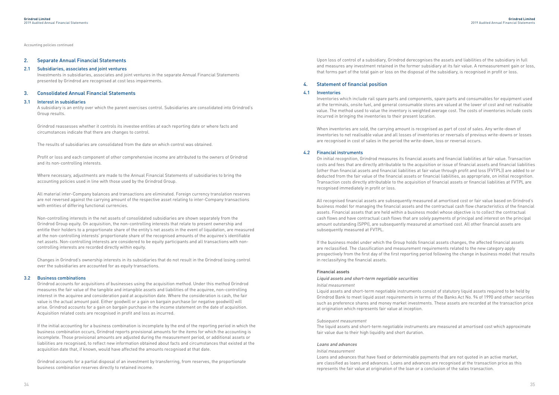#### 2. Separate Annual Financial Statements

#### 2.1 Subsidiaries, associates and joint ventures

Investments in subsidiaries, associates and joint ventures in the separate Annual Financial Statements presented by Grindrod are recognised at cost less impairments.

#### 3. Consolidated Annual Financial Statements

#### 3.1 Interest in subsidiaries

A subsidiary is an entity over which the parent exercises control. Subsidiaries are consolidated into Grindrod's Group results.

Grindrod reassesses whether it controls its investee entities at each reporting date or where facts and circumstances indicate that there are changes to control.

The results of subsidiaries are consolidated from the date on which control was obtained.

Profit or loss and each component of other comprehensive income are attributed to the owners of Grindrod and its non-controlling interests.

Where necessary, adjustments are made to the Annual Financial Statements of subsidiaries to bring the accounting policies used in line with those used by the Grindrod Group.

All material inter-Company balances and transactions are eliminated. Foreign currency translation reserves are not reversed against the carrying amount of the respective asset relating to inter-Company transactions with entities of differing functional currencies.

Non-controlling interests in the net assets of consolidated subsidiaries are shown separately from the Grindrod Group equity. On acquisition, the non-controlling interests that relate to present ownership and entitle their holders to a proportionate share of the entity's net assets in the event of liquidation, are measured at the non-controlling interests' proportionate share of the recognised amounts of the acquiree's identifiable net assets. Non-controlling interests are considered to be equity participants and all transactions with noncontrolling interests are recorded directly within equity.

Changes in Grindrod's ownership interests in its subsidiaries that do not result in the Grindrod losing control over the subsidiaries are accounted for as equity transactions.

#### 3.2 Business combinations

Grindrod accounts for acquisitions of businesses using the acquisition method. Under this method Grindrod measures the fair value of the tangible and intangible assets and liabilities of the acquiree, non-controlling interest in the acquiree and consideration paid at acquisition date. Where the consideration is cash, the fair value is the actual amount paid. Either goodwill or a gain on bargain purchase (or negative goodwill) will arise. Grindrod accounts for a gain on bargain purchase in the income statement on the date of acquisition. Acquisition related costs are recognised in profit and loss as incurred.

If the initial accounting for a business combination is incomplete by the end of the reporting period in which the business combination occurs, Grindrod reports provisional amounts for the items for which the accounting is incomplete. Those provisional amounts are adjusted during the measurement period, or additional assets or liabilities are recognised, to reflect new information obtained about facts and circumstances that existed at the acquisition date that, if known, would have affected the amounts recognised at that date.

Grindrod accounts for a partial disposal of an investment by transferring, from reserves, the proportionate business combination reserves directly to retained income.

Accounting policies continued

Upon loss of control of a subsidiary, Grindrod derecognises the assets and liabilities of the subsidiary in full and measures any investment retained in the former subsidiary at its fair value. A remeasurement gain or loss, that forms part of the total gain or loss on the disposal of the subsidiary, is recognised in profit or loss.

#### 4. Statement of financial position

#### 4.1 Inventories

Inventories which include rail spare parts and components, spare parts and consumables for equipment used at the terminals, onsite fuel, and general consumable stores are valued at the lower of cost and net realisable value. The method used to value the inventory is weighted average cost. The costs of inventories include costs incurred in bringing the inventories to their present location.

When inventories are sold, the carrying amount is recognised as part of cost of sales. Any write-down of inventories to net realisable value and all losses of inventories or reversals of previous write-downs or losses are recognised in cost of sales in the period the write-down, loss or reversal occurs.

#### 4.2 Financial instruments

On initial recognition, Grindrod measures its financial assets and financial liabilities at fair value. Transaction costs and fees that are directly attributable to the acquisition or issue of financial assets and financial liabilities (other than financial assets and financial liabilities at fair value through profit and loss (FVTPL)) are added to or deducted from the fair value of the financial assets or financial liabilities, as appropriate, on initial recognition. Transaction costs directly attributable to the acquisition of financial assets or financial liabilities at FVTPL are recognised immediately in profit or loss.

All recognised financial assets are subsequently measured at amortised cost or fair value based on Grindrod's business model for managing the financial assets and the contractual cash flow characteristics of the financial assets. Financial assets that are held within a business model whose objective is to collect the contractual cash flows and have contractual cash flows that are solely payments of principal and interest on the principal amount outstanding (SPPI), are subsequently measured at amortised cost. All other financial assets are subsequently measured at FVTPL.

If the business model under which the Group holds financial assets changes, the affected financial assets are reclassified. The classification and measurement requirements related to the new category apply prospectively from the first day of the first reporting period following the change in business model that results in reclassifying the financial assets.

#### **Financial assets**

#### Liquid assets and short-term negotiable securities *Initial measurement*

Liquid assets and short-term negotiable instruments consist of statutory liquid assets required to be held by Grindrod Bank to meet liquid asset requirements in terms of the Banks Act No. 94 of 1990 and other securities such as preference shares and money market investments. These assets are recorded at the transaction price at origination which represents fair value at inception.

#### *Subsequent measurement*

The liquid assets and short-term negotiable instruments are measured at amortised cost which approximate fair value due to their high liquidity and short duration.

#### Loans and advances

#### *Initial measurement*

Loans and advances that have fixed or determinable payments that are not quoted in an active market, are classified as loans and advances. Loans and advances are recognised at the transaction price as this represents the fair value at origination of the loan or a conclusion of the sales transaction.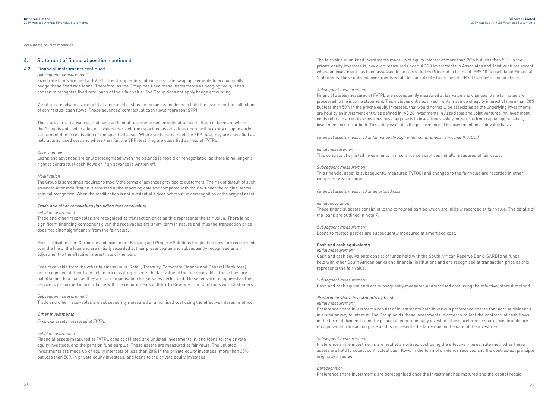### 4. Statement of financial position continued

### 4.2 Financial instruments continued

#### *Subsequent measurement*

Fixed rate loans are held at FVTPL. The Group enters into interest rate swap agreements to economically hedge these fixed rate loans. Therefore, as the Group has used these instruments as hedging tools, it has chosen to recognise fixed rate loans at their fair value. The Group does not apply hedge accounting.

Variable rate advances are held at amortised cost as the business model is to hold the assets for the collection of contractual cash flows. These advances' contractual cash flows represent SPPI.

There are certain advances that have additional revenue arrangements attached to them in terms of which the Group is entitled to a fee or dividend derived from specified asset values upon facility expiry or upon early settlement due to realisation of the specified asset. Where such loans meet the SPPI test they are classified as held at amortised cost and where they fail the SPPI test they are classified as held at FVTPL.

#### *Derecognition*

Loans and advances are only derecognised when the balance is repaid or renegotiated, as there is no longer a right to contractual cash flows or if an advance is written off.

#### *Modification*

The Group is sometimes required to modify the terms of advances provided to customers. The risk of default of such advances after modification is assessed at the reporting date and compared with the risk under the original terms at initial recognition. When the modification is not substantial it does not result in derecognition of the original asset.

#### Trade and other receivables (including fees receivable)

*Initial measurement*

Trade and other receivables are recognised at transaction price as this represents the fair value. There is no significant financing component given the receivables are short-term in nature and thus the transaction price does not differ significantly from the fair value.

Fees receivable from Corporate and Investment Banking and Property Solutions (origination fees) are recognised over the life of the loan and are initially recorded at their present value and subsequently recognised as an adjustment to the effective interest rate of the loan.

Fees receivable from the other business units (Retail, Treasury, Corporate Finance and General Bank fees) are recognised at their transaction price as it represents the fair value of the fee receivable. These fees are not attached to a loan as they are for compensation for services performed. These fees are recognised as the service is performed in accordance with the requirements of IFRS 15 Revenue from Contracts with Customers.

*Subsequent measurement* Cash and cash equivalents are subsequently measured at amortised cost using the effective interest method.

#### *Subsequent measurement*

Trade and other receivables are subsequently measured at amortised cost using the effective interest method.

#### Other investments

*Financial assets measured at FVTPL*

#### *Initial measurement*

Financial assets measured at FVTPL consist of listed and unlisted investments in, and loans to, the private equity investees, and the pension fund surplus. These assets are measured at fair value. The unlisted investments are made up of equity interests of less than 20% in the private equity investees, more than 20% but less than 50% in private equity investees, and loans to the private equity investees.

Accounting policies continued

The fair value of unlisted investments made up of equity interest of more than 20% but less than 50% in the private equity investees is, however, measured under IAS 28 Investments in Associates and Joint Ventures except where an investment has been assessed to be controlled by Grindrod in terms of IFRS 10 Consolidated Financial Statements, these unlisted investments would be consolidated in terms of IFRS 3 Business Combinations.

#### *Subsequent measurement*

Financial assets measured at FVTPL are subsequently measured at fair value and changes to the fair value are processed to the income statement. This includes unlisted investments made up of equity interest of more than 20% but less than 50% in the private equity investees, that would normally be associates as the underlying investments are held by an investment entity as defined in IAS 28 Investments in Associates and Joint Ventures. An investment entity refers to an entity whose business purpose is to invest funds solely for returns from capital appreciation, investment income or both. This entity evaluates the performance of its investment on a fair value basis.

*Financial assets measured at fair value through other comprehensive income (FVTOCI)*

*Initial measurement* This consists of unlisted investments in insurance cell captives initially measured at fair value.

*Subsequent measurement* This financial asset is subsequently measured FVTOCI and changes to the fair value are recorded in other comprehensive income.

*Financial assets measured at amortised cost*

#### *Initial recognition*

These financial assets consist of loans to related parties which are initially recorded at fair value. The details of the loans are outlined in note 7.

*Subsequent measurement* Loans to related parties are subsequently measured at amortised cost.

#### **Cash and cash equivalents**

*Initial measurement* Cash and cash equivalents consist of funds held with the South African Reserve Bank (SARB) and funds held with other South African banks and financial institutions and are recognised at transaction price as this represents the fair value.

#### Preference share investments by trust

*Initial measurement*

Preference share investments consist of investments held in various preference shares that accrue dividends in a similar way to interest. The Group holds these investments in order to collect the contractual cash flows in the form of dividends and the principal amount initially invested. These preference share investments are recognised at transaction price as this represents the fair value on the date of the investment.

#### *Subsequent measurement*

Preference share investments are held at amortised cost using the effective interest rate method as these assets are held to collect contractual cash flows in the form of dividends received and the contractual principle originally invested.

*Derecognition* Preference share investments are derecognised once the investment has matured and the capital repaid.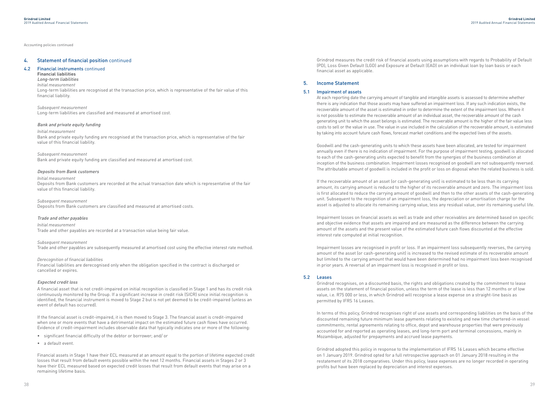#### 4. Statement of financial position continued

#### 4.2 Financial instruments continued

**Financial liabilities** Long-term liabilities *Initial measurement* Long-term liabilities are recognised at the transaction price, which is representative of the fair value of this financial liability.

*Subsequent measurement* Long-term liabilities are classified and measured at amortised cost.

#### Bank and private equity funding

#### *Initial measurement*

Bank and private equity funding are recognised at the transaction price, which is representative of the fair value of this financial liability.

#### *Subsequent measurement*

Bank and private equity funding are classified and measured at amortised cost.

#### Deposits from Bank customers

#### *Initial measurement*

Deposits from Bank customers are recorded at the actual transaction date which is representative of the fair value of this financial liability.

*Subsequent measurement* Deposits from Bank customers are classified and measured at amortised costs.

#### Trade and other payables

*Initial measurement* Trade and other payables are recorded at a transaction value being fair value.

#### *Subsequent measurement*

Trade and other payables are subsequently measured at amortised cost using the effective interest rate method.

#### *Derecognition of financial liabilities*

Financial liabilities are derecognised only when the obligation specified in the contract is discharged or cancelled or expires.

#### Expected credit loss

A financial asset that is not credit-impaired on initial recognition is classified in Stage 1 and has its credit risk continuously monitored by the Group. If a significant increase in credit risk (SICR) since initial recognition is identified, the financial instrument is moved to Stage 2 but is not yet deemed to be credit-impaired (unless an event of default has occurred).

If the financial asset is credit-impaired, it is then moved to Stage 3. The financial asset is credit-impaired when one or more events that have a detrimental impact on the estimated future cash flows have occurred. Evidence of credit-impairment includes observable data that typically indicates one or more of the following:

- significant financial difficulty of the debtor or borrower; and/ or
- a default event.

Financial assets in Stage 1 have their ECL measured at an amount equal to the portion of lifetime expected credit losses that result from default events possible within the next 12 months. Financial assets in Stages 2 or 3 have their ECL measured based on expected credit losses that result from default events that may arise on a remaining lifetime basis.

Grindrod measures the credit risk of financial assets using assumptions with regards to Probability of Default (PD), Loss Given Default (LGD) and Exposure at Default (EAD) on an individual loan by loan basis or each financial asset as applicable.

#### 5. Income Statement

#### 5.1 Impairment of assets

At each reporting date the carrying amount of tangible and intangible assets is assessed to determine whether there is any indication that those assets may have suffered an impairment loss. If any such indication exists, the recoverable amount of the asset is estimated in order to determine the extent of the impairment loss. Where it is not possible to estimate the recoverable amount of an individual asset, the recoverable amount of the cash generating unit to which the asset belongs is estimated. The recoverable amount is the higher of the fair value less costs to sell or the value in use. The value in use included in the calculation of the recoverable amount, is estimated by taking into account future cash flows, forecast market conditions and the expected lives of the assets.

Goodwill and the cash-generating units to which these assets have been allocated, are tested for impairment annually even if there is no indication of impairment. For the purpose of impairment testing, goodwill is allocated to each of the cash-generating units expected to benefit from the synergies of the business combination at inception of the business combination. Impairment losses recognised on goodwill are not subsequently reversed. The attributable amount of goodwill is included in the profit or loss on disposal when the related business is sold.

If the recoverable amount of an asset (or cash-generating unit) is estimated to be less than its carrying amount, its carrying amount is reduced to the higher of its recoverable amount and zero. The impairment loss is first allocated to reduce the carrying amount of goodwill and then to the other assets of the cash-generating unit. Subsequent to the recognition of an impairment loss, the depreciation or amortisation charge for the asset is adjusted to allocate its remaining carrying value, less any residual value, over its remaining useful life.

Impairment losses on financial assets as well as trade and other receivables are determined based on specific and objective evidence that assets are impaired and are measured as the difference between the carrying amount of the assets and the present value of the estimated future cash flows discounted at the effective interest rate computed at initial recognition.

Impairment losses are recognised in profit or loss. If an impairment loss subsequently reverses, the carrying amount of the asset (or cash-generating unit) is increased to the revised estimate of its recoverable amount but limited to the carrying amount that would have been determined had no impairment loss been recognised in prior years. A reversal of an impairment loss is recognised in profit or loss.

#### 5.2 Leases

Grindrod recognises, on a discounted basis, the rights and obligations created by the commitment to lease assets on the statement of financial position, unless the term of the lease is less than 12 months or of low value, i.e. R75 000 or less, in which Grindrod will recognise a lease expense on a straight-line basis as permitted by IFRS 16 Leases.

In terms of this policy, Grindrod recognises right of use assets and corresponding liabilities on the basis of the discounted remaining future minimum lease payments relating to existing and new time chartered-in vessel commitments; rental agreements relating to office, depot and warehouse properties that were previously accounted for and reported as operating leases, and long-term port and terminal concessions, mainly in Mozambique, adjusted for prepayments and accrued lease payments.

Grindrod adopted this policy in response to the implementation of IFRS 16 Leases which became effective on 1 January 2019. Grindrod opted for a full retrospective approach on 01 January 2018 resulting in the restatement of its 2018 comparatives. Under this policy, lease expenses are no longer recorded in operating profits but have been replaced by depreciation and interest expenses.

Accounting policies continued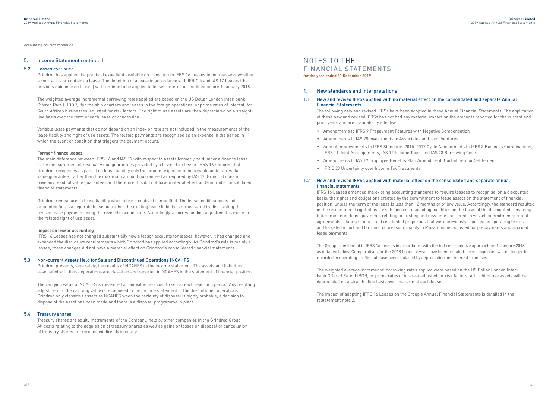#### 5. Income Statement continued

#### 5.2 Leases continued

Grindrod has applied the practical expedient available on transition to IFRS 16 Leases to not reassess whether a contract is or contains a lease. The definition of a lease in accordance with IFRIC 4 and IAS 17 Leases (the previous guidance on leases) will continue to be applied to leases entered or modified before 1 January 2018.

The weighted average incremental borrowing rates applied are based on the US Dollar London Inter-bank Offered Rate (LIBOR), for the ship charters and leases in the foreign operations, or prime rates of interest, for South African businesses, adjusted for risk factors. The right of use assets are then depreciated on a straightline basis over the term of each lease or concession.

Variable lease payments that do not depend on an index or rate are not included in the measurements of the lease liability and right of use assets. The related payments are recognised as an expense in the period in which the event or condition that triggers the payment occurs.

#### **Former finance leases**

The main difference between IFRS 16 and IAS 17 with respect to assets formerly held under a finance lease is the measurement of residual value guarantees provided by a lessee to a lessor. IFRS 16 requires that Grindrod recognises as part of its lease liability only the amount expected to be payable under a residual value guarantee, rather than the maximum amount guaranteed as required by IAS 17. Grindrod does not have any residual value guarantees and therefore this did not have material effect on Grindrod's consolidated financial statements.

Grindrod remeasures a lease liability when a lease contract is modified. The lease modification is not accounted for as a separate lease but rather the existing lease liability is remeasured by discounting the revised lease payments using the revised discount rate. Accordingly, a corresponding adjustment is made to the related right of use asset.

#### **Impact on lessor accounting**

IFRS 16 Leases has not changed substantially how a lessor accounts for leases, however, it has changed and expanded the disclosure requirements which Grindrod has applied accordingly. As Grindrod's role is mainly a lessee, these changes did not have a material effect on Grindrod's consolidated financial statements.

#### 5.3 Non-current Assets Held for Sale and Discontinued Operations (NCAHFS)

Grindrod presents, separately, the results of NCAHFS in the income statement. The assets and liabilities associated with these operations are classified and reported in NCAHFS in the statement of financial position.

The carrying value of NCAHFS is measured at fair value less cost to sell at each reporting period. Any resulting adjustment to the carrying value is recognised in the income statement of the discontinued operations. Grindrod only classifies assets as NCAHFS when the certainty of disposal is highly probable, a decision to dispose of the asset has been made and there is a disposal programme in place.

#### 5.4 Treasury shares

Treasury shares are equity instruments of the Company, held by other companies in the Grindrod Group. All costs relating to the acquisition of treasury shares as well as gains or losses on disposal or cancellation of treasury shares are recognised directly in equity.

Accounting policies continued

#### 1. New standards and interpretations

#### 1.1 New and revised IFRSs applied with no material effect on the consolidated and separate Annual Financial Statements

The following new and revised IFRSs have been adopted in these Annual Financial Statements. The application of these new and revised IFRSs has not had any material impact on the amounts reported for the current and prior years and are mandatorily effective.

- Amendments to IFRS 9 Prepayment Features with Negative Compensation
- Amendments to IAS 28 Investments in Associates and Joint Ventures
- Annual Improvements to IFRS Standards 2015–2017 Cycle Amendments to IFRS 3 Business Combinations, IFRS 11 Joint Arrangements, IAS 12 Income Taxes and IAS 23 Borrowing Costs
- Amendments to IAS 19 Employee Benefits Plan Amendment, Curtailment or Settlement
- IFRIC 23 Uncertainty over Income Tax Treatments

#### 1.2 New and revised IFRSs applied with material effect on the consolidated and separate annual financial statements

IFRS 16 Leases amended the existing accounting standards to require lessees to recognise, on a discounted basis, the rights and obligations created by the commitment to lease assets on the statement of financial position, unless the term of the lease is less than 12 months or of low value. Accordingly, the standard resulted in the recognition of right of use assets and corresponding liabilities on the basis of the discounted remaining future minimum lease payments relating to existing and new time chartered-in vessel commitments; rental agreements relating to office and residential properties that were previously reported as operating leases and long-term port and terminal concession, mainly in Mozambique, adjusted for prepayments and accrued lease payments.

The Group transitioned to IFRS 16 Leases in accordance with the full retrospective approach on 1 January 2018 as detailed below. Comparatives for the 2018 financial year have been restated. Lease expenses will no longer be recorded in operating profits but have been replaced by depreciation and interest expenses.

The weighted average incremental borrowing rates applied were based on the US Dollar London Interbank Offered Rate (LIBOR) or prime rates of interest adjusted for risk factors. All right of use assets will be depreciated on a straight-line basis over the term of each lease.

The impact of adopting IFRS 16 Leases on the Group's Annual Financial Statements is detailed in the restatement note 2.

## NOTES TO THE FINANCIAL STATEMENTS **for the year ended 31 December 2019**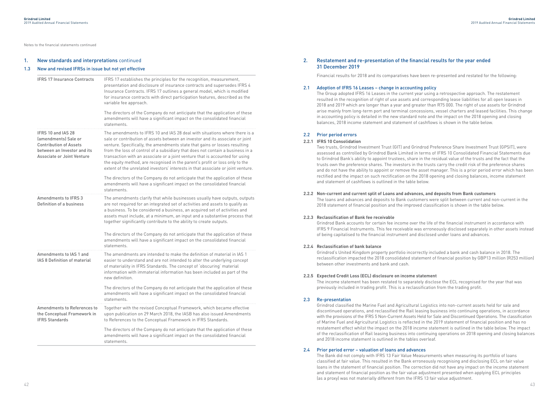#### 1. New standards and interpretations continued

#### 1.3 New and revised IFRSs in issue but not yet effective

| <b>IFRS 17 Insurance Contracts</b>                                                                                                       | IFRS 17 establishes the principles for the recognition, measurement,<br>presentation and disclosure of insurance contracts and supersedes IFRS 4<br>Insurance Contracts. IFRS 17 outlines a general model, which is modified<br>for insurance contracts with direct participation features, described as the<br>variable fee approach.                                                                                                                                                                                                                                          |
|------------------------------------------------------------------------------------------------------------------------------------------|---------------------------------------------------------------------------------------------------------------------------------------------------------------------------------------------------------------------------------------------------------------------------------------------------------------------------------------------------------------------------------------------------------------------------------------------------------------------------------------------------------------------------------------------------------------------------------|
|                                                                                                                                          | The directors of the Company do not anticipate that the application of these<br>amendments will have a significant impact on the consolidated financial<br>statements.                                                                                                                                                                                                                                                                                                                                                                                                          |
| IFRS 10 and IAS 28<br>(amendments) Sale or<br><b>Contribution of Assets</b><br>between an Investor and its<br>Associate or Joint Venture | The amendments to IFRS 10 and IAS 28 deal with situations where there is a<br>sale or contribution of assets between an investor and its associate or joint<br>venture. Specifically, the amendments state that gains or losses resulting<br>from the loss of control of a subsidiary that does not contain a business in a<br>transaction with an associate or a joint venture that is accounted for using<br>the equity method, are recognised in the parent's profit or loss only to the<br>extent of the unrelated investors' interests in that associate or joint venture. |
|                                                                                                                                          | The directors of the Company do not anticipate that the application of these<br>amendments will have a significant impact on the consolidated financial<br>statements.                                                                                                                                                                                                                                                                                                                                                                                                          |
| <b>Amendments to IFRS 3</b><br>Definition of a business                                                                                  | The amendments clarify that while businesses usually have outputs, outputs<br>are not required for an integrated set of activities and assets to qualify as<br>a business. To be considered a business, an acquired set of activities and<br>assets must include, at a minimum, an input and a substantive process that<br>together significantly contribute to the ability to create outputs.                                                                                                                                                                                  |
|                                                                                                                                          | The directors of the Company do not anticipate that the application of these<br>amendments will have a significant impact on the consolidated financial<br>statements.                                                                                                                                                                                                                                                                                                                                                                                                          |
| Amendments to IAS 1 and<br>IAS 8 Definition of material                                                                                  | The amendments are intended to make the definition of material in IAS 1<br>easier to understand and are not intended to alter the underlying concept<br>of materiality in IFRS Standards. The concept of 'obscuring' material<br>information with immaterial information has been included as part of the<br>new definition.                                                                                                                                                                                                                                                    |
|                                                                                                                                          | The directors of the Company do not anticipate that the application of these<br>amendments will have a significant impact on the consolidated financial<br>statements.                                                                                                                                                                                                                                                                                                                                                                                                          |
| Amendments to References to<br>the Conceptual Framework in<br><b>IFRS Standards</b>                                                      | Together with the revised Conceptual Framework, which became effective<br>upon publication on 29 March 2018, the IASB has also issued Amendments<br>to References to the Conceptual Framework in IFRS Standards.                                                                                                                                                                                                                                                                                                                                                                |
|                                                                                                                                          | The directors of the Company do not anticipate that the application of these<br>amendments will have a significant impact on the consolidated financial<br>statements.                                                                                                                                                                                                                                                                                                                                                                                                          |

### 2. Restatement and re-presentation of the financial results for the year ended 31 December 2019

Financial results for 2018 and its comparatives have been re-presented and restated for the following:

#### 2.1 Adoption of IFRS 16 Leases – change in accounting policy

The Group adopted IFRS 16 Leases in the current year using a retrospective approach. The restatement resulted in the recognition of right of use assets and corresponding lease liabilities for all open leases in 2018 and 2019 which are longer than a year and greater than R75 000. The right of use assets for Grindrod arise mainly from long-term port and terminal concessions, vessel charters and leased facilities. This change in accounting policy is detailed in the new standard note and the impact on the 2018 opening and closing balances, 2018 income statement and statement of cashflows is shown in the table below.

#### 2.2 Prior period errors

#### **2.2.1 IFRS 10 Consolidation**

Two trusts, Grindrod Investment Trust (GIT) and Grindrod Preference Share Investment Trust (GPSIT), were assessed as controlled by Grindrod Bank Limited in terms of IFRS 10 Consolidated Financial Statements due to Grindrod Bank's ability to appoint trustees, share in the residual value of the trusts and the fact that the trusts own the preference shares. The investors in the trusts carry the credit risk of the preference shares and do not have the ability to appoint or remove the asset manager. This is a prior period error which has been rectified and the impact on such rectification on the 2018 opening and closing balances, income statement and statement of cashflows is outlined in the table below.

## **2.2.2 Non-current and current split of Loans and advances, and deposits from Bank customers**

The loans and advances and deposits to Bank customers were split between current and non-current in the 2018 statement of financial position and the improved classification is shown in the table below.

#### **2.2.3 Reclassification of Bank fee receivable**

Grindrod Bank accounts for certain fee income over the life of the financial instrument in accordance with IFRS 9 Financial Instruments. This fee receivable was erroneously disclosed separately in other assets instead of being capitalised to the financial instrument and disclosed under loans and advances.

#### **2.2.4 Reclassification of bank balance**

Grindrod's United Kingdom property portfolio incorrectly included a bank and cash balance in 2018. The reclassification impacted the 2018 consolidated statement of financial position by GBP13 million (R253 million) between other investments and bank and cash.

## **2.2.5 Expected Credit Loss (ECL) disclosure on income statement**

The income statement has been restated to separately disclose the ECL recognised for the year that was previously included in trading profit. This is a reclassification from the trading profit.

### 2.3 Re-presentation

Grindrod classified the Marine Fuel and Agricultural Logistics into non-current assets held for sale and discontinued operations, and reclassified the Rail leasing business into continuing operations, in accordance with the provisions of the IFRS 5 Non-Current Assets Held for Sale and Discontinued Operations. The classification of Marine Fuel and Agricultural Logistics is reflected in the 2019 statement of financial position and has no restatement effect whilst the impact on the 2018 income statement is outlined in the table below. The impact of the reclassification of Rail leasing business into continuing operations on 2018 opening and closing balances and 2018 income statement is outlined in the tables overleaf.

### 2.4 Prior period error – valuation of loans and advances

The Bank did not comply with IFRS 13 Fair Value Measurements when measuring its portfolio of loans classified at fair value. This resulted in the Bank erroneously recognising and disclosing ECL on fair value loans in the statement of financial position. The correction did not have any impact on the income statement and statement of financial position as the fair value adjustment presented when applying ECL principles (as a proxy) was not materially different from the IFRS 13 fair value adjustment.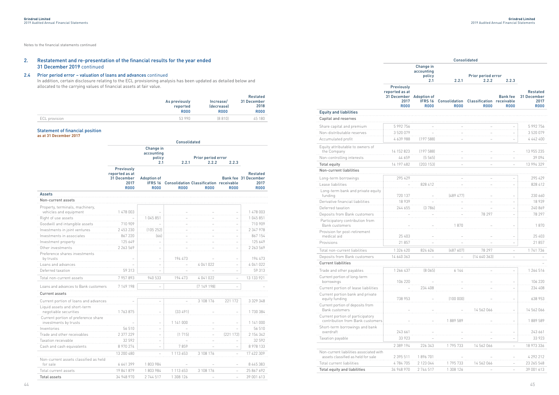## 2. Restatement and re-presentation of the financial results for the year ended 31 December 2019 continued

### 2.4 Prior period error – valuation of loans and advances continued

In addition, certain disclosure relating to the ECL provisioning analysis has been updated as detailed below and allocated to the carrying values of financial assets at fair value.

|               | As previously<br>reported<br><b>R000</b> | Increase/<br>(decrease)<br><b>R000</b> | Restated<br>31 December<br>2018<br><b>R000</b> |
|---------------|------------------------------------------|----------------------------------------|------------------------------------------------|
| ECL provision | 53 990                                   | [8 810]                                | 45 180                                         |

## Statement of financial position

**as at 31 December 2017**

|                                                              | <b>Consolidated</b>                                                |                                   |                                                                |             |                          |                                                         |  |
|--------------------------------------------------------------|--------------------------------------------------------------------|-----------------------------------|----------------------------------------------------------------|-------------|--------------------------|---------------------------------------------------------|--|
|                                                              |                                                                    | Change in<br>accounting<br>policy |                                                                |             | Prior period error       |                                                         |  |
|                                                              |                                                                    | 2.1                               | 2.2.1                                                          | 2.2.2       | 2.2.3                    |                                                         |  |
|                                                              | Previously<br>reported as at<br>31 December<br>2017<br><b>R000</b> | <b>Adoption of</b><br><b>R000</b> | IFRS 16 Consolidation Classification receivable<br><b>R000</b> | <b>R000</b> | <b>R000</b>              | Restated<br>Bank fee 31 December<br>2017<br><b>R000</b> |  |
| <b>Assets</b>                                                |                                                                    |                                   |                                                                |             |                          |                                                         |  |
| Non-current assets                                           |                                                                    |                                   |                                                                |             |                          |                                                         |  |
| Property, terminals, machinery,<br>vehicles and equipment    | 1 478 003                                                          |                                   |                                                                |             |                          | 1 478 003                                               |  |
| Right of use assets                                          |                                                                    | 1 045 851                         |                                                                |             |                          | 1045851                                                 |  |
| Goodwill and intangible assets                               | 710 909                                                            |                                   |                                                                |             |                          | 710 909                                                 |  |
| Investments in joint ventures                                | 2 453 230                                                          | (105252)                          |                                                                |             |                          | 2 347 978                                               |  |
| Investments in associates                                    | 867 220                                                            | [66]                              |                                                                |             | $\mathbb{R}^2$           | 867 154                                                 |  |
| Investment property                                          | 125 649                                                            |                                   |                                                                |             |                          | 125 649                                                 |  |
| Other investments                                            | 2 263 569                                                          |                                   |                                                                |             |                          | 2 263 569                                               |  |
| Preference shares investments<br>by trusts                   |                                                                    |                                   | 194 473                                                        |             |                          | 194 473                                                 |  |
| Loans and advances                                           |                                                                    |                                   |                                                                | 4 041 022   |                          | 4 041 022                                               |  |
| Deferred taxation                                            | 59 313                                                             |                                   |                                                                |             |                          | 59 313                                                  |  |
| Total non-current assets                                     | 7957893                                                            | 940 533                           | 194 473                                                        | 4 041 022   | $\overline{\phantom{0}}$ | 13 133 921                                              |  |
| Loans and advances to Bank customers                         | 7 149 198                                                          |                                   |                                                                | [7149198]   |                          |                                                         |  |
| <b>Current assets</b>                                        |                                                                    |                                   |                                                                |             |                          |                                                         |  |
| Current portion of loans and advances                        |                                                                    |                                   | $\overline{\phantom{a}}$                                       | 3 108 176   | 221 172                  | 3 329 348                                               |  |
| Liquid assets and short-term                                 |                                                                    |                                   |                                                                |             |                          |                                                         |  |
| negotiable securities                                        | 1763875                                                            |                                   | [33 491]                                                       |             |                          | 1730384                                                 |  |
| Current portion of preference share<br>investments by trusts |                                                                    |                                   | 1 141 000                                                      |             |                          | 1 141 000                                               |  |
| Inventories                                                  | 56 510                                                             |                                   |                                                                |             |                          | 56 510                                                  |  |
| Trade and other receivables                                  | 2 377 229                                                          |                                   | (1715)                                                         |             | [221 172]                | 2 154 342                                               |  |
| Taxation receivable                                          | 32 592                                                             |                                   |                                                                |             |                          | 32 592                                                  |  |
| Cash and cash equivalents                                    | 8 970 274                                                          |                                   | 7859                                                           |             | ÷                        | 8 978 133                                               |  |
|                                                              | 13 200 480                                                         |                                   | 1 1 1 3 6 5 3                                                  | 3 108 176   |                          | 17 422 309                                              |  |
| Non-current assets classified as held<br>for sale            | 6 641 399                                                          | 1803984                           |                                                                |             |                          | 8 4 4 5 3 8 3                                           |  |
| Total current assets                                         | 19841879                                                           | 1803984                           | 1 1 1 3 6 5 3                                                  | 3 108 176   |                          | 25 867 692                                              |  |
| <b>Total assets</b>                                          | 34 948 970                                                         | 2 744 517                         | 1 308 126                                                      |             | L.                       | 39 001 613                                              |  |

|                                                                               | Consolidated                                                                   |                                          |                              |                                                 |                                |                                                       |  |
|-------------------------------------------------------------------------------|--------------------------------------------------------------------------------|------------------------------------------|------------------------------|-------------------------------------------------|--------------------------------|-------------------------------------------------------|--|
|                                                                               |                                                                                | Change in<br>accounting<br>policy<br>2.1 | 2.2.1                        | Prior period error<br>2.2.2                     | 2.2.3                          |                                                       |  |
|                                                                               | Previously<br>reported as at<br>31 December Adoption of<br>2017<br><b>R000</b> | <b>IFRS 16</b><br><b>R000</b>            | Consolidation<br><b>R000</b> | <b>Classification receivable</b><br><b>R000</b> | <b>Bank</b> fee<br><b>R000</b> | <b>Restated</b><br>31 December<br>2017<br><b>R000</b> |  |
| <b>Equity and liabilities</b>                                                 |                                                                                |                                          |                              |                                                 |                                |                                                       |  |
| Capital and reserves                                                          |                                                                                |                                          |                              |                                                 |                                |                                                       |  |
| Share capital and premium                                                     | 5 992 756                                                                      |                                          |                              |                                                 |                                | 5 992 756                                             |  |
| Non-distributable reserves                                                    | 3 520 079                                                                      |                                          |                              |                                                 |                                | 3 520 079                                             |  |
| Accumulated profit                                                            | 4 639 988                                                                      | (197588)                                 |                              |                                                 |                                | 4 442 400                                             |  |
| Equity attributable to owners of<br>the Company                               | 14 152 823                                                                     | (197588)                                 |                              |                                                 |                                | 13 955 235                                            |  |
| Non-controlling interests                                                     | 44 659                                                                         | [5 565]                                  |                              |                                                 |                                | 39 094                                                |  |
| Total equity                                                                  | 14 197 482                                                                     | [203 153]                                |                              |                                                 |                                | 13 994 329                                            |  |
| Non-current liabilities                                                       |                                                                                |                                          |                              |                                                 |                                |                                                       |  |
| Long-term borrowings<br>Lease liabilities                                     | 295 429                                                                        | 828 412                                  |                              |                                                 |                                | 295 429<br>828 412                                    |  |
| Long-term bank and private equity<br>funding                                  | 720 137                                                                        |                                          | (489 477)                    |                                                 |                                | 230 660                                               |  |
| Derivative financial liabilities                                              | 18 939                                                                         |                                          |                              |                                                 |                                | 18 9 39                                               |  |
| Deferred taxation                                                             | 244 655                                                                        | [3786]                                   |                              |                                                 |                                | 240 869                                               |  |
| Deposits from Bank customers                                                  |                                                                                |                                          |                              | 78 297                                          |                                | 78 297                                                |  |
| Participatory contribution from<br><b>Bank customers</b>                      |                                                                                |                                          | 1870                         |                                                 |                                | 1870                                                  |  |
| Provision for post-retirement<br>medical aid                                  | 25 403                                                                         |                                          |                              |                                                 |                                | 25 403                                                |  |
| Provisions                                                                    | 21857                                                                          |                                          |                              |                                                 | $\overline{\phantom{a}}$       | 21857                                                 |  |
| Total non-current liabilities                                                 | 1 326 420                                                                      | 824 626                                  | [487607]                     | 78 297                                          |                                | 1741736                                               |  |
| Deposits from Bank customers                                                  | 14 640 363                                                                     |                                          |                              | [14640363]                                      |                                |                                                       |  |
| <b>Current liabilities</b>                                                    |                                                                                |                                          |                              |                                                 |                                |                                                       |  |
| Trade and other payables<br>Current portion of long-term                      | 1 266 437                                                                      | [8065]                                   | 6 1 4 4                      |                                                 |                                | 1 264 516                                             |  |
| borrowings<br>Current portion of lease liabilities                            | 106 220<br>$\overline{\phantom{a}}$                                            | 234 408                                  |                              |                                                 |                                | 106 220<br>234 408                                    |  |
| Current portion bank and private<br>equity funding                            | 738 953                                                                        |                                          | (100000)                     |                                                 |                                | 638 953                                               |  |
| Current portion of deposits from<br><b>Bank customers</b>                     |                                                                                |                                          |                              | 14 562 066                                      | $\overline{\phantom{a}}$       | 14 562 066                                            |  |
| Current portion of participatory<br>contribution from Bank customers          |                                                                                |                                          | 1889589                      |                                                 |                                | 1889589                                               |  |
| Short-term borrowings and bank<br>overdraft                                   | 243 661                                                                        |                                          |                              |                                                 |                                | 243 661                                               |  |
| Taxation payable                                                              | 33 923                                                                         |                                          |                              |                                                 | $\overline{\phantom{a}}$       | 33 923                                                |  |
|                                                                               | 2 389 194                                                                      | 226 343                                  | 1 795 733                    | 14 562 066                                      |                                | 18 973 336                                            |  |
| Non-current liabilities associated with<br>assets classified as held for sale | 2 395 511                                                                      | 1896701                                  |                              |                                                 |                                | 4 292 212                                             |  |
| Total current liabilities                                                     | 4 784 705                                                                      | 2 123 044                                | 1 795 733                    | 14 562 066                                      |                                | 23 265 548                                            |  |
| Total equity and liabilities                                                  | 34 948 970                                                                     | 2 744 517                                | 1 308 126                    |                                                 | $\overline{\phantom{0}}$       | 39 001 613                                            |  |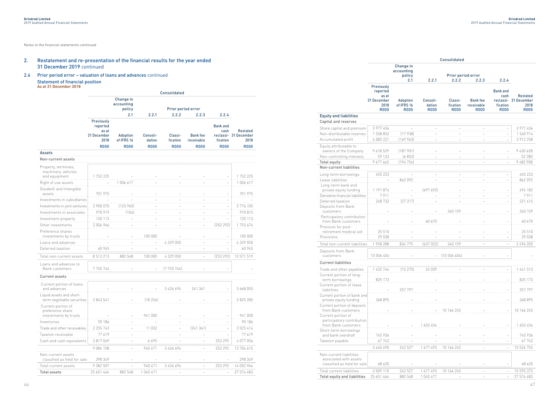2. Restatement and re-presentation of the financial results for the year ended 31 December 2019 continued

#### 2.4 Prior period error – valuation of loans and advances continued Statement of financial position **As at 31 December 2018**

 Consolidated Change in accounting policy Prior period error 2.1 2.2.1 2.2.2 2.2.3 2.2.4 Previously reported as at 31 December 2018 Adoption of IFRS 16 Consolidation Classification Bank fee receivable Bank and cash reclassi-31 December fication Restated 2018 R000 R000 R000 R000 R000 R000 R000 Assets Non-current assets Property, terminals, machinery, vehicles and equipment 1 752 225 – – – – – – – – – – 1 752 225 Right of use assets  $-1006617$   $-$  1 006 617 Goodwill and Intangible assets 701 975 – – – – – 701 975 Investments in subsidiaries Investments in joint ventures | 2 900 070 (123 965) – – – – – – – – – 2 776 105 Investments in associates |  $970\,919$  (104) – – – – – – – – 970 815 Investment property 120 113 – – – – – – – 120 113 Other investments 2 006 966 – – – – (253 292) 1 753 674 Preference shares investments by trusts  $\begin{vmatrix} - & - & 100000 & - & - & - & - \end{vmatrix}$  100 000 Loans and advances – – – 4 329 050 – – 4 329 050 Deferred taxation 60 945 – – – – – 60 945 Total non-current assets 8 513 213 882 548 100 000 4 329 050 – (253 292) 13 571 519 Loans and advances to Bank customers 7 755 744 – – (7 755 744) – – – Current assets Current portion of loans and advances – – – – – 3 426 694 241 361 – 3 668 055 Liquid assets and shortterm negotiable securities 2 843 541 – (18 256) – – – 2 825 285 Current portion of preference share investments by trusts – – 941 000 – – – 941 000 Inventories 90 186 – – – – – 90 186 Trade and other receivables 2 255 743 – 11 032 – (241 361) – 2 025 414 Taxation receivable 77 619 – – – – 77 619 Cash and cash equivalents 3 817 069 – 6 695 – – 253 292 4 077 056 9 084 158 – 940 471 3 426 694 – 253 292 13 704 615 Non-current assets classified as held for sale 298 349 – – – – – 298 349 Total current assets 9 382 507 – 940 471 3 426 694 – 253 292 14 002 964 Total assets 25 651 464 882 548 1 040 471 – – – 27 574 483

Consolidated

|                                                       |                                                | Change in<br>accounting<br>policy<br>2.1 | 2.2.1                 | 2.2.2                   | Prior period error<br>2.2.3 | 2.2.4                    |                                   |
|-------------------------------------------------------|------------------------------------------------|------------------------------------------|-----------------------|-------------------------|-----------------------------|--------------------------|-----------------------------------|
|                                                       | Previously<br>reported<br>as at<br>31 December | Adoption                                 | Consoli-              | Classi-                 | <b>Bank</b> fee             | <b>Bank and</b><br>cash  | Restated<br>reclassi- 31 December |
|                                                       | 2018<br><b>R000</b>                            | of IFRS 16<br><b>R000</b>                | dation<br><b>R000</b> | fication<br><b>R000</b> | receivable<br><b>R000</b>   | fication<br><b>R000</b>  | 2018<br><b>R000</b>               |
| <b>Equity and liabilities</b>                         |                                                |                                          |                       |                         |                             |                          |                                   |
| Capital and reserves                                  |                                                |                                          |                       |                         |                             |                          |                                   |
| Share capital and premium                             | 3 977 456                                      |                                          |                       |                         |                             |                          | 3 977 456                         |
| Non-distributable reserves                            | 1 558 852                                      | (17938)                                  |                       |                         |                             |                          | 1540914                           |
| Accumulated profit                                    | 4 082 221                                      | (169963)                                 |                       |                         |                             |                          | 3 912 258                         |
| Equity attributable to                                |                                                |                                          |                       |                         |                             |                          |                                   |
| owners of the Company                                 | 9 618 529                                      | (187901)                                 |                       |                         |                             |                          | 9 430 628                         |
| Non-controlling interests                             | 59 133                                         | (6853)                                   |                       |                         |                             |                          | 52 280                            |
| <b>Total equity</b>                                   | 9 677 662                                      | [194 754]                                |                       |                         |                             |                          | 9 482 908                         |
| Non-current liabilities                               |                                                |                                          |                       |                         |                             |                          |                                   |
| Long-term borrowings                                  | 455 223                                        |                                          |                       |                         |                             |                          | 455 223                           |
| Lease liabilities                                     |                                                | 862 092                                  |                       |                         |                             |                          | 862 092                           |
| Long-term bank and                                    |                                                |                                          |                       |                         |                             |                          |                                   |
| private equity funding                                | 1 191 874                                      |                                          | (697692)              |                         |                             |                          | 494 182                           |
| Derivative financial liabilities                      | 7911                                           |                                          |                       |                         |                             |                          | 7911                              |
| Deferred taxation                                     | 248 732                                        | [27317]                                  |                       |                         |                             |                          | 221 415                           |
| Deposits from Bank                                    |                                                |                                          |                       | 340 159                 |                             |                          | 340 159                           |
| customers                                             |                                                |                                          |                       |                         |                             |                          |                                   |
| Participatory contribution<br>from Bank customers     |                                                |                                          | 60 670                |                         |                             |                          | 60 670                            |
| Provision for post-                                   |                                                |                                          |                       |                         |                             |                          |                                   |
| retirement medical aid                                | 25 510                                         |                                          |                       |                         |                             |                          | 25 510                            |
| Provisions                                            | 29 038                                         |                                          |                       |                         |                             |                          | 29 038                            |
| Total non-current liabilities                         | 1958288                                        | 834 775                                  | (637022)              | 340 159                 |                             |                          | 2 496 200                         |
|                                                       |                                                |                                          |                       |                         |                             |                          |                                   |
| Deposits from Bank<br>customers                       | 10 506 404                                     |                                          |                       | [10506404]              |                             |                          |                                   |
| <b>Current liabilities</b>                            |                                                |                                          |                       |                         |                             |                          |                                   |
|                                                       |                                                |                                          |                       |                         |                             |                          |                                   |
| Trade and other payables                              | 1 432 744                                      | (15270)                                  | 24 039                |                         |                             |                          | 1 441 513                         |
| Current portion of long-                              |                                                |                                          |                       |                         |                             |                          |                                   |
| term borrowings<br>Current portion of lease           | 825 173                                        |                                          |                       |                         |                             |                          | 825 173                           |
| liabilities                                           |                                                | 257 797                                  |                       |                         |                             |                          | 257 797                           |
| Current portion of bank and                           |                                                |                                          |                       |                         |                             |                          |                                   |
| private equity funding                                | 368 895                                        |                                          |                       |                         |                             |                          | 368 895                           |
| Current portion of deposits                           |                                                |                                          |                       |                         |                             |                          |                                   |
| from Bank customers                                   |                                                |                                          |                       | 10 166 245              |                             |                          | 10 166 245                        |
| Current portion of                                    |                                                |                                          |                       |                         |                             |                          |                                   |
| participatory contribution                            |                                                |                                          |                       |                         |                             |                          |                                   |
| from Bank customers                                   |                                                |                                          | 1 653 454             |                         |                             |                          | 1 653 454                         |
| Short-term borrowings<br>and bank overdraft           | 745 936                                        |                                          |                       |                         |                             |                          | 745 936                           |
| Taxation payable                                      | 67742                                          |                                          |                       |                         |                             |                          | 67742                             |
|                                                       |                                                |                                          |                       |                         |                             |                          |                                   |
|                                                       | 3 440 490                                      | 242 527                                  | 1677493               | 10 166 245              |                             |                          | 15 526 755                        |
| Non-current liabilities                               |                                                |                                          |                       |                         |                             |                          |                                   |
| associated with assets<br>classified as held for sale | 68 620                                         |                                          |                       |                         |                             |                          |                                   |
|                                                       |                                                |                                          |                       |                         |                             |                          | 68 620                            |
| Total current liabilities                             | 3 509 110                                      | 242 527                                  | 1677493               | 10 166 245              |                             | $\overline{\phantom{a}}$ | 15 595 375                        |
| <b>Total equity and liabilities</b>                   | 25 651 464                                     | 882 548                                  | 1 040 471             |                         |                             |                          | 27 574 483                        |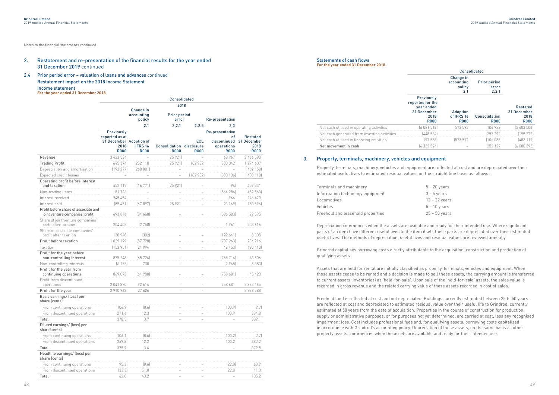- 2. Restatement and re-presentation of the financial results for the year ended 31 December 2019 continued
- 2.4 Prior period error valuation of loans and advances continued Restatement impact on the 2018 Income Statement Income statement

**For the year ended 31 December 2018**

|                                                                         |                                                |                               | <b>Consolidated</b>                            |                           |                           |                                                 |
|-------------------------------------------------------------------------|------------------------------------------------|-------------------------------|------------------------------------------------|---------------------------|---------------------------|-------------------------------------------------|
|                                                                         |                                                |                               | 2018                                           |                           |                           |                                                 |
|                                                                         |                                                | Change in                     |                                                |                           |                           |                                                 |
|                                                                         |                                                | accounting<br>policy          | Prior period<br>error                          |                           | Re-presentation           |                                                 |
|                                                                         |                                                | 2.1                           | 2.2.1                                          | 2.2.5                     | 2.3                       |                                                 |
|                                                                         | Previously<br>reported as at                   |                               |                                                |                           | Re-presentation<br>of     | <b>Restated</b>                                 |
|                                                                         | 31 December Adoption of<br>2018<br><b>R000</b> | <b>IFRS 16</b><br><b>R000</b> | <b>Consolidation disclosure</b><br><b>R000</b> | <b>ECL</b><br><b>R000</b> | operations<br><b>R000</b> | discontinued 31 December<br>2018<br><b>R000</b> |
| Revenue                                                                 | 3 423 534                                      |                               | (25921)                                        |                           | 68 967                    | 3 466 580                                       |
| <b>Trading Profit</b>                                                   | 645 394                                        | 252 110                       | (25921)                                        | 102 982                   | 300 042                   | 1 274 607                                       |
| Depreciation and amortisation                                           | (193 277)                                      | [268 881]                     |                                                |                           |                           | (462 158)                                       |
| Expected credit losses                                                  |                                                |                               |                                                | (102982)                  | (300136)                  | [403 118]                                       |
| Operating profit before interest<br>and taxation                        | 452 117                                        | [16 771]                      | (25921)                                        |                           | (94)                      | 409 331                                         |
| Non-trading items                                                       | 81726                                          |                               |                                                |                           | [564 286]                 | (482560)                                        |
| Interest received                                                       | 245 454                                        |                               |                                                |                           | 966                       | 246 420                                         |
| Interest paid                                                           | (85451)                                        | (67897)                       | 25 9 21                                        |                           | [23 169]                  | (150596)                                        |
| Profit before share of associate and<br>joint venture companies' profit | 693 846                                        | [84, 668]                     |                                                |                           | [586 583]                 | 22 595                                          |
| Share of joint venture companies'<br>profit after taxation              | 204 405                                        | (2750)                        |                                                |                           | 1961                      | 203 616                                         |
| Share of associate companies'                                           |                                                |                               |                                                |                           |                           |                                                 |
| profit after taxation                                                   | 130 948                                        | (302)                         |                                                |                           | (122641)                  | 8 0 0 5                                         |
| Profit before taxation                                                  | 1029199                                        | [87 720]                      |                                                |                           | [707263]                  | 234 216                                         |
| Taxation                                                                | (153951)                                       | 21 994                        |                                                |                           | [48 453]                  | (180 410)                                       |
| Profit for the year before<br>non-controlling interest                  | 875 248                                        | (65726)                       |                                                |                           | (755 716)                 | 53 806                                          |
| Non-controlling interests                                               | (6155)                                         | 738                           |                                                |                           | [2965]                    | [8 383]                                         |
| Profit for the year from<br>continuing operations                       | 869 093                                        | [64988]                       |                                                |                           | (758681)                  | 45 423                                          |
| Profit from discontinued<br>operations                                  | 2 041 870                                      | 92 614                        | ÷,                                             |                           | 758 681                   | 2893165                                         |
| Profit for the year                                                     | 2 910 963                                      | 27 626                        |                                                |                           | $\equiv$                  | 2 938 588                                       |
| Basic earnings/ (loss) per<br>share (cents)                             |                                                |                               |                                                |                           |                           |                                                 |
| From continuing operations                                              | 106.9                                          | [8.6]                         |                                                |                           | (100.9)                   | (2.7)                                           |
| From discontinued operations                                            | 271.6                                          | 12.3                          |                                                |                           | 100.9                     | 384.8                                           |
| Total                                                                   | 378.5                                          | 3.7                           |                                                |                           |                           | 382.1                                           |
| Diluted earnings/ (loss) per<br>share (cents)                           |                                                |                               |                                                |                           |                           |                                                 |
| From continuing operations                                              | 106.1                                          | [8.6]                         |                                                |                           | (100.2)                   | (2.7)                                           |
| From discontinued operations                                            | 269.8                                          | 12.2                          |                                                |                           | 100.2                     | 382.2                                           |
| Total                                                                   | 375.9                                          | 3.6                           |                                                |                           |                           | 379.5                                           |
| Headline earnings/ (loss) per<br>share (cents)                          |                                                |                               |                                                |                           |                           |                                                 |
| From continuing operations                                              | 95.3                                           | [8.6]                         |                                                |                           | [22.8]                    | 63.9                                            |
| From discontinued operations                                            | [33.3]                                         | 51.8                          |                                                |                           | 22.8                      | 41.3                                            |
| Total                                                                   | 62.0                                           | 43.2                          |                                                |                           |                           | 105.2                                           |

#### Statements of cash flows **For the year ended 31 December 2018**

|                                              |                                                                                    |                                          | <b>Consolidated</b>            |                                                       |  |  |
|----------------------------------------------|------------------------------------------------------------------------------------|------------------------------------------|--------------------------------|-------------------------------------------------------|--|--|
|                                              |                                                                                    | Change in<br>accounting<br>policy<br>2.1 | Prior period<br>error<br>2.2.1 |                                                       |  |  |
|                                              | Previously<br>reported for the<br>year ended<br>31 December<br>2018<br><b>R000</b> | Adoption<br>of IFRS 16<br><b>R000</b>    | Consolidation<br><b>R000</b>   | <b>Restated</b><br>31 December<br>2018<br><b>R000</b> |  |  |
| Net cash utilised in operating activities    | (6081518)                                                                          | 573 592                                  | 104 922                        | (5 403 004)                                           |  |  |
| Net cash generated from investing activities | [448564]                                                                           |                                          | 253 292                        | (195 272)                                             |  |  |
| Net cash utilised in financing activities    | 197 558                                                                            | [573592]                                 | (106 085)                      | [482 119]                                             |  |  |
| Net movement in cash                         | (6332524)                                                                          |                                          | 252 129                        | (6 080 395)                                           |  |  |

## 3. Property, terminals, machinery, vehicles and equipment

Property, terminals, machinery, vehicles and equipment are reflected at cost and are depreciated over their estimated useful lives to estimated residual values, on the straight line basis as follows:

Terminals and machinery 5 – 20 years Information technology equipment 3 – 5 years Locomotives 12 – 22 years Vehicles 5 – 10 years Freehold and leasehold properties 25 – 50 years

Depreciation commences when the assets are available and ready for their intended use. Where significant parts of an item have different useful lives to the item itself, these parts are depreciated over their estimated useful lives. The methods of depreciation, useful lives and residual values are reviewed annually.

Grindrod capitalises borrowing costs directly attributable to the acquisition, construction and production of qualifying assets.

Assets that are held for rental are initially classified as property, terminals, vehicles and equipment. When these assets cease to be rented and a decision is made to sell these assets, the carrying amount is transferred to current assets (inventories) as 'held-for-sale'. Upon sale of the 'held-for-sale' assets, the sales value is recorded in gross revenue and the related carrying value of these assets recorded in cost of sales.

Freehold land is reflected at cost and not depreciated. Buildings currently estimated between 25 to 50 years are reflected at cost and depreciated to estimated residual value over their useful life to Grindrod, currently estimated at 50 years from the date of acquisition. Properties in the course of construction for production, supply or administrative purposes, or for purposes not yet determined, are carried at cost, less any recognised impairment loss. Cost includes professional fees and, for qualifying assets, borrowing costs capitalised in accordance with Grindrod's accounting policy. Depreciation of these assets, on the same basis as other property assets, commences when the assets are available and ready for their intended use.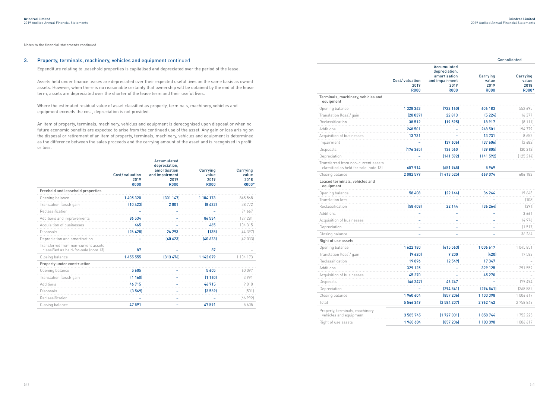### 3. Property, terminals, machinery, vehicles and equipment continued

Expenditure relating to leasehold properties is capitalised and depreciated over the period of the lease.

Assets held under finance leases are depreciated over their expected useful lives on the same basis as owned assets. However, when there is no reasonable certainty that ownership will be obtained by the end of the lease term, assets are depreciated over the shorter of the lease term and their useful lives.

Where the estimated residual value of asset classified as property, terminals, machinery, vehicles and equipment exceeds the cost, depreciation is not provided.

An item of property, terminals, machinery, vehicles and equipment is derecognised upon disposal or when no future economic benefits are expected to arise from the continued use of the asset. Any gain or loss arising on the disposal or retirement of an item of property, terminals, machinery, vehicles and equipment is determined as the difference between the sales proceeds and the carrying amount of the asset and is recognised in profit or loss.

|                                                                              | Cost/valuation<br>2019<br><b>R000</b> | Accumulated<br>depreciation,<br>amortisation<br>and impairment<br>2019<br><b>R000</b> | Carrying<br>value<br>2019<br><b>R000</b> | Carrying<br>value<br>2018<br>R000* |
|------------------------------------------------------------------------------|---------------------------------------|---------------------------------------------------------------------------------------|------------------------------------------|------------------------------------|
| Freehold and leasehold properties                                            |                                       |                                                                                       |                                          |                                    |
| Opening balance                                                              | 1 405 320                             | [301 147]                                                                             | 1 104 173                                | 845 568                            |
| Translation (loss)/ gain                                                     | (10423)                               | 2001                                                                                  | [8422]                                   | 38 772                             |
| Reclassification                                                             |                                       |                                                                                       |                                          | 74 667                             |
| Additions and improvements                                                   | 86 534                                |                                                                                       | 86 534                                   | 127 281                            |
| Acquisition of businesses                                                    | 465                                   |                                                                                       | 465                                      | 104 315                            |
| Disposals                                                                    | [26 428]                              | 26 29 3                                                                               | (135)                                    | [44397]                            |
| Depreciation and amortisation                                                |                                       | [40623]                                                                               | [40623]                                  | [42 033]                           |
| Transferred from non-current assets<br>classified as held-for-sale (note 13) | 87                                    |                                                                                       | 87                                       |                                    |
| Closing balance                                                              | 1 455 555                             | [313 476]                                                                             | 1142079                                  | 1 104 173                          |
| Property under construction                                                  |                                       |                                                                                       |                                          |                                    |
| Opening balance                                                              | 5 6 0 5                               |                                                                                       | 5 6 0 5                                  | 60097                              |
| Translation (loss)/ gain                                                     | (1160)                                |                                                                                       | (1160)                                   | 3991                               |
| Additions                                                                    | 46715                                 |                                                                                       | 46715                                    | 9010                               |
| Disposals                                                                    | [3 569]                               |                                                                                       | [3 569]                                  | (501)                              |
| Reclassification                                                             |                                       |                                                                                       |                                          | (66992)                            |
| Closing balance                                                              | 47591                                 |                                                                                       | 47591                                    | 5 6 0 5                            |

|                                                                              |                                       |                                                                                       | <b>Consolidated</b>                      |                                    |  |
|------------------------------------------------------------------------------|---------------------------------------|---------------------------------------------------------------------------------------|------------------------------------------|------------------------------------|--|
|                                                                              | Cost/valuation<br>2019<br><b>R000</b> | Accumulated<br>depreciation,<br>amortisation<br>and impairment<br>2019<br><b>R000</b> | Carrying<br>value<br>2019<br><b>R000</b> | Carrying<br>value<br>2018<br>R000* |  |
| Terminals, machinery, vehicles and<br>equipment                              |                                       |                                                                                       |                                          |                                    |  |
| Opening balance                                                              | 1328343                               | (722 160)                                                                             | 606 183                                  | 552 695                            |  |
| Translation (loss)/ gain                                                     | (28037)                               | 22813                                                                                 | (5224)                                   | 16 377                             |  |
| Reclassification                                                             | 38 512                                | (19595)                                                                               | 18917                                    | [8111]                             |  |
| Additions                                                                    | 248 501                               |                                                                                       | 248 501                                  | 194 779                            |  |
| Acquisition of businesses                                                    | 13731                                 |                                                                                       | 13731                                    | 8652                               |  |
| Impairment                                                                   |                                       | (37606)                                                                               | (37606)                                  | (2682)                             |  |
| Disposals                                                                    | (176365)                              | 136 560                                                                               | (39805)                                  | (30313)                            |  |
| Depreciation                                                                 |                                       | (141592)                                                                              | (141592)                                 | (125 214)                          |  |
| Transferred from non-current assets<br>classified as held for sale (note 13) | 657914                                | (651945)                                                                              | 5969                                     |                                    |  |
| Closing balance                                                              | 2082599                               | (1413525)                                                                             | 669 074                                  | 606 183                            |  |
| Leased terminals, vehicles and<br>equipment<br>.                             |                                       |                                                                                       |                                          |                                    |  |
| Opening balance                                                              | 58 408                                | [22 144]                                                                              | 36 264                                   | 19 643                             |  |
| Translation loss                                                             |                                       |                                                                                       |                                          | (108)                              |  |
| Reclassification                                                             | (58, 408)                             | 22 144                                                                                | (36264)                                  | (391)                              |  |
| Additions                                                                    |                                       |                                                                                       |                                          | 3661                               |  |
| Acquisition of businesses                                                    |                                       |                                                                                       |                                          | 14 976                             |  |
| Depreciation                                                                 |                                       |                                                                                       |                                          | (1517)                             |  |
| Closing balance                                                              |                                       |                                                                                       |                                          | 36 264                             |  |
| Right of use assets                                                          |                                       |                                                                                       |                                          |                                    |  |
| Opening balance                                                              | 1622180                               | (615563)                                                                              | 1006617                                  | 1 045 851                          |  |
| Translation (loss)/ gain                                                     | (9620)                                | 9 2 0 0                                                                               | (420)                                    | 17583                              |  |
| Reclassification                                                             | 19896                                 | (2549)                                                                                | 17347                                    |                                    |  |
| Additions                                                                    | 329 125                               |                                                                                       | 329 125                                  | 291 559                            |  |
| Acquisition of businesses                                                    | 45 270                                |                                                                                       | 45 270                                   |                                    |  |
| Disposals                                                                    | (46247)                               | 46 247                                                                                |                                          | (79494)                            |  |
| Depreciation                                                                 |                                       | (294541)                                                                              | (294541)                                 | (268882)                           |  |
| Closing balance                                                              | 1960604                               | (857 206)                                                                             | 1 103 398                                | 1 006 617                          |  |
| Total                                                                        | 5 546 349                             | (2584207)                                                                             | 2962142                                  | 2 758 842                          |  |
| Property, terminals, machinery,<br>vehicles and equipment                    | 3 585 745                             | (1727001)                                                                             | 1858744                                  | 1 752 225                          |  |
| Right of use assets                                                          | 1960 604                              | (857206)                                                                              | 1 103 398                                | 1006617                            |  |

 $\mathcal{L}$  $\bar{\mathcal{A}}$ 

 $\sim$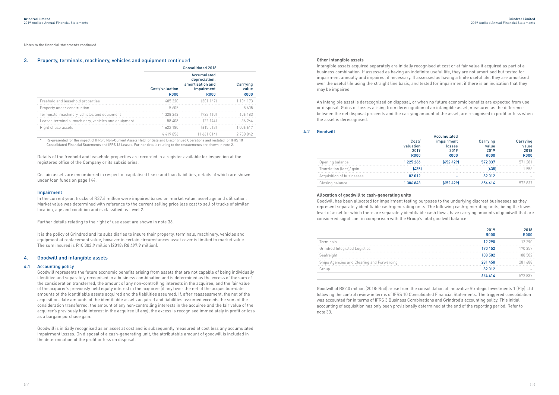#### 3. Property, terminals, machinery, vehicles and equipment continued

|                                                     | <b>Consolidated 2018</b>      |                                                                               |                                  |  |  |
|-----------------------------------------------------|-------------------------------|-------------------------------------------------------------------------------|----------------------------------|--|--|
|                                                     | Cost/valuation<br><b>R000</b> | Accumulated<br>depreciation.<br>amortisation and<br>impairment<br><b>R000</b> | Carrying<br>value<br><b>R000</b> |  |  |
| Freehold and leasehold properties                   | 1 405 320                     | [301147]                                                                      | 1 104 173                        |  |  |
| Property under construction                         | 5 605                         |                                                                               | 5605                             |  |  |
| Terminals, machinery, vehicles and equipment        | 1 328 343                     | [722 160]                                                                     | 606 183                          |  |  |
| Leased terminals, machinery, vehicles and equipment | 58 408                        | [22 144]                                                                      | 36 264                           |  |  |
| Right of use assets                                 | 1 622 180                     | [615563]                                                                      | 1 006 617                        |  |  |
|                                                     | 4419856                       | [1661014]                                                                     | 2 758 842                        |  |  |

\* Re-presented for the impact of IFRS 5 Non-Current Assets Held for Sale and Discontinued Operations and restated for IFRS 10 Consolidated Financial Statements and IFRS 16 Leases. Further details relating to the restatements are shown in note 2.

Details of the freehold and leasehold properties are recorded in a register available for inspection at the registered office of the Company or its subsidiaries.

Certain assets are encumbered in respect of capitalised lease and loan liabilities, details of which are shown under loan funds on page 144.

#### Impairment

In the current year, trucks of R37.6 million were impaired based on market value, asset age and utilisation. Market value was determined with reference to the current selling price less cost to sell of trucks of similar location, age and condition and is classified as Level 2.

Further details relating to the right of use asset are shown in note 36.

It is the policy of Grindrod and its subsidiaries to insure their property, terminals, machinery, vehicles and equipment at replacement value, however in certain circumstances asset cover is limited to market value. The sum insured is R10 303.9 million (2018: R8 497.9 million).

#### 4. Goodwill and intangible assets

#### 4.1 Accounting policy

Goodwill represents the future economic benefits arising from assets that are not capable of being individually identified and separately recognised in a business combination and is determined as the excess of the sum of the consideration transferred, the amount of any non-controlling interests in the acquiree, and the fair value of the acquirer's previously held equity interest in the acquiree (if any) over the net of the acquisition-date amounts of the identifiable assets acquired and the liabilities assumed. If, after reassessment, the net of the acquisition-date amounts of the identifiable assets acquired and liabilities assumed exceeds the sum of the consideration transferred, the amount of any non-controlling interests in the acquiree and the fair value of the acquirer's previously held interest in the acquiree (if any), the excess is recognised immediately in profit or loss as a bargain purchase gain.

Goodwill is initially recognised as an asset at cost and is subsequently measured at cost less any accumulated impairment losses. On disposal of a cash-generating unit, the attributable amount of goodwill is included in the determination of the profit or loss on disposal.

#### **Other intangible assets**

Intangible assets acquired separately are initially recognised at cost or at fair value if acquired as part of a business combination. If assessed as having an indefinite useful life, they are not amortised but tested for impairment annually and impaired, if necessary. If assessed as having a finite useful life, they are amortised over the useful life using the straight line basis, and tested for impairment if there is an indication that they may be impaired.

An intangible asset is derecognised on disposal, or when no future economic benefits are expected from use or disposal. Gains or losses arising from derecognition of an intangible asset, measured as the difference between the net disposal proceeds and the carrying amount of the asset, are recognised in profit or loss when the asset is derecognised.

#### 4.2 Goodwill

|                           | Cost/<br>valuation<br>2019<br><b>R000</b> | Accumulated<br>impairment<br>losses<br>2019<br><b>R000</b> | Carrying<br>value<br>2019<br><b>R000</b> | Carrying<br>value<br>2018<br><b>R000</b> |
|---------------------------|-------------------------------------------|------------------------------------------------------------|------------------------------------------|------------------------------------------|
| Opening balance           | 1 2 2 5 2 6 6                             | (652429)                                                   | 572837                                   | 571 281                                  |
| Translation (loss)/ gain  | (435)                                     |                                                            | (435)                                    | 1556                                     |
| Acquisition of businesses | 82012                                     |                                                            | 82012                                    |                                          |
| Closing balance           | 1306843                                   | (652429)                                                   | 654 414                                  | 572837                                   |

#### **Allocation of goodwill to cash-generating units**

Goodwill has been allocated for impairment testing purposes to the underlying discreet businesses as they represent separately identifiable cash-generating units. The following cash-generating units, being the lowest level of asset for which there are separately identifiable cash flows, have carrying amounts of goodwill that are considered significant in comparison with the Group's total goodwill balance:

|                                            | 2019<br><b>R000</b> | 2018<br><b>R000</b> |
|--------------------------------------------|---------------------|---------------------|
| Terminals                                  | 12 290              | 12 29N              |
| Grindrod Integrated Logistics              | 170 152             | 170 357             |
| Seafreight                                 | 108 502             | 108.502             |
| Ships Agencies and Clearing and Forwarding | 281458              | 281 688             |
| Group                                      | 82012               |                     |
|                                            | 654 414             |                     |

Goodwill of R82.0 million (2018: Rnil) arose from the consolidation of Innovative Strategic Investments 1 (Pty) Ltd following the control review in terms of IFRS 10 Consolidated Financial Statements. The triggered consolidation was accounted for in terms of IFRS 3 Business Combinations and Grindrod's accounting policy. This initial accounting of acquisition has only been provisionally determined at the end of the reporting period. Refer to note 33.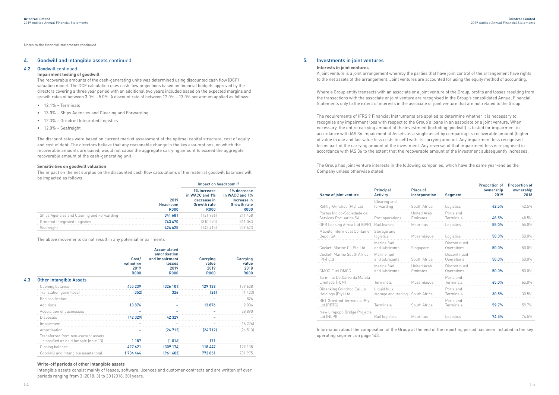#### 4. Goodwill and intangible assets continued

#### 4.2 Goodwill continued

#### **Impairment testing of goodwill**

- 12.1% Terminals
- 13.0% Ships Agencies and Clearing and Forwarding
- 12.3% Grindrod Integrated Logistics
- 12.0% Seafreight

The recoverable amounts of the cash-generating units was determined using discounted cash flow (DCF) valuation model. The DCF calculation uses cash flow projections based on financial budgets approved by the directors covering a three year period with an additional two years included based on the expected margins and growth rates of between 3.0% – 5.0%. A discount rate of between 12.0% – 13.0% per annum applied as follows:

The discount rates were based on current market assessment of the optimal capital structure, cost of equity and cost of debt. The directors believe that any reasonable change in the key assumptions, on which the recoverable amounts are based, would not cause the aggregate carrying amount to exceed the aggregate recoverable amount of the cash-generating unit.

#### **Sensitivities on goodwill valuation**

The impact on the net surplus on the discounted cash flow calculations of the material goodwill balances will be impacted as follows:

|                                            |                                 | Impact on headroom if                                                             |                                                                            |
|--------------------------------------------|---------------------------------|-----------------------------------------------------------------------------------|----------------------------------------------------------------------------|
|                                            | 2019<br>Headroom<br><b>R000</b> | 1% increase<br>in WACC and 1%<br>decrease in<br><b>Growth rate</b><br><b>R000</b> | 1% decrease<br>in WACC and 1%<br>increase in<br>Growth rate<br><b>R000</b> |
| Ships Agencies and Clearing and Forwarding | 341 681                         | [131986]                                                                          | 211458                                                                     |
| Grindrod Integrated Logistics              | 743 470                         | (310, 570)                                                                        | 511 063                                                                    |
| Seafreight                                 | 424 625                         | [142 415]                                                                         | 239 673                                                                    |

The above movements do not result in any potential impairments

|     |                                                                              | Cost/<br>valuation<br>2019<br><b>R000</b> | Accumulated<br>amortisation<br>and impairment<br>losses<br>2019<br><b>R000</b> | Carrying<br>value<br>2019<br><b>R000</b> | Carrying<br>value<br>2018<br><b>R000</b> |
|-----|------------------------------------------------------------------------------|-------------------------------------------|--------------------------------------------------------------------------------|------------------------------------------|------------------------------------------|
| 4.3 | <b>Other Intangible Assets</b>                                               |                                           |                                                                                |                                          |                                          |
|     | Opening balance                                                              | 455 239                                   | (326 101)                                                                      | 129 138                                  | 139 628                                  |
|     | Translation gain/ (loss)                                                     | (352)                                     | 326                                                                            | [26]                                     | (1423)                                   |
|     | Reclassification                                                             |                                           |                                                                                |                                          | 826                                      |
|     | Additions                                                                    | 13876                                     |                                                                                | 13876                                    | 2006                                     |
|     | Acquisition of businesses                                                    |                                           |                                                                                |                                          | 28 890                                   |
|     | Disposals                                                                    | (42329)                                   | 42 3 29                                                                        |                                          |                                          |
|     | Impairment                                                                   |                                           |                                                                                |                                          | [16 276]                                 |
|     | Amortisation                                                                 |                                           | [24712]                                                                        | [24712]                                  | [24513]                                  |
|     | Transferred from non-current assets<br>classified as held for sale (note 13) | 1 1 8 7                                   | (1016)                                                                         | 171                                      |                                          |
|     | Closing balance                                                              | 427 621                                   | (309174)                                                                       | 118 447                                  | 129 138                                  |
|     | Goodwill and Intangible assets total                                         | 1734464                                   | [961603]                                                                       | 772861                                   | 701 975                                  |

#### **Write-off periods of other intangible assets**

Intangible assets consist mainly of leases, software, licences and customer contracts and are written off over periods ranging from 3 (2018: 3) to 30 (2018: 30) years.

#### 5. Investments in joint ventures

#### **Interests in joint ventures**

A joint venture is a joint arrangement whereby the parties that have joint control of the arrangement have rights to the net assets of the arrangement. Joint ventures are accounted for using the equity method of accounting.

Where a Group entity transacts with an associate or a joint venture of the Group, profits and losses resulting from the transactions with the associate or joint venture are recognised in the Group's consolidated Annual Financial Statements only to the extent of interests in the associate or joint venture that are not related to the Group.

The requirements of IFRS 9 Financial Instruments are applied to determine whether it is necessary to recognise any impairment loss with respect to the Group's loans in an associate or a joint venture. When necessary, the entire carrying amount of the investment (including goodwill) is tested for impairment in accordance with IAS 36 Impairment of Assets as a single asset by comparing its recoverable amount (higher of value in use and fair value less costs to sell) with its carrying amount. Any impairment loss recognised forms part of the carrying amount of the investment. Any reversal of that impairment loss is recognised in accordance with IAS 36 to the extent that the recoverable amount of the investment subsequently increases.

The Group has joint venture interests in the following companies, which have the same year-end as the Company unless otherwise stated:

| Name of joint venture                                | Principal<br><b>Activity</b>       | Place of<br>incorporation | Segment                    | <b>Proportion of</b><br>ownership<br>2019 | <b>Proportion of</b><br>ownership<br>2018 |
|------------------------------------------------------|------------------------------------|---------------------------|----------------------------|-------------------------------------------|-------------------------------------------|
|                                                      | Clearing and                       |                           |                            |                                           |                                           |
| Röhlig-Grindrod (Pty) Ltd                            | forwarding                         | South Africa              | Logistics                  | 42.5%                                     | 42.5%                                     |
| Portus Indico-Sociedade de<br>Servicos Portuarios SA | Port operations                    | United Arab<br>Emirates   | Ports and<br>Terminals     | 48.5%                                     | 48.5%                                     |
| GPR Leasing Africa Ltd (GPR)                         | Rail leasing                       | Mauritius                 | Logistics                  | 55.0%                                     | 55.0%                                     |
| Maputo Intermodal Container<br>Depot SA              | Storage and<br>logistics           | Mozambique                | Logistics                  | 50.0%                                     | 50.0%                                     |
| Cockett Marine Oil Pte Ltd                           | Marine fuel<br>and lubricants      | Singapore                 | Discontinued<br>Operations | 50.0%                                     | 50.0%                                     |
| Cockett Marine South Africa<br>(Pty) Ltd             | Marine fuel<br>and lubricants      | South Africa              | Discontinued<br>Operations | 50.0%                                     | 50.0%                                     |
| <b>CMOG Fuel DMCC</b>                                | Marine fuel<br>and lubricants      | United Arab<br>Emirates   | Discontinued<br>Operations | 50.0%                                     | 50.0%                                     |
| Terminal De Carvo da Matola<br>Limitada (TCM)        | Terminals                          | Mozambique                | Ports and<br>Terminals     | 65.0%                                     | 65.0%                                     |
| Oiltanking Grindrod Calulo<br>Holdings (Pty) Ltd     | Liquid bulk<br>storage and trading | South Africa              | Ports and<br>Terminals     | 30.5%                                     | 30.5%                                     |
| RBT Grindrod Terminals (Pty)<br>Ltd (RBTG)           | Terminals                          | South Africa              | Ports and<br>Terminals     | 59.7%                                     | 59.7%                                     |
| New Limpopo Bridge Projects<br>Ltd (NLPI)            | Rail logistics                     | Mauritius                 | Logistics                  | 74.5%                                     | 74.5%                                     |

Information about the composition of the Group at the end of the reporting period has been included in the key operating segment on page 143.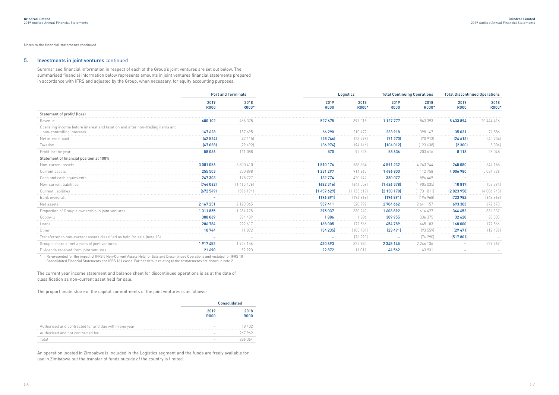### 5. Investments in joint ventures continued

Summarised financial information in respect of each of the Group's joint ventures are set out below. The summarised financial information below represents amounts in joint ventures financial statements prepared in accordance with IFRS and adjusted by the Group, when necessary, for equity accounting purposes.

|                                                                                                            | <b>Port and Terminals</b> |               |                     | Logistics     |                     | <b>Total Continuing Operations</b> |                     | <b>Total Discontinued Operations</b> |  |
|------------------------------------------------------------------------------------------------------------|---------------------------|---------------|---------------------|---------------|---------------------|------------------------------------|---------------------|--------------------------------------|--|
|                                                                                                            | 2019<br><b>R000</b>       | 2018<br>R000* | 2019<br><b>R000</b> | 2018<br>R000* | 2019<br><b>R000</b> | 2018<br>R000*                      | 2019<br><b>R000</b> | 2018<br><b>R000*</b>                 |  |
| Statement of profit/ (loss)                                                                                |                           |               |                     |               |                     |                                    |                     |                                      |  |
| Revenue                                                                                                    | 600 102                   | 466375        | 527 675             | 397 018       | 1 127 777           | 863393                             | 8 433 894           | 20 444 416                           |  |
| Operating income before interest and taxation and after non-trading items and<br>non-controlling interests | 167 628                   | 187 695       | 66 290              | 210 472       | 233 918             | 398 167                            | 35 031              | 71 586                               |  |
| Net interest paid                                                                                          | [42 524]                  | 47 115        | (28 746)            | [23798]       | (71270)             | [70.913]                           | [24 613]            | [40 234]                             |  |
| Taxation                                                                                                   | (67038)                   | [29, 492]     | (36974)             | [94146]       | (104012)            | (123638)                           | (2300)              | (5304)                               |  |
| Profit for the year                                                                                        | 58 0 6 6                  | 111 088       | 570                 | 92 528        | 58 6 36             | 203 616                            | 8 1 1 8             | 26 048                               |  |
| Statement of financial position at 100%                                                                    |                           |               |                     |               |                     |                                    |                     |                                      |  |
| Non-current assets                                                                                         | 3 081 056                 |               | 510 176             | 963334        | 4591232             | 4 763 744                          | 245 080             |                                      |  |
| Current assets                                                                                             | 255 503                   | 200.898       | 1 231 297           | 911860        | 486 800             | 1 112 758                          | 4006980             | i 031 727                            |  |
| Cash and cash equivalents                                                                                  | 247 303                   | 175 727       | 132774              | 420 742       | 380 077             | 596 469                            |                     |                                      |  |
| Non-current liabilities                                                                                    | [744062]                  | (1460476)     | [682316]            | [444559]      | (1426378)           | (1 905 035)                        | (10817)             | 152 294                              |  |
| Current liabilities                                                                                        | (672549)                  | (596194)      | (1457629)           | (1135617)     | [2 130 178]         | (1731811)                          | [2823958]           | (4 006 945)                          |  |
| Bank overdraft                                                                                             |                           |               | (196891)            | (194968)      | (196891)            | (194968)                           | (723982)            | [648969]                             |  |
| Net assets                                                                                                 | 2 167 251                 | 2 120 365     | 537 411             | 520 792       | 2704 662            | 2 641 157                          | 693 303             | 672 673                              |  |
| Proportion of Group's ownership in joint ventures                                                          | 1 311 855                 | 1 284 178     | 295 037             | 330 249       | 1606892             | 1614427                            | 346 652             | 336 337                              |  |
| Goodwill                                                                                                   | 308 069                   | 33Y Y86       | 1886                | 1886          | 309 955             | 336 375                            | 32 6 20             | 33 505                               |  |
| Loans                                                                                                      | 286 784                   | 29261         | 168005              | 172 566       | 454 789             | 465 183                            | 168 000             | 172 566                              |  |
| Other                                                                                                      | 10744                     | 11872         | [34 235]            | (105431)      | [23 491]            | [93 559]                           | [29 471]            | (12439)                              |  |
| Transferred to non-current assets classified as held for sale (note 13)                                    |                           |               |                     | (76290)       |                     | (76 290)                           | (517801)            |                                      |  |
| Group's share of net assets of joint ventures                                                              | 1 917 452                 | 1923 156      | 430 693             | 322 980       | 2 3 4 8 1 4 5       | 2 2 4 6 1 3 6                      | $\sim$              | 529 969                              |  |
| Dividends received from joint ventures                                                                     | 21 690                    | 52 9 20       | 22 872              | 11 011        | 44 562              | 63 931                             |                     |                                      |  |

\* Re-presented for the impact of IFRS 5 Non-Current Assets Held for Sale and Discontinued Operations and restated for IFRS 10 Consolidated Financial Statements and IFRS 16 Leases. Further details relating to the restatements are shown in note 2.

The current year income statement and balance sheet for discontinued operations is as at the date of classification as non-current asset held for sale.

The proportionate share of the capital commitments of the joint ventures is as follows:

|                                                       |                     | Consolidated        |
|-------------------------------------------------------|---------------------|---------------------|
|                                                       | 2019<br><b>R000</b> | 2018<br><b>R000</b> |
| Authorised and contracted for and due within one year |                     | 18 402              |
| Authorised and not contracted for                     |                     | 267962              |
| Total                                                 |                     | 286.364             |

An operation located in Zimbabwe is included in the Logistics segment and the funds are freely available for use in Zimbabwe but the transfer of funds outside of the country is limited.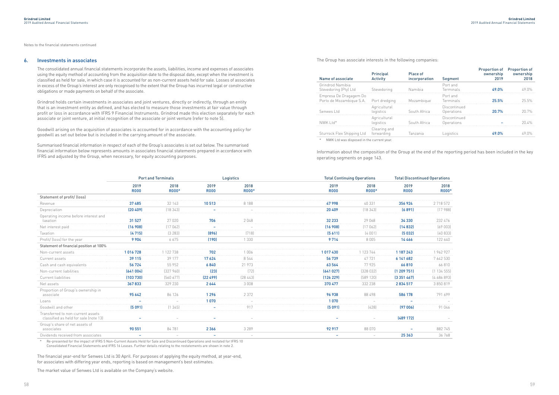| 2018<br>R000*      |
|--------------------|
| 2718572            |
| (17988)            |
| 232 476<br>(69003) |
| [40 833]           |
| 122 640            |
| 1962927            |
| 7642530            |
| 66810              |
| [1 134 555]        |
| (4 686 893)        |
| 3 850 819          |
| 791 699            |
| .<br>91 046        |
|                    |
|                    |
| 882 745            |
| 36 768             |

#### 6. Investments in associates

The consolidated annual financial statements incorporate the assets, liabilities, income and expenses of associates using the equity method of accounting from the acquisition date to the disposal date, except when the investment is classified as held for sale, in which case it is accounted for as non-current assets held for sale. Losses of associates in excess of the Group's interest are only recognised to the extent that the Group has incurred legal or constructive obligations or made payments on behalf of the associate.

Grindrod holds certain investments in associates and joint ventures, directly or indirectly, through an entity that is an investment entity as defined, and has elected to measure those investments at fair value through profit or loss in accordance with IFRS 9 Financial Instruments. Grindrod made this election separately for each associate or joint venture, at initial recognition of the associate or joint venture (refer to note 5).

Goodwill arising on the acquisition of associates is accounted for in accordance with the accounting policy for goodwill as set out below but is included in the carrying amount of the associate.

The Group has associate interests in the following companies:

| Name of associate                                  | Principal<br><b>Activity</b> | Place of<br>incorporation | Segment                    | <b>Proportion of</b><br>ownership<br>2019 | <b>Proportion of</b><br>ownership<br>2018 |
|----------------------------------------------------|------------------------------|---------------------------|----------------------------|-------------------------------------------|-------------------------------------------|
| Grindrod Namibia<br>Stevedoring (Pty) Ltd          | Stevedoring                  | Namibia                   | Port and<br>Terminals      | 49.0%                                     | $49.0\%$                                  |
| Empresa De Dragagem Do<br>Porto de Mozambique S.A. | Port dredging                | Mozambique                | Port and<br>Terminals      | 25.5%                                     | $25.5\%$                                  |
| Senwes Ltd                                         | Agricultural<br>logistics    | South Africa              | Discontinued<br>Operations | 20.7%                                     | 20.7%                                     |
| $NWK + H*$                                         | Agricultural<br>logistics    | South Africa              | Discontinued<br>Operations |                                           | 204%                                      |
| Sturrock Flex Shipping Ltd                         | Clearing and<br>forwarding   | Tanzania                  | Logistics                  | 49.0%                                     | 49.0%                                     |

\* NWK Ltd was disposed in the current year.

Information about the composition of the Group at the end of the reporting period has been included in the key operating segments on page 143.

Summarised financial information in respect of each of the Group's associates is set out below. The summarised financial information below represents amounts in associates financial statements prepared in accordance with IFRS and adjusted by the Group, when necessary, for equity accounting purposes.

|                                                                            | <b>Port and Terminals</b> |               |                     | Logistics     |                     | <b>Total Continuing Operations</b> |                     | <b>Total Discontinued Operations</b> |  |
|----------------------------------------------------------------------------|---------------------------|---------------|---------------------|---------------|---------------------|------------------------------------|---------------------|--------------------------------------|--|
|                                                                            | 2019<br><b>R000</b>       | 2018<br>R000* | 2019<br><b>R000</b> | 2018<br>R000* | 2019<br><b>R000</b> | 2018<br>R000*                      | 2019<br><b>R000</b> | 2018<br>R000*                        |  |
| Statement of profit/ (loss)                                                |                           |               |                     |               |                     |                                    |                     |                                      |  |
| Revenue                                                                    | 37 485                    | 32 143        | 10 513              | 8 1 8 8       | 47998               | 40 331                             | 356 924             | 2718572                              |  |
| Depreciation                                                               | [20, 409]                 | [18343]       |                     |               | 20 409              | [18343]                            | (6891)              | (17988)                              |  |
| Operating income before interest and<br>taxation                           | 31 527                    | 27 0 20       | 706                 | 2048          | 32 233              | 29 068                             | 34 330              | 232 476                              |  |
| Net interest paid                                                          | (16908)                   | [17062]       |                     |               | (16908)             | [17062]                            | (14832)             | (69003)                              |  |
| Taxation                                                                   | (4715)                    | [3 283]       | [896]               | [718]         | (5,611)             | (4001)                             | (5032)              | [40833]                              |  |
| Profit/ (loss) for the year                                                | 9904                      | 6675          | (190)               | 1 3 3 0       | 9 7 1 4             | 8 0 0 5                            | 14 4 6 6            | 122 640                              |  |
| Statement of financial position at 100%                                    |                           |               |                     |               |                     |                                    |                     |                                      |  |
| Non-current assets                                                         | 1016728                   |               | 702                 | -006          | 1 017 430           | 123 744                            | 1 187 243           | 962927                               |  |
| Current assets                                                             | 39 115                    | 39 177        | 17 624              | 8.544         | 56739               | 47 721                             | 6 141 682           | 642 530                              |  |
| Cash and cash equivalents                                                  | 56 724                    | 55 9 52       | 6840                | 21 973        | 63564               | 77925                              | 66810               | 66810                                |  |
| Non-current liabilities                                                    | [641004]                  | [327960]      | $[23]$              | (72)          | (641027)            | [328032]                           | (1209751)           | (113455)                             |  |
| Current liabilities                                                        | (103730)                  | [560 677]     | [22 499]            | [28 443]      | (126 229)           | [589 120]                          | (3351467)           | [4686893]                            |  |
| Net assets                                                                 | 367833                    | 329 230       | 2644                | 3008          | 370 477             | 332 238                            | 2 834 517           | 3 850 819                            |  |
| Proportion of Group's ownership in<br>associate                            | 95 642                    | 86 126        | 1 2 9 6             | 2372          | 96 938              | 88 498                             | 586 178             | 791 699                              |  |
| Loans                                                                      |                           |               | 1070                |               | 1 070               |                                    |                     |                                      |  |
| Goodwill and other                                                         | (5 0 9 1 1                | 1.3451        |                     | 917           | (5091)              | (428)                              | [97 006]            | 91 N46                               |  |
| Transferred to non-current assets<br>classified as held for sale (note 13) | $\overline{\phantom{0}}$  |               |                     |               |                     |                                    | (489 172)           |                                      |  |
| Group's share of net assets of<br>associates                               | 90 551                    | 84 781        | 2 3 6 6             | 3 2 8 9       | 92917               | 88 0 70                            |                     | 882 745                              |  |
| Dividends received from associates                                         |                           |               |                     |               |                     |                                    | 25 3 6 3            | 36 768                               |  |

\* Re-presented for the impact of IFRS 5 Non-Current Assets Held for Sale and Discontinued Operations and restated for IFRS 10 Consolidated Financial Statements and IFRS 16 Leases. Further details relating to the restatements are shown in note 2.

The financial year-end for Senwes Ltd is 30 April. For purposes of applying the equity method, at year-end, for associates with differing year ends, reporting is based on management's best estimates.

The market value of Senwes Ltd is available on the Company's website.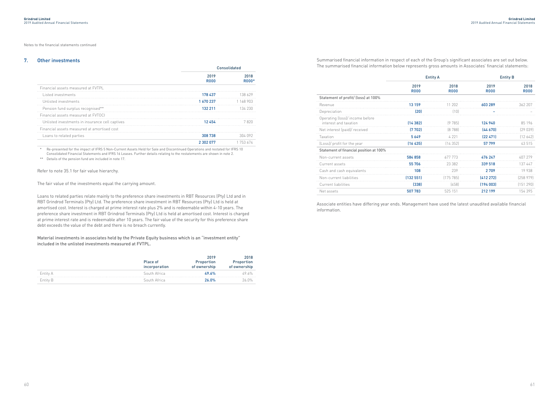### 7. Other investments

|                                                 | Consolidated        |                      |
|-------------------------------------------------|---------------------|----------------------|
|                                                 | 2019<br><b>R000</b> | 2018<br><b>R000*</b> |
| Financial assets measured at EVTPL              |                     |                      |
| Listed investments                              | 178 437             | 138 629              |
| Unlisted investments                            | 1 670 237           | 1 168 903            |
| Pension fund surplus recognised**               | 132 211             | 134 230              |
| Financial assets measured at EVTOCL             |                     |                      |
| Unlisted investments in insurance cell captives | 12 4 5 4            | 7820                 |
| Financial assets measured at amortised cost     |                     |                      |
| Loans to related parties                        | 308 738             | 304 092              |
|                                                 | 2 302 077           | 1 753 674            |

\* Re-presented for the impact of IFRS 5 Non-Current Assets Held for Sale and Discontinued Operations and restated for IFRS 10 Consolidated Financial Statements and IFRS 16 Leases. Further details relating to the restatements are shown in note 2.

\*\* Details of the pension fund are included in note 17.

Refer to note 35.1 for fair value hierarchy.

The fair value of the investments equal the carrying amount.

Loans to related parties relate mainly to the preference share investments in RBT Resources (Pty) Ltd and in RBT Grindrod Terminals (Pty) Ltd. The preference share investment in RBT Resources (Pty) Ltd is held at amortised cost. Interest is charged at prime interest rate plus 2% and is redeemable within 4-10 years. The preference share investment in RBT Grindrod Terminals (Pty) Ltd is held at amortised cost. Interest is charged at prime interest rate and is redeemable after 10 years. The fair value of the security for this preference share debt exceeds the value of the debt and there is no breach currently.

Material investments in associates held by the Private Equity business which is an "investment entity" included in the unlisted investments measured at FVTPL.

Summarised financial information in respect of each of the Group's significant associates are set out below. The summarised financial information below represents gross amounts in Associates' financial statements:

|                                                          | <b>Entity A</b>     |                     |                     |                     | <b>Entity B</b> |  |
|----------------------------------------------------------|---------------------|---------------------|---------------------|---------------------|-----------------|--|
|                                                          | 2019<br><b>R000</b> | 2018<br><b>R000</b> | 2019<br><b>R000</b> | 2018<br><b>R000</b> |                 |  |
| Statement of profit/ (loss) at 100%                      |                     |                     |                     |                     |                 |  |
| Revenue                                                  | 13 159              | 11 202              | 603 289             | 362 207             |                 |  |
| Depreciation                                             | (20)                | (10)                |                     |                     |                 |  |
| Operating (loss)/ income before<br>interest and taxation | (14382)             | (9785)              | 124 940             | 85 196              |                 |  |
| Net interest (paid)/ received                            | (7702)              | (8788)              | (44670)             | [29039]             |                 |  |
| Taxation                                                 | 5649                | 4 2 2 1             | (22471)             | [12642]             |                 |  |
| (Loss)/ profit for the year                              | (16435)             | [14352]             | 57 799              | 43 515              |                 |  |
| Statement of financial position at 100%                  |                     |                     |                     |                     |                 |  |
| Non-current assets                                       | 584 858             | 677 773             | 476 247             | 407 279             |                 |  |
| Current assets                                           | 55 706              | 23 3 8 2            | 339 518             | 137 447             |                 |  |
| Cash and cash equivalents                                | 108                 | 239                 | 2 7 0 9             | 19 938              |                 |  |
| Non-current liabilities                                  | (132551)            | (175785)            | (412 272)           | (258979)            |                 |  |
| <b>Current liabilities</b>                               | (338)               | (458)               | (194003)            | (151 290)           |                 |  |
| Net assets                                               | 507 783             | 525 151             | 212 199             | 154 395             |                 |  |

Associate entities have differing year ends. Management have used the latest unaudited available financial information.

|          | Place of<br>incorporation | 2019<br>Proportion<br>of ownership | 2018<br>Proportion<br>of ownership |
|----------|---------------------------|------------------------------------|------------------------------------|
| Entity A | South Africa              | 49.6%                              | 49.6%                              |
| Entity B | South Africa              | <b>26.0%</b>                       | 26.0%                              |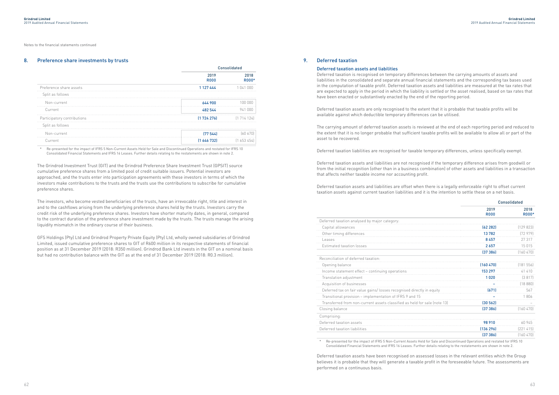#### 8. Preference share investments by trusts

|                                             | <b>Consolidated</b> |                      |
|---------------------------------------------|---------------------|----------------------|
|                                             | 2019<br><b>R000</b> | 2018<br><b>R000*</b> |
| Preference share assets<br>Split as follows | 1 127 444           | 1 041 000            |
| Non-current                                 | 644 900             | 100 000              |
| Current                                     | 482 544             | 941 000              |
| Participatory contributions                 | (1724276)           | 11 714 1241          |
| Split as follows                            |                     |                      |
| Non-current                                 | (77544)             |                      |
| Current                                     | (1646732)           | 1 653 454            |

\* Re-presented for the impact of IFRS 5 Non-Current Assets Held for Sale and Discontinued Operations and restated for IFRS 10 Consolidated Financial Statements and IFRS 16 Leases. Further details relating to the restatements are shown in note 2.

The Grindrod Investment Trust (GIT) and the Grindrod Preference Share Investment Trust (GPSIT) source cumulative preference shares from a limited pool of credit suitable issuers. Potential investors are approached, and the trusts enter into participation agreements with these investors in terms of which the investors make contributions to the trusts and the trusts use the contributions to subscribe for cumulative preference shares.

The investors, who become vested beneficiaries of the trusts, have an irrevocable right, title and interest in and to the cashflows arising from the underlying preference shares held by the trusts. Investors carry the credit risk of the underlying preference shares. Investors have shorter maturity dates, in general, compared to the contract duration of the preference share investment made by the trusts. The trusts manage the arising liquidity mismatch in the ordinary course of their business.

Deferred taxation assets are only recognised to the extent that it is probable that taxable profits will be available against which deductible temporary differences can be utilised.

GFS Holdings (Pty) Ltd and Grindrod Property Private Equity (Pty) Ltd, wholly owned subsidiaries of Grindrod Limited, issued cumulative preference shares to GIT of R600 million in its respective statements of financial position as at 31 December 2019 (2018: R350 million). Grindrod Bank Ltd invests in the GIT on a nominal basis but had no contribution balance with the GIT as at the end of 31 December 2019 (2018: R0.3 million).

#### 9. Deferred taxation

#### Deferred taxation assets and liabilities

\* Re-presented for the impact of IFRS 5 Non-Current Assets Held for Sale and Discontinued Operations and restated for IFRS 10 Consolidated Financial Statements and IFRS 16 Leases. Further details relating to the restatements are shown in note 2.

Deferred taxation is recognised on temporary differences between the carrying amounts of assets and liabilities in the consolidated and separate annual financial statements and the corresponding tax bases used in the computation of taxable profit. Deferred taxation assets and liabilities are measured at the tax rates that are expected to apply in the period in which the liability is settled or the asset realised, based on tax rates that have been enacted or substantively enacted by the end of the reporting period.

The carrying amount of deferred taxation assets is reviewed at the end of each reporting period and reduced to the extent that it is no longer probable that sufficient taxable profits will be available to allow all or part of the asset to be recovered.

Deferred taxation liabilities are recognised for taxable temporary differences, unless specifically exempt.

Deferred taxation assets and liabilities are not recognised if the temporary difference arises from goodwill or from the initial recognition (other than in a business combination) of other assets and liabilities in a transaction that affects neither taxable income nor accounting profit.

Deferred taxation assets and liabilities are offset when there is a legally enforceable right to offset current taxation assets against current taxation liabilities and it is the intention to settle these on a net basis.

|                                                                           | Consolidated        |               |
|---------------------------------------------------------------------------|---------------------|---------------|
|                                                                           | 2019<br><b>R000</b> | 2018<br>R000* |
| Deferred taxation analysed by major category:                             |                     |               |
| Capital allowances                                                        | (62282)             | [129 823]     |
| Other timing differences                                                  | 13782               | [72979]       |
| Leases                                                                    | 8457                | 27317         |
| Estimated taxation losses                                                 | 2657                | 15015         |
|                                                                           | [37, 386]           | (160 470)     |
| Reconciliation of deferred taxation:                                      |                     |               |
| Opening balance                                                           | (160 470)           | [181 556]     |
| Income statement effect - continuing operations                           | 153 297             | 41410         |
| Translation adjustment                                                    | 1020                | (3817)        |
| Acquisition of businesses                                                 |                     | (18880)       |
| Deferred tax on fair value gains/losses recognised directly in equity     | (671)               | 567           |
| Transitional provision - implementation of IFRS 9 and 15                  |                     | 1806          |
| Transferred from non-current assets classified as held for sale (note 13) | [30 562]            |               |
| Closing balance                                                           | (37386)             | (160 470)     |
| Comprising:                                                               |                     |               |
| Deferred taxation assets                                                  | 98 910              | 60 945        |
| Deferred taxation liabilities                                             | (136 296)           | [221 415]     |
|                                                                           | (37386)             | (160 470)     |

Deferred taxation assets have been recognised on assessed losses in the relevant entities which the Group believes it is probable that they will generate a taxable profit in the foreseeable future. The assessments are performed on a continuous basis.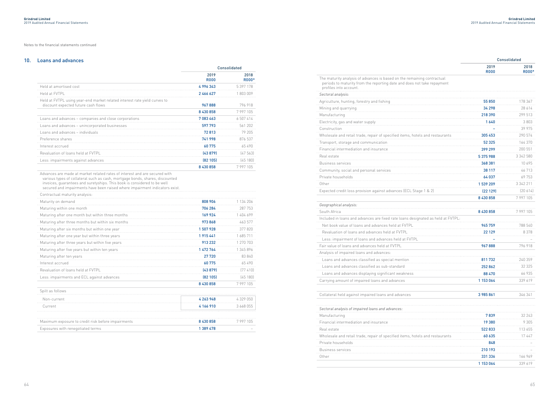### 10. Loans and advances

|                                                                                                                  |                     | <b>Consolidated</b> |  |
|------------------------------------------------------------------------------------------------------------------|---------------------|---------------------|--|
|                                                                                                                  | 2019<br><b>R000</b> | 2018<br>R000*       |  |
| Held at amortised cost                                                                                           | 4996343             | 5 397 178           |  |
| Held at FVTPL                                                                                                    | 2466627             | 1803009             |  |
| Held at FVTPL using year-end market related interest rate yield curves to<br>discount expected future cash flows | 967888              | 796 918             |  |
|                                                                                                                  | 8 430 858           | 7997105             |  |
| Loans and advances - companies and close corporations                                                            | 7083463             | 6 507 414           |  |
| Loans and advances - unincorporated businesses                                                                   | 597 793             | 561 202             |  |
| Loans and advances - individuals                                                                                 | 72813               | 79 205              |  |
| Preference shares                                                                                                | 741 998             | 876 537             |  |
| Interest accrued                                                                                                 | 60775               | 65 490              |  |
| Revaluation of loans held at EVTPL                                                                               | (43879)             | [47563]             |  |
| Less: impairments against advances                                                                               | [82 105]            | (45180)             |  |
|                                                                                                                  | 8 4 3 0 8 5 8       | 7997105             |  |

invoices, guarantees and suretyships. This book is considered to be well

secured and impairments have been raised where impairment indicators exist.

| Contractual maturity analysis:                    |           |           |
|---------------------------------------------------|-----------|-----------|
| Maturity on demand                                | 808 906   | 1 134 206 |
| Maturing within one month                         | 706 284   | 287 753   |
| Maturing after one month but within three months  | 169 924   | 1404699   |
| Maturing after three months but within six months | 973868    | 463 577   |
| Maturing after six months but within one year     | 1507928   | 377820    |
| Maturing after one year but within three years    | 1915441   | 1685711   |
| Maturing after three years but within five years  | 913 232   | 1 270 703 |
| Maturing after five years but within ten years    | 1 472 764 | 1 345 896 |
| Maturing after ten years                          | 27 720    | 83 840    |
| Interest accrued                                  | 60775     | 65490     |
| Revaluation of loans held at EVTPL                | (43879)   | (77410)   |
| Less: impairments and ECL against advances        | [82 105]  | (45180)   |
|                                                   | 8 430 858 | 7997105   |

| Spilt as follows                                   |               |           |
|----------------------------------------------------|---------------|-----------|
| Non-current                                        | 4 2 6 3 9 4 8 | 4.329.050 |
| Current                                            | 4 166 910     | 3 668 055 |
| Maximum exposure to credit risk before impairments | 8 430 858     | 7997105   |
| Exposures with renegotiated terms                  | 1 389 478     |           |

| The maturity analysis of advances is based on the remaining contractual<br>periods to maturity from the reporting date and does not take repayment<br>profiles into account. |  |
|------------------------------------------------------------------------------------------------------------------------------------------------------------------------------|--|
| Sectoral analysis:                                                                                                                                                           |  |
| Agriculture, hunting, forestry and fishing                                                                                                                                   |  |
| Mining and quarrying                                                                                                                                                         |  |
| Manufacturing                                                                                                                                                                |  |
| Electricity, gas and water supply                                                                                                                                            |  |
| Construction                                                                                                                                                                 |  |
| Wholesale and retail trade, repair of specified items, hotels and restaurants                                                                                                |  |
| Transport, storage and communication                                                                                                                                         |  |
| Financial intermediation and insurance                                                                                                                                       |  |
| Real estate                                                                                                                                                                  |  |
| Business services                                                                                                                                                            |  |
| Community, social and personal services                                                                                                                                      |  |
| Private households                                                                                                                                                           |  |
| Other                                                                                                                                                                        |  |
| Expected credit loss provision against advances (ECL Stage 1 & 2)                                                                                                            |  |
|                                                                                                                                                                              |  |
| Geographical analysis:                                                                                                                                                       |  |
| South Africa                                                                                                                                                                 |  |
| Included in loans and advances are fixed rate loans designated as held at FVTPL:<br>Net book value of loans and advances held at FVTPL                                       |  |
| Revaluation of loans and advances held at EVTPL                                                                                                                              |  |
| Less: impairment of loans and advances held at FVTPL                                                                                                                         |  |
| Fair value of loans and advances held at EVTPL                                                                                                                               |  |
| Analysis of impaired loans and advances:                                                                                                                                     |  |
| Loans and advances classified as special mention                                                                                                                             |  |
| Loans and advances classified as sub-standard                                                                                                                                |  |
| Loans and advances displaying significant weakness                                                                                                                           |  |
| Carrying amount of impaired loans and advances                                                                                                                               |  |
|                                                                                                                                                                              |  |
| Collateral held against impaired loans and advances                                                                                                                          |  |
|                                                                                                                                                                              |  |
| Sectoral analysis of impaired loans and advances:                                                                                                                            |  |
| Manufacturing                                                                                                                                                                |  |
| Financial intermediation and insurance                                                                                                                                       |  |
| Real estate                                                                                                                                                                  |  |
| Wholesale and retail trade, repair of specified items, hotels and restaurants                                                                                                |  |
| Private households                                                                                                                                                           |  |
| Business services                                                                                                                                                            |  |
| ∩ther                                                                                                                                                                        |  |

|                                                                                                                                                                              | Consolidated        |               |
|------------------------------------------------------------------------------------------------------------------------------------------------------------------------------|---------------------|---------------|
|                                                                                                                                                                              | 2019<br><b>R000</b> | 2018<br>R000* |
| The maturity analysis of advances is based on the remaining contractual<br>periods to maturity from the reporting date and does not take repayment<br>profiles into account. |                     |               |
| Sectoral analysis:                                                                                                                                                           |                     |               |
| Agriculture, hunting, forestry and fishing                                                                                                                                   | 55850               | 178 367       |
| Mining and quarrying                                                                                                                                                         | 34 298              | 28 614        |
| Manufacturing                                                                                                                                                                | 218 390             | 299 513       |
| Electricity, gas and water supply                                                                                                                                            | 1640                | 3803          |
| Construction                                                                                                                                                                 |                     | 39 975        |
| Wholesale and retail trade, repair of specified items, hotels and restaurants                                                                                                | 305 453             | 290 574       |
| Transport, storage and communication                                                                                                                                         | 52 3 2 5            | 164 370       |
| Financial intermediation and insurance                                                                                                                                       | 399 299             | 200 551       |
| Real estate                                                                                                                                                                  | 5375988             | 3 342 580     |
| <b>Business services</b>                                                                                                                                                     | 368381              | 10 695        |
| Community, social and personal services                                                                                                                                      | 38 117              | 46 713        |
| Private households                                                                                                                                                           | 64 037              | 69 753        |
| Other                                                                                                                                                                        | 1539209             | 3 3 4 2 2 1 1 |
| Expected credit loss provision against advances (ECL Stage 1 & 2)                                                                                                            | [22 129]            | [20614]       |
|                                                                                                                                                                              | 8 430 858           | 7997105       |
| Geographical analysis:                                                                                                                                                       |                     |               |
| South Africa                                                                                                                                                                 | 8 430 858           | 7997105       |
| Included in loans and advances are fixed rate loans designated as held at FVTPL:                                                                                             |                     |               |
| Net book value of loans and advances held at FVTPL                                                                                                                           | 945759              | 788 540       |
| Revaluation of loans and advances held at FVTPL                                                                                                                              | 22 129              | 8378          |
| Less: impairment of loans and advances held at FVTPL                                                                                                                         |                     |               |
| Fair value of loans and advances held at FVTPL                                                                                                                               | 967888              | 796 918       |
| Analysis of impaired loans and advances:                                                                                                                                     |                     |               |
| Loans and advances classified as special mention                                                                                                                             | 811732              | 240 359       |
| Loans and advances classified as sub-standard                                                                                                                                | 252862              | 32 325        |
| Loans and advances displaying significant weakness                                                                                                                           | 88 470              | 66 935        |
| Carrying amount of impaired loans and advances                                                                                                                               | 1 153 064           | 339 619       |
| Collateral held against impaired loans and advances                                                                                                                          | 3 985 861           | 346 341       |
| Sectoral analysis of impaired loans and advances:                                                                                                                            |                     |               |
| Manufacturing                                                                                                                                                                | 7839                | 32 243        |
| Financial intermediation and insurance                                                                                                                                       | 19 380              | 9 3 0 5       |
| Real estate                                                                                                                                                                  | 522833              | 113 655       |
| Wholesale and retail trade, repair of specified items, hotels and restaurants                                                                                                | 60 635              | 17 447        |
| Private households                                                                                                                                                           | 848                 |               |
| Business services                                                                                                                                                            | 210 193             |               |
| Other                                                                                                                                                                        | 331 336             | 166 969       |
|                                                                                                                                                                              | 1 153 064           | 339 619       |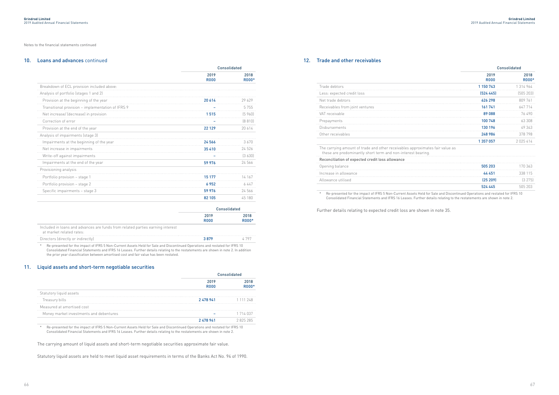#### 10. Loans and advances continued

|                                                   | Consolidated        |               |
|---------------------------------------------------|---------------------|---------------|
|                                                   | 2019<br><b>R000</b> | 2018<br>R000* |
| Breakdown of ECL provision included above:        |                     |               |
| Analysis of portfolio (stages 1 and 2)            |                     |               |
| Provision at the beginning of the year            | 20 6 14             | 29 629        |
| Transitional provision - implementation of IFRS 9 |                     | 5 7 5 5       |
| Net increase/ (decrease) in provision             | 1515                | (5960)        |
| Correction of error                               |                     | (8810)        |
| Provision at the end of the year                  | 22 1 29             | 20614         |
| Analysis of impairments (stage 3)                 |                     |               |
| Impairments at the beginning of the year          | 24 566              | 3670          |
| Net increase in impairments                       | 35 410              | 24 5 26       |
| Write-off against impairments                     |                     | [3,630]       |
| Impairments at the end of the year                | 59 976              | 24566         |
| Provisioning analysis                             |                     |               |
| Portfolio provision - stage 1                     | 15 177              | 14 167        |
| Portfolio provision - stage 2                     | 6952                | 6447          |
| Specific impairments - stage 3                    | 59 976              | 24566         |
|                                                   | 82 105              | 45 180        |

\* Re-presented for the impact of IFRS 5 Non-Current Assets Held for Sale and Discontinued Operations and restated for IFRS 10 Consolidated Financial Statements and IFRS 16 Leases. Further details relating to the restatements are shown in note 2. In addition the prior year classification between amortised cost and fair value has been restated.

|                                                                                                            | Consolidated        |                 |
|------------------------------------------------------------------------------------------------------------|---------------------|-----------------|
|                                                                                                            | 2019<br><b>R000</b> | 2018<br>$RO00*$ |
|                                                                                                            |                     |                 |
| Included in loans and advances are funds from related parties earning interest<br>at market related rates: |                     |                 |
| Directors (directly or indirectly)                                                                         | 3879                | 797             |

#### 11. Liquid assets and short-term negotiable securities

|                                         |                     | Consolidated  |  |
|-----------------------------------------|---------------------|---------------|--|
|                                         | 2019<br><b>R000</b> | 2018<br>R000* |  |
| Statutory liquid assets                 |                     |               |  |
| Treasury bills                          | 2478941             | 1 111 248     |  |
| Measured at amortised cost              |                     |               |  |
| Money market investments and debentures |                     | 1 714 037     |  |
|                                         | 2 478 941           | 2825285       |  |

\* Re-presented for the impact of IFRS 5 Non-Current Assets Held for Sale and Discontinued Operations and restated for IFRS 10 Consolidated Financial Statements and IFRS 16 Leases. Further details relating to the restatements are shown in note 2.

The carrying amount of liquid assets and short-term negotiable securities approximate fair value.

Statutory liquid assets are held to meet liquid asset requirements in terms of the Banks Act No. 94 of 1990.

### 12. Trade and other receivables

|                                                                                                                                               | <b>Consolidated</b> |               |
|-----------------------------------------------------------------------------------------------------------------------------------------------|---------------------|---------------|
|                                                                                                                                               | 2019<br><b>R000</b> | 2018<br>R000* |
| Trade debtors                                                                                                                                 | 1 150 743           | 1 3 1 4 9 6 4 |
| Less: expected credit loss                                                                                                                    | [524 445]           | [505 203]     |
| Net trade debtors                                                                                                                             | 626 298             | 809 761       |
| Receivables from joint ventures                                                                                                               | 161741              | 647 714       |
| VAT receivable                                                                                                                                | 89 088              | 76 490        |
| Prepayments                                                                                                                                   | 100748              | 63 308        |
| Disbursements                                                                                                                                 | 130 196             | 49 343        |
| Other receivables                                                                                                                             | 248 986             | 378 798       |
|                                                                                                                                               | 1357057             | 2025414       |
| The carrying amount of trade and other receivables approximates fair value as<br>these are predominantly short term and non-interest bearing. |                     |               |
| Reconciliation of expected credit loss allowance                                                                                              |                     |               |
| Opening balance                                                                                                                               | 505 203             | 170 363       |
| Increase in allowance                                                                                                                         | 44 451              | 338 115       |
| Allowance utilised                                                                                                                            | (25209)             | (3275)        |
|                                                                                                                                               | 524 445             | 505 203       |
|                                                                                                                                               |                     |               |

|                                                                                                                                               | <b>Consolidated</b> |               |
|-----------------------------------------------------------------------------------------------------------------------------------------------|---------------------|---------------|
|                                                                                                                                               | 2019<br><b>R000</b> | 2018<br>R000* |
| Trade debtors                                                                                                                                 | 1 150 743           | 1 3 1 4 9 6 4 |
| Less: expected credit loss                                                                                                                    | (524445)            | [505 203]     |
| Net trade debtors                                                                                                                             | 626 298             | 809 761       |
| Receivables from joint ventures                                                                                                               | 161741              | 647 714       |
| VAT receivable                                                                                                                                | 89 088              | 76490         |
| Prepayments                                                                                                                                   | 100748              | 63 308        |
| Disbursements                                                                                                                                 | 130 196             | 49 343        |
| Other receivables                                                                                                                             | 248 986             | 378 798       |
|                                                                                                                                               | 1 357 057           | 2 0 2 5 4 1 4 |
| The carrying amount of trade and other receivables approximates fair value as<br>these are predominantly short term and non-interest bearing. |                     |               |
| Reconciliation of expected credit loss allowance                                                                                              |                     |               |
| Opening balance                                                                                                                               | 505 203             | 170 363       |
| Increase in allowance                                                                                                                         | 44 451              | 338 115       |
| Allowance utilised                                                                                                                            | (25209)             | (3275)        |
|                                                                                                                                               | 524 445             | 505 203       |
|                                                                                                                                               |                     |               |

\* Re-presented for the impact of IFRS 5 Non-Current Assets Held for Sale and Discontinued Operations and restated for IFRS 10 Consolidated Financial Statements and IFRS 16 Leases. Further details relating to the restatements are shown in note 2.

Further details relating to expected credit loss are shown in note 35.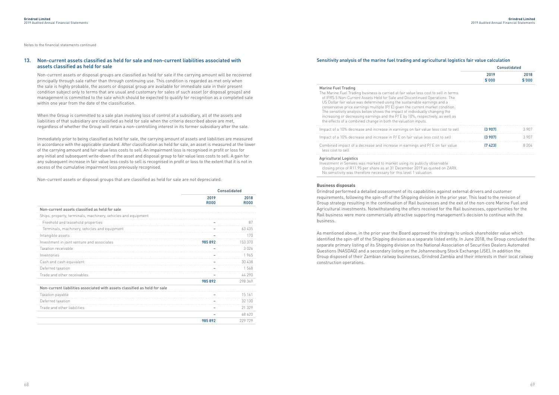### 13. Non-current assets classified as held for sale and non-current liabilities associated with assets classified as held for sale

Non-current assets or disposal groups are classified as held for sale if the carrying amount will be recovered principally through sale rather than through continuing use. This condition is regarded as met only when the sale is highly probable, the assets or disposal group are available for immediate sale in their present condition subject only to terms that are usual and customary for sales of such asset (or disposal groups) and management is committed to the sale which should be expected to qualify for recognition as a completed sale within one year from the date of the classification.

When the Group is committed to a sale plan involving loss of control of a subsidiary, all of the assets and liabilities of that subsidiary are classified as held for sale when the criteria described above are met, regardless of whether the Group will retain a non-controlling interest in its former subsidiary after the sale.

Immediately prior to being classified as held for sale, the carrying amount of assets and liabilities are measured in accordance with the applicable standard. After classification as held for sale, an asset is measured at the lower of the carrying amount and fair value less costs to sell. An impairment loss is recognised in profit or loss for any initial and subsequent write-down of the asset and disposal group to fair value less costs to sell. A gain for any subsequent increase in fair value less costs to sell is recognised in profit or loss to the extent that it is not in excess of the cumulative impairment loss previously recognised.

- The Marine Fuel Trading business is carried at fair value less of IFRS 5 Non-Current Assets Held for Sale and Discontinue US Dollar fair value was determined using the sustainable conservative price earnings multiple  $(P/\overline{E})$  given the current The sensitivity analysis below shows the impact of individual increasing or decreasing earnings and the  $P/E$  by 10%, resp the effects of a combined change in both the valuation input
- Impact of a 10% decrease and increase in earnings on fair v
- Impact of a 10% decrease and increase in  $P/E$  on fair value Combined impact of a decrease and increase in earnings are less cost to sell

Non-current assets or disposal groups that are classified as held for sale are not depreciated.

|                                                                            | Consolidated        |                     |
|----------------------------------------------------------------------------|---------------------|---------------------|
|                                                                            | 2019<br><b>R000</b> | 2018<br><b>R000</b> |
| Non-current assets classified as held for sale                             |                     |                     |
| Ships, property, terminals, machinery, vehicles and equipment              |                     |                     |
| Freehold and leasehold properties                                          |                     | 87                  |
| Terminals, machinery, vehicles and equipment                               |                     | 63 435              |
| Intangible assets                                                          |                     | 170                 |
| Investment in joint venture and associates                                 | 985892              | 153 370             |
| Taxation receivable                                                        |                     | 3026                |
| Inventories                                                                |                     | 1965                |
| Cash and cash equivalent                                                   |                     | 30 438              |
| Deferred taxation                                                          |                     | 1568                |
| Trade and other receivables                                                |                     | 44 290              |
|                                                                            | 985892              | 298 349             |
| Non-current liabilities associated with assets classified as held for sale |                     |                     |
| Taxation payable                                                           |                     | 15 16 1             |
| Deferred taxation                                                          |                     | 32 130              |
| Trade and other liabilities                                                |                     | 21 329              |
|                                                                            |                     | 68 620              |
|                                                                            | 985892              | 229 729             |

### Sensitivity analysis of the marine fuel trading and agricultural logistics fair value calculation

#### Marine Fuel Trading

|                                                                                                                                             | Consolidated |         |  |
|---------------------------------------------------------------------------------------------------------------------------------------------|--------------|---------|--|
|                                                                                                                                             | 2019         | 2018    |  |
|                                                                                                                                             | \$'000       | \$'000  |  |
| ; cost to sell in terms<br>ed Operations. The<br>earnings and a<br>t market condition.<br>Illy changing the<br>pectively, as well as<br>ts. |              |         |  |
| alue less cost to sell                                                                                                                      | (3907)       | 3 9 0 7 |  |
| less cost to sell                                                                                                                           | (3907)       | 3 9 0 7 |  |
| nd P/ E on fair value                                                                                                                       | (7423)       | 8 2 0 4 |  |
| icly observable<br>as quoted on ZARX.<br>ation.                                                                                             |              |         |  |

#### Agricultural Logistics

Investment in Senwes was marked to market using its public closing price of R11.95 per share as at 31 December 2019 No sensitivity was therefore necessary for this level 1 valuation.

#### **Business disposals**

Grindrod performed a detailed assessment of its capabilities against external drivers and customer requirements, following the spin-off of the Shipping division in the prior year. This lead to the revision of Group strategy resulting in the continuation of Rail businesses and the exit of the non-core Marine Fuel and Agricultural investments. Notwithstanding the offers received for the Rail businesses, opportunities for the Rail business were more commercially attractive supporting management's decision to continue with the business.

As mentioned above, in the prior year the Board approved the strategy to unlock shareholder value which identified the spin-off of the Shipping division as a separate listed entity. In June 2018, the Group concluded the separate primary listing of its Shipping division on the National Association of Securities Dealers Automated Questions (NASDAQ) and a secondary listing on the Johannesburg Stock Exchange (JSE). In addition the Group disposed of their Zambian railway businesses, Grindrod Zambia and their interests in their local railway construction operations.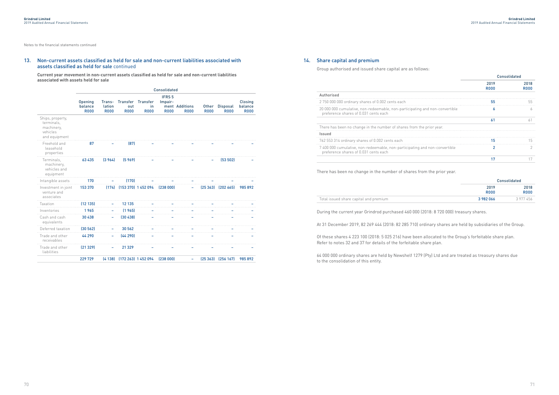## 13. Non-current assets classified as held for sale and non-current liabilities associated with assets classified as held for sale continued

**Current year movement in non-current assets classified as held for sale and non-current liabilities associated with assets held for sale**

|                                                                           | Consolidated                      |                                 |                                       |                                      |                                        |                               |                      |                                |                                   |
|---------------------------------------------------------------------------|-----------------------------------|---------------------------------|---------------------------------------|--------------------------------------|----------------------------------------|-------------------------------|----------------------|--------------------------------|-----------------------------------|
|                                                                           | Opening<br>balance<br><b>R000</b> | Trans-<br>lation<br><b>R000</b> | <b>Transfer</b><br>out<br><b>R000</b> | <b>Transfer</b><br>in<br><b>R000</b> | <b>IFRS5</b><br>Impair-<br><b>R000</b> | ment Additions<br><b>R000</b> | Other<br><b>R000</b> | <b>Disposal</b><br><b>R000</b> | Closing<br>balance<br><b>R000</b> |
| Ships, property,<br>terminals,<br>machinery.<br>vehicles<br>and equipment |                                   |                                 |                                       |                                      |                                        |                               |                      |                                |                                   |
| Freehold and<br>leasehold<br>properties                                   | 87                                |                                 | (87)                                  |                                      |                                        |                               |                      |                                |                                   |
| Terminals,<br>machinery,<br>vehicles and<br>equipment                     | 63 435                            | (3964)                          | [5969]                                |                                      |                                        |                               |                      | (53 502)                       |                                   |
| Intangible assets                                                         | 170                               |                                 | (170)                                 |                                      |                                        |                               |                      |                                |                                   |
| Investment in joint<br>venture and<br>associates                          | 153 370                           | (174)                           |                                       | (153 370) 1 452 094                  | [238000]                               | ۰                             |                      | $(25363)$ $(202665)$           | 985892                            |
| Taxation                                                                  | (12135)                           |                                 | 12 135                                |                                      |                                        |                               |                      |                                |                                   |
| Inventories                                                               | 1965                              |                                 | (1965)                                |                                      |                                        |                               |                      |                                |                                   |
| Cash and cash<br>equivalents                                              | 30 438                            | ÷                               | [30 438]                              |                                      |                                        |                               |                      |                                |                                   |
| Deferred taxation                                                         | [30 562]                          |                                 | 30 562                                |                                      |                                        |                               |                      |                                |                                   |
| Trade and other<br>receivables                                            | 44 290                            | ÷,                              | [44 290]                              |                                      |                                        |                               |                      |                                |                                   |
| Trade and other<br>liabilities                                            | [21329]                           |                                 | 21 3 29                               |                                      |                                        |                               |                      |                                |                                   |
|                                                                           | 229 729                           | (4138)                          |                                       | (172 263) 1 452 094                  | (238000)                               |                               | (25363)              | (256 167)                      | 985892                            |

## 14. Share capital and premium

Group authorised and issued share capital are as follows:

|                                                                                                                       |                     | <b>Consolidated</b> |
|-----------------------------------------------------------------------------------------------------------------------|---------------------|---------------------|
|                                                                                                                       | 2019<br><b>R000</b> | 2018<br><b>R000</b> |
| Authorised                                                                                                            |                     |                     |
| 2 750 000 000 ordinary shares of 0.002 cents each                                                                     | 55                  | 55                  |
| 20 000 000 cumulative, non-redeemable, non-participating and non-convertible<br>preference shares of 0.031 cents each | 6                   | 6                   |
|                                                                                                                       | 61                  | 61                  |
| There has been no change in the number of shares from the prior year.                                                 |                     |                     |
| Issued                                                                                                                |                     |                     |
| 762 553 314 ordinary shares of 0.002 cents each                                                                       | 15                  | 15                  |
| 7 400 000 cumulative, non-redeemable, non-participating and non-convertible<br>preference shares of 0.031 cents each  | 2                   | 2                   |
|                                                                                                                       | 17                  | 17                  |
| There has been no change in the number of shares from the prior year.                                                 |                     | <b>Consolidated</b> |
|                                                                                                                       | 2019                | 2018                |
|                                                                                                                       | <b>R000</b>         | <b>R000</b>         |
| Total issued share capital and premium                                                                                | 3982066             | 3977456             |
|                                                                                                                       |                     |                     |

During the current year Grindrod purchased 460 000 (2018: 8 720 000) treasury shares.

At 31 December 2019, 82 269 444 (2018: 82 285 710) ordinary shares are held by subsidiaries of the Group.

Of these shares 4 223 100 (2018: 5 025 216) have been allocated to the Group's forfeitable share plan. Refer to notes 32 and 37 for details of the forfeitable share plan.

64 000 000 ordinary shares are held by Newshelf 1279 (Pty) Ltd and are treated as treasury shares due to the consolidation of this entity.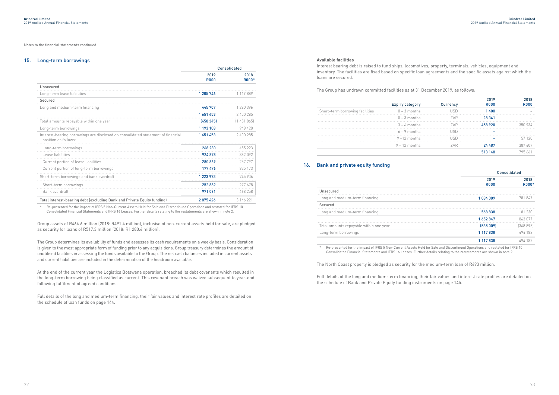## 15. Long-term borrowings

|                                                                                                          | Consolidated        |               |  |
|----------------------------------------------------------------------------------------------------------|---------------------|---------------|--|
|                                                                                                          | 2019<br><b>R000</b> | 2018<br>R000* |  |
| Unsecured                                                                                                |                     |               |  |
| Long-term lease liabilities                                                                              | 1 205 746           | 1 1 1 9 8 8 9 |  |
| Secured                                                                                                  |                     |               |  |
| Long and medium-term financing                                                                           | 445 707             | 1 280 396     |  |
|                                                                                                          | 1 651 453           | 2400285       |  |
| Total amounts repayable within one year                                                                  | (458345)            | (1451865)     |  |
| Long-term borrowings                                                                                     | 1 193 108           | 948 420       |  |
| Interest-bearing borrowings are disclosed on consolidated statement of financial<br>position as follows: | 1651453             | 2 400 285     |  |
| Long-term borrowings                                                                                     | 268 230             | 455 223       |  |
| Lease liabilities                                                                                        | 924878              | 862 092       |  |
| Current portion of lease liabilities                                                                     | 280 869             | 257 797       |  |
| Current portion of long-term borrowings                                                                  | 177476              | 825 173       |  |
| Short-term borrowings and bank overdraft                                                                 | 1 223 973           | 745 936       |  |
| Short-term borrowings                                                                                    | 252882              | 277 678       |  |
| Bank overdraft                                                                                           | 971091              | 468 258       |  |
| Total interest-bearing debt (excluding Bank and Private Equity funding)                                  | 2875426             | 3 146 221     |  |

\* Re-presented for the impact of IFRS 5 Non-Current Assets Held for Sale and Discontinued Operations and restated for IFRS 10 Consolidated Financial Statements and IFRS 16 Leases. Further details relating to the restatements are shown in note 2.

Group assets of R464.6 million (2018: R491.4 million), inclusive of non-current assets held for sale, are pledged as security for loans of R517.3 million (2018: R1 280.4 million).

The Group determines its availability of funds and assesses its cash requirements on a weekly basis. Consideration is given to the most appropriate form of funding prior to any acquisitions. Group treasury determines the amount of unutilised facilities in assessing the funds available to the Group. The net cash balances included in current assets and current liabilities are included in the determination of the headroom available.

At the end of the current year the Logistics Botswana operation, breached its debt covenants which resulted in the long-term borrowing being classified as current. This covenant breach was waived subsequent to year-end following fulfilment of agreed conditions.

Full details of the long and medium-term financing, their fair values and interest rate profiles are detailed on the schedule of loan funds on page 144.

#### **Available facilities**

. . . . . . . . . . . . . . . . .

Interest bearing debt is raised to fund ships, locomotives, property, terminals, vehicles, equipment and inventory. The facilities are fixed based on specific loan agreements and the specific assets against which the loans are secured.

The Group has undrawn committed facilities as at 31 December 2019, as follows:

|                                 | <b>Expiry category</b> | Currency | 2019<br><b>R000</b> | 2018<br><b>R000</b> |
|---------------------------------|------------------------|----------|---------------------|---------------------|
| Short-term borrowing facilities | $0 - 3$ months         | USD.     | 1400                |                     |
|                                 | $0 - 3$ months         | 7AR      | 28 341              |                     |
|                                 | $3 - 6$ months         | 7AR      | 458 920             | 350 934             |
|                                 | $6 - 9$ months         | LISD     |                     |                     |
|                                 | $9 - 12$ months        | USD.     |                     | 57 120              |
|                                 | $9 - 12$ months        | 7AR      | 24 487              | 387 607             |
|                                 |                        |          | 513 148             | 795 661             |

## 16. Bank and private equity funding

| Consolidated        |               |  |
|---------------------|---------------|--|
| 2019<br><b>R000</b> | 2018<br>R000* |  |
|                     |               |  |
| 1084009             | 781847        |  |
|                     |               |  |
| 568838              | 81 230        |  |
| 1652847             | 863 077       |  |
| [535009]            | [368895]      |  |
| 1 117 838           | 494 182       |  |
| 1 117 838           | 494 182       |  |
|                     |               |  |

\* Re-presented for the impact of IFRS 5 Non-Current Assets Held for Sale and Discontinued Operations and restated for IFRS 10 Consolidated Financial Statements and IFRS 16 Leases. Further details relating to the restatements are shown in note 2.

The North Coast property is pledged as security for the medium-term loan of R493 million.

Full details of the long and medium-term financing, their fair values and interest rate profiles are detailed on the schedule of Bank and Private Equity funding instruments on page 145.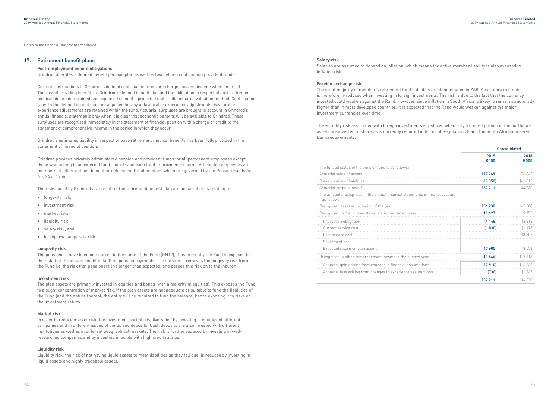### 17. Retirement benefit plans

#### **Post-employment benefit obligations**

Grindrod operates a defined benefit pension plan as well as two defined contribution provident funds.

Current contributions to Grindrod's defined contribution funds are charged against income when incurred. The cost of providing benefits to Grindrod's defined benefit plan and the obligation in respect of post-retirement medical aid are determined and expensed using the projected unit credit actuarial valuation method. Contribution rates to the defined benefit plan are adjusted for any unfavourable experience adjustments. Favourable experience adjustments are retained within the fund. Actuarial surpluses are brought to account in Grindrod's annual financial statements only when it is clear that economic benefits will be available to Grindrod. These surpluses are recognised immediately in the statement of financial position with a charge or credit to the statement of comprehensive income in the period in which they occur.

Grindrod's estimated liability in respect of post-retirement medical benefits has been fully provided in the statement of financial position.

Grindrod provides privately administered pension and provident funds for all permanent employees except those who belong to an external fund, industry pension fund or provident scheme. All eligible employees are members of either defined benefit or defined contribution plans which are governed by the Pension Funds Act No. 24 of 1956.

The risks faced by Grindrod as a result of the retirement benefit plan are actuarial risks relating to:

- longevity risk;
- investment risk:
- market risk;
- liquidity risk:
- salary risk; and
- foreign exchange rate risk

#### **Longevity risk**

The pensioners have been outsourced in the name of the Fund (GN12), thus presently the Fund is exposed to the risk that the insurer might default on pension payments. The outsource removes the longevity risk from the Fund i.e. the risk that pensioners live longer than expected, and passes this risk on to the insurer.

#### **Investment risk**

The plan assets are primarily invested in equities and bonds (with a majority in equities). This exposes the Fund to a slight concentration of market risk. If the plan assets are not adequate or suitable to fund the liabilities of the Fund (and the nature thereof) the entity will be required to fund the balance, hence exposing it to risks on the investment return.

#### **Market risk**

In order to reduce market risk, the investment portfolio is diversified by investing in equities of different companies and in different issues of bonds and deposits. Cash deposits are also invested with different institutions as well as in different geographical markets. The risk is further reduced by investing in wellresearched companies and by investing in bonds with high credit ratings.

#### **Liquidity risk**

Liquidity risk, the risk of not having liquid assets to meet liabilities as they fall due, is reduced by investing in liquid assets and highly tradeable assets.

#### **Salary risk**

Salaries are assumed to depend on inflation, which means the active member liability is also exposed to inflation risk.

#### **Foreign exchange risk**

The great majority of member's retirement fund liabilities are denominated in ZAR. A currency mismatch is therefore introduced when investing in foreign investments. The risk is due to the fact that the currency invested could weaken against the Rand. However, since inflation in South Africa is likely to remain structurally higher than in most developed countries, it is expected that the Rand would weaken against the major investment currencies over time.

The volatility risk associated with foreign investments is reduced when only a limited portion of the portfolio's assets are invested offshore as is currently required in terms of Regulation 28 and the South African Reserve Bank requirements.

|                                                                                              | Consolidated        |                     |
|----------------------------------------------------------------------------------------------|---------------------|---------------------|
|                                                                                              | 2019<br><b>R000</b> | 2018<br><b>R000</b> |
| The funded status of the pension fund is as follows:                                         |                     |                     |
| Actuarial value of assets                                                                    | 177 269             | 176 042             |
| Present value of liabilities                                                                 | (45058)             | [41812]             |
| Actuarial surplus (note 7)                                                                   | 132 211             | 134 230             |
| The amounts recognised in the annual financial statements in this respect are<br>as follows: |                     |                     |
| Recognised asset at beginning of the year                                                    | 134 230             | 142 388             |
| Recognised in the income statement in the current year                                       | 11 627              | 9 7 5 5             |
| Interest on obligation                                                                       | (4148)              | [3 813]             |
| Current service cost                                                                         | (1830)              | (1178)              |
| Past service cost                                                                            |                     | (3807)              |
| Settlement cost                                                                              |                     |                     |
| Expected return on plan assets                                                               | 17605               | 18 553              |
| Recognised in other comprehensive income in the current year                                 | [13646]             | [17913]             |
| Actuarial gain arising from changes in financial assumptions                                 | (12910)             | (16666)             |
| Actuarial loss arising from changes in experience assumptions                                | (736)               | (1247)              |
|                                                                                              | 132 211             | 134 230             |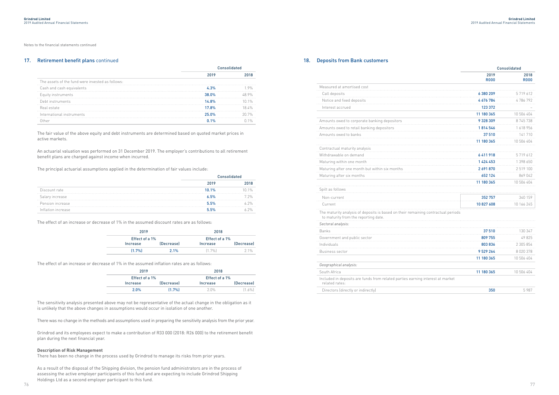#### 17. Retirement benefit plans continued

|                                                  | Consolidated |               |  |
|--------------------------------------------------|--------------|---------------|--|
|                                                  | 2019         | 2018          |  |
| The assets of the fund were invested as follows: |              |               |  |
| Cash and cash equivalents                        | 4.3%         | 9%            |  |
| Equity instruments                               | 38.0%        | 48.9%         |  |
| Debt instruments                                 | 14.8%        | $10.1\%$      |  |
| Real estate                                      | 17.8%        | 18.4%         |  |
| International instruments                        | 25.0%        | 20.7%         |  |
| Other                                            | 0.1%         | $\frac{0}{2}$ |  |

The fair value of the above equity and debt instruments are determined based on quoted market prices in active markets.

An actuarial valuation was performed on 31 December 2019. The employer's contributions to all retirement benefit plans are charged against income when incurred.

The principal actuarial assumptions applied in the determination of fair values include:

|                    | Consolidated |          |
|--------------------|--------------|----------|
|                    | 2019         | 2018     |
| Discount rate      | 10.1%        | $10.1\%$ |
| Salary increase    | 6.5%         | 7.2%     |
| Pension increase   | 5.5%         | 6 2%     |
| Inflation increase | 5.5%         | 2%       |

The effect of an increase or decrease of 1% in the assumed discount rates are as follows:

| 2019           |            | 2018           |            |  |
|----------------|------------|----------------|------------|--|
| Effect of a 1% |            | Effect of a 1% |            |  |
| Increase       | (Decrease) | Increase       | (Decrease) |  |
| (1.7%          | 2.1%       | $[1 7\%]$      | 21%        |  |

The effect of an increase or decrease of 1% in the assumed inflation rates are as follows:

| 2019           |            |          | 2018           |
|----------------|------------|----------|----------------|
| Effect of a 1% |            |          | Effect of a 1% |
| Increase       | (Decrease) | Increase | (Decrease)     |
| 2.0%           | [1.7%]     | 2.0%     | [1,6%]         |

The sensitivity analysis presented above may not be representative of the actual change in the obligation as it is unlikely that the above changes in assumptions would occur in isolation of one another.

There was no change in the methods and assumptions used in preparing the sensitivity analysis from the prior year.

Grindrod and its employees expect to make a contribution of R33 000 (2018: R26 000) to the retirement benefit plan during the next financial year.

#### **Description of Risk Management**

There has been no change in the process used by Grindrod to manage its risks from prior years.

As a result of the disposal of the Shipping division, the pension fund administrators are in the process of assessing the active employer participants of this fund and are expecting to include Grindrod Shipping Holdings Ltd as a second employer participant to this fund.

## 18. Deposits from Bank customers

|                                                                                                                           |                     | <b>Consolidated</b> |
|---------------------------------------------------------------------------------------------------------------------------|---------------------|---------------------|
|                                                                                                                           | 2019<br><b>R000</b> | 2018<br><b>R000</b> |
| Measured at amortised cost                                                                                                |                     |                     |
| Call deposits                                                                                                             | 6 380 209           | 5719612             |
| Notice and fixed deposits                                                                                                 | 4676784             | 4786792             |
| Interest accrued                                                                                                          | 123 372             |                     |
|                                                                                                                           | 11 180 365          | 10 506 404          |
| Amounts owed to corporate banking depositors                                                                              | 9328309             | 8 745 738           |
| Amounts owed to retail banking depositors                                                                                 | 1814546             | 1618956             |
| Amounts owed to banks                                                                                                     | 37510               | 141 710             |
|                                                                                                                           | 11 180 365          | 10 506 404          |
| Contractual maturity analysis                                                                                             |                     |                     |
| Withdrawable on demand                                                                                                    | 6411918             | 5719612             |
| Maturing within one month                                                                                                 | 1 424 453           | 1 398 650           |
| Maturing after one month but within six months                                                                            | 2691870             | 2 519 100           |
| Maturing after six months                                                                                                 | 652 124             | 869 042             |
|                                                                                                                           | 11 180 365          | 10 506 404          |
| Spilt as follows                                                                                                          |                     |                     |
| Non-current                                                                                                               | 352757              | 340 159             |
| Current                                                                                                                   | 10827608            | 10 166 245          |
| The maturity analysis of deposits is based on their remaining contractual periods<br>to maturity from the reporting date. |                     |                     |
| Sectoral analysis:                                                                                                        |                     |                     |
| Banks                                                                                                                     | 37510               | 130 347             |
| Government and public sector                                                                                              | 809 755             | 49825               |
| Individuals                                                                                                               | 803836              | 2 305 854           |
| Business sector                                                                                                           | 9529264             | 8 0 2 0 3 7 8       |
|                                                                                                                           | 11 180 365          | 10 506 404          |
| Geographical analysis:                                                                                                    |                     |                     |
| South Africa                                                                                                              | 11 180 365          | 10 506 404          |
| Included in deposits are funds from related parties earning interest at market<br>related rates:                          |                     |                     |
| Directors (directly or indirectly)                                                                                        | 350                 | 5987                |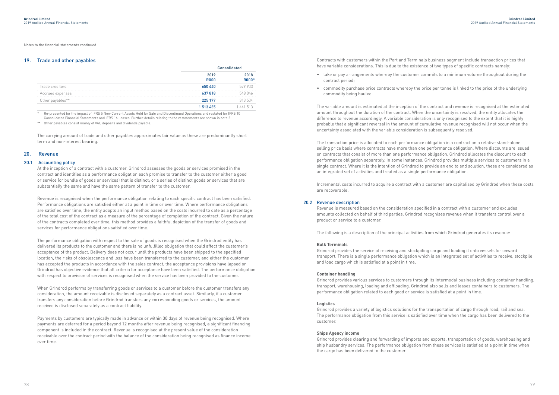## 19. Trade and other payables

|                  |                     | <b>Consolidated</b> |  |
|------------------|---------------------|---------------------|--|
|                  | 2019<br><b>R000</b> | 2018<br>R000*       |  |
| Trade creditors  | 650 440             | 579 933             |  |
| Accrued expenses | 637818              | 548 046             |  |
| Other payables** | 225 177             | 313 534             |  |
|                  | 1 513 435           | 441 513             |  |

\* Re-presented for the impact of IFRS 5 Non-Current Assets Held for Sale and Discontinued Operations and restated for IFRS 10 Consolidated Financial Statements and IFRS 16 Leases. Further details relating to the restatements are shown in note 2.

\*\* Other payables consist mainly of VAT, deposits and dividends payable.

The carrying amount of trade and other payables approximates fair value as these are predominantly short term and non-interest bearing.

#### 20. Revenue

## 20.1 Accounting policy

At the inception of a contract with a customer, Grindrod assesses the goods or services promised in the contract and identifies as a performance obligation each promise to transfer to the customer either a good or service (or bundle of goods or services) that is distinct; or a series of distinct goods or services that are substantially the same and have the same pattern of transfer to the customer.

Revenue is recognised when the performance obligation relating to each specific contract has been satisfied. Performance obligations are satisfied either at a point in time or over time. Where performance obligations are satisfied over time, the entity adopts an input method based on the costs incurred to date as a percentage of the total cost of the contract as a measure of the percentage of completion of the contract. Given the nature of the contracts completed over time, this method provides a faithful depiction of the transfer of goods and services for performance obligations satisfied over time.

The performance obligation with respect to the sale of goods is recognised when the Grindrod entity has delivered its products to the customer and there is no unfulfilled obligation that could affect the customer's acceptance of the product. Delivery does not occur until the products have been shipped to the specified location, the risks of obsolescence and loss have been transferred to the customer, and either the customer has accepted the products in accordance with the sales contract, the acceptance provisions have lapsed or Grindrod has objective evidence that all criteria for acceptance have been satisfied. The performance obligation with respect to provision of services is recognised when the service has been provided to the customer.

When Grindrod performs by transferring goods or services to a customer before the customer transfers any consideration, the amount receivable is disclosed separately as a contract asset. Similarly, if a customer transfers any consideration before Grindrod transfers any corresponding goods or services, the amount received is disclosed separately as a contract liability.

Payments by customers are typically made in advance or within 30 days of revenue being recognised. Where payments are deferred for a period beyond 12 months after revenue being recognised, a significant financing component is included in the contract. Revenue is recognised at the present value of the consideration receivable over the contract period with the balance of the consideration being recognised as finance income over time.

Contracts with customers within the Port and Terminals business segment include transaction prices that have variable considerations. This is due to the existence of two types of specific contracts namely:

- take or pay arrangements whereby the customer commits to a minimum volume throughout during the contract period;
- commodity purchase price contracts whereby the price per tonne is linked to the price of the underlying commodity being hauled.

The variable amount is estimated at the inception of the contract and revenue is recognised at the estimated amount throughout the duration of the contract. When the uncertainty is resolved, the entity allocates the difference to revenue accordingly. A variable consideration is only recognised to the extent that it is highly probable that a significant reversal in the amount of cumulative revenue recognised will not occur when the uncertainty associated with the variable consideration is subsequently resolved.

The transaction price is allocated to each performance obligation in a contract on a relative stand-alone selling price basis where contracts have more than one performance obligation. Where discounts are issued on contracts that consist of more than one performance obligation, Grindrod allocates the discount to each performance obligation separately. In some instances, Grindrod provides multiple services to customers in a single contract. Where it is the intention of Grindrod to provide an end to end solution, these are considered as an integrated set of activities and treated as a single performance obligation.

Incremental costs incurred to acquire a contract with a customer are capitalised by Grindrod when these costs are recoverable.

### 20.2 Revenue description

Revenue is measured based on the consideration specified in a contract with a customer and excludes amounts collected on behalf of third parties. Grindrod recognises revenue when it transfers control over a product or service to a customer.

The following is a description of the principal activities from which Grindrod generates its revenue:

#### **Bulk Terminals**

and load cargo which is satisfied at a point in time.

#### **Container handling**

- 
- 
- Grindrod provides the service of receiving and stockpiling cargo and loading it onto vessels for onward transport. There is a single performance obligation which is an integrated set of activities to receive, stockpile
- Grindrod provides various services to customers through its Intermodal business including container handling, transport, warehousing, loading and offloading. Grindrod also sells and leases containers to customers. The
- The performance obligation from this service is satisfied over time when the cargo has been delivered to the
- Grindrod provides clearing and forwarding of imports and exports, transportation of goods, warehousing and ship husbandry services. The performance obligation from these services is satisfied at a point in time when

performance obligation related to each good or service is satisfied at a point in time.

#### **Logistics**

Grindrod provides a variety of logistics solutions for the transportation of cargo through road, rail and sea. customer.

#### **Ships Agency income**

the cargo has been delivered to the customer.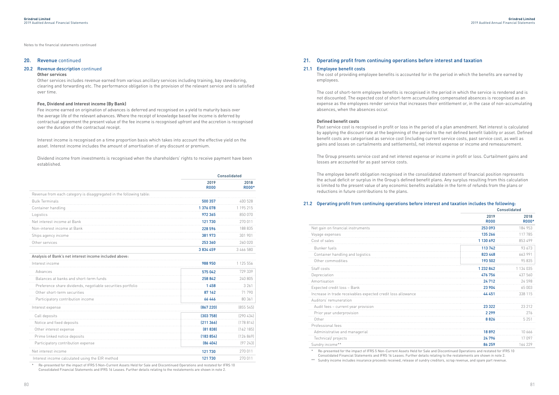## 20. Revenue continued

## 20.2 Revenue description continued

## **Other services**

Other services includes revenue earned from various ancillary services including training, bay stevedoring, clearing and forwarding etc. The performance obligation is the provision of the relevant service and is satisfied over time.

#### **Fee, Dividend and Interest income (By Bank)**

Fee income earned on origination of advances is deferred and recognised on a yield to maturity basis over the average life of the relevant advances. Where the receipt of knowledge based fee income is deferred by contractual agreement the present value of the fee income is recognised upfront and the accretion is recognised over the duration of the contractual receipt.

Interest income is recognised on a time proportion basis which takes into account the effective yield on the asset. Interest income includes the amount of amortisation of any discount or premium.

Dividend income from investments is recognised when the shareholders' rights to receive payment have been established.

|                                                                     | Consolidated        |               |
|---------------------------------------------------------------------|---------------------|---------------|
|                                                                     | 2019<br><b>R000</b> | 2018<br>R000* |
| Revenue from each category is disaggregated in the following table: |                     |               |
| <b>Bulk Terminals</b>                                               | 500 357             | 400 528       |
| Container handling                                                  | 1 376 078           | 1 195 215     |
| Logistics                                                           | 972 365             | 850 070       |
| Net interest income at Bank                                         | 121 730             | 270 011       |
| Non-interest income at Bank                                         | 228 596             | 188 835       |
| Ships agency income                                                 | 381 973             | 301 901       |
| Other services                                                      | 253 360             | 260 020       |
|                                                                     | 3834459             | 3 466 580     |
| Analysis of Bank's net interest income included above:              |                     |               |
| Interest income                                                     | 988 950             | 1 125 556     |
| Advances                                                            | 575 042             | 729 339       |
| Balances at banks and short-term funds                              | 258 842             | 240 805       |
| Preference share dividends, negotiable securities portfolio         | 1458                | 3 2 6 1       |
| Other short-term securities                                         | 87 162              | 71 790        |
| Participatory contribution income                                   | 66 446              | 80 361        |
| Interest expense                                                    | (867220)            | (855545)      |
| Call deposits                                                       | (303758)            | (290 434)     |
| Notice and fixed deposits                                           | [211366]            | (178814)      |
| Other interest expense                                              | [81 838]            | [162 185]     |
| Prime linked notice deposits                                        | (183 854)           | (126869)      |
| Participatory contribution expense                                  | [86 404]            | (97243)       |
| Net interest income                                                 | 121 730             | 270 011       |
| Interest income calculated using the EIR method                     | 121 730             | 270 011       |

\* Re-presented for the impact of IFRS 5 Non-Current Assets Held for Sale and Discontinued Operations and restated for IFRS 10 Consolidated Financial Statements and IFRS 16 Leases. Further details relating to the restatements are shown in note 2.

## 21. Operating profit from continuing operations before interest and taxation

#### 21.1 Employee benefit costs

The cost of providing employee benefits is accounted for in the period in which the benefits are earned by employees.

The cost of short-term employee benefits is recognised in the period in which the service is rendered and is not discounted. The expected cost of short-term accumulating compensated absences is recognised as an expense as the employees render service that increases their entitlement or, in the case of non-accumulating absences, when the absences occur.

#### **Defined benefit costs**

Past service cost is recognised in profit or loss in the period of a plan amendment. Net interest is calculated by applying the discount rate at the beginning of the period to the net defined benefit liability or asset. Defined benefit costs are categorised as service cost (including current service costs, past service cost, as well as gains and losses on curtailments and settlements), net interest expense or income and remeasurement.

The Group presents service cost and net interest expense or income in profit or loss. Curtailment gains and losses are accounted for as past service costs.

The employee benefit obligation recognised in the consolidated statement of financial position represents the actual deficit or surplus in the Group's defined benefit plans. Any surplus resulting from this calculation is limited to the present value of any economic benefits available in the form of refunds from the plans or reductions in future contributions to the plans.

## 21.2 Operating profit from continuing operations before interest and taxation includes the following:

|                                                              | Consolidated        |               |
|--------------------------------------------------------------|---------------------|---------------|
|                                                              | 2019<br><b>R000</b> | 2018<br>R000* |
| Net gain on financial instruments                            | 253093              | 184 953       |
| Voyage expenses                                              | 135 266             | 117 785       |
| Cost of sales                                                | 1 130 692           | 853 499       |
| Bunker fuels                                                 | 113742              | 93 673        |
| Container handling and logistics                             | 823 448             | 663 991       |
| Other commodities                                            | 193502              | 95 835        |
| Staff costs                                                  | 1 232 842           | 1 134 035     |
| Depreciation                                                 | 476 756             | 437 560       |
| Amortisation                                                 | 24712               | 24 598        |
| Expected credit loss - Bank                                  | 23 904              | 65 003        |
| Increase in trade receivables expected credit loss allowance | 44 451              | 338 115       |
| Auditors' remuneration                                       |                     |               |
| Audit fees - current year provision                          | 23 3 22             | 23 212        |
| Prior year underprovision                                    | 2 2 9 9             | 276           |
| Other                                                        | 8826                | 5 2 5 1       |
| Professional fees                                            |                     |               |
| Administrative and managerial                                | 18892               | 10 666        |
| Technical/projects                                           | 24796               | 17097         |
| Sundry income**                                              | 86 259              | 164 229       |

\* Re-presented for the impact of IFRS 5 Non-Current Assets Held for Sale and Discontinued Operations and restated for IFRS 10 Consolidated Financial Statements and IFRS 16 Leases. Further details relating to the restatements are shown in note 2.

\*\* Sundry income includes insurance proceeds received, release of sundry creditors, scrap revenue, and spare part revenue.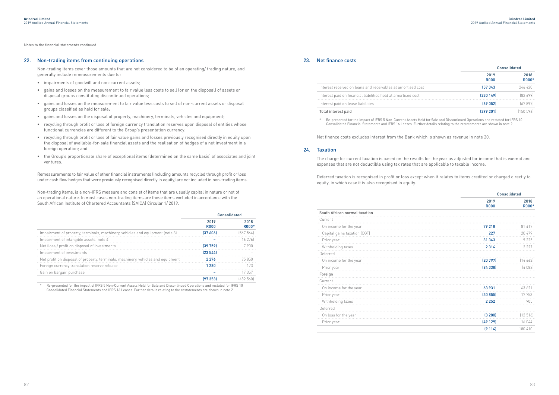## 22. Non-trading items from continuing operations

Non-trading items cover those amounts that are not considered to be of an operating/ trading nature, and generally include remeasurements due to:

- impairments of goodwill and non-current assets;
- gains and losses on the measurement to fair value less costs to sell (or on the disposal) of assets or disposal groups constituting discontinued operations;
- gains and losses on the measurement to fair value less costs to sell of non-current assets or disposal groups classified as held for sale;
- gains and losses on the disposal of property, machinery, terminals, vehicles and equipment;
- recycling through profit or loss of foreign currency translation reserves upon disposal of entities whose functional currencies are different to the Group's presentation currency;
- recycling through profit or loss of fair value gains and losses previously recognised directly in equity upon the disposal of available-for-sale financial assets and the realisation of hedges of a net investment in a foreign operation; and
- the Group's proportionate share of exceptional items (determined on the same basis) of associates and joint ventures.

Remeasurements to fair value of other financial instruments (including amounts recycled through profit or loss under cash flow hedges that were previously recognised directly in equity) are not included in non-trading items.

Non-trading items, is a non-IFRS measure and consist of items that are usually capital in nature or not of an operational nature. In most cases non-trading items are those items excluded in accordance with the South African Institute of Chartered Accountants (SAICA) Circular 1/ 2019.

Deferred taxation is recognised in profit or loss except when it relates to items credited or charged directly to equity, in which case it is also recognised in equity.

|                                                                                  | Consolidated        |                      |
|----------------------------------------------------------------------------------|---------------------|----------------------|
|                                                                                  | 2019<br><b>R000</b> | 2018<br><b>R000*</b> |
| Impairment of property, terminals, machinery, vehicles and equipment (note 3)    | (37606)             | [567 564]            |
| Impairment of intangible assets (note 4)                                         |                     | [16 276]             |
| Net (loss)/ profit on disposal of investments                                    | (39759)             | 7900                 |
| Impairment of investments                                                        | [23544]             |                      |
| Net profit on disposal of property, terminals, machinery, vehicles and equipment | 2 2 7 6             | 75850                |
| Foreign currency translation reserve release                                     | 1 2 8 0             | 173                  |
| Gain on bargain purchase                                                         |                     | 17357                |
|                                                                                  | (97353)             | (482 560)            |

\* Re-presented for the impact of IFRS 5 Non-Current Assets Held for Sale and Discontinued Operations and restated for IFRS 10 Consolidated Financial Statements and IFRS 16 Leases. Further details relating to the restatements are shown in note 2.

## 23. Net finance costs

|                                                               | Consolidated        |               |
|---------------------------------------------------------------|---------------------|---------------|
|                                                               | 2019<br><b>R000</b> | 2018<br>R000* |
| Interest received on loans and receivables at amortised cost  | 157343              | 246 420       |
| Interest paid on financial liabilities held at amortised cost | [230 149]           | [82699]       |
| Interest paid on lease liabilities                            | (69052)             | (67897)       |
| Total interest paid                                           | [299 201]           | [150596]      |

\* Re-presented for the impact of IFRS 5 Non-Current Assets Held for Sale and Discontinued Operations and restated for IFRS 10

Consolidated Financial Statements and IFRS 16 Leases. Further details relating to the restatements are shown in note 2.

Net finance costs excludes interest from the Bank which is shown as revenue in note 20.

## 24. Taxation

The charge for current taxation is based on the results for the year as adjusted for income that is exempt and expenses that are not deductible using tax rates that are applicable to taxable income.

|                               |                     | Consolidated  |
|-------------------------------|---------------------|---------------|
|                               | 2019<br><b>R000</b> | 2018<br>R000* |
| South African normal taxation |                     |               |
| Current                       |                     |               |
| On income for the year        | 79 218              | 81 417        |
| Capital gains taxation (CGT)  | 227                 | 20 479        |
| Prior year                    | 31 34 3             | 9 2 2 5       |
| Withholding taxes             | 2314                | 2 2 2 7       |
| Deferred                      |                     |               |
| On income for the year        | (20797)             | [14663]       |
| Prior year                    | [84338]             | [4082]        |
| Foreign                       |                     |               |
| Current                       |                     |               |
| On income for the year        | 63 931              | 63 621        |
| Prior year                    | (30855)             | 17 753        |
| Withholding taxes             | 2 2 5 2             | 905           |
| Deferred                      |                     |               |
| On loss for the year          | (3 280)             | (12516)       |
| Prior year                    | [49 129]            | 16 044        |
|                               | (9114)              | 180 410       |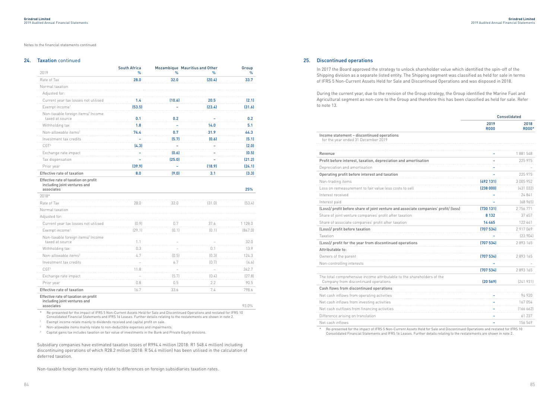### 24. Taxation continued

| 2019                                                                               | <b>South Africa</b><br>$\frac{9}{6}$ | $\frac{0}{n}$ | Mozambique Mauritius and Other<br>$\frac{9}{6}$ | Group<br>$\frac{9}{6}$ |
|------------------------------------------------------------------------------------|--------------------------------------|---------------|-------------------------------------------------|------------------------|
| Rate of Tax                                                                        | 28.0                                 | 32.0          | (20.4)                                          | 33.7                   |
| Normal taxation                                                                    |                                      |               |                                                 |                        |
| Adjusted for:                                                                      |                                      |               |                                                 |                        |
| Current year tax losses not utilised                                               | 1.4                                  | (10.6)        | 20.5                                            | (2.1)                  |
| Exempt income <sup>1</sup>                                                         | (53.5)                               |               | (23.4)                                          | (31.6)                 |
| Non-taxable foreign items/ Income                                                  |                                      |               |                                                 |                        |
| taxed at source                                                                    | 0.1                                  | 0.2           |                                                 | 0.2                    |
| Withholding tax                                                                    | 1.8                                  | $\equiv$      | 14.0                                            | 5.1                    |
| Non-allowable items <sup>2</sup>                                                   | 74.4                                 | 0.7           | 31.9                                            | 44.3                   |
| Investment tax credits                                                             |                                      | (5.7)         | [0.6]                                           | (5.1)                  |
| CGT <sup>3</sup>                                                                   | (4.3)                                |               |                                                 | (2.0)                  |
| Exchange rate impact                                                               |                                      | [0.6]         |                                                 | (0.5)                  |
| Tax dispensation                                                                   |                                      | (25.0)        |                                                 | (21.2)                 |
| Prior year                                                                         | (39.9)                               |               | (18.9)                                          | (24.1)                 |
| Effective rate of taxation                                                         | 8.0                                  | (9.0)         | 3.1                                             | (3.3)                  |
| Effective rate of taxation on profit<br>including joint ventures and<br>associates |                                      |               |                                                 | 25%                    |
| 2018*                                                                              |                                      |               |                                                 |                        |
| Rate of Tax                                                                        | 28.0                                 | 32.0          | [31.0]                                          | [53.4]                 |
| Normal taxation                                                                    |                                      |               |                                                 |                        |
| Adjusted for:                                                                      |                                      |               |                                                 |                        |
| Current year tax losses not utilised                                               | [0.9]                                | 0.7           | 37.6                                            | 1 1 2 8 . 0            |
| Exempt income <sup>1</sup>                                                         | [29.1]                               | [0.1]         | [0.1]                                           | (847.0)                |
| Non-taxable foreign items/ Income<br>taxed at source                               | 1.1                                  |               |                                                 | 32.0                   |
| Withholding tax                                                                    | 0.3                                  |               | 0.1                                             | 13.9                   |
| Non-allowable items <sup>2</sup>                                                   | 4.7                                  | (0.5)         | (0.3)                                           | 124.3                  |
| Investment tax credits                                                             | .                                    | 6.7           | [0.7]                                           | [4.6]                  |
| CGT <sup>3</sup>                                                                   | 11.8                                 |               |                                                 | 342.7                  |
| Exchange rate impact                                                               |                                      | (5.7)         | (0.4)                                           | (27.8)                 |
| Prior year                                                                         | 0.8                                  | 0.5           | 2.2                                             | 90.5                   |
| <b>Effective rate of taxation</b>                                                  | 16.7                                 | 33.6          | 7.4                                             | 798.6                  |
| Effective rate of taxation on profit<br>including joint ventures and<br>associates |                                      |               |                                                 | 93.0%                  |

pact of IFRS 5 Non-Current Assets Held for Sale and Discontinued Operations and restated for IFRS 10  $\,$ Consolidated Financial Statements and IFRS 16 Leases. Further details relating to the restatements are shown in note 2.

<sup>1</sup> Exempt income relate mainly to dividends received and capital profit on sale.

 $2^2$  Non-allowable items mainly relate to non-deductible expenses and impairments.

<sup>3</sup> Capital gains tax includes taxation on fair value of investments in the Bank and Private Equity divisions.

Subsidiary companies have estimated taxation losses of R994.4 million (2018: R1 548.4 million) including discontinuing operations of which R28.2 million (2018: R 54.4 million) has been utilised in the calculation of deferred taxation.

Non-taxable foreign items mainly relate to differences on foreign subsidiaries taxation rates.

### 25. Discontinued operations

In 2017 the Board approved the strategy to unlock shareholder value which identified the spin-off of the Shipping division as a separate listed entity. The Shipping segment was classified as held for sale in terms of IFRS 5 Non-Current Assets Held for Sale and Discontinued Operations and was disposed in 2018.

During the current year, due to the revision of the Group strategy, the Group identified the Marine Fuel and Agricultural segment as non-core to the Group and therefore this has been classified as held for sale. Refer to note 13.

|                                                                                                                | Consolidated        |               |
|----------------------------------------------------------------------------------------------------------------|---------------------|---------------|
|                                                                                                                | 2019<br><b>R000</b> | 2018<br>R000* |
| Income statement - discontinued operations<br>for the year ended 31 December 2019                              |                     |               |
| Revenue                                                                                                        |                     | 1881548       |
| Profit before interest, taxation, depreciation and amortisation                                                |                     | 225 975       |
| Depreciation and amortisation                                                                                  |                     |               |
| Operating profit before interest and taxation                                                                  |                     | 225 975       |
| Non-trading items                                                                                              | [492131]            | 3 005 952     |
| Loss on remeasurement to fair value less costs to sell                                                         | (238000)            | [431032]      |
| Interest received                                                                                              |                     | 24841         |
| Interest paid                                                                                                  |                     | [68965]       |
| (Loss)/ profit before share of joint venture and associate companies' profit/ (loss)                           | [730131]            | 2 756 771     |
| Share of joint venture companies' profit after taxation                                                        | 8 1 3 2             | 37 657        |
| Share of associate companies' profit after taxation                                                            | 14 4 6 5            | 122 641       |
| (Loss)/ profit before taxation                                                                                 | (707534)            | 2917069       |
| Taxation                                                                                                       |                     | [23904]       |
| (Loss)/ profit for the year from discontinued operations                                                       | (707534)            | 2893165       |
| Attributable to:                                                                                               |                     |               |
| Owners of the parent                                                                                           | (707534)            | 2893165       |
| Non-controlling interests                                                                                      |                     |               |
|                                                                                                                | (707534)            | 2893165       |
| The total comprehensive income attributable to the shareholders of the<br>Company from discontinued operations | [20 569]            | [241931]      |
| Cash flows from discontinued operations                                                                        |                     |               |
| Net cash inflows from operating activities                                                                     |                     | 94 920        |
| Net cash inflows from investing activities                                                                     |                     | 167 054       |
| Net cash outflows from financing activities                                                                    |                     | [166 662]     |
| Difference arising on translation                                                                              |                     | 61 237        |
| Net cash inflows                                                                                               |                     | 156 549       |

\* Re-presented for the impact of IFRS 5 Non-Current Assets Held for Sale and Discontinued Operations and restated for IFRS 10 Consolidated Financial Statements and IFRS 16 Leases. Further details relating to the restatements are shown in note 2.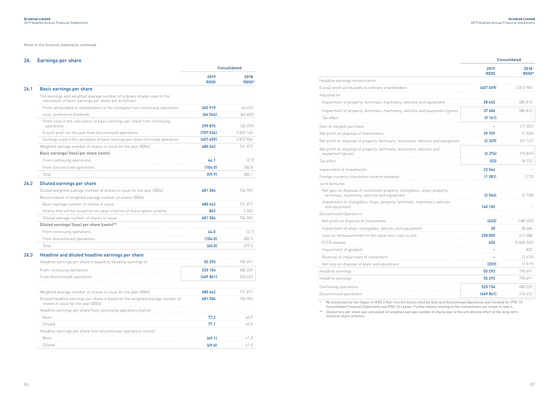# 26. Earnings per share

|                                                                                                                                    |                     | Consolidated  |
|------------------------------------------------------------------------------------------------------------------------------------|---------------------|---------------|
|                                                                                                                                    | 2019<br><b>R000</b> | 2018<br>R000* |
| <b>Basic earnings per share</b>                                                                                                    |                     |               |
| The earnings and weighted average number of ordinary shares used in the<br>calculation of basic earnings per share are as follows: |                     |               |
| Profit attributable to shareholders of the Company from continuing operations                                                      | 365919              | 45 4 23       |
| Less: preference dividends                                                                                                         | (66044)             | (65682)       |
| Profit used in the calculation of basic earnings per share from continuing<br>operations                                           | 299 875             | [20 259]      |
| (Loss)/ profit for the year from discontinued operations                                                                           | (707534)            | 2893165       |
| Earnings used in the calculation of basic earnings per share from total operations                                                 | (407 659)           | 2872906       |
| Weighted average number of shares in issue for the year (000s)                                                                     | 680 442             | 751 877       |
| Basic earnings/ (loss) per share (cents)                                                                                           |                     |               |
| From continuing operations                                                                                                         | 44.1                | [2.7]         |
| From discontinued operations                                                                                                       | (104.0)             | 384.8         |
| Total                                                                                                                              | [59.9]              | 382.1         |
| <b>Diluted earnings per share</b>                                                                                                  |                     |               |
| Diluted weighted average number of shares in issue for the year (000s)                                                             | 681 304             | 756 902       |
| Reconciliation of weighted average number of shares (000s)                                                                         |                     |               |
| Basic average number of shares in issue                                                                                            | 680 442             | 751 877       |
| Shares that will be issued for no value in terms of share option scheme                                                            | 862                 | 5025          |
| Diluted average number of shares in issue                                                                                          | 681 304             | 756 902       |
| Diluted earnings/ (loss) per share (cents)**                                                                                       |                     |               |
| From continuing operations                                                                                                         | 44.0                | [2.7]         |
| From discontinued operations                                                                                                       | (104.0)             | 382.2         |
| Total                                                                                                                              | (60.0)              | 379.5         |
| Headline and diluted headline earnings per share                                                                                   |                     |               |
| Headline earnings per share is based on headline earnings of                                                                       | 55 293              | 790 691       |
| From continuing operations                                                                                                         | 525 154             | 480 239       |
| From discontinued operations                                                                                                       | (469861)            | 310 452       |
| Weighted average number of shares in issue for the year (000s)                                                                     | 680 442             | 751877        |
| Diluted headline earnings per share is based on the weighted average number of<br>shares in issue for the year (000s)              | 681 304             | 756 902       |
| Headline earnings per share from continuing operations (cents)                                                                     |                     |               |
| Basic                                                                                                                              | 77.2                | 63.9          |
| Diluted                                                                                                                            | 77,1                | 63.5          |
| Headline earnings per share from discontinued operations (cents)                                                                   |                     |               |
| <b>Basic</b>                                                                                                                       | (69.1)              | 41.3          |
| Diluted                                                                                                                            | (69.0)              | 41.0          |

|                                                                                                                            |                     | <b>Consolidated</b> |
|----------------------------------------------------------------------------------------------------------------------------|---------------------|---------------------|
|                                                                                                                            | 2019<br><b>R000</b> | 2018<br>R000*       |
| Headline earnings reconciliation                                                                                           |                     |                     |
| (Loss)/ profit attributable to ordinary shareholders                                                                       | [407 659]           | 2872906             |
| Adjusted for:                                                                                                              |                     |                     |
| Impairment of property, terminals, machinery, vehicles and equipment                                                       | 28 4 4 5            | 585 813             |
| Impairment of property, terminals, machinery, vehicles and equipment (gross)                                               | 37 606              | 585 813             |
| Tax effect                                                                                                                 | (9161)              |                     |
| Gain on bargain purchase                                                                                                   |                     | (17 357)            |
| Net profit on disposal of investments                                                                                      | 39 759              | (7900)              |
| Net profit on disposal of property, terminals, machinery, vehicles and equipment                                           | (2329)              | (57127)             |
| Net profit on disposal of property, terminals, machinery, vehicles and<br>equipment (gross)                                | (2276)              | (75849)             |
| Tax effect                                                                                                                 | (53)                | 18722               |
| Impairment of investments                                                                                                  | 23 544              |                     |
| Foreign currency translation reserve released                                                                              | (1281)              | [173]               |
| Joint Ventures:                                                                                                            |                     |                     |
| Net gain on disposal of investment property, intangibles, ships, property,<br>terminals, machinery, vehicles and equipment | (2964)              | (2758)              |
| Impairment of intangibles, ships, property, terminals, machinery, vehicles<br>and equipment                                | 140 105             |                     |
| <b>Discontinued Operations</b>                                                                                             |                     |                     |
| Net profit on disposal of investments                                                                                      | (453)               | [188593]            |
| Impairment of ships, intangibles, vehicles and equipment                                                                   | 30                  | 28 4 8 6            |
| Loss on remeasurement to fair value less costs to sell                                                                     | 238 000             | 411 488             |
| FCTR release                                                                                                               | 455                 | [2830332]           |
| Impairment of goodwill                                                                                                     |                     | 832                 |
| Reversal of impairment of investment                                                                                       |                     | [2675]              |
| Net loss on disposal of plant and equipment                                                                                | (359)               | (1919)              |
| Headline earnings                                                                                                          | 55 293              | 790 691             |
| Headline earnings                                                                                                          | 55 293              | 790 691             |
| Continuing operations                                                                                                      | 525 154             | 480 239             |
| Discontinued operations                                                                                                    | [469861]            | 310 452             |

\*\* Diluted loss per share was calculated on weighted average number of shares due to the anti-dilutive effect of the long-term incentive share schemes.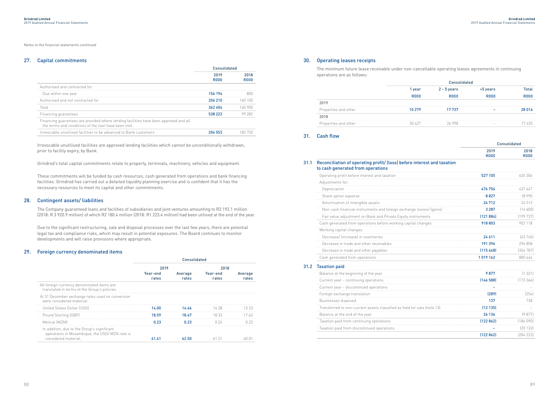## 27. Capital commitments

|                                                                                                                                              | Consolidated        |                     |
|----------------------------------------------------------------------------------------------------------------------------------------------|---------------------|---------------------|
|                                                                                                                                              | 2019<br><b>R000</b> | 2018<br><b>R000</b> |
| Authorised and contracted for                                                                                                                |                     |                     |
| Due within one year                                                                                                                          | 156 194             | 800                 |
| Authorised and not contracted for                                                                                                            | 206 210             | 160 100             |
| Total                                                                                                                                        | 362 404             | 160 900             |
| Financing guarantees                                                                                                                         | 538 223             | 99 282              |
| Financing guarantees are provided where lending facilities have been approved and all<br>the terms and conditions of the loan have been met. |                     |                     |
| Irrevocable unutilised facilities to be advanced to Bank customers                                                                           | 204 553             | 182 750             |
|                                                                                                                                              |                     |                     |

Irrevocable unutilised facilities are approved lending facilities which cannot be unconditionally withdrawn, prior to facility expiry, by Bank.

Grindrod's total capital commitments relate to property, terminals, machinery, vehicles and equipment.

These commitments will be funded by cash resources, cash generated from operations and bank financing facilities. Grindrod has carried out a detailed liquidity planning exercise and is confident that it has the necessary resources to meet its capital and other commitments.

## 28. Contingent assets/ liabilities

The Company guaranteed loans and facilities of subsidiaries and joint ventures amounting to R3 192.1 million (2018: R 3 920.9 million) of which R2 180.4 million (2018: R1 223.4 million) had been utilised at the end of the year.

Due to the significant restructuring, sale and disposal processes over the last few years, there are potential legal tax and compliance risks, which may result in potential exposures. The Board continues to monitor developments and will raise provisions where appropriate.

## 29. Foreign currency denominated items

|                                                                                                                      | Consolidated      |                  |                   |                  |
|----------------------------------------------------------------------------------------------------------------------|-------------------|------------------|-------------------|------------------|
|                                                                                                                      | 2019              |                  | 2018              |                  |
|                                                                                                                      | Year-end<br>rates | Average<br>rates | Year-end<br>rates | Average<br>rates |
| All foreign currency denominated items are<br>translated in terms of the Group's policies.                           |                   |                  |                   |                  |
| At 31 December exchange rates used on conversion<br>were considered material:                                        |                   |                  |                   |                  |
| United States Dollar (USD)                                                                                           | 14.00             | 14.46            | 14.38             | 13.23            |
| Pound Sterling (GBP)                                                                                                 | 18.59             | 18.47            | 18.33             | 1762             |
| Metical (MZM)                                                                                                        | 0.23              | 0.23             | 0.24              | n 22             |
| In addition, due to the Group's significant<br>operations in Mozambique, the USD/MZN rate is<br>considered material. | 61.41             | 62.50            | 61.21             | 60 O'            |

### 30. Operating leases receipts

## The minimum future lease receivable under non-cancellable operating leases agreements in continuing

operations are as follows:

|                      | Consolidated |               |             |              |
|----------------------|--------------|---------------|-------------|--------------|
|                      | 1 year       | $2 - 5$ years | >5 years    | <b>Total</b> |
|                      | <b>R000</b>  | <b>R000</b>   | <b>R000</b> | <b>R000</b>  |
| 2019                 |              |               |             |              |
| Properties and other | 10 279       | 17 737        |             | 28 0 16      |
| 2018                 |              |               |             |              |
| Properties and other | 50 427       | 26998         |             | 77 425       |

## 31. Cash flow

 $31.2$ 

# to cash generated from operations

|                                                                                                              | Consolidated        |                     |
|--------------------------------------------------------------------------------------------------------------|---------------------|---------------------|
|                                                                                                              | 2019<br><b>R000</b> | 2018<br><b>R000</b> |
| Reconciliation of operating profit/ (loss) before interest and taxation<br>to cash generated from operations |                     |                     |
| Operating profit before interest and taxation                                                                | 527 105             | 635 306             |
| Adjustments for:                                                                                             |                     |                     |
| Depreciation                                                                                                 | 476 756             | 437 647             |
| Share option expense                                                                                         | 8827                | 18 990              |
| Amortisation of intangible assets                                                                            | 24712               | 24 5 12             |
| Non-cash financial instruments and foreign exchange losses/ (gains)                                          | 3 2 8 7             | [14600]             |
| Fair value adjustment on Bank and Private Equity instruments                                                 | [121884]            | [199737]            |
| Cash generated from operations before working capital changes                                                | 918803              | 902 118             |
| Working capital changes                                                                                      |                     |                     |
| Decrease/ (increase) in inventories                                                                          | 24 611              | [43745]             |
| Decrease in trade and other receivables                                                                      | 191396              | 296 858             |
| Decrease in trade and other payables                                                                         | [115648]            | [354 787]           |
| Cash generated from operations                                                                               | 1019162             | 800 444             |
| <b>Taxation paid</b>                                                                                         |                     |                     |
| Balance at the beginning of the year                                                                         | 9877                | [1331]              |
| Current year - continuing operations                                                                         | (146588)            | [173366]            |
| Current year - discontinued operations                                                                       |                     |                     |
| Foreign exchange translation                                                                                 | [289]               | (254)               |
| Businesses disposed                                                                                          | 137                 | 738                 |
| Transferred to non-current assets classified as held for sale (note 13)                                      | (12135)             |                     |
| Balance at the end of the year                                                                               | 26 136              | (9877)              |
| Taxation paid from continuing operations                                                                     | [122862]            | [184090]            |
| Taxation paid from discontinued operations                                                                   |                     | [20 133]            |
|                                                                                                              | [122862]            | [204 223]           |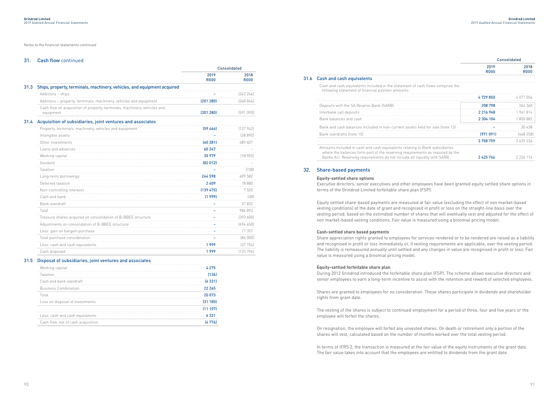## 31. Cash flow continued

|                                                                                       | Consolidated        |                     |
|---------------------------------------------------------------------------------------|---------------------|---------------------|
|                                                                                       | 2019<br><b>R000</b> | 2018<br><b>R000</b> |
| Ships, property, terminals, machinery, vehicles, and equipment acquired               |                     |                     |
| Additions - ships                                                                     |                     | [242 244]           |
| Additions - property, terminals, machinery, vehicles and equipment                    | [201 280]           | [348846]            |
| Cash flow on acquisition of property, terminals, machinery, vehicles and<br>equipment | [201 280]           | [591090]            |
| Acquisition of subsidiaries, joint ventures and associates                            |                     |                     |
| Property, terminals, machinery, vehicles and equipment                                | (59, 466)           | (127942)            |
| Intangible assets                                                                     |                     | [28 890]            |
| Other investments                                                                     | [60 281]            | 489 607             |
| Loans and advances                                                                    | 60 247              |                     |
| Working capital                                                                       | 35 979              | [18905]             |
| Goodwill                                                                              | (82012)             |                     |
| Taxation                                                                              |                     | [738]               |
| Long-term borrowings                                                                  | 244 598             | 609 582             |
| Deferred taxation                                                                     | 2409                | 18880               |
| Non-controlling interests                                                             | [139 475]           | 7505                |
| Cash and bank                                                                         | (1999)              | (38)                |
| Bank overdraft                                                                        |                     | 37832               |
| Total                                                                                 |                     | 986 893             |
| Treasury shares acquired on consolidation of B-BBEE structure                         |                     | [393 600]           |
| Adjustments on consolidation of B-BBEE structure                                      |                     | [696 650]           |
| Less: gain on bargain purchase                                                        |                     | 17 357              |
| Total purchase consideration                                                          |                     | [86 000]            |
| Less: cash and cash equivalents                                                       | 1999                | [37794]             |
| Cash disposed                                                                         | 1999                | [123 794]           |

#### 31.5 Disposal of subsidiaries, joint ventures and associates

| Working capital                    |         |
|------------------------------------|---------|
| Taxation                           | (136)   |
| Cash and bank overdraft            | (6331)  |
| <b>Business Combination</b>        | 22 265  |
| Total                              | 20 073  |
| Loss on disposal of investments    | (31180) |
|                                    | (11107) |
| Less: cash and cash equivalents    | 6 3 3 1 |
| Cash flow, net of cash acquisition | [4776]  |

#### $31.6$

|                                                                                                                                                            | <b>Consolidated</b> |                     |
|------------------------------------------------------------------------------------------------------------------------------------------------------------|---------------------|---------------------|
|                                                                                                                                                            | 2019<br><b>R000</b> | 2018<br><b>R000</b> |
| ash and cash equivalents                                                                                                                                   |                     |                     |
| Cash and cash equivalents included in the statement of cash flows comprise the<br>following statement of financial position amounts:                       |                     |                     |
|                                                                                                                                                            | 4729850             | 4077056             |
| Deposits with the SA Reserve Bank (SARB)                                                                                                                   | 208 798             | 264 360             |
| Interbank call deposits                                                                                                                                    | 2 2 1 6 9 4 8       | 1961814             |
| Bank balances and cash                                                                                                                                     | 2 304 104           | 1850882             |
| Bank and cash balances included in non-current assets held for sale (note 13)                                                                              |                     | 30 438              |
| Bank overdrafts (note 15)                                                                                                                                  | (971091)            | (468 258)           |
|                                                                                                                                                            | 3758759             | 3639236             |
| Amounts included in cash and cash equivalents relating to Bank subsidiaries                                                                                |                     |                     |
| where the balances form part of the reserving requirements as required by the<br>Banks Act. Reserving requirements do not include all liquidity with SARB. | 2425746             | 2 226 174           |

|                                                                                                                                                              | Consolidated        |                     |
|--------------------------------------------------------------------------------------------------------------------------------------------------------------|---------------------|---------------------|
|                                                                                                                                                              | 2019<br><b>R000</b> | 2018<br><b>R000</b> |
| <b>Cash and cash equivalents</b>                                                                                                                             |                     |                     |
| Cash and cash equivalents included in the statement of cash flows comprise the<br>following statement of financial position amounts:                         |                     |                     |
|                                                                                                                                                              | 4729850             | 4077056             |
| Deposits with the SA Reserve Bank (SARB)                                                                                                                     | 208 798             | 264360              |
| Interbank call deposits                                                                                                                                      | 2 2 1 6 9 4 8       | 1961814             |
| Bank balances and cash                                                                                                                                       | 2 304 104           | 1850882             |
| Bank and cash balances included in non-current assets held for sale (note 13)                                                                                |                     | 30 438              |
| Bank overdrafts (note 15)                                                                                                                                    | (971091)            | (468 258)           |
|                                                                                                                                                              | 3758759             | 3639236             |
| Amounts included in cash and cash equivalents relating to Bank subsidiaries<br>where the balances form part of the reserving requirements as required by the |                     |                     |
| Banks Act. Reserving requirements do not include all liquidity with SARB.                                                                                    | 2425746             | 2 226 174           |

## 32. Share-based payments

## **Equity-settled share options**

Executive directors, senior executives and other employees have been granted equity settled share options in terms of the Grindrod Limited forfeitable share plan (FSP).

Equity settled share-based payments are measured at fair value (excluding the effect of non market-based vesting conditions) at the date of grant and recognised in profit or loss on the straight-line basis over the vesting period, based on the estimated number of shares that will eventually vest and adjusted for the effect of non market-based vesting conditions. Fair value is measured using a binomial pricing model.

#### **Cash-settled share based payments**

Share appreciation rights granted to employees for services rendered or to be rendered are raised as a liability and recognised in profit or loss immediately or, if vesting requirements are applicable, over the vesting period. The liability is remeasured annually until settled and any changes in value are recognised in profit or loss. Fair value is measured using a binomial pricing model.

#### **Equity-settled forfeitable share plan**

During 2012 Grindrod introduced the forfeitable share plan (FSP). The scheme allows executive directors and senior employees to earn a long-term incentive to assist with the retention and reward of selected employees.

Shares are granted to employees for no consideration. These shares participate in dividends and shareholder rights from grant date.

The vesting of the shares is subject to continued employment for a period of three, four and five years or the employee will forfeit the shares.

On resignation, the employee will forfeit any unvested shares. On death or retirement only a portion of the shares will vest, calculated based on the number of months worked over the total vesting period.

In terms of IFRS 2, the transaction is measured at the fair value of the equity instruments at the grant date. The fair value takes into account that the employees are entitled to dividends from the grant date.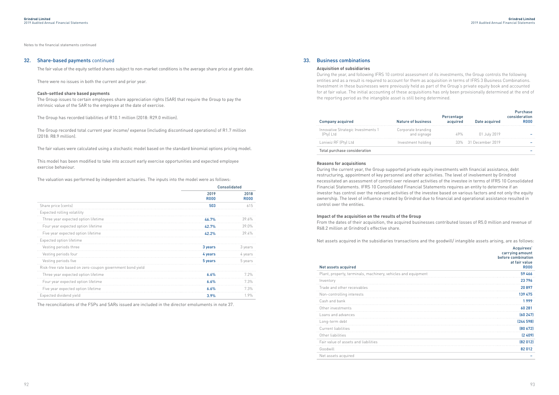### 32. Share-based payments continued

The fair value of the equity settled shares subject to non-market conditions is the average share price at grant date.

There were no issues in both the current and prior year.

#### **Cash-settled share based payments**

The Group issues to certain employees share appreciation rights (SAR) that require the Group to pay the intrinsic value of the SAR to the employee at the date of exercise.

The Group has recorded liabilities of R10.1 million (2018: R29.0 million).

The Group recorded total current year income/ expense (including discontinued operations) of R1.7 million (2018: R8.9 million).

The fair values were calculated using a stochastic model based on the standard binomial options pricing model.

This model has been modified to take into account early exercise opportunities and expected employee exercise behaviour.

The valuation was performed by independent actuaries. The inputs into the model were as follows:

|                                                           | <b>Consolidated</b> |                     |
|-----------------------------------------------------------|---------------------|---------------------|
|                                                           | 2019<br><b>R000</b> | 2018<br><b>R000</b> |
| Share price (cents)                                       | 503                 | 615                 |
| Expected rolling volatility                               |                     |                     |
| Three year expected option lifetime                       | 46.7%               | 39.6%               |
| Four year expected option lifetime                        | 42.7%               | 39.0%               |
| Five year expected option lifetime                        | 42.2%               | 39.4%               |
| Expected option lifetime                                  |                     |                     |
| Vesting periods three                                     | 3 years             | 3 years             |
| Vesting periods four                                      | 4 years             | 4 years             |
| Vesting periods five                                      | 5 years             | 5 years             |
| Risk-free rate based on zero-coupon government bond yield |                     |                     |
| Three year expected option lifetime                       | 6.6%                | 7.2%                |
| Four year expected option lifetime                        | 6.6%                | 7.3%                |
| Five year expected option lifetime                        | 6.6%                | 7.3%                |
| Expected dividend yield                                   | 3.9%                | 1.9%                |

The reconciliations of the FSPs and SARs issued are included in the director emoluments in note 37.

## 33. Business combinations

#### **Acquisition of subsidiaries**

During the year, and following IFRS 10 control assessment of its investments, the Group controls the following entities and as a result is required to account for them as acquisition in terms of IFRS 3 Business Combinations. Investment in these businesses were previously held as part of the Group's private equity book and accounted for at fair value. The initial accounting of these acquisitions has only been provisionally determined at the end of the reporting period as the intangible asset is still being determined.

| Company acquired                                | Nature of business                | Percentage<br>acquired | Date acquired        | Purchase<br>consideration<br><b>R000</b> |
|-------------------------------------------------|-----------------------------------|------------------------|----------------------|------------------------------------------|
| Innovative Strategic Investments 1<br>(Pty) Ltd | Corporate branding<br>and signage | 49%                    | 01 July 2019         |                                          |
| Loniwiz RF (Pty) Ltd                            | Investment holding                |                        | 33% 31 December 2019 |                                          |
| Total purchase consideration                    |                                   |                        |                      |                                          |

#### **Reasons for acquisitions**

During the current year, the Group supported private equity investments with financial assistance, debt restructuring, appointment of key personnel and other activities. The level of involvement by Grindrod necessitated an assessment of control over relevant activities of the investee in terms of IFRS 10 Consolidated Financial Statements. IFRS 10 Consolidated Financial Statements requires an entity to determine if an investor has control over the relevant activities of the investee based on various factors and not only the equity ownership. The level of influence created by Grindrod due to financial and operational assistance resulted in control over the entities.

## **Impact of the acquisition on the results of the Group**

From the dates of their acquisition, the acquired businesses contributed losses of R5.0 million and revenue of R68.2 million at Grindrod's effective share.

Net assets acquired in the subsidiaries transactions and the goodwill/ intangible assets arising, are as follows:

| Net assets acquired |
|---------------------|
|---------------------|

| Plant, property, terminals, machinery, vehicles and equipm |
|------------------------------------------------------------|
| Inventory                                                  |
| Trade and other receivables                                |
| Non-controlling interests                                  |
| Cash and bank                                              |
| Other investments                                          |
| Loans and advances                                         |
| Long-term debt                                             |
| Current liabilities                                        |
| Other liabilities                                          |
| Fair value of assets and liabilities                       |
| Goodwill                                                   |
| Net assets acquired                                        |
|                                                            |

| Net assets acquired                                           | Acquirees'<br>carrying amount<br>before combination<br>at fair value<br><b>R000</b> |
|---------------------------------------------------------------|-------------------------------------------------------------------------------------|
| Plant, property, terminals, machinery, vehicles and equipment | 59466                                                                               |
| Inventory                                                     | 23796                                                                               |
| Trade and other receivables                                   | 20897                                                                               |
| Non-controlling interests                                     | 139 475                                                                             |
| Cash and bank                                                 | 1999                                                                                |
| Other investments                                             | 60 281                                                                              |
| Loans and advances                                            | (60247)                                                                             |
| Long-term debt                                                | [244598]                                                                            |
| <b>Current liabilities</b>                                    | [80 672]                                                                            |
| Other liabilities                                             | (2409)                                                                              |
| Fair value of assets and liabilities                          | [82012]                                                                             |
| Goodwill                                                      | 82012                                                                               |
| Net assets acquired                                           |                                                                                     |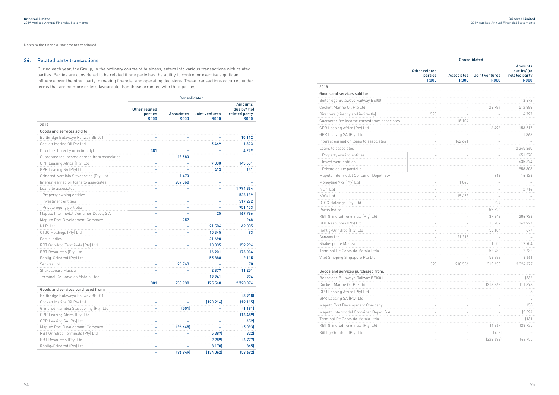## 34. Related party transactions

During each year, the Group, in the ordinary course of business, enters into various transactions with related parties. Parties are considered to be related if one party has the ability to control or exercise significant influence over the other party in making financial and operating decisions. These transactions occurred under terms that are no more or less favourable than those arranged with third parties.

|                                             | Consolidated                            |                                  |                               |                                                                |
|---------------------------------------------|-----------------------------------------|----------------------------------|-------------------------------|----------------------------------------------------------------|
|                                             | Other related<br>parties<br><b>R000</b> | <b>Associates</b><br><b>R000</b> | Joint ventures<br><b>R000</b> | <b>Amounts</b><br>due by/ (to)<br>related party<br><b>R000</b> |
| 2019                                        |                                         |                                  |                               |                                                                |
| Goods and services sold to:                 |                                         |                                  |                               |                                                                |
| Beitbridge Bulawayo Railway BEI001          |                                         |                                  |                               | 10 112                                                         |
| Cockett Marine Oil Pte Ltd                  |                                         |                                  | 5469                          | 1823                                                           |
| Directors (directly or indirectly)          | 381                                     |                                  |                               | 4 2 2 9                                                        |
| Guarantee fee income earned from associates |                                         | 18580                            |                               |                                                                |
| GPR Leasing Africa (Pty) Ltd                |                                         |                                  | 7080                          | 145 581                                                        |
| GPR Leasing SA (Pty) Ltd                    |                                         |                                  | 413                           | 131                                                            |
| Grindrod Namibia Stevedoring (Pty) Ltd      |                                         | 1470                             |                               |                                                                |
| Interest earned on loans to associates      |                                         | 207868                           |                               |                                                                |
| Loans to associates                         |                                         |                                  |                               | 1994864                                                        |
| Property owning entities                    |                                         |                                  |                               | 526 139                                                        |
| Investment entities                         |                                         |                                  |                               | 517 272                                                        |
| Private equity portfolio                    |                                         |                                  |                               | 951453                                                         |
| Maputo Intermodal Container Depot, S.A      |                                         |                                  | 25                            | 169766                                                         |
| Maputo Port Development Company             |                                         | 257                              |                               | 248                                                            |
| <b>NLPI Ltd</b>                             |                                         |                                  | 21 5 8 4                      | 42835                                                          |
| OTGC Holdings (Pty) Ltd                     |                                         |                                  | 10 345                        | 93                                                             |
| Portis Indico                               |                                         |                                  | 21 690                        |                                                                |
| RBT Grindrod Terminals (Pty) Ltd            |                                         |                                  | 13 3 3 5                      | 159 994                                                        |
| RBT Resources (Pty) Ltd                     |                                         |                                  | 16 901                        | 176 036                                                        |
| Röhlig-Grindrod (Pty) Ltd                   |                                         |                                  | 55 888                        | 2 1 1 5                                                        |
| Senwes Ltd                                  |                                         | 25763                            |                               | 70                                                             |
| Shakespeare Masiza                          |                                         |                                  | 2877                          | 11 251                                                         |
| Terminal De Carvo da Matola Ltda            |                                         |                                  | 19 941                        | 926                                                            |
|                                             | 381                                     | 253 938                          | 175 548                       | 2720074                                                        |
| Goods and services purchased from:          |                                         |                                  |                               |                                                                |
| Beitbridge Bulawayo Railway BEI001          |                                         |                                  |                               | (3918)                                                         |
| Cockett Marine Oil Pte Ltd                  |                                         |                                  | (123 216)                     | (19115)                                                        |
| Grindrod Namibia Stevedoring (Pty) Ltd      |                                         | (501)                            |                               | (1181)                                                         |
| GPR Leasing Africa (Pty) Ltd                |                                         |                                  |                               | (16489)                                                        |
| GPR Leasing SA (Pty) Ltd                    |                                         |                                  |                               | (452)                                                          |
| Maputo Port Development Company             |                                         | (96448)                          |                               | (5093)                                                         |
| RBT Grindrod Terminals (Pty) Ltd            |                                         |                                  | (5387)                        | (322)                                                          |
| RBT Resources (Pty) Ltd                     |                                         |                                  | (2 289)                       | (6777)                                                         |
| Röhlig-Grindrod (Pty) Ltd                   |                                         |                                  | (3170)                        | (345)                                                          |
|                                             |                                         | (96949)                          | (134062)                      | (53692)                                                        |

|  | Goods and services purchased from: |   |
|--|------------------------------------|---|
|  |                                    | . |

| Beitbridge Bulawayo Railway BEIUUT     |
|----------------------------------------|
| Cockett Marine Oil Pte Ltd             |
| GPR Leasing Africa (Pty) Ltd           |
| GPR Leasing SA (Pty) Ltd               |
| Maputo Port Development Company        |
| Maputo Intermodal Container Depot, S.A |
| Terminal De Carvo da Matola Ltda       |
| RBT Grindrod Terminals (Pty) Ltd       |
| Röhlig-Grindrod (Pty) Ltd              |

 $\sim$  $\bar{\mathcal{L}}$ 

| 2018                         |                                             |
|------------------------------|---------------------------------------------|
| Goods and services sold to:  |                                             |
|                              | Beitbridge Bulawayo Railway BEI001          |
| Cockett Marine Oil Pte Ltd   |                                             |
|                              | Directors (directly and indirectly)         |
|                              | Guarantee fee income earned from associates |
| GPR Leasing Africa (Pty) Ltd |                                             |
| GPR Leasing SA (Pty) Ltd     |                                             |
|                              | Interest earned on loans to associates      |
| Loans to associates          |                                             |
| Property owning entities     |                                             |
| Investment entities          |                                             |
| Private equity portfolio     |                                             |
|                              | Maputo Intermodal Container Depot, S.A      |
| Moneyline 992 (Pty) Ltd      |                                             |
| <b>NLPI Ltd</b>              |                                             |
| <b>NWK Ltd</b>               |                                             |
| OTGC Holdings (Pty) Ltd      |                                             |
| Portis Indico                |                                             |
|                              | RBT Grindrod Terminals (Pty) Ltd            |
| RBT Resources (Pty) Ltd      |                                             |
| Röhlig-Grindrod (Pty) Ltd    |                                             |
| Senwes Ltd                   |                                             |
| Shakespeare Masiza           |                                             |
|                              | Terminal De Carvo da Matola Ltda            |
|                              | Vitol Shipping Singapore Pte Ltd            |

|                                             |                                         | Consolidated                     |                               |                                                                |
|---------------------------------------------|-----------------------------------------|----------------------------------|-------------------------------|----------------------------------------------------------------|
|                                             | Other related<br>parties<br><b>R000</b> | <b>Associates</b><br><b>R000</b> | Joint ventures<br><b>R000</b> | <b>Amounts</b><br>due by/ (to)<br>related party<br><b>R000</b> |
| 2018                                        |                                         |                                  |                               |                                                                |
| Goods and services sold to:                 |                                         |                                  |                               |                                                                |
| Beitbridge Bulawayo Railway BEI001          |                                         |                                  |                               | 13672                                                          |
| Cockett Marine Oil Pte Ltd                  |                                         |                                  | 26 984                        | 512 888                                                        |
| Directors (directly and indirectly)         | 523                                     |                                  |                               | 4797                                                           |
| Guarantee fee income earned from associates |                                         | 18 104                           |                               |                                                                |
| GPR Leasing Africa (Pty) Ltd                |                                         |                                  | 6496                          | 153 517                                                        |
| GPR Leasing SA (Pty) Ltd                    |                                         |                                  |                               | 1 3 6 6                                                        |
| Interest earned on loans to associates      |                                         | 162 641                          |                               |                                                                |
| Loans to associates                         |                                         |                                  |                               | 2 245 360                                                      |
| Property owning entities                    |                                         |                                  |                               | 651 378                                                        |
| Investment entities                         |                                         |                                  |                               | 635 674                                                        |
| Private equity portfolio                    |                                         |                                  |                               | 958 308                                                        |
| Maputo Intermodal Container Depot, S.A      |                                         |                                  | 213                           | 16 4 26                                                        |
| Moneyline 992 (Pty) Ltd                     |                                         | 1 043                            |                               |                                                                |
| <b>NLPI Ltd</b>                             |                                         |                                  |                               | 2 7 1 4                                                        |
| NWK Ltd                                     |                                         | 15 453                           |                               |                                                                |
| OTGC Holdings (Pty) Ltd                     |                                         |                                  | 229                           |                                                                |
| Portis Indico                               |                                         |                                  | 57 520                        |                                                                |
| RBT Grindrod Terminals (Pty) Ltd            |                                         |                                  | 37843                         | 206 936                                                        |
| RBT Resources (Pty) Ltd                     |                                         |                                  | 15 207                        | 143 927                                                        |
| Röhlig-Grindrod (Pty) Ltd                   |                                         |                                  | 56 184                        | 677                                                            |
| Senwes Ltd                                  |                                         | 21 315                           |                               |                                                                |
| Shakespeare Masiza                          |                                         |                                  | 1500                          | 12 904                                                         |
| Terminal De Carvo da Matola Ltda            |                                         |                                  | 52 980                        | 2632                                                           |
| Vitol Shipping Singapore Pte Ltd            |                                         |                                  | 58 282                        | 6661                                                           |
|                                             | 523                                     | 218 556                          | 313 438                       | 3 3 2 4 4 7 7                                                  |
| Goods and services purchased from:          |                                         |                                  |                               |                                                                |
| Beitbridge Bulawayo Railway BEI001          |                                         |                                  |                               | (836)                                                          |
| Cockett Marine Oil Pte Ltd                  |                                         |                                  | (318368)                      | (11398)                                                        |
| GPR Leasing Africa (Pty) Ltd                |                                         |                                  |                               | (8)                                                            |
| GPR Leasing SA (Pty) Ltd                    |                                         |                                  |                               | (5)                                                            |
| Maputo Port Development Company             |                                         |                                  |                               | (58)                                                           |
| Maputo Intermodal Container Depot, S.A      |                                         |                                  |                               | (3394)                                                         |
| Terminal De Carvo da Matola Ltda            |                                         |                                  |                               | (131)                                                          |
| RBT Grindrod Terminals (Pty) Ltd            |                                         |                                  | [4367]                        | (28925)                                                        |
| Röhlig-Grindrod (Pty) Ltd                   |                                         |                                  | (958)                         |                                                                |
|                                             |                                         |                                  | [323 693]                     | (44755)                                                        |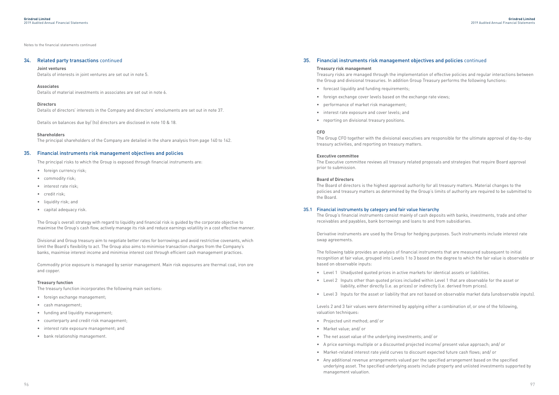#### 34. Related party transactions continued

#### **Joint ventures**

Details of interests in joint ventures are set out in note 5.

#### **Associates**

Details of material investments in associates are set out in note 6.

#### **Directors**

Details of directors' interests in the Company and directors' emoluments are set out in note 37.

- foreign currency risk;
- commodity risk;
- interest rate risk;
- credit risk;
- liquidity risk; and
- capital adequacy risk.

Details on balances due by/ (to) directors are disclosed in note 10 & 18.

#### **Shareholders**

The principal shareholders of the Company are detailed in the share analysis from page 140 to 142.

### 35. Financial instruments risk management objectives and policies

The principal risks to which the Group is exposed through financial instruments are:

The Group's overall strategy with regard to liquidity and financial risk is guided by the corporate objective to maximise the Group's cash flow, actively manage its risk and reduce earnings volatility in a cost effective manner.

Divisional and Group treasury aim to negotiate better rates for borrowings and avoid restrictive covenants, which limit the Board's flexibility to act. The Group also aims to minimise transaction charges from the Company's banks, maximise interest income and minimise interest cost through efficient cash management practices.

Commodity price exposure is managed by senior management. Main risk exposures are thermal coal, iron ore and copper.

#### **Treasury function**

The treasury function incorporates the following main sections:

- foreign exchange management;
- cash management;
- funding and liquidity management;
- counterparty and credit risk management;
- interest rate exposure management; and
- bank relationship management.

# 35. Financial instruments risk management objectives and policies continued

## **Treasury risk management**

Treasury risks are managed through the implementation of effective policies and regular interactions between the Group and divisional treasuries. In addition Group Treasury performs the following functions:

- forecast liquidity and funding requirements;
- foreign exchange cover levels based on the exchange rate views;
- performance of market risk management;
- interest rate exposure and cover levels; and
- reporting on divisional treasury positions.

#### **CFO**

The Group CFO together with the divisional executives are responsible for the ultimate approval of day-to-day treasury activities, and reporting on treasury matters.

#### **Executive committee**

The Executive committee reviews all treasury related proposals and strategies that require Board approval prior to submission.

#### **Board of Directors**

The Board of directors is the highest approval authority for all treasury matters. Material changes to the policies and treasury matters as determined by the Group's limits of authority are required to be submitted to the Board.

## 35.1 Financial instruments by category and fair value hierarchy

The Group's financial instruments consist mainly of cash deposits with banks, investments, trade and other receivables and payables, bank borrowings and loans to and from subsidiaries.

Derivative instruments are used by the Group for hedging purposes. Such instruments include interest rate swap agreements.

The following table provides an analysis of financial instruments that are measured subsequent to initial recognition at fair value, grouped into Levels 1 to 3 based on the degree to which the fair value is observable or based on observable inputs:

- Level 1 Unadjusted quoted prices in active markets for identical assets or liabilities.
- Level 2 Inputs other than quoted prices included within Level 1 that are observable for the asset or liability, either directly (i.e. as prices) or indirectly (i.e. derived from prices).
- 

• Level 3 Inputs for the asset or liability that are not based on observable market data (unobservable inputs).

Levels 2 and 3 fair values were determined by applying either a combination of, or one of the following, valuation techniques:

- Projected unit method; and/ or
- Market value; and/ or
- The net asset value of the underlying investments; and/ or
- A price earnings multiple or a discounted projected income/ present value approach; and/ or
- Market-related interest rate yield curves to discount expected future cash flows; and/ or
- management valuation.

• Any additional revenue arrangements valued per the specified arrangement based on the specified

underlying asset. The specified underlying assets include property and unlisted investments supported by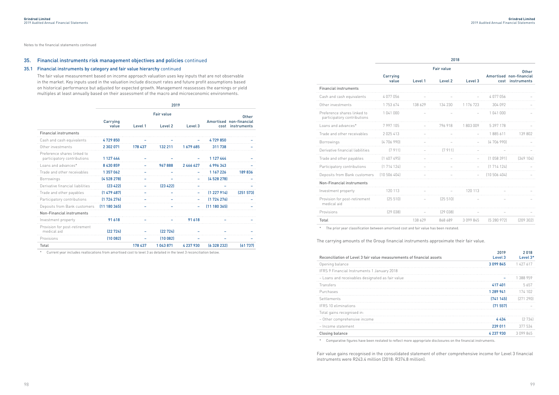## 35. Financial instruments risk management objectives and policies continued

## 35.1 Financial instruments by category and fair value hierarchy continued

The fair value measurement based on income approach valuation uses key inputs that are not observable in the market. Key inputs used in the valuation include discount rates and future profit assumptions based on historical performance but adjusted for expected growth. Management reassesses the earnings or yield multiples at least annually based on their assessment of the macro and microeconomic environments.

|                                                            | 2019              |         |          |         |               |                                                 |
|------------------------------------------------------------|-------------------|---------|----------|---------|---------------|-------------------------------------------------|
|                                                            | <b>Fair value</b> |         |          |         |               |                                                 |
|                                                            | Carrying<br>value | Level 1 | Level 2  | Level 3 | cost          | Other<br>Amortised non-financial<br>instruments |
| <b>Financial instruments</b>                               |                   |         |          |         |               |                                                 |
| Cash and cash equivalents                                  | 4729850           |         |          |         | 4729850       |                                                 |
| Other investments                                          | 2 302 071         | 178 437 | 132 211  | 1679685 | 311738        |                                                 |
| Preference shares linked to<br>participatory contributions | 1 127 444         |         |          |         | 1 127 444     |                                                 |
| Loans and advances*                                        | 8 430 859         |         | 967888   | 2466627 | 4996343       |                                                 |
| Trade and other receivables                                | 1 357 062         |         |          |         | 1 1 6 7 2 2 6 | 189836                                          |
| Borrowings                                                 | (4528278)         |         |          |         | [4528278]     |                                                 |
| Derivative financial liabilities                           | [23 422]          |         | [23 422] |         |               |                                                 |
| Trade and other payables                                   | [1479487]         |         |          |         | [1 227 914]   | (251573)                                        |
| Participatory contributions                                | [1724276]         |         |          |         | [1724276]     |                                                 |
| Deposits from Bank customers                               | (11180365)        |         |          |         | [11 180 365]  |                                                 |
| Non-Financial instruments                                  |                   |         |          |         |               |                                                 |
| Investment property                                        | 91618             |         |          | 91618   |               |                                                 |
| Provision for post-retirement<br>medical aid               | (22724)           |         | (22724)  |         |               |                                                 |
| Provisions                                                 | (10082)           |         | (10082)  |         |               |                                                 |
| Total                                                      |                   | 178 437 | 1043871  | 4237930 | [6 328 232]   | (61737)                                         |

\* Current year includes reallocations from amortised cost to level 3 as detailed in the level 3 reconciliation below.

#### 2018

|                                                            |                   | <b>Fair value</b> |          | <b>Other</b> |             |                                             |
|------------------------------------------------------------|-------------------|-------------------|----------|--------------|-------------|---------------------------------------------|
|                                                            | Carrying<br>value | Level 1           | Level 2  | Level 3      |             | Amortised non-financial<br>cost instruments |
| <b>Financial instruments</b>                               |                   |                   |          |              |             |                                             |
| Cash and cash equivalents                                  | 4077056           |                   |          |              | 4077056     |                                             |
| Other investments                                          | 1 753 674         | 138 629           | 134 230  | 1 176 723    | 304 092     |                                             |
| Preference shares linked to<br>participatory contributions | 1 041 000         |                   |          |              | 1 041 000   |                                             |
| Loans and advances*                                        | 7997105           |                   | 796 918  | 1803009      | 5 397 178   |                                             |
| Trade and other receivables                                | 2 0 2 5 4 1 3     |                   |          |              | 1885611     | 139 802                                     |
| <b>Borrowings</b>                                          | (4706990)         |                   |          |              | [4706990]   |                                             |
| Derivative financial liabilities                           | (7911)            |                   | [7911]   |              |             |                                             |
| Trade and other payables                                   | (1407495)         |                   |          |              | (1058391)   | [349104]                                    |
| Participatory contributions                                | (1714124)         |                   |          |              | [1 714 124] |                                             |
| Deposits from Bank customers                               | (10506404)        |                   |          |              | [10506404]  |                                             |
| Non-Financial instruments                                  |                   |                   |          |              |             |                                             |
| Investment property                                        | 120 113           |                   |          | 120 113      |             |                                             |
| Provision for post-retirement<br>medical aid               | (25510)           |                   | (25510)  |              |             |                                             |
| Provisions                                                 | [29 038]          |                   | [29 038] |              |             |                                             |
| Total                                                      |                   | 138 629           | 868 689  | 3 099 845    | [5280972]   | [209 302]                                   |
|                                                            |                   |                   |          |              |             |                                             |

\* The prior year classification between amortised cost and fair value has been restated.

The carrying amounts of the Group financial instruments approximate their fair value.

 $\ddot{\phantom{a}}$ 

| Reconciliation of Level 3 fair value measurements of financial assets | 2019<br>Level <sub>3</sub> | 2018<br>Level 3* |
|-----------------------------------------------------------------------|----------------------------|------------------|
| Opening balance                                                       | 3099845                    | 1 427 617        |
| IFRS 9 Financial Instruments 1 January 2018                           |                            |                  |
| - Loans and receivables designated as fair value                      |                            | 1 388 959        |
| Transfers                                                             | 417401                     | 5657             |
| Purchases                                                             | 1 289 941                  | 174 102          |
| Settlements                                                           | [741145]                   | [271290]         |
| <b>IFRS</b> 10 eliminations                                           | (71557)                    |                  |
| Total gains recognised in:                                            |                            |                  |
| - Other comprehensive income                                          | 4434                       | (2734)           |
| - Income statement                                                    | 239 011                    | 377 534          |
| Closing balance                                                       | 4 237 930                  | 3099845          |

| Reconciliation of Level 3 fair value measurements of financial assets | 2019<br>Level <sub>3</sub> | 2018<br>Level 3* |
|-----------------------------------------------------------------------|----------------------------|------------------|
| Opening balance                                                       | 3 099 845                  | 1 427 617        |
| IFRS 9 Financial Instruments 1 January 2018                           |                            |                  |
| - Loans and receivables designated as fair value                      |                            | 1 388 959        |
| Transfers                                                             | 417401                     | 5657             |
| Purchases                                                             | 1 289 941                  | 174 102          |
| Settlements                                                           | (741145)                   | [271290]         |
| IFRS 10 eliminations                                                  | (71557)                    |                  |
| Total gains recognised in:                                            |                            |                  |
| - Other comprehensive income                                          | 4434                       | (2734)           |
| - Income statement                                                    | 239 011                    | 377 534          |
| <b>Closing balance</b>                                                | 4 237 930                  | 3099845          |
|                                                                       |                            |                  |

\* Comparative figures have been restated to reflect more appropriate disclosures on the financial instruments.

Fair value gains recognised in the consolidated statement of other comprehensive income for Level 3 financial instruments were R243.4 million (2018: R374.8 million).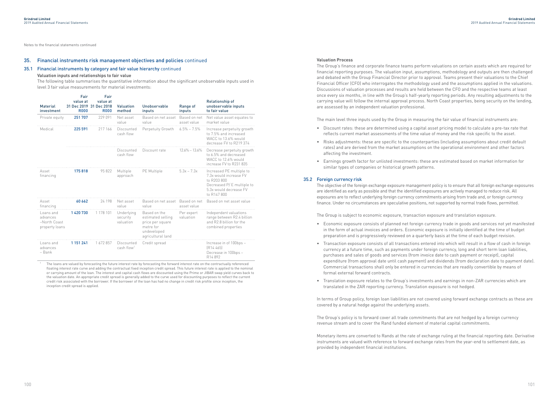## 35. Financial instruments risk management objectives and policies continued

## 35.1 Financial instruments by category and fair value hierarchy continued

## **Valuation inputs and relationships to fair value**

 $\mathbf{F}$ 

The following table summarises the quantitative information about the significant unobservable inputs used in level 3 fair value measurements for material investments:

Fair

| <b>Material</b><br>investment                           | Fair<br>value at<br><b>R000</b> | Fair<br>value at<br>31 Dec 2019 31 Dec 2018<br><b>R000</b> | Valuation<br>method                  | Unobservable<br>inputs                                                                                 | Range of<br>inputs          | <b>Relationship of</b><br>unobservable inputs<br>to fair value                                                                          |
|---------------------------------------------------------|---------------------------------|------------------------------------------------------------|--------------------------------------|--------------------------------------------------------------------------------------------------------|-----------------------------|-----------------------------------------------------------------------------------------------------------------------------------------|
| Private equity                                          | 251 707                         | 229 091                                                    | Net asset<br>value                   | Based on net asset<br>value                                                                            | Based on net<br>asset value | Net value asset equates to<br>market value                                                                                              |
| Medical                                                 | 225 591                         | 217 166                                                    | Discounted<br>cash flow              | Perpetuity Growth                                                                                      | $6.5\% - 7.5\%$             | Increase perpetuity growth<br>to 7.5% and increased<br>WACC to 13.6% would<br>decrease FV to R219 374                                   |
|                                                         |                                 |                                                            | Discounted<br>cash flow              | Discount rate                                                                                          | $12.6\% - 13.6\%$           | Decrease perpetuity growth<br>to 6.5% and decreased<br>WACC to 12.6% would<br>increase FV to R231 835                                   |
| Asset<br>financing                                      | 175818                          | 95822                                                      | Multiple<br>approach                 | PE Multiple                                                                                            | $5.3x - 7.3x$               | Increased PE multiple to<br>7.3x would increase FV<br>to R203 800<br>Decreased P/ E multiple to<br>5.3x would decrease FV<br>to R147800 |
| Asset<br>financing                                      | 60 662                          | 24 198                                                     | Net asset<br>value                   | Based on net asset<br>value                                                                            | Based on net<br>asset value | Based on net asset value                                                                                                                |
| Loans and<br>advances<br>-North Coast<br>property loans | 1 420 730                       | 1 178 101                                                  | Underlying<br>security<br>valuation  | Based on the<br>estimated selling<br>price per square<br>metre for<br>undeveloped<br>agricultural land | Per expert<br>valuation     | Independent valuations<br>range between R2.4 billion<br>and R2.8 billion for the<br>combined properties                                 |
| Loans and<br>advances<br>- Bank                         | 1 151 241                       | 1 672 857                                                  | Discounted<br>cash flow <sup>1</sup> | Credit spread                                                                                          |                             | Increase in of 100bps -<br>[R14 465]<br>Decrease in 100bps -<br>R <sub>14</sub> 892                                                     |

<sup>1</sup> The loans are valued by forecasting the future interest rate by forecasting the forward interest rate on the contractually referenced floating interest rate curve and adding the contractual fixed inception credit spread. This future interest rate is applied to the nominal or carrying amount of the loan. The interest and capital cash flows are discounted using the Prime or JIBAR swap yield curves back to the valuation date. An appropriate credit spread is generally added to the curve used for discounting purposes to reflect the current credit risk associated with the borrower. If the borrower of the loan has had no change in credit risk profile since inception, the inception credit spread is applied.

#### **Valuation Process**

The Group's finance and corporate finance teams perform valuations on certain assets which are required for financial reporting purposes. The valuation input, assumptions, methodology and outputs are then challenged and debated with the Group Financial Director prior to approval. Teams present their valuations to the Chief Financial Officer (CFO) who interrogates the methodology used and the assumptions applied in the valuations. Discussions of valuation processes and results are held between the CFO and the respective teams at least once every six months, in line with the Group's half-yearly reporting periods. Any resulting adjustments to the carrying value will follow the internal approval process. North Coast properties, being security on the lending, are assessed by an independent valuation professional.

The main level three inputs used by the Group in measuring the fair value of financial instruments are:

- Discount rates: these are determined using a capital asset pricing model to calculate a pre-tax rate that reflects current market assessments of the time value of money and the risk specific to the asset.
- Risks adjustments: these are specific to the counterparties (including assumptions about credit default rates) and are derived from the market assumptions on the operational environment and other factors affecting the investment.
- similar types of companies or historical growth patterns.

• Earnings growth factor for unlisted investments: these are estimated based on market information for

#### 35.2 Foreign currency risk

The objective of the foreign exchange exposure management policy is to ensure that all foreign exchange exposures are identified as early as possible and that the identified exposures are actively managed to reduce risk. All exposures are to reflect underlying foreign currency commitments arising from trade and, or foreign currency finance. Under no circumstances are speculative positions, not supported by normal trade flows, permitted.

The Group is subject to economic exposure, transaction exposure and translation exposure.

- Economic exposure consists of planned net foreign currency trade in goods and services not yet manifested in the form of actual invoices and orders. Economic exposure is initially identified at the time of budget preparation and is progressively reviewed on a quarterly basis at the time of each budget revision.
- Transaction exposure consists of all transactions entered into which will result in a flow of cash in foreign currency at a future time, such as payments under foreign currency, long and short term loan liabilities, purchases and sales of goods and services (from invoice date to cash payment or receipt), capital expenditure (from approval date until cash payment) and dividends (from declaration date to payment date). Commercial transactions shall only be entered in currencies that are readily convertible by means of formal external forward contracts.
- Translation exposure relates to the Group's investments and earnings in non-ZAR currencies which are translated in the ZAR reporting currency. Translation exposure is not hedged.

In terms of Group policy, foreign loan liabilities are not covered using forward exchange contracts as these are covered by a natural hedge against the underlying assets.

The Group's policy is to forward cover all trade commitments that are not hedged by a foreign currency revenue stream and to cover the Rand funded element of material capital commitments.

Monetary items are converted to Rands at the rate of exchange ruling at the financial reporting date. Derivative instruments are valued with reference to forward exchange rates from the year-end to settlement date, as provided by independent financial institutions.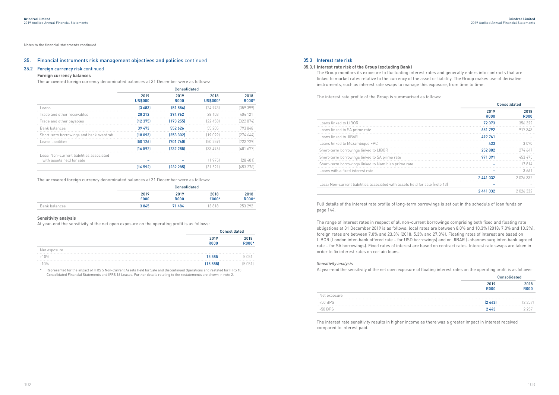## 35. Financial instruments risk management objectives and policies continued

## 35.2 Foreign currency risk continued

## **Foreign currency balances**

The uncovered foreign currency denominated balances at 31 December were as follows:

|                                                                       | Consolidated           |                     |                  |               |  |
|-----------------------------------------------------------------------|------------------------|---------------------|------------------|---------------|--|
|                                                                       | 2019<br><b>US\$000</b> | 2019<br><b>R000</b> | 2018<br>US\$000* | 2018<br>R000* |  |
| _oans                                                                 | [3683]                 | [51 556]            | [24993]          | [359399]      |  |
| Trade and other receivables                                           | 28 212                 | 394962              | 28 103           | 404 121       |  |
| Trade and other payables                                              | (12375)                | (173255)            | [22 453]         | [322 874]     |  |
| Bank balances                                                         | 39 4 73                | 552 626             | 55 205           | 793 848       |  |
| Short term borrowings and bank overdraft                              | [18093]                | [253 302]           | [19099]          | [274644]      |  |
| Lease liabilities.                                                    | [50 126]               | [701 760]           | [50, 259]        | (722 729)     |  |
|                                                                       | [16 592]               | [232 285]           | [33 496]         | [481 677]     |  |
| Less: Non-current liabilities associated<br>with assets held for sale |                        |                     | (1975)           | [28, 401]     |  |
|                                                                       | [16 592]               | [232 285]           | [31 521]         | [453 276]     |  |

The uncovered foreign currency denominated balances at 31 December were as follows:

|               |              | Consolidated        |               |               |  |
|---------------|--------------|---------------------|---------------|---------------|--|
|               | 2019<br>£000 | 2019<br><b>R000</b> | 2018<br>£000* | 2018<br>R000* |  |
| Bank balances | 3845         | 71484               | 13818         | 253 292       |  |

### **Sensitivity analysis**

At year-end the sensitivity of the net open exposure on the operating profit is as follows:

|              |                     | Consolidated  |
|--------------|---------------------|---------------|
|              | 2019<br><b>R000</b> | 2018<br>R000* |
| Net exposure |                     |               |
| $+10%$       | 15 5 85             | 5051          |
| $-10%$       | (15585)             | (5051)        |

\* Represented for the impact of IFRS 5 Non-Current Assets Held for Sale and Discontinued Operations and restated for IFRS 10 Consolidated Financial Statements and IFRS 16 Leases. Further details relating to the restatements are shown in note 2.

## 35.3 Interest rate risk

#### **35.3.1 Interest rate risk of the Group (excluding Bank)**

The Group monitors its exposure to fluctuating interest rates and generally enters into contracts that are linked to market rates relative to the currency of the asset or liability. The Group makes use of derivative instruments, such as interest rate swaps to manage this exposure, from time to time.

The interest rate profile of the Group is summarised as follows:

|                                                                              | Consolidated        |                     |
|------------------------------------------------------------------------------|---------------------|---------------------|
|                                                                              | 2019<br><b>R000</b> | 2018<br><b>R000</b> |
| Loans linked to LIBOR                                                        | 72073               | 356 322             |
| Loans linked to SA prime rate                                                | 651792              | 917343              |
| Loans linked to JIBAR                                                        | 492761              |                     |
| Loans linked to Mozambique FPC                                               | 433                 | 3070                |
| Short-term borrowings linked to LIBOR                                        | 252882              | 274 647             |
| Short-term borrowings linked to SA prime rate                                | 971091              | 453475              |
| Short-term borrowings linked to Namibian prime rate                          |                     | 17814               |
| Loans with a fixed interest rate                                             |                     | 3661                |
|                                                                              | 2441032             | 2026332             |
| Less: Non-current liabilities associated with assets held for sale (note 13) |                     |                     |
|                                                                              | 2 441 032           | 2026332             |

Full details of the interest rate profile of long-term borrowings is set out in the schedule of loan funds on page 144.

The range of interest rates in respect of all non-current borrowings comprising both fixed and floating rate obligations at 31 December 2019 is as follows: local rates are between 8.0% and 10.3% (2018: 7.0% and 10.3%), foreign rates are between 7.0% and 23.3% (2018: 5.3% and 27.3%). Floating rates of interest are based on LIBOR (London inter-bank offered rate – for USD borrowings) and on JIBAR (Johannesburg inter-bank agreed rate – for SA borrowings). Fixed rates of interest are based on contract rates. Interest rate swaps are taken in order to fix interest rates on certain loans.

#### *Sensitivity analysis*

At year-end the sensitivity of the net open exposure of floating interest rates on the operating profit is as follows:

|              |                     | Consolidated        |
|--------------|---------------------|---------------------|
|              | 2019<br><b>R000</b> | 2018<br><b>R000</b> |
| Net exposure |                     |                     |
| +50 BPS      | (2443)              | (2257)              |
| $-50$ BPS    | 2443                | 2 257               |

The interest rate sensitivity results in higher income as there was a greater impact in interest received compared to interest paid.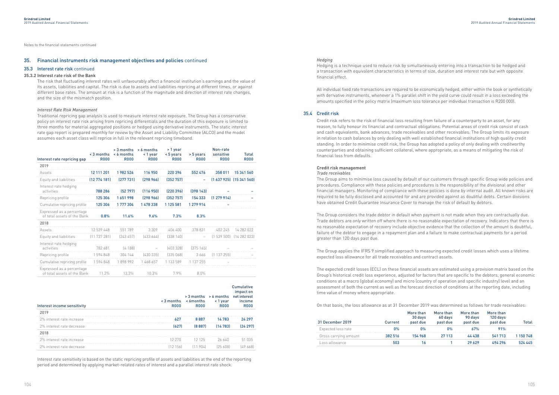### 35. Financial instruments risk management objectives and policies continued

## 35.3 Interest rate risk continued

### **35.3.2 Interest rate risk of the Bank**

The risk that fluctuating interest rates will unfavourably affect a financial institution's earnings and the value of its assets, liabilities and capital. The risk is due to assets and liabilities repricing at different times, or against different base rates. The amount at risk is a function of the magnitude and direction of interest rate changes, and the size of the mismatch position.

#### *Interest Rate Risk Management*

Traditional repricing gap analysis is used to measure interest rate exposure. The Group has a conservative policy on interest rate risk arising from repricing differentials and the duration of this exposure is limited to three months for material aggregated positions or hedged using derivative instruments. The static interest rate gap report is prepared monthly for review by the Asset and Liability Committee (ALCO) and the model assumes each asset class will reprice in full in the relevant repricing timeband.

| Interest rate repricing gap                              | < 3 months<br><b>R000</b> | > 3 months<br>< 6 months<br><b>R000</b> | > 6 months<br>< 1 year<br><b>R000</b> | > 1 year<br>< 5 years<br><b>R000</b> | > 5 years<br><b>R000</b> | Non-rate<br>sensitive<br><b>R000</b> | <b>Total</b><br><b>R000</b>      |
|----------------------------------------------------------|---------------------------|-----------------------------------------|---------------------------------------|--------------------------------------|--------------------------|--------------------------------------|----------------------------------|
| 2019                                                     |                           |                                         |                                       |                                      |                          |                                      |                                  |
| Assets                                                   | 12 111 201                | 1982526                                 | 116 950                               | 220 396                              | 552 476                  | 358 011                              | 15 341 560                       |
| Equity and liabilities                                   | (12774181)                | (277731)                                | (298966)                              | (352757)                             |                          |                                      | $(1\ 637\ 925)$ $(15\ 341\ 560)$ |
| Interest rate hedging<br>activities                      | 788 286                   | (52797)                                 | (116950)                              | [220 396]                            | (398143)                 |                                      |                                  |
| Repricing profile                                        | 125 306                   | 1651998                                 | [298966]                              | (352757)                             | 154 333                  | (1279914)                            |                                  |
| Cumulative repricing profile                             | 125 306                   | 1777304                                 | 1478338                               | 1 125 581                            | 1 279 914                |                                      |                                  |
| Expressed as a percentage<br>of total assets of the Bank | 0.8%                      | 11.6%                                   | 9.6%                                  | 7.3%                                 | 8.3%                     |                                      |                                  |
| 2018                                                     |                           |                                         |                                       |                                      |                          |                                      |                                  |
| Assets                                                   | 12 539 448                | 551 789                                 | 3 3 0 9                               | 406 400                              | 378 831                  | 402 245                              | 14 282 022                       |
| Equity and liabilities                                   | $(11\ 727\ 281)$          | [243 457]                               | [433644]                              | (338140)                             |                          | (1539500)                            | (14 282 022)                     |
| Interest rate hedging<br>activities                      | 782 681                   | [4 188]                                 |                                       | [403 328]                            | [375 165]                |                                      |                                  |
| Repricing profile                                        | 1594848                   | 304 144                                 | [430335]                              | (335068)                             | 3666                     | (1137255)                            |                                  |
| Cumulative repricing profile                             | 1594848                   | 1898992                                 | 1 468 657                             | 1 133 589                            | 1 137 255                |                                      |                                  |
| Expressed as a percentage<br>of total assets of the Bank | 11.2%                     | 13.3%                                   | 10.3%                                 | 7.9%                                 | 8.0%                     |                                      |                                  |

| $<$ 3 months<br><b>R000</b> | $> 3$ months<br>< 6 months<br><b>R000</b> | $> 6$ months<br>< 1 year<br><b>R000</b> | Cumulative<br>impact on<br>net interest<br>income<br><b>R000</b> |
|-----------------------------|-------------------------------------------|-----------------------------------------|------------------------------------------------------------------|
|                             |                                           |                                         |                                                                  |
| 627                         | 8887                                      | 14 783                                  | 24 297                                                           |
|                             | (8887)                                    | [14 783]                                | (24 297)                                                         |
|                             |                                           |                                         |                                                                  |
| 12.270                      | 12 125                                    | 26.640                                  | 51 035                                                           |
|                             | (11904)                                   | [25, 608]                               | (49 668)                                                         |
|                             |                                           | (627)<br>[12 156]                       |                                                                  |

Interest rate sensitivity is based on the static repricing profile of assets and liabilities at the end of the reporting period and determined by applying market-related rates of interest and a parallel interest rate shock.

#### *Hedging*

Hedging is a technique used to reduce risk by simultaneously entering into a transaction to be hedged and a transaction with equivalent characteristics in terms of size, duration and interest rate but with opposite financial effect.

All individual fixed rate transactions are required to be economically hedged, either within the book or synthetically with derivative instruments, whenever a 1% parallel shift in the yield curve could result in a loss exceeding the amounts specified in the policy matrix (maximum loss tolerance per individual transaction is R200 000).

### 35.4 Credit risk

Credit risk refers to the risk of financial loss resulting from failure of a counterparty to an asset, for any reason, to fully honour its financial and contractual obligations. Potential areas of credit risk consist of cash and cash equivalents, bank advances, trade receivables and other receivables. The Group limits its exposure in relation to cash balances by only dealing with well established financial institutions of high quality credit standing. In order to minimise credit risk, the Group has adopted a policy of only dealing with creditworthy counterparties and obtaining sufficient collateral, where appropriate, as a means of mitigating the risk of financial loss from defaults.

#### **Credit risk management** *Trade receivables*

The Group aims to minimise loss caused by default of our customers through specific Group wide policies and procedures. Compliance with these policies and procedures is the responsibility of the divisional and other financial managers. Monitoring of compliance with these policies is done by internal audit. All known risks are required to be fully disclosed and accounted for and are provided against as doubtful debts. Certain divisions have obtained Credit Guarantee Insurance Cover to manage the risk of default by debtors.

The Group considers the trade debtor in default when payment is not made when they are contractually due. Trade debtors are only written off where there is no reasonable expectation of recovery. Indicators that there is no reasonable expectation of recovery include objective evidence that the collection of the amount is doubtful, failure of the debtor to engage in a repayment plan and a failure to make contractual payments for a period greater than 120 days past due.

The Group applies the IFRS 9 simplified approach to measuring expected credit losses which uses a lifetime expected loss allowance for all trade receivables and contract assets.

The expected credit losses (ECL) on these financial assets are estimated using a provision matrix based on the Group's historical credit loss experience, adjusted for factors that are specific to the debtors, general economic conditions at a macro (global economy) and micro (country of operation and specific industry) level and an assessment of both the current as well as the forecast direction of conditions at the reporting date, including time value of money where appropriate.

On that basis, the loss allowance as at 31 December 2019 was determined as follows for trade receivables:

| 31 December 2019      | Current | More than<br>30 days<br>past due | More than<br>60 days<br>past due | More than<br>90 days<br>past due | More than<br>120 days<br>past due | Total   |
|-----------------------|---------|----------------------------------|----------------------------------|----------------------------------|-----------------------------------|---------|
| Expected loss rate    | 0%      | $0\%$                            | 0%                               | 67%                              | 91%                               |         |
| Gross carrying amount | 382 516 | 154 968                          | 27 113                           | 44 438                           | 541 713                           | 1150748 |
| Loss allowance        | 503     | 16                               |                                  | 29 629                           | 494 296                           | 524 445 |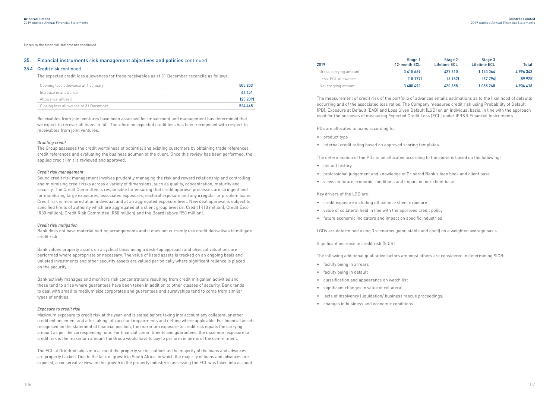#### 35. Financial instruments risk management objectives and policies continued

#### 35.4 Credit risk continued

The expected credit loss allowances for trade receivables as at 31 December reconcile as follows:

| Opening loss allowance at 1 January   | 505 203   |
|---------------------------------------|-----------|
| Increase in allowance                 | 44 451    |
| Allowance utilised                    | (25, 209) |
| Closing loss allowance at 31 December | 524 445   |

Receivables from joint ventures have been assessed for impairment and management has determined that we expect to recover all loans in full. Therefore no expected credit loss has been recognised with respect to receivables from joint ventures.

#### *Granting credit*

The Group assesses the credit worthiness of potential and existing customers by obtaining trade references, credit references and evaluating the business acumen of the client. Once this review has been performed, the applied credit limit is reviewed and approved.

#### *Credit risk management*

Sound credit risk management involves prudently managing the risk and reward relationship and controlling and minimising credit risks across a variety of dimensions, such as quality, concentration, maturity and security. The Credit Committee is responsible for ensuring that credit approval processes are stringent and for monitoring large exposures, associated exposures, sectoral exposure and any irregular or problem loans. Credit risk is monitored at an individual and at an aggregated exposure level. New deal approval is subject to specified limits of authority which are aggregated at a client group level i.e. Credit (R10 million), Credit Exco (R30 million), Credit Risk Committee (R50 million) and the Board (above R50 million).

#### *Credit risk mitigation*

Bank does not have material netting arrangements and it does not currently use credit derivatives to mitigate credit risk.

Bank values property assets on a cyclical basis using a desk-top approach and physical valuations are performed where appropriate or necessary. The value of listed assets is tracked on an ongoing basis and unlisted investments and other security assets are valued periodically where significant reliance is placed on the security.

Bank actively manages and monitors risk concentrations resulting from credit mitigation activities and these tend to arise where guarantees have been taken in addition to other classes of security. Bank tends to deal with small to medium size corporates and guarantees and suretyships tend to come from similar types of entities.

#### *Exposure to credit risk*

Maximum exposure to credit risk at the year-end is stated before taking into account any collateral or other credit enhancement and after taking into account impairments and netting where applicable. For financial assets recognised on the statement of financial position, the maximum exposure to credit risk equals the carrying amount as per the corresponding note. For financial commitments and guarantees, the maximum exposure to credit risk is the maximum amount the Group would have to pay to perform in terms of the commitment.

The ECL at Grindrod takes into account the property sector outlook as the majority of the loans and advances are property backed. Due to the lack of growth in South Africa, in which the majority of loans and advances are exposed, a conservative view on the growth in the property industry in assessing the ECL was taken into account.

| 2019                  | Stage 1<br>12-month ECL | Stage 2<br>Lifetime ECL | Stage 3<br>Lifetime ECL | Total   |
|-----------------------|-------------------------|-------------------------|-------------------------|---------|
| Gross carrying amount | 3415669                 | 427 610                 | 1 153 064               | 4996343 |
| Less: ECL allowance   | (15177)                 | (6952)                  | (67796)                 | [89925] |
| Net carrying amount   | 3400492                 | 420 658                 | 1085268                 | 4906418 |

The measurement of credit risk of the portfolio of advances entails estimations as to the likelihood of defaults occurring and of the associated loss ratios. The Company measures credit risk using Probability of Default (PD), Exposure at Default (EAD) and Loss Given Default (LGD) on an individual basis, in line with the approach used for the purposes of measuring Expected Credit Loss (ECL) under IFRS 9 Financial Instruments.

PDs are allocated to loans according to:

- product type
- internal credit rating based on approved scoring templates

The determination of the PDs to be allocated according to the above is based on the following:

- default history
- professional judgement and knowledge of Grindrod Bank's loan book and client base
- views on future economic conditions and impact on our client base

#### Key drivers of the LGD are:

- credit exposure including off balance sheet exposure
- value of collateral held in line with the approved credit policy
- future economic indicators and impact on specific industries

LGDs are determined using 3 scenarios (poor, stable and good) on a weighted average basis.

Significant increase in credit risk (SICR)

The following additional qualitative factors amongst others are considered in determining SICR:

- facility being in arrears
- facility being in default
- classification and appearance on watch list
- significant changes in value of collateral
- acts of insolvency (liquidation/ business rescue proceedings)
- changes in business and economic conditions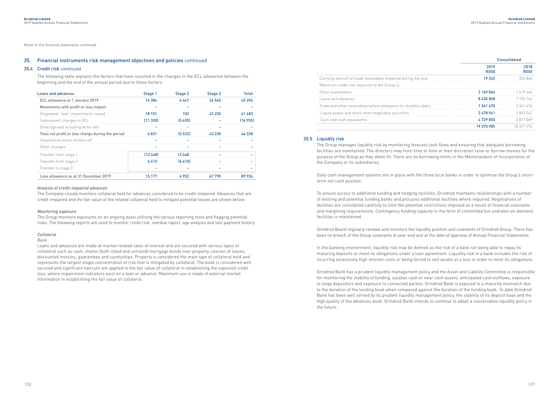## 35. Financial instruments risk management objectives and policies continued

## 35.4 Credit risk continued

The following table explains the factors that have resulted in the changes in the ECL allowance between the beginning and the end of the annual period due to these factors:

| <b>Loans and advances</b>                         | Stage 1   | Stage 2  | Stage 3  | <b>Total</b> |
|---------------------------------------------------|-----------|----------|----------|--------------|
| ECL allowance at 1 January 2019                   | 14 3 8 4  | 6447     | 24 5 6 5 | 45 396       |
| Movements with profit or loss impact              |           |          |          |              |
| Originated "new" impairments raised               | 18 151    | 102      | 43 230   | 61 483       |
| Subsequent changes in ECL                         | (11320)   | (5635)   |          | (16955)      |
| Derecognised including write-offs                 | ۰         |          |          |              |
| Total net profit or loss charge during the period | 6831      | (5533)   | 43 230   | 44 528       |
| Impaired accounts written-off                     |           |          |          |              |
| Other changes                                     |           |          |          |              |
| Transfer from stage 1                             | (12, 448) | 12.448   |          |              |
| Transfer from stage 2                             | 6410      | (6, 410) |          |              |
| Transfer to stage 3                               |           |          |          |              |
| Loss allowance as at 31 December 2019             | 15 177    | 6952     | 67795    | 89924        |

## *Analysis of credit-impaired advances*

The Company closely monitors collateral held for advances considered to be credit-impaired. Advances that are credit-impaired and the fair value of the related collateral held to mitigate potential losses are shown below:

## *Monitoring exposure*

The Group monitors exposures on an ongoing basis utilising the various reporting tools and flagging potential risks. The following reports are used to monitor credit risk: overdue report, age analysis and late payment history.

## *Collateral*

*Bank*

Loans and advances are made at market related rates of interest and are secured with various types of collateral such as cash, shares (both listed and unlisted) mortgage bonds over property, cession of leases, discounted invoices, guarantees and suretyships. Property is considered the main type of collateral held and represents the largest single concentration of risk that is mitigated by collateral. The book is considered well secured and significant haircuts are applied to the fair value of collateral in establishing the expected credit loss, where impairment indicators exist on a loan or advance. Maximum use is made of external market information in establishing the fair value of collateral.

|                                                                                                                | Consolidated        |                     |  |
|----------------------------------------------------------------------------------------------------------------|---------------------|---------------------|--|
|                                                                                                                | 2019<br><b>R000</b> | 2018<br><b>R000</b> |  |
| Carrying amount of trade receivables impaired during the year<br>Maximum credit risk exposure to the Group is: | 19 24 2             | 334 840             |  |
| Other investments                                                                                              | 2 169 866           | 1619444             |  |
| Loans and advances                                                                                             | 8 430 858           | 7 755 744           |  |
| Trade and other receivables before allowance for doubtful debts                                                | 1561470             | 2 341 476           |  |
| Liquid assets and short-term negotiable securities                                                             | 2478941             | 2843541             |  |
| Cash and cash equivalents                                                                                      | 4729850             | 3817069             |  |
|                                                                                                                | 19 370 985          | 18 377 274          |  |

## 35.5 Liquidity risk

The Group manages liquidity risk by monitoring forecast cash flows and ensuring that adequate borrowing facilities are maintained. The directors may from time to time at their discretion raise or borrow monies for the purpose of the Group as they deem fit. There are no borrowing limits in the Memorandum of Incorporation of the Company or its subsidiaries.

Daily cash management systems are in place with the three local banks in order to optimise the Group's shortterm net cash position.

To ensure access to additional funding and hedging facilities, Grindrod maintains relationships with a number of existing and potential funding banks and procures additional facilities where required. Negotiations of facilities are considered carefully to limit the potential restrictions imposed as a result of financial covenants and margining requirements. Contingency funding capacity in the form of committed but undrawn on-demand facilities is maintained.

Grindrod Board regularly reviews and monitors the liquidity position and covenants of Grindrod Group. There has been no breach of the Group covenants at year-end and at the date of approval of Annual Financial Statements.

In the banking environment, liquidity risk may be defined as the risk of a bank not being able to repay its maturing deposits or meet its obligations under a loan agreement. Liquidity risk in a bank includes the risk of incurring excessively high interest costs or being forced to sell assets at a loss in order to meet its obligations.

Grindrod Bank has a prudent liquidity management policy and the Asset and Liability Committee is responsible for monitoring the stability of funding, surplus cash or near cash assets, anticipated cash outflows, exposure to large depositors and exposure to connected parties. Grindrod Bank is exposed to a maturity mismatch due to the duration of the lending book when compared against the duration of the funding book. To date Grindrod Bank has been well served by its prudent liquidity management policy, the stability of its deposit base and the high quality of the advances book. Grindrod Bank intends to continue to adopt a conservative liquidity policy in the future.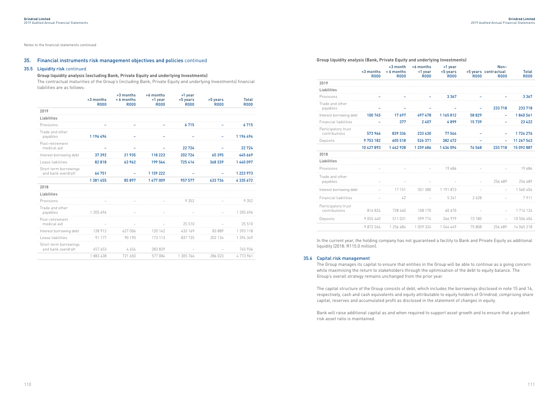## 35. Financial instruments risk management objectives and policies continued

## 35.5 Liquidity risk continued

## **Group liquidity analysis (excluding Bank, Private Equity and underlying Investments)**

The contractual maturities of the Group's (including Bank, Private Equity and underlying Investments) financial liabilities are as follows:

|                                             | <3 months<br><b>R000</b> | >3 months<br>< 6 months<br><b>R000</b> | >6 months<br><1 year<br><b>R000</b> | >1 year<br><5 years<br><b>R000</b> | >5 years<br><b>R000</b> | <b>Total</b><br><b>R000</b> |
|---------------------------------------------|--------------------------|----------------------------------------|-------------------------------------|------------------------------------|-------------------------|-----------------------------|
| 2019                                        |                          |                                        |                                     |                                    |                         |                             |
| Liabilities                                 |                          |                                        |                                     |                                    |                         |                             |
| Provisions                                  |                          |                                        |                                     | 6715                               |                         | 6715                        |
| Trade and other<br>payables                 | 1 196 494                |                                        |                                     |                                    |                         | 1 196 494                   |
| Post-retirement<br>medical aid              |                          |                                        |                                     | 22724                              |                         | 22724                       |
| Interest borrowing debt                     | 37 39 2                  | 21 935                                 | 118 223                             | 202 724                            | 65 395                  | 445 669                     |
| Lease liabilities                           | 82818                    | 63962                                  | 199 564                             | 725 414                            | 368 339                 | 1 440 097                   |
| Short term borrowings<br>and bank overdraft | 64751                    |                                        | 1 159 222                           |                                    |                         | 1 223 973                   |
|                                             | 1 381 455                | 85897                                  | 1 477 009                           | 957 577                            | 433 734                 | 4 3 3 6 7 2                 |
| 2018                                        |                          |                                        |                                     |                                    |                         |                             |
| Liabilities                                 |                          |                                        |                                     |                                    |                         |                             |
| Provisions                                  |                          |                                        |                                     | 9 3 5 2                            |                         | 9 3 5 2                     |
| Trade and other<br>payables                 | 1 205 696                |                                        |                                     |                                    |                         | 1 205 696                   |
| Post-retirement<br>medical aid              |                          |                                        |                                     | 25 510                             |                         | 25 510                      |
| Interest borrowing debt                     | 128 912                  | 627 006                                | 120 142                             | 433 169                            | 83 889                  | 1 393 118                   |
| Lease liabilities                           | 91 177                   | 90 190                                 | 173 113                             | 837 735                            | 202 134                 | 1 394 349                   |
| Short term borrowings<br>and bank overdraft | 457 653                  | 4 4 5 4                                | 283 829                             |                                    |                         | 745 936                     |
|                                             | 1883438                  | 721 650                                | 577 084                             | 1 305 766                          | 286 023                 | 4773961                     |

**Group liquidity analysis (Bank, Private Equity and underlying Investments)**

|                                      | <3 months<br><b>R000</b> | >3 month<br>< 6 months<br><b>R000</b> | >6 months<br><1 year<br><b>R000</b> | >1 year<br><5 years<br><b>R000</b> | <b>R000</b> | $Non-$<br>>5 years contractual<br><b>R000</b> | Total<br><b>R000</b> |
|--------------------------------------|--------------------------|---------------------------------------|-------------------------------------|------------------------------------|-------------|-----------------------------------------------|----------------------|
| 2019                                 |                          |                                       |                                     |                                    |             |                                               |                      |
| Liabilities                          |                          |                                       |                                     |                                    |             |                                               |                      |
| Provisions                           |                          |                                       |                                     | 3 3 6 7                            |             |                                               | 3 3 6 7              |
| Trade and other<br>payables          |                          |                                       |                                     |                                    |             | 233 718                                       | 233 718              |
| Interest borrowing debt              | 100 745                  | 17697                                 | 497478                              | 1 1 6 5 8 1 2                      | 58 829      |                                               | 1840561              |
| <b>Financial liabilities</b>         |                          | 377                                   | 2407                                | 4899                               | 15 739      |                                               | 23 4 22              |
| Participatory trust<br>contributions | 573966                   | 839 336                               | 233 430                             | 77 544                             |             |                                               | 1724276              |
| Deposits                             | 9753182                  | 605 518                               | 526 371                             | 382 472                            |             | $\overline{\phantom{0}}$                      | 11 267 543           |
|                                      | 10 427 893               | 1462928                               | 1 259 686                           | 1634094                            | 74 568      | 233 718                                       | 15 092 887           |
| 2018                                 |                          |                                       |                                     |                                    |             |                                               |                      |
| Liabilities                          |                          |                                       |                                     |                                    |             |                                               |                      |
| Provisions                           |                          |                                       |                                     | 19686                              |             |                                               | 19686                |
| Trade and other<br>payables          |                          |                                       |                                     |                                    |             | 256 689                                       | 256 689              |
| Interest borrowing debt              |                          | 17 151                                | 351 380                             | 1 191 873                          |             |                                               | 1 560 404            |
| <b>Financial liabilities</b>         |                          | 42                                    |                                     | 5 2 4 1                            | 2628        |                                               | 7911                 |
| Participatory trust<br>contributions | 816 824                  | 728 460                               | 108 170                             | 60 670                             |             |                                               | 1 7 1 4 1 2 4        |
| Deposits                             | 9 0 5 4 4 0              | 511031                                | 599 774                             | 266 979                            | 73 180      |                                               | 10 506 404           |
|                                      | 9872264                  | 1 256 684                             | 1 059 324                           | 1 544 449                          | 75 808      | 256 689                                       | 14 065 218           |

In the current year, the holding company has not guaranteed a facility to Bank and Private Equity as additional liquidity (2018: R115.0 million).

### 35.6 Capital risk management

The Group manages its capital to ensure that entities in the Group will be able to continue as a going concern while maximising the return to stakeholders through the optimisation of the debt to equity balance. The Group's overall strategy remains unchanged from the prior year.

The capital structure of the Group consists of debt, which includes the borrowings disclosed in note 15 and 16, respectively, cash and cash equivalents and equity attributable to equity holders of Grindrod, comprising share capital, reserves and accumulated profit as disclosed in the statement of changes in equity.

Bank will raise additional capital as and when required to support asset growth and to ensure that a prudent risk asset ratio is maintained.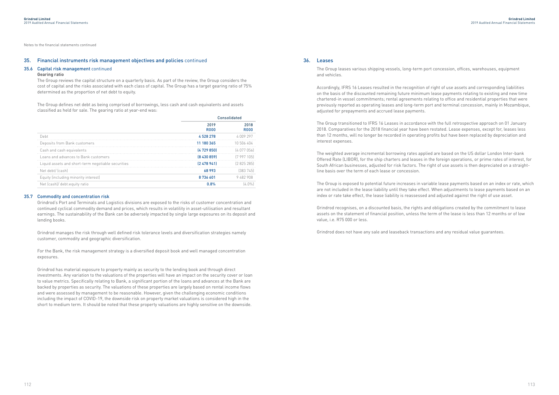## 35. Financial instruments risk management objectives and policies continued

## 35.6 Capital risk management continued

## **Gearing ratio**

The Group reviews the capital structure on a quarterly basis. As part of the review, the Group considers the cost of capital and the risks associated with each class of capital. The Group has a target gearing ratio of 75% determined as the proportion of net debt to equity.

The Group defines net debt as being comprised of borrowings, less cash and cash equivalents and assets classified as held for sale. The gearing ratio at year-end was:

|                                                    | Consolidated        |                     |  |
|----------------------------------------------------|---------------------|---------------------|--|
|                                                    | 2019<br><b>R000</b> | 2018<br><b>R000</b> |  |
| Debt                                               | 4528278             | 4 009 297           |  |
| Deposits from Bank customers                       | 11 180 365          | 10 506 404          |  |
| Cash and cash equivalents                          | [4729850]           | (4 077 056)         |  |
| Loans and advances to Bank customers               | [8430859]           | (7997105)           |  |
| Liquid assets and short-term negotiable securities | [2478941]           | [2 825 285]         |  |
| Net debt/ (cash)                                   | 68 993              | [383745]            |  |
| Equity (including minority interest)               | 8736601             | 9482908             |  |
| Net (cash)/ debt: equity ratio                     | 0.8%                | $(4.0\%$            |  |

## 35.7 Commodity and concentration risk

Grindrod's Port and Terminals and Logistics divisions are exposed to the risks of customer concentration and continued cyclical commodity demand and prices, which results in volatility in asset-utilisation and resultant earnings. The sustainability of the Bank can be adversely impacted by single large exposures on its deposit and lending books.

Grindrod manages the risk through well defined risk tolerance levels and diversification strategies namely customer, commodity and geographic diversification.

For the Bank, the risk management strategy is a diversified deposit book and well managed concentration exposures.

Grindrod has material exposure to property mainly as security to the lending book and through direct investments. Any variation to the valuations of the properties will have an impact on the security cover or loan to value metrics. Specifically relating to Bank, a significant portion of the loans and advances at the Bank are backed by properties as security. The valuations of these properties are largely based on rental income flows and were assessed by management to be reasonable. However, given the challenging economic conditions including the impact of COVID-19, the downside risk on property market valuations is considered high in the short to medium term. It should be noted that these property valuations are highly sensitive on the downside.

## 36. Leases

The Group leases various shipping vessels, long-term port concession, offices, warehouses, equipment and vehicles.

Accordingly, IFRS 16 Leases resulted in the recognition of right of use assets and corresponding liabilities on the basis of the discounted remaining future minimum lease payments relating to existing and new time chartered-in vessel commitments; rental agreements relating to office and residential properties that were previously reported as operating leases and long-term port and terminal concession, mainly in Mozambique, adjusted for prepayments and accrued lease payments.

The Group transitioned to IFRS 16 Leases in accordance with the full retrospective approach on 01 January 2018. Comparatives for the 2018 financial year have been restated. Lease expenses, except for, leases less than 12 months, will no longer be recorded in operating profits but have been replaced by depreciation and interest expenses.

The weighted average incremental borrowing rates applied are based on the US dollar London Inter-bank Offered Rate (LIBOR), for the ship charters and leases in the foreign operations, or prime rates of interest, for South African businesses, adjusted for risk factors. The right of use assets is then depreciated on a straightline basis over the term of each lease or concession.

The Group is exposed to potential future increases in variable lease payments based on an index or rate, which are not included in the lease liability until they take effect. When adjustments to lease payments based on an index or rate take effect, the lease liability is reassessed and adjusted against the right of use asset.

Grindrod recognises, on a discounted basis, the rights and obligations created by the commitment to lease assets on the statement of financial position, unless the term of the lease is less than 12 months or of low value, i.e. R75 000 or less.

Grindrod does not have any sale and leaseback transactions and any residual value guarantees.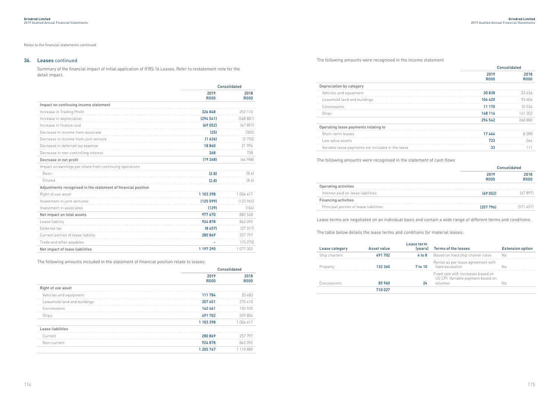## 36. Leases continued

Summary of the financial impact of initial application of IFRS 16 Leases. Refer to restatement note for the detail impact.

|                                                               | Consolidated        |                     |
|---------------------------------------------------------------|---------------------|---------------------|
|                                                               | 2019<br><b>R000</b> | 2018<br><b>R000</b> |
| Impact on continuing income statement                         |                     |                     |
| Increase in Trading Profit                                    | 326 848             | 252 110             |
| Increase in depreciation                                      | [294 541]           | (268881)            |
| Increase in finance cost                                      | (69052)             | (67897)             |
| Decrease in income from associate                             | [25]                | [302]               |
| Decrease in income from joint venture                         | (1626)              | (2750)              |
| Decrease in deferred tax expense                              | 18860               | 21994               |
| Decrease in non-controlling interest                          | 268                 | 738                 |
| Decrease in net profit                                        | [19 268]            | [64988]             |
| Impact on earnings per share from continuing operations       |                     |                     |
| <b>Basic</b>                                                  | (2.8)               | [8.6]               |
| Diluted                                                       | (2.8)               | [8.6]               |
| Adjustments recognised in the statement of financial position |                     |                     |
| Right of use asset                                            | 1 103 398           | 1 006 617           |
| Investment in joint ventures                                  | [125 599]           | (123965)            |
| Investment in associates                                      | [129]               | [104]               |
| Net impact on total assets                                    | 977 670             | 882 548             |
| Lease liability                                               | 924878              | 862 092             |
| Deferred tax                                                  | [8457]              | [27317]             |
| Current portion of lease liability                            | 280 869             | 257 797             |
| Trade and other payables                                      |                     | (15270)             |
| Net impact of lease liabilities                               | 1 197 290           | 1 077 302           |

The following amounts included in the statement of financial position relate to leases:

|                              |                     | <b>Consolidated</b> |
|------------------------------|---------------------|---------------------|
|                              | 2019<br><b>R000</b> | 2018<br><b>R000</b> |
| Right of use asset           |                     |                     |
| Vehicles and equipment       | 111 784             | 20 483              |
| Leasehold land and buildings | 357451              | 270410              |
| Concessions                  | 142 461             | 155 920             |
| Ships                        | 491 702             | 559 804             |
|                              | 1 103 398           | 1006617             |
| Lease liabilities            |                     |                     |
| Current                      | 280869              | 257 797             |
| Non-current                  | 924878              | 862092              |
|                              | 1 205 747           | 1 119 889           |

The following amounts were recognised in the income statement

|                                                   |                     | Consolidated        |
|---------------------------------------------------|---------------------|---------------------|
|                                                   | 2019<br><b>R000</b> | 2018<br><b>R000</b> |
| Depreciation by category                          |                     |                     |
| Vehicles and equipment                            | 30838               | 23 436              |
| Leasehold land and buildings                      | 104 420             | 93 606              |
| Concessions                                       | 11 170              | 10536               |
| Ships                                             | 148 114             | 141 302             |
|                                                   | 294 542             | 268880              |
| Operating lease payments relating to              |                     |                     |
| Short-term leases                                 | 17464               | 8 288               |
| Low value assets                                  | 723                 | 264                 |
| Variable lease payments not included in the lease | 33                  |                     |

The following amounts were recognised in the statement of cash flows

|                                        |                     | Consolidated        |
|----------------------------------------|---------------------|---------------------|
|                                        | 2019<br><b>R000</b> | 2018<br><b>R000</b> |
| Operating activities                   |                     |                     |
| Interest paid on lease liabilities     | (69052)             | (67897)             |
| <b>Financing activities</b>            |                     |                     |
| Principal portion of lease liabilities | [257796]            | [571 457]           |

Lease terms are negotiated on an individual basis and contain a wide range of different terms and conditions.

The table below details the lease terms and conditions for material leases:

| Lease category | Asset value | Lease term | (years) Terms of the leases                                                        | <b>Extension option</b> |
|----------------|-------------|------------|------------------------------------------------------------------------------------|-------------------------|
| Ship charters  | 491 702     | $4$ to $8$ | Based on fixed ship charter rates                                                  | No.                     |
| Property       | 132 365     | 7 to 10    | Rental as per lease agreement with<br>fixed escalation                             | Nο                      |
| Concessions    | 85 960      | 24         | Fixed rate with increases based on<br>US CPI. Variable payment based on<br>volumes | No                      |
|                | 710027      |            |                                                                                    |                         |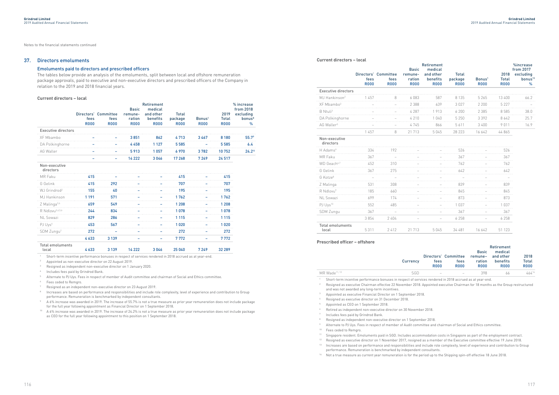## 37. Directors emoluments

#### Emoluments paid to directors and prescribed officers

The tables below provide an analysis of the emoluments, split between local and offshore remuneration package approvals, paid to executive and non-executive directors and prescribed officers of the Company in relation to the 2019 and 2018 financial years.

#### **Current directors – local**

|                                  | fees<br><b>R000</b> | Directors' Committee<br>fees<br><b>R000</b> | <b>Basic</b><br>remune-<br>ration<br><b>R000</b> | <b>Retirement</b><br>medical<br>and other<br>benefits<br><b>R000</b> | Total<br>package<br><b>R000</b> | Bonus <sup>1</sup><br><b>R000</b> | 2019<br><b>Total</b><br><b>R000</b> | % increase<br>from 2018<br>excluding<br>bonus <sup>8</sup><br>$\frac{9}{6}$ |
|----------------------------------|---------------------|---------------------------------------------|--------------------------------------------------|----------------------------------------------------------------------|---------------------------------|-----------------------------------|-------------------------------------|-----------------------------------------------------------------------------|
| <b>Executive directors</b>       |                     |                                             |                                                  |                                                                      |                                 |                                   |                                     |                                                                             |
| XF Mbambo                        |                     |                                             | 3851                                             | 862                                                                  | 4713                            | 3467                              | 8 1 8 0                             | $55.7^9$                                                                    |
| DA Polkinghorne                  |                     |                                             | 4458                                             | 1 1 2 7                                                              | 5 5 8 5                         |                                   | 5585                                | 6.4                                                                         |
| AG Waller                        |                     |                                             | 5913                                             | 1057                                                                 | 6970                            | 3782                              | 10752                               | $24.2^{10}$                                                                 |
|                                  |                     |                                             | 14 2 22                                          | 3046                                                                 | 17 268                          | 7 2 4 9                           | 24 517                              |                                                                             |
| Non-executive<br>directors       |                     |                                             |                                                  |                                                                      |                                 |                                   |                                     |                                                                             |
| MR Faku                          | 415                 |                                             |                                                  |                                                                      | 415                             |                                   | 415                                 |                                                                             |
| G Gelink                         | 415                 | 292                                         |                                                  |                                                                      | 707                             |                                   | 707                                 |                                                                             |
| WJ Grindrod <sup>2</sup>         | 155                 | 40                                          |                                                  |                                                                      | 195                             |                                   | 195                                 |                                                                             |
| MJ Hankinson                     | 1 1 9 1             | 571                                         |                                                  |                                                                      | 1762                            |                                   | 1762                                |                                                                             |
| Z Malinga <sup>3,4</sup>         | 659                 | 549                                         |                                                  |                                                                      | 1 2 0 8                         |                                   | 1 2 0 8                             |                                                                             |
| R Ndlovu <sup>3,4,5,6</sup>      | 244                 | 834                                         |                                                  |                                                                      | 1078                            |                                   | 1078                                |                                                                             |
| <b>NL</b> Sowazi                 | 829                 | 286                                         |                                                  |                                                                      | 1 1 1 5                         |                                   | 1 1 1 5                             |                                                                             |
| PJ Uys <sup>6</sup>              | 453                 | 567                                         |                                                  |                                                                      | 1020                            |                                   | 1020                                |                                                                             |
| SDM Zungu <sup>7</sup>           | 272                 | -                                           |                                                  | ۰                                                                    | 272                             | -                                 | 272                                 |                                                                             |
|                                  | 4633                | 3 1 3 9                                     |                                                  |                                                                      | 7772                            | -                                 | 7772                                |                                                                             |
| <b>Total emoluments</b><br>local | 4633                | 3 1 3 9                                     | 14 222                                           | 3046                                                                 | 25 040                          | 7249                              | 32 289                              |                                                                             |

<sup>8</sup> Increases are based on performance and responsibilities and include role complexity, level of experience and contribution to Group performance. Remuneration is benchmarked by independent consultants.

<sup>1</sup> Short-term incentive performance bonuses in respect of services rendered in 2018 accrued as at year-end.

<sup>2</sup> Appointed as non-executive director on 22 August 2019.

<sup>3</sup> Resigned as independent non-executive director on 1 January 2020.

<sup>4</sup> Includes fees paid by Grindrod Bank.

<sup>5</sup> Alternate to PJ Uys. Fees in respect of member of Audit committee and chairman of Social and Ethics committee.

<sup>6</sup> Fees ceded to Remgro.

 $\frac{7}{10}$  Resigned as an independent non-executive director on 23 August 2019.

<sup>9</sup> A 6% increase was awarded in 2019. The increase of 55.7% is not a true measure as prior year remuneration does not include package for the full year following appointment as Financial Director on 1 September 2018.

<sup>10</sup> A 6% increase was awarded in 2019. The increase of 24.2% is not a true measure as prior year remuneration does not include package as CEO for the full year following appointment to this position on 1 September 2018.

## **Current directors – local**

| un cin un cului 5 - lulal        |                     |                                             |                                                  | Retirement                                      |                                        |                                   |                                     | %increase                                             |
|----------------------------------|---------------------|---------------------------------------------|--------------------------------------------------|-------------------------------------------------|----------------------------------------|-----------------------------------|-------------------------------------|-------------------------------------------------------|
|                                  | fees<br><b>R000</b> | Directors' Committee<br>fees<br><b>R000</b> | <b>Basic</b><br>remune-<br>ration<br><b>R000</b> | medical<br>and other<br>benefits<br><b>R000</b> | <b>Total</b><br>package<br><b>R000</b> | Bonus <sup>1</sup><br><b>R000</b> | 2018<br><b>Total</b><br><b>R000</b> | from 2017<br>excluding<br>bonus <sup>13</sup><br>$\%$ |
| <b>Executive directors</b>       |                     |                                             |                                                  |                                                 |                                        |                                   |                                     |                                                       |
| MJ Hankinson <sup>2</sup>        | 1457                | 8                                           | 6 0 8 3                                          | 587                                             | 8 1 3 5                                | 5 2 6 5                           | 13 400                              | 66.2                                                  |
| XF Mbambo <sup>3</sup>           |                     |                                             | 2 3 8 8                                          | 639                                             | 3 0 2 7                                | 2 2 0 0                           | 5 2 2 7                             |                                                       |
| B Ntuli <sup>4</sup>             |                     |                                             | 4 2 8 7                                          | 1913                                            | 6 200                                  | 2 3 8 5                           | 8 5 8 5                             | 38.0                                                  |
| DA Polkinghorne                  |                     |                                             | 4 2 1 0                                          | 1040                                            | 5 2 5 0                                | 3 3 9 2                           | 8642                                | 25.7                                                  |
| AG Waller <sup>5</sup>           |                     |                                             | 4745                                             | 866                                             | 5611                                   | 3 400                             | 9011                                | 16.9                                                  |
|                                  | 1457                | 8                                           | 21 713                                           | 5045                                            | 28 2 2 3                               | 16 642                            | 44865                               |                                                       |
| Non-executive<br>directors       |                     |                                             |                                                  |                                                 |                                        |                                   |                                     |                                                       |
| H Adams <sup>6</sup>             | 334                 | 192                                         |                                                  |                                                 | 526                                    |                                   | 526                                 |                                                       |
| MR Faku                          | 367                 |                                             |                                                  |                                                 | 367                                    |                                   | 367                                 |                                                       |
| WD Geach <sup>6,7</sup>          | 452                 | 310                                         |                                                  |                                                 | 762                                    |                                   | 762                                 |                                                       |
| G Gelink                         | 367                 | 275                                         |                                                  |                                                 | 642                                    |                                   | 642                                 |                                                       |
| G Kotze <sup>8</sup>             |                     |                                             |                                                  |                                                 |                                        |                                   |                                     |                                                       |
| Z Malinga                        | 531                 | 308                                         |                                                  |                                                 | 839                                    |                                   | 839                                 |                                                       |
| R Ndlovu <sup>9</sup>            | 185                 | 660                                         |                                                  |                                                 | 845                                    |                                   | 845                                 |                                                       |
| NL Sowazi                        | 699                 | 174                                         |                                                  |                                                 | 873                                    |                                   | 873                                 |                                                       |
| PJ Uys <sup>10</sup>             | 552                 | 485                                         |                                                  |                                                 | 1037                                   |                                   | 1037                                |                                                       |
| SDM Zungu                        | 367                 |                                             |                                                  |                                                 | 367                                    |                                   | 367                                 |                                                       |
|                                  | 3854                | 2 4 0 4                                     |                                                  |                                                 | 6 2 5 8                                |                                   | 6 2 5 8                             |                                                       |
| <b>Total emoluments</b><br>local | 5311                | 2412                                        | 21 7 1 3                                         | 5045                                            | 34 481                                 | 16 642                            | 51 1 23                             |                                                       |
|                                  |                     |                                             |                                                  |                                                 |                                        |                                   |                                     |                                                       |

#### **Prescribed officer – offshore**

#### **Currency**

|                           | Currency | fees<br><b>R000</b>      | Directors' Committee<br>fees<br><b>R000</b> | <b>Basic</b><br>remune-<br>ration<br><b>R000</b> | Retirement<br>medical<br>and other<br>benefits<br><b>R000</b> | 2018<br>Total<br><b>R000</b> |
|---------------------------|----------|--------------------------|---------------------------------------------|--------------------------------------------------|---------------------------------------------------------------|------------------------------|
| MR Wade <sup>11, 12</sup> | SGD      | $\overline{\phantom{m}}$ | $\overline{\phantom{a}}$                    | 398                                              | 66                                                            | 46414                        |
|                           |          |                          |                                             |                                                  |                                                               |                              |

ppointed executive Chairman for 18 months as the Group restructured

tee and chairman of Social and Ethics committee.

nodation costs in Singapore as part of the employment contract. s a member of the Executive committee effective 19 June 2018. nclude role complexity, level of experience and contribution to Group performants. Ancientes in the method is a performance of the set of the set of the set of the set of the set o

|                | MR Wade <sup>11, 12</sup><br>SGD                                                                                                                                                    |  | 398 |
|----------------|-------------------------------------------------------------------------------------------------------------------------------------------------------------------------------------|--|-----|
|                | Short-term incentive performance bonuses in respect of services rendered in 2018 accrued as at year-end.                                                                            |  |     |
| $\overline{2}$ | Resigned as executive Chairman effective 22 November 2018. Appointed executive Chairman for 18 months<br>and was not awarded any long-term incentives.                              |  |     |
| 3              | Appointed as executive Financial Director on 1 September 2018.                                                                                                                      |  |     |
|                | Resigned as executive director on 31 December 2018.                                                                                                                                 |  |     |
| 5              | Appointed as CEO on 1 September 2018.                                                                                                                                               |  |     |
| 6              | Retired as independent non-executive director on 30 November 2018.                                                                                                                  |  |     |
| 7              | Includes fees paid by Grindrod Bank.                                                                                                                                                |  |     |
| 8              | Resigned as independent non-executive director on 1 September 2018.                                                                                                                 |  |     |
| 9              | Alternate to PJ Uys. Fees in respect of member of Audit committee and chairman of Social and Ethics comm                                                                            |  |     |
| 10             | Fees ceded to Remgro.                                                                                                                                                               |  |     |
| 11             | Singapore resident. Emoluments paid in SGD. Includes accommodation costs in Singapore as part of the em                                                                             |  |     |
| 12             | Resigned as executive director on 1 November 2017, resigned as a member of the Executive committee effe                                                                             |  |     |
| 13             | Increases are based on performance and responsibilities and include role complexity, level of experience an<br>performance. Remuneration is benchmarked by independent consultants. |  |     |
|                |                                                                                                                                                                                     |  |     |

<sup>14</sup> Not a true measure as current year remuneration is for the period up to the Shipping spin-off effective 18 June 2018.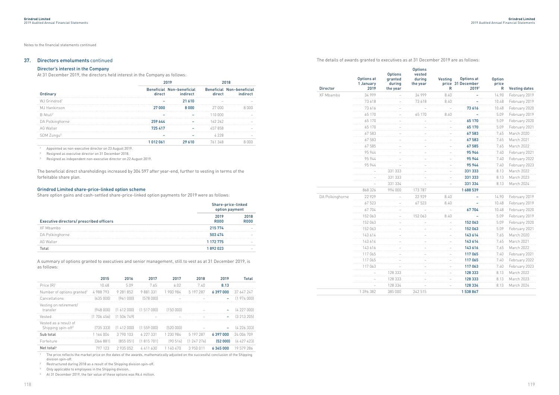## 37. Directors emoluments continued

## Director's interest in the Company

At 31 December 2019, the directors held interest in the Company as follows:

|                           |         | 2019                                         |         |                                       |
|---------------------------|---------|----------------------------------------------|---------|---------------------------------------|
| Ordinary                  | direct  | <b>Beneficial Non-beneficial</b><br>indirect | direct  | Beneficial Non-beneficial<br>indirect |
| W.J Grindrod <sup>1</sup> |         | 21 610                                       |         |                                       |
| M.J Hankinson             | 27 000  | 8000                                         | 27 000  | 8.000                                 |
| B Ntuli <sup>2</sup>      |         |                                              | 110000  |                                       |
| DA Polkinghorne           | 259 644 |                                              | 162 262 |                                       |
| AG Waller                 | 725 417 |                                              | 457858  |                                       |
| SDM Zungu <sup>3</sup>    |         |                                              | 4 228   |                                       |
|                           | 1012061 | 29 610                                       | 761 348 | 8.000                                 |
|                           |         |                                              |         |                                       |

<sup>1</sup> Appointed as non-executive director on 23 August 2019.

<sup>2</sup> Resigned as executive director on 31 December 2018.

<sup>3</sup> Resigned as independent non-executive director on 22 August 2019.

The beneficial direct shareholdings increased by 304 597 after year-end, further to vesting in terms of the forfeitable share plan.

#### Grindrod Limited share-price-linked option scheme

Share option gains and cash-settled share-price-linked option payments for 2019 were as follows:

|                                          | Share-price-linked<br>option payment |                     |  |
|------------------------------------------|--------------------------------------|---------------------|--|
| Executive directors/ prescribed officers | 2019<br><b>R000</b>                  | 2018<br><b>R000</b> |  |
| XF Mbambo                                | 215 774                              |                     |  |
| DA Polkinghorne                          | 503 474                              |                     |  |
| AG Waller                                | 1 172 775                            |                     |  |
| Total                                    | 1892023                              |                     |  |

A summary of options granted to executives and senior management, still to vest as at 31 December 2019, is as follows:

|                                                         | 2015      | 2016        | 2017          | 2017      | 2018      | 2019                     | <b>Total</b>  |
|---------------------------------------------------------|-----------|-------------|---------------|-----------|-----------|--------------------------|---------------|
| Price $[R]1$                                            | 10.48     | 5.09        | 7.65          | 6.02      | 7.40      | 8.13                     |               |
| Number of options granted <sup>2</sup>                  | 4988793   | 9 281 852   | 9 881 331     | 1900984   | 5 197 287 | 6 397 000                | 37 647 247    |
| Cancellations                                           | [435000]  | [961000]    | (578000)      | $\sim$    |           |                          | [1974000]     |
| Vesting on retirement/<br>transfer                      | [948000]  | (1,612,000) | (1517000)     | (150000)  |           | ۰                        | (4227000)     |
| Vested                                                  | [1706456] | [1506749]   |               |           |           | $\overline{\phantom{0}}$ | [3, 213, 205] |
| Vested as a result of<br>Shipping spin-off <sup>3</sup> | [73533]   | [1 412 000] | (1, 559, 000) | (520000)  |           | ۰                        | (4 226 333)   |
| Sub total                                               | 1 164 004 | 3790103     | 6 227 331     | 1 230 984 | 5 197 287 | 6 397 000                | 24 006 709    |
| Forfeiture                                              | [366 881] | (855051)    | [1815701]     | [90514]   | [1247276] | [52 000]                 | (4 427 423)   |
| Net total <sup>4</sup>                                  | 797 123   | 2935052     | 4411630       | 1 140 470 | 3950011   | 6345000                  | 19579286      |

<sup>1</sup> The price reflects the market price on the dates of the awards, mathematically adjusted on the successful conclusion of the Shipping division spin-off.

<sup>2</sup> Restructured during 2018 as a result of the Shipping division spin-off.

<sup>3</sup> Only applicable to employees in the Shipping division.

4 At 31 December 2019, the fair value of these options was R4.4 million.

#### The details of awards granted to executives as at 31 December 2019 are as follows:

| <b>Director</b> | Options at<br>1 January<br>2019 | <b>Options</b><br>granted<br>during<br>the year | <b>Options</b><br>vested<br>during<br>the year | Vesting<br>R | Options at<br>price 31 December<br>20191 | <b>Option</b><br>price<br>R | <b>Vesting dates</b> |
|-----------------|---------------------------------|-------------------------------------------------|------------------------------------------------|--------------|------------------------------------------|-----------------------------|----------------------|
| XF Mbambo       | 34999                           |                                                 | 34999                                          | 8.40         |                                          | 14.90                       | February 2019        |
|                 | 73 618                          |                                                 | 73 618                                         | 8.40         |                                          | 10.48                       | February 2019        |
|                 | 73616                           |                                                 |                                                |              | 73 616                                   | 10.48                       | February 2020        |
|                 | 65 170                          |                                                 | 65 170                                         | 8.40         |                                          | 5.09                        | February 2019        |
|                 | 65 170                          |                                                 |                                                |              | 65 170                                   | 5.09                        | February 2020        |
|                 | 65 170                          |                                                 |                                                |              | 65 170                                   | 5.09                        | February 2021        |
|                 | 67 583                          |                                                 |                                                |              | 67583                                    | 7.65                        | March 2020           |
|                 | 67 583                          |                                                 |                                                |              | 67583                                    | 7.65                        | March 2021           |
|                 | 67 585                          |                                                 |                                                |              | 67585                                    | 7.65                        | March 2022           |
|                 | 95 944                          |                                                 |                                                |              | 95944                                    | 7.40                        | February 2021        |
|                 | 95 944                          |                                                 |                                                |              | 95 944                                   | 7.40                        | February 2022        |
|                 | 95 944                          |                                                 |                                                |              | 95 944                                   | 7.40                        | February 2023        |
|                 |                                 | 331 333                                         |                                                |              | 331 333                                  | 8.13                        | March 2022           |
|                 |                                 | 331 333                                         |                                                |              | 331 333                                  | 8.13                        | March 2023           |
|                 |                                 | 331 334                                         |                                                |              | 331 334                                  | 8.13                        | March 2024           |
|                 | 868 326                         | 994 000                                         | 173 787                                        |              | 1 688 539                                |                             |                      |
| DA Polkinghorne | 22929                           |                                                 | 22 9 29                                        | 8.40         |                                          | 14.90                       | February 2019        |
|                 | 67 523                          |                                                 | 67 523                                         | 8.40         |                                          | 10.48                       | February 2019        |
|                 | 67 704                          |                                                 |                                                |              | 67704                                    | 10.48                       | February 2020        |
|                 | 152 063                         |                                                 | 152 063                                        | 8.40         |                                          | 5.09                        | February 2019        |
|                 | 152 063                         |                                                 |                                                |              | 152063                                   | 5.09                        | February 2020        |
|                 | 152 063                         |                                                 |                                                |              | 152 063                                  | 5.09                        | February 2021        |
|                 | 143 614                         |                                                 |                                                |              | 143 614                                  | 7.65                        | March 2020           |
|                 | 143 614                         |                                                 |                                                |              | 143 614                                  | 7.65                        | March 2021           |
|                 | 143 616                         |                                                 |                                                |              | 143 616                                  | 7.65                        | March 2022           |
|                 | 117 065                         |                                                 |                                                |              | 117 065                                  | 7.40                        | February 2021        |
|                 | 117 065                         |                                                 |                                                |              | 117065                                   | 7.40                        | February 2022        |
|                 | 117 063                         |                                                 |                                                |              | 117063                                   | 7.40                        | February 2023        |
|                 |                                 | 128 333                                         |                                                |              | 128 333                                  | 8.13                        | March 2022           |
|                 |                                 | 128 333                                         |                                                |              | 128 333                                  | 8.13                        | March 2023           |
|                 |                                 | 128 334                                         |                                                |              | 128 334                                  | 8.13                        | March 2024           |
|                 | 1 396 382                       | 385 000                                         | 242 515                                        |              | 1538867                                  |                             |                      |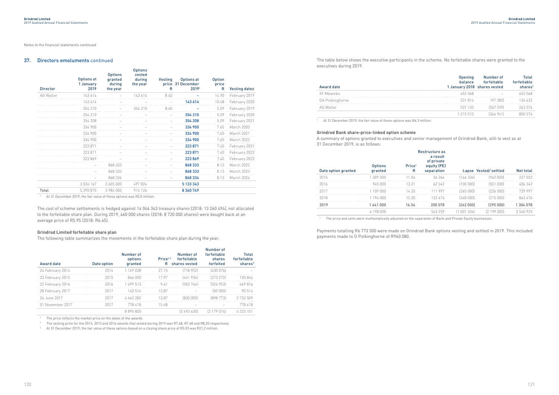## 37. Directors emoluments continued

| <b>Director</b> | Options at<br>1 January<br>2019 | <b>Options</b><br>granted<br>during<br>the year | <b>Options</b><br>vested<br>during<br>the year | Vesting<br>R | Options at<br>price 31 December<br>20191 | <b>Option</b><br>price<br>R | <b>Vesting dates</b> |
|-----------------|---------------------------------|-------------------------------------------------|------------------------------------------------|--------------|------------------------------------------|-----------------------------|----------------------|
| AG Waller       | 143 614                         |                                                 | 143 614                                        | 8.40         |                                          | 14.90                       | February 2019        |
|                 | 143 614                         |                                                 |                                                |              | 143 614                                  | 10.48                       | February 2020        |
|                 | 354 210                         |                                                 | 354 210                                        | 8.40         |                                          | 5.09                        | February 2019        |
|                 | 354 210                         |                                                 |                                                |              | 354 210                                  | 5.09                        | February 2020        |
|                 | 354 208                         |                                                 |                                                |              | 354 208                                  | 5.09                        | February 2021        |
|                 | 334 900                         |                                                 |                                                |              | 334 900                                  | 7.65                        | March 2020           |
|                 | 334 900                         |                                                 |                                                |              | 334 900                                  | 7.65                        | March 2021           |
|                 | 334 900                         |                                                 |                                                |              | 334 900                                  | 7.65                        | March 2022           |
|                 | 223 871                         |                                                 |                                                |              | 223 871                                  | 7.40                        | February 2021        |
|                 | 223 871                         |                                                 |                                                |              | 223 871                                  | 7.40                        | February 2022        |
|                 | 223869                          |                                                 |                                                |              | 223869                                   | 7.40                        | February 2023        |
|                 |                                 | 868 333                                         |                                                |              | 868 333                                  | 8.13                        | March 2022           |
|                 |                                 | 868 333                                         |                                                |              | 868 333                                  | 8.13                        | March 2023           |
|                 |                                 | 868 334                                         |                                                |              | 868334                                   | 8.13                        | March 2024           |
|                 | 3 0 2 6 1 6 7                   | 2 605 000                                       | 497 824                                        |              | 5 133 343                                |                             |                      |
| Total           | 5 290 875                       | 3 984 000                                       | 914 126                                        |              | 8 360 749                                |                             |                      |

At 31 December 2019, the fair value of these options was R2.0 million.

The cost of scheme settlements is hedged against 14 046 343 treasury shares (2018: 13 260 494), not allocated to the forfeitable share plan. During 2019, 460 000 shares (2018: 8 720 000 shares) were bought back at an average price of R5.95 (2018: R6.65).

## **Grindrod Limited forfeitable share plan**

The following table summarizes the movements in the forfeitable share plan during the year.

| Award date       | Date option | Number of<br>options<br>granted | Price <sup>1,2</sup><br>R | Number of<br>forfeitable<br>shares vested | Number of<br>forfeitable<br>shares<br>forfeited | Total<br>forfeitable<br>shares <sup>3</sup> |
|------------------|-------------|---------------------------------|---------------------------|-------------------------------------------|-------------------------------------------------|---------------------------------------------|
| 24 February 2014 | 2014        | 1 149 028                       | 27 15                     | (718952)                                  | [430076]                                        |                                             |
| 23 February 2015 | 2015        | 866 050                         | 1797                      | (441934)                                  | [273 272]                                       | 150 844                                     |
| 22 February 2016 | 2016        | 1499513                         | 961                       | [502744]                                  | [526953]                                        | 469816                                      |
| 28 February 2017 | 2017        | 140 514                         | 1387                      |                                           | (50.000)                                        | 90514                                       |
| 26 June 2017     | 2017        | 4 462 282                       | 13.87                     | (830,000)                                 | [898 773]                                       | 2 733 509                                   |
| 01 November 2017 | 2017        | 778418                          | 1548                      |                                           |                                                 | 778418                                      |
|                  |             | 8895805                         |                           | [2493630]                                 | (2179074)                                       | 4 223 10                                    |

<sup>1</sup> The price reflects the market price on the dates of the awards.

<sup>2</sup> The vesting price for the 2014, 2015 and 2016 awards that vested during 2019 was R7.68, R7.68 and R8.20 respectively.

<sup>3</sup> At 31 December 2019, the fair value of these options based on a closing share price of R5.03 was R21.2 million.

The table below shows the executive participants in the scheme. No forfeitable shares were granted to the executives during 2019.

| Award date      | Opening<br>balance<br>1 January 2018 shares vested | Number of<br>forfeitable | Total<br>forfeitable<br>shares <sup>1</sup> |
|-----------------|----------------------------------------------------|--------------------------|---------------------------------------------|
| XF Mbambo       | 452 568                                            |                          | 452 568                                     |
| DA Polkinghorne | 231814                                             | [97, 382]                | 134 432                                     |
| AG Waller       | 531 133                                            | [267559]                 | 263 574                                     |
|                 | 1 215 515                                          | [364941]                 | 850 574                                     |

<sup>1</sup> At 31 December 2019, the fair value of these options was R4.3 million.

## **Grindrod Bank share-price-linked option scheme**

A summary of options granted to executives and senior management of Grindrod Bank, still to vest as at 31 December 2019, is as follows:

|                     | <b>Options</b> | Price <sup>1</sup> | Restructure as<br>a result<br>of private<br>equity (PE) |           |                      |           |
|---------------------|----------------|--------------------|---------------------------------------------------------|-----------|----------------------|-----------|
| Date option granted | granted        | R                  | separation                                              |           | Lapse Vested/settled | Net total |
| 2015                | 1 309 000      | 11.04              | 36366                                                   | [146334]  | [962000]             | 237 032   |
| 2016                | 945 000        | 13 21              | 62 342                                                  | (100000)  | [501000]             | 406 342   |
| 2017                | 1 109 000      | 14.33              | 111 997                                                 | (265000)  | [22600]              | 729 997   |
| 2018                | 1 194 000      | 15.20              | 132 476                                                 | [248000]  | [215000]             | 863476    |
| 2019                | 1641000        | 16.54              | 200 078                                                 | [242 000] | (295000)             | 1 304 078 |
|                     | 6 198 000      |                    | 543 259                                                 | (1001334) | (2 199 000)          | 3 540 925 |

 $\frac{1}{1}$  The price and units were mathematically adjusted on the separation of Bank and Private Equity businesses.

Payments totalling R6 773 500 were made on Grindrod Bank options vesting and settled in 2019. This included payments made to D Polkinghorne of R960 080.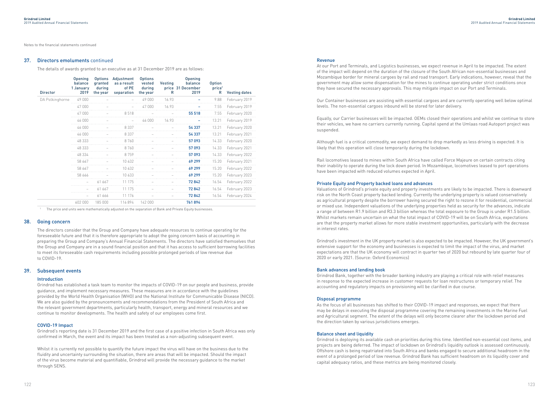#### 37. Directors emoluments continued

The details of awards granted to an executive as at 31 December 2019 are as follows:

| <b>Director</b> | Opening<br>balance<br>1 January<br>2019 | <b>Options</b><br>granted<br>during<br>the year | Adjustment<br>as a result<br>of PE<br>separation | <b>Options</b><br>vested<br>during<br>the year | Vesting<br>R | Opening<br>balance<br>price 31 December<br>2019 | <b>Option</b><br>price <sup>1</sup><br>R | <b>Vesting dates</b> |
|-----------------|-----------------------------------------|-------------------------------------------------|--------------------------------------------------|------------------------------------------------|--------------|-------------------------------------------------|------------------------------------------|----------------------|
| DA Polkinghorne | 49 000                                  |                                                 |                                                  | 49 000                                         | 16.93        |                                                 | 9.88                                     | February 2019        |
|                 | 47 000                                  |                                                 |                                                  | 47 000                                         | 16.93        |                                                 | 7.55                                     | February 2019        |
|                 | 47 000                                  |                                                 | 8518                                             |                                                |              | 55 518                                          | 7.55                                     | February 2020        |
|                 | 46 000                                  |                                                 |                                                  | 46 000                                         | 16.93        |                                                 | 13.21                                    | February 2019        |
|                 | 46 000                                  |                                                 | 8 3 3 7                                          |                                                |              | 54 337                                          | 13.21                                    | February 2020        |
|                 | 46 000                                  |                                                 | 8 3 3 7                                          |                                                |              | 54 337                                          | 13.21                                    | February 2021        |
|                 | 48 333                                  |                                                 | 8760                                             |                                                |              | 57093                                           | 14.33                                    | February 2020        |
|                 | 48 333                                  |                                                 | 8760                                             |                                                |              | 57093                                           | 14.33                                    | February 2021        |
|                 | 48 334                                  |                                                 | 8759                                             |                                                |              | 57093                                           | 14.33                                    | February 2022        |
|                 | 58 667                                  |                                                 | 10 632                                           |                                                |              | 69 299                                          | 15.20                                    | February 2021        |
|                 | 58 667                                  |                                                 | 10 632                                           |                                                |              | 69 299                                          | 15.20                                    | February 2022        |
|                 | 58 666                                  |                                                 | 10 633                                           |                                                |              | 69 299                                          | 15.20                                    | February 2023        |
|                 |                                         | 61 667                                          | 11 175                                           |                                                |              | 72842                                           | 16.54                                    | February 2022        |
|                 |                                         | 61 667                                          | 11 175                                           |                                                |              | 72842                                           | 16.54                                    | February 2023        |
|                 |                                         | 61 666                                          | 11 176                                           |                                                |              | 72842                                           | 16.54                                    | February 2024        |
|                 | 602 000                                 | 185 000                                         | 116894                                           | 142 000                                        |              | 761894                                          |                                          |                      |

<sup>1</sup> The price and units were mathematically adjusted on the separation of Bank and Private Equity businesses.

## 38. Going concern

The directors consider that the Group and Company have adequate resources to continue operating for the foreseeable future and that it is therefore appropriate to adopt the going concern basis of accounting in preparing the Group and Company's Annual Financial Statements. The directors have satisfied themselves that the Group and Company are in a sound financial position and that it has access to sufficient borrowing facilities to meet its foreseeable cash requirements including possible prolonged periods of low revenue due to COVID-19.

### 39. Subsequent events

#### Introduction

Grindrod has established a task team to monitor the impacts of COVID-19 on our people and business, provide guidance, and implement necessary measures. These measures are in accordance with the guidelines provided by the World Health Organisation (WHO) and the National Institute for Communicable Disease (NICD). We are also guided by the pronouncements and recommendations from the President of South Africa and the relevant government departments, particularly health, transport, energy and mineral resources and we continue to monitor developments. The health and safety of our employees come first.

### COVID-19 Impact

Grindrod's reporting date is 31 December 2019 and the first case of a positive infection in South Africa was only confirmed in March, the event and its impact has been treated as a non-adjusting subsequent event.

Whilst it is currently not possible to quantify the future impact the virus will have on the business due to the fluidity and uncertainty surrounding the situation, there are areas that will be impacted. Should the impact of the virus become material and quantifiable, Grindrod will provide the necessary guidance to the market through SENS.

#### Revenue

At our Port and Terminals, and Logistics businesses, we expect revenue in April to be impacted. The extent of the impact will depend on the duration of the closure of the South African non-essential businesses and Mozambique border for mineral cargoes by rail and road transport. Early indications, however, reveal that the government may allow some dispensation for the mines to continue operating under strict conditions once they have secured the necessary approvals. This may mitigate impact on our Port and Terminals.

Our Container businesses are assisting with essential cargoes and are currently operating well below optimal levels. The non-essential cargoes inbound will be stored for later delivery.

Equally, our Carrier businesses will be impacted. OEMs closed their operations and whilst we continue to store their vehicles, we have no carriers currently running. Capital spend at the Umlaas road Autoport project was suspended.

Although fuel is a critical commodity, we expect demand to drop markedly as less driving is expected. It is likely that this operation will close temporarily during the lockdown.

Rail locomotives leased to mines within South Africa have called Force Majeure on certain contracts citing their inability to operate during the lock down period. In Mozambique, locomotives leased to port operations have been impacted with reduced volumes expected in April.

### Private Equity and Property backed loans and advances

Valuations of Grindrod's private equity and property investments are likely to be impacted. There is downward risk on the North Coast property backed lending. Currently the underlying property is valued conservatively as agricultural property despite the borrower having secured the right to rezone it for residential, commercial or mixed use. Independent valuations of the underlying properties held as security for the advances, indicate a range of between R1.9 billion and R3.3 billion whereas the total exposure to the Group is under R1.5 billion. Whilst markets remain uncertain on what the total impact of COVID-19 will be on South Africa, expectations are that the property market allows for more stable investment opportunities, particularly with the decrease in interest rates.

Grindrod's investment in the UK property market is also expected to be impacted. However, the UK government's extensive support for the economy and businesses is expected to limit the impact of the virus, and market expectations are that the UK economy will contract in quarter two of 2020 but rebound by late quarter four of 2020 or early 2021. (Source: Oxford Economics)

#### Bank advances and lending book

Grindrod Bank, together with the broader banking industry are playing a critical role with relief measures in response to the expected increase in customer requests for loan restructures or temporary relief. The accounting and regulatory impacts on provisioning will be clarified in due course.

#### Disposal programme

As the focus of all businesses has shifted to their COVID-19 impact and responses, we expect that there may be delays in executing the disposal programme covering the remaining investments in the Marine Fuel and Agricultural segment. The extent of the delays will only become clearer after the lockdown period and the direction taken by various jurisdictions emerges.

#### Balance sheet and liquidity

Grindrod is deploying its available cash on priorities during this time. Identified non-essential cost items, and projects are being deferred. The impact of lockdown on Grindrod's liquidity outlook is assessed continuously. Offshore cash is being repatriated into South Africa and banks engaged to secure additional headroom in the event of a prolonged period of low revenue. Grindrod Bank has sufficient headroom on its liquidity cover and capital adequacy ratios, and these metrics are being monitored closely.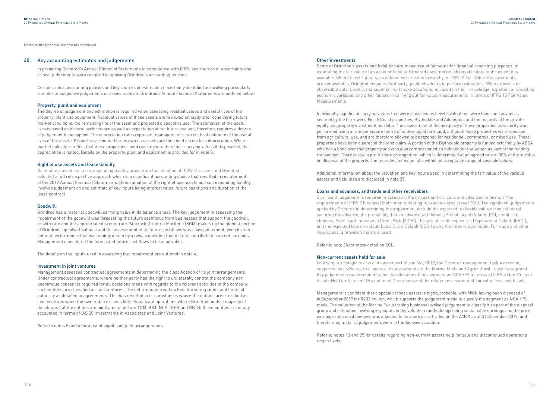### 40. Key accounting estimates and judgements

In preparing Grindrod's Annual Financial Statements in compliance with IFRS, key sources of uncertainty and critical judgements were required in applying Grindrod's accounting policies.

Certain critical accounting policies and key sources of estimation uncertainty identified as involving particularly complex or subjective judgements or assessments in Grindrod's Annual Financial Statements are outlined below.

#### Property, plant and equipment

The degree of judgement and estimation is required when assessing residual values and useful lives of the property, plant and equipment. Residual values of these assets are reviewed annually after considering future market conditions, the remaining life of the asset and projected disposal values. The estimation of the useful lives is based on historic performance as well as expectation about future use and, therefore, requires a degree of judgement to be applied. The depreciation rates represent management's current best estimate of the useful lives of the assets. Properties accounted for as own use assets are thus held at cost less depreciation. Where market indicators reflect that these properties could realise more than their carrying values if disposed of, the depreciation is halted. Details on the property, plant and equipment is provided for in note 3.

#### Right of use assets and lease liability

Right of use asset and a corresponding liability arose from the adoption of IFRS 16 Leases and Grindrod selected a full retrospective approach which is a significant accounting choice that resulted in restatement of the 2019 Annual Financial Statements. Determination of the right of use assets and corresponding liability involves judgement on and estimate of key inputs being interest rates, future cashflows and duration of the lease contract.

#### **Goodwill**

Grindrod has a material goodwill carrying value in its balance sheet. The key judgement in assessing the impairment of the goodwill was forecasting the future cashflows from businesses that support the goodwill, growth rate and the appropriate discount rate. Sturrock Grindrod Maritime (SGM) makes up the highest portion of Grindrod's goodwill balance and the assessment of its future cashflows was a key judgement given its suboptimal performance that was mainly driven by a new acquisition that did not contribute to current earnings. Management considered the forecasted future cashflows to be achievable.

The details on the inputs used in assessing the impairment are outlined in note 4.

#### Investment in joint ventures

Management assesses contractual agreements in determining the classification of its joint arrangements. Under contractual agreements, where neither party has the right to unilaterally control the company nor unanimous consent is required for all decisions made with regards to the relevant activities of the company, such entities are classified as joint ventures. The determination will include the voting rights and limits of authority as detailed in agreements. This has resulted in circumstances where the entities are classified as joint ventures when the ownership exceeds 50%. Significant operations where Grindrod holds a majority of the shares but the entities are jointly managed are TCM, RBT, NLPI, GPR and RBTG; these entities are equity accounted in terms of IAS 28 Investments in Associates and Joint Ventures.

Refer to notes 5 and 6 for a list of significant joint arrangements.

#### Other investments

Some of Grindrod's assets and liabilities are measured at fair value for financial reporting purposes. In estimating the fair value of an asset or liability, Grindrod uses market-observable data to the extent it is available. Where Level 1 inputs, as defined by fair value hierarchy in IFRS 13 Fair Value Measurements, are not available, Grindrod engages third party qualified valuers to perform valuations. Where there is no observable data, Level 3, management will make assumptions based on their knowledge, experience, prevailing economic variables and other factors in carrying out fair value measurements in terms of IFRS 13 Fair Value Measurements.

Individually significant carrying values that were classified as Level 3 valuations were loans and advances secured by the borrowers' North Coast properties, Blythedale and Addington, and the majority of the private equity and property investment portfolio. The assessment of the adequacy of these properties as security was performed using a rate per square metre of undeveloped farmland, although these properties were released from agricultural use, and are therefore allowed to be rezoned for residential, commercial or mixed use. These properties have been cleared of the land claim. A portion of the Blythedale property is funded externally by ABSA who has a bond over this property and who also commissioned an independent valuation as part of the funding transaction. There is also a profit share arrangement which is determined at an agreed rate of 30% of the surplus on disposal of the property. The recorded fair value falls within an acceptable range of possible values.

Additional information about the valuation and key inputs used in determining the fair value of the various assets and liabilities are disclosed in note 35.

#### Loans and advances, and trade and other receivables

Significant judgement is required in assessing the impairment on loans and advances in terms of the requirements of IFRS 9 Financial Instruments relating to expected credit loss (ECL). The significant judgements applied by Grindrod in determining the impairment include the expected realisable value of the collateral securing the advance, the probability that an advance will default (Probability of Default (PD), credit risk changes (Significant Increase in Credit Risk (SICR)), the size of credit exposures (Exposure at Default (EAD)), and the expected loss on default (Loss Given Default (LGD)) using the three-stage model. For trade and other receivables, a provision matrix is used.

Refer to note 35 for more detail on ECL.

#### Non-current assets held for sale

Following a strategic review of its asset portfolio in May 2019, the Grindrod management took a decision, supported by its Board, to dispose of its investments in the Marine Fuels and Agricultural Logistics segment. Key judgements made related to the classification of this segment as NCAHFS in terms of IFRS 5 Non-Current Assets Held for Sale and Discontinued Operations and the related assessment of fair value less cost to sell.

Management is confident that disposal of these assets is highly probable, with NWK having been disposed of in September 2019 for R202 million, which supports the judgement made to classify the segment as NCAHFS made. The valuation of the Marine Fuels trading business involved judgement to classify it as part of the disposal group and estimates involving key inputs in the valuation methodology being sustainable earnings and the price earnings ratio used. Senwes was adjusted to its share price traded on the ZAR X as at 31 December 2019, and therefore no material judgements were in the Senwes valuation.

Refer to notes 13 and 25 for details regarding non-current assets held for sale and discontinued operations respectively.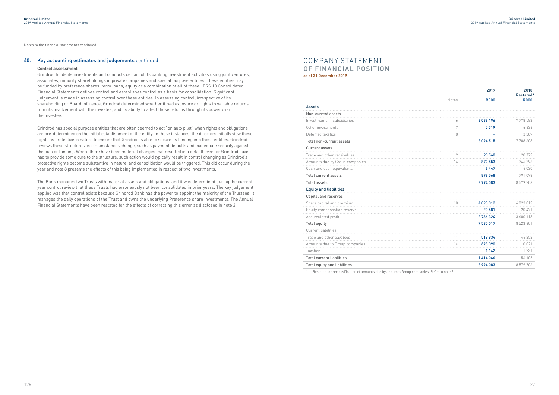### 40. Key accounting estimates and judgements continued

#### **Control assessment**

Grindrod holds its investments and conducts certain of its banking investment activities using joint ventures, associates, minority shareholdings in private companies and special purpose entities. These entities may be funded by preference shares, term loans, equity or a combination of all of these. IFRS 10 Consolidated Financial Statements defines control and establishes control as a basis for consolidation. Significant judgement is made in assessing control over these entities. In assessing control, irrespective of its shareholding or Board influence, Grindrod determined whether it had exposure or rights to variable returns from its involvement with the investee, and its ability to affect those returns through its power over the investee.

Grindrod has special purpose entities that are often deemed to act "on auto pilot" when rights and obligations are pre-determined on the initial establishment of the entity. In these instances, the directors initially view these rights as protective in nature to ensure that Grindrod is able to secure its funding into those entities. Grindrod reviews these structures as circumstances change, such as payment defaults and inadequate security against the loan or funding. Where there have been material changes that resulted in a default event or Grindrod have had to provide some cure to the structure, such action would typically result in control changing as Grindrod's protective rights become substantive in nature, and consolidation would be triggered. This did occur during the year and note 8 presents the effects of this being implemented in respect of two investments.

The Bank manages two Trusts with material assets and obligations, and it was determined during the current year control review that these Trusts had erroneously not been consolidated in prior years. The key judgement applied was that control exists because Grindrod Bank has the power to appoint the majority of the Trustees, it manages the daily operations of the Trust and owns the underlying Preference share investments. The Annual Financial Statements have been restated for the effects of correcting this error as disclosed in note 2.

|                                  |       | 2019        | 2018<br>Restated* |
|----------------------------------|-------|-------------|-------------------|
|                                  | Notes | <b>R000</b> | <b>R000</b>       |
| <b>Assets</b>                    |       |             |                   |
| Non-current assets               |       |             |                   |
| Investments in subsidiaries      |       | 8089196     | 7778583           |
| Other investments                |       | 5319        | 6636              |
| Deferred taxation                | 8     |             | 3 3 8 9           |
| Total non-current assets         |       | 8094515     | 7788608           |
| <b>Current assets</b>            |       |             |                   |
| Trade and other receivables      |       | 20 5 68     | 20 772            |
| Amounts due by Group companies   | 14    | 872 553     | 766 296           |
| Cash and cash equivalents        |       | 6447        | 4030              |
| <b>Total current assets</b>      |       | 899 568     | 791 098           |
| <b>Total assets</b>              |       | 8994083     | 8 579 706         |
| <b>Equity and liabilities</b>    |       |             |                   |
| Capital and reserves             |       |             |                   |
| Share capital and premium        | 10    | 4823012     | 4823012           |
| Equity compensation reserve      |       | 20 681      | 20 471            |
| Accumulated profit               |       | 2736324     | 3 680 118         |
| <b>Total equity</b>              |       | 7580017     | 8 523 601         |
| Current liabilities              |       |             |                   |
| Trade and other payables         | 11    | 519834      | 44 3 5 3          |
| Amounts due to Group companies   | 14    | 893090      | 10 0 21           |
| Taxation                         |       | 1 1 4 2     | 1731              |
| <b>Total current liabilities</b> |       | 1414066     | 56 105            |
| Total equity and liabilities     |       | 8994083     | 8 579 706         |

| <b>Assets</b>                    |    |         |           |
|----------------------------------|----|---------|-----------|
| Non-current assets               |    |         |           |
| Investments in subsidiaries      | 6  | 8089196 | 7778583   |
| Other investments                |    | 5319    | 6636      |
| Deferred taxation                | 8  | ۰       | 3 3 8 9   |
| Total non-current assets         |    | 8094515 | 7788608   |
| Current assets                   |    |         |           |
| Trade and other receivables      | 9  | 20568   | 20 772    |
| Amounts due by Group companies   | 14 | 872 553 | 766 296   |
| Cash and cash equivalents        |    | 6447    | 4030      |
| <b>Total current assets</b>      |    | 899 568 | 791 098   |
| <b>Total assets</b>              |    | 8994083 | 8 579 706 |
| <b>Equity and liabilities</b>    |    |         |           |
| Capital and reserves             |    |         |           |
| Share capital and premium        | 10 | 4823012 | 4823012   |
| Equity compensation reserve      |    | 20 681  | 20 471    |
| Accumulated profit               |    | 2736324 | 3 680 118 |
| Total equity                     |    | 7580017 | 8 523 601 |
| Current liabilities              |    |         |           |
| Trade and other payables         | 11 | 519834  | 44 353    |
| Amounts due to Group companies   | 14 | 893090  | 10 021    |
| Taxation                         |    | 1 1 4 2 | 1731      |
| <b>Total current liabilities</b> |    | 1414066 | 56 105    |
| Total equity and liabilities     |    | 8994083 | 8 579 706 |
|                                  |    |         |           |

\* Restated for reclassification of amounts due by and from Group companies. Refer to note 2.

# COMPANY STATEMENT OF FINANCIAL POSITION **as at 31 December 2019**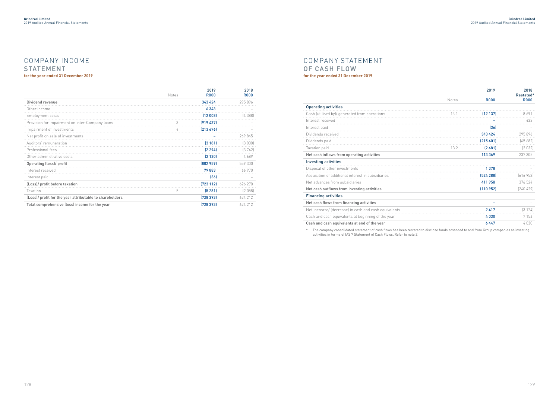|                                                       |              | 2019        | 2018<br>Restated* |
|-------------------------------------------------------|--------------|-------------|-------------------|
|                                                       | <b>Notes</b> | <b>R000</b> | <b>R000</b>       |
| <b>Operating activities</b>                           |              |             |                   |
| Cash (utilised by)/ generated from operations         | 13.1         | (12137)     | 8691              |
| Interest received                                     |              |             | 432               |
| Interest paid                                         |              | [36]        |                   |
| Dividends received                                    |              | 343 424     | 295 896           |
| Dividends paid                                        |              | (215401)    | (65682)           |
| Taxation paid                                         | 13.2         | [2, 481]    | [2 032]           |
| Net cash inflows from operating activities            |              | 113 369     | 237 305           |
| Investing activities                                  |              |             |                   |
| Disposal of other investments                         |              | 1378        |                   |
| Acquisition of additional interest in subsidiaries    |              | [524 288]   | [616 953]         |
| Net advances from subsidiaries                        |              | 411958      | 376 524           |
| Net cash outflows from investing activities           |              | (110952)    | [240 429]         |
| <b>Financing activities</b>                           |              |             |                   |
| Net cash flows from financing activities              |              |             |                   |
| Net increase/ (decrease) in cash and cash equivalents |              | 2417        | [3 124]           |
| Cash and cash equivalents at beginning of the year    |              | 4030        | 7 1 5 4           |
| Cash and cash equivalents at end of the year          |              | 6447        | 4030              |

\* The company consolidated statement of cash flows has been restated to disclose funds advanced to and from Group companies as investing activities in terms of IAS 7 Statement of Cash Flows. Refer to note 2.

# COMPANY STATEMENT OF CASH FLOW **for the year ended 31 December 2019**

|                                                          | <b>Notes</b> | 2019<br><b>R000</b> | 2018<br><b>R000</b> |
|----------------------------------------------------------|--------------|---------------------|---------------------|
| Dividend revenue                                         |              | 343 424             | 295 896             |
| Other income                                             |              | 6 3 4 3             |                     |
| Employment costs                                         |              | (12008)             | [4388]              |
| Provision for impairment on inter-Company loans          | 3            | [919437]            |                     |
| Impairment of investments                                | 4            | [213 676]           |                     |
| Net profit on sale of investments                        |              |                     | 269 845             |
| Auditors' remuneration                                   |              | (3181)              | (3000)              |
| Professional fees                                        |              | (2294)              | (3742)              |
| Other administrative costs                               |              | (2 130)             | 4689                |
| Operating (loss)/ profit                                 |              | [802959]            | 559 300             |
| Interest received                                        |              | 79883               | 66 970              |
| Interest paid                                            |              | (36)                |                     |
| (Loss)/ profit before taxation                           |              | [723 112]           | 626 270             |
| Taxation                                                 | 5            | (5281)              | (2058)              |
| (Loss)/ profit for the year attributable to shareholders |              | (728393)            | 624 212             |
| Total comprehensive (loss) income for the year           |              | [728 393]           | 624 212             |

# COMPANY INCOME STATEMENT **for the year ended 31 December 2019**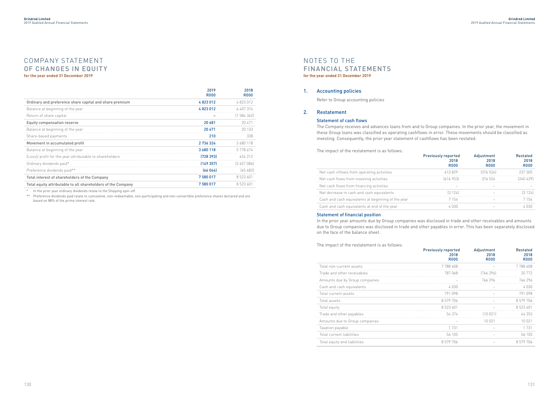|                                                              | 2019<br><b>R000</b> | 2018<br><b>R000</b> |
|--------------------------------------------------------------|---------------------|---------------------|
| Ordinary and preference share capital and share premium      | 4823012             | 4823012             |
| Balance at beginning of the year                             | 4823012             | 6407374             |
| Return of share capital                                      |                     | [1584362]           |
| Equity compensation reserve                                  | 20 681              | 20 471              |
| Balance at beginning of the year                             | 20 471              | 20 133              |
| Share-based payments                                         | 210                 | 338                 |
| Movement in accumulated profit                               | 2 736 324           | 3 680 118           |
| Balance at beginning of the year                             | 3 680 118           | 5778674             |
| (Loss)/ profit for the year attributable to shareholders     | [728 393]           | 624 212             |
| Ordinary dividends paid*                                     | [149 357]           | [2657086]           |
| Preference dividends paid**                                  | (66044)             | (65682)             |
| Total interest of shareholders of the Company                | 7580017             | 8 5 23 6 0 1        |
| Total equity attributable to all shareholders of the Company | 7580017             | 8 523 601           |

\* In the prior year ordinary dividends relate to the Shipping spin-off.

\*\* Preference dividends paid relate to cumulative, non-redeemable, non-participating and non-convertible preference shares declared and are based on 88% of the prime interest rate.

# COMPANY STATEMENT OF CHANGES IN EQUITY **for the year ended 31 December 2019**

## 1. Accounting policies

Refer to Group accounting policies

## 2. Restatement

## Statement of cash flows

The Company receives and advances loans from and to Group companies. In the prior year, the movement in these Group loans was classified as operating cashflows in error. These movements should be classified as investing. Consequently, the prior year statement of cashflows has been restated.

The impact of the restatement is as follows:

|                                                    | <b>Previously reported</b><br>2018<br><b>R000</b> | Adjustment<br>2018<br><b>R000</b> | <b>Restated</b><br>2018<br><b>R000</b> |
|----------------------------------------------------|---------------------------------------------------|-----------------------------------|----------------------------------------|
| Net cash inflows from operating activities         | 613829                                            | [376 524]                         | 237 305                                |
| Net cash flows from investing activities           | (616 953)                                         | 376 524                           | [240 429]                              |
| Net cash flows from financing activities           |                                                   |                                   |                                        |
| Net decrease in cash and cash equivalents          | (3124)                                            |                                   | (3124)                                 |
| Cash and cash equivalents at beginning of the year | 7 1 5 4                                           |                                   | 7 154                                  |
| Cash and cash equivalents at end of the year       | 4030                                              |                                   |                                        |

#### Statement of financial position

In the prior year amounts due by Group companies was disclosed in trade and other receivables and amounts due to Group companies was disclosed in trade and other payables in error. This has been separately disclosed on the face of the balance sheet.

The impact of the restatement is as follows:

|                                | <b>Previously reported</b><br>2018<br><b>R000</b> | Adjustment<br>2018<br><b>R000</b> | <b>Restated</b><br>2018<br><b>R000</b> |
|--------------------------------|---------------------------------------------------|-----------------------------------|----------------------------------------|
| Total non-current assets       | 7788608                                           |                                   | 7788608                                |
| Trade and other receivables    | 787 068                                           | [766 296]                         | 20.772                                 |
| Amounts due by Group companies |                                                   | 766 296                           | 766 296                                |
| Cash and cash equivalents      | 4030                                              |                                   | 4030                                   |
| Total current assets           | 791 098                                           |                                   | 791 098                                |
| Total assets                   | 8579706                                           |                                   | 8 579 706                              |
| Total equity                   | 8 523 601                                         |                                   | 8 523 601                              |
| Trade and other payables       | 54 374                                            | (10021)                           | 44 353                                 |
| Amounts due to Group companies |                                                   | 10 0 21                           | 10 021                                 |
| Taxation payable               | 1 7 3 1                                           |                                   | 1 7 3 1                                |
| Total current liabilities      | 56 105                                            |                                   | 56 105                                 |
| Total equity and liabilities   | 8579706                                           |                                   | 8 579 706                              |

# NOTES TO THE FINANCIAL STATEMENTS **for the year ended 31 December 2019**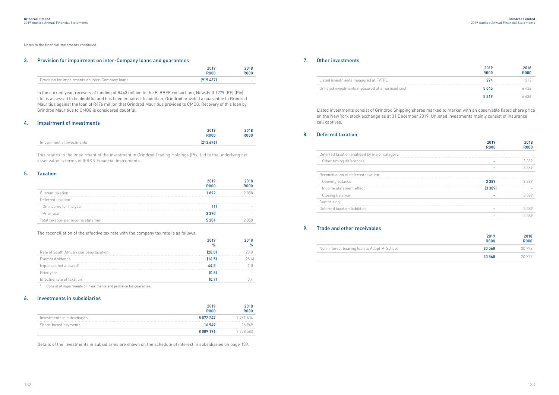## 3. Provision for impairment on inter-Company loans and guarantees

|                                                  | 2019             | 2018        |
|--------------------------------------------------|------------------|-------------|
|                                                  | R <sub>000</sub> | <b>R000</b> |
| Provision for impairments on inter-Company loans | (919437)         | $\sim$      |

In the current year, recovery of funding of R443 million to the B-BBEE consortium, Newshelf 1279 (RF) (Pty) Ltd, is assessed to be doubtful and has been impaired. In addition, Grindrod provided a guarantee to Grindrod Mauritius against the loan of R476 million that Grindrod Mauritius provided to CMOG. Recovery of this loan by Grindrod Mauritius to CMOG is considered doubtful.

## 4. Impairment of investments

| 2019                                  | 2018        |
|---------------------------------------|-------------|
| <b>R000</b>                           | <b>R000</b> |
| [213676]<br>Impairment of investments | $\sim$      |

This relates to the impairment of the investment in Grindrod Trading Holdings (Pty) Ltd to the underlying net asset value in terms of IFRS 9 Financial Instruments.

## 5. Taxation

|                                     | 2019<br><b>R000</b> | 2018<br><b>R000</b> |
|-------------------------------------|---------------------|---------------------|
| Current taxation                    | 1892                | 2 058               |
| Deferred taxation                   |                     |                     |
| On income for the year              | [1]                 |                     |
| Prior year                          | 3 3 9 0             |                     |
| Total taxation per income statement | 5 2 8 1             | <b>በ58</b>          |

The reconciliation of the effective tax rate with the company tax rate is as follows:

|                                        | 2019<br>$\%$ | 2018<br>$\%$ |
|----------------------------------------|--------------|--------------|
| Rate of South African company taxation | (28.0)       | 28 N         |
| Exempt dividends                       | (16.5)       | 28.6         |
| Expenses not allowed <sup>1</sup>      | 44.3         |              |
| Prior year                             | (0.5)        |              |
| Effective rate of taxation             | [0.7]        |              |

<sup>1</sup> Consist of impairments of investments and provision for quarantee.

## 6. Investments in subsidiaries

|                             | 2019<br><b>R000</b> | 2018<br><b>R000</b> |
|-----------------------------|---------------------|---------------------|
| Investments in subsidiaries | 8 0 7 2 2 4 7       | 7 761 634           |
| Share-based payments        | 16949               | 16949               |
|                             | 8089196             | 7 778 583           |

Details of the investments in subsidiaries are shown on the schedule of interest in subsidiaries on page 139.

Notes to the financial statements continued

## 7. Other investments

| Listed investments measured at EVTPL            |  |
|-------------------------------------------------|--|
| Unlisted investments measured at amortised cost |  |

|                                                 | 2019<br><b>R000</b> | 2018<br><b>R000</b> |
|-------------------------------------------------|---------------------|---------------------|
| Listed investments measured at FVTPL            | 274                 | 213                 |
| Unlisted investments measured at amortised cost | 5045                | 6 423               |
|                                                 | 5319                | 6 636               |

Listed investments consist of Grindrod Shipping shares marked to market with an observable listed share price on the New York stock exchange as at 31 December 2019. Unlisted investments mainly consist of insurance cell captives.

## 8. Deferred taxation

| 2019<br><b>R000</b> | 2018<br><b>R000</b> |
|---------------------|---------------------|
|                     |                     |
|                     | 3389                |
|                     | 3389                |
|                     |                     |
| 3 3 8 9             | 3389                |
| (3389)              |                     |
|                     | 3389                |
|                     |                     |
|                     | 3389                |
|                     | 3389                |
|                     |                     |

## 9. Trade and other receivables

Non-interest bearing loan to Adopt-A-School

| 2019<br><b>R000</b> | 2018<br><b>R000</b> |
|---------------------|---------------------|
| 20568               | 20 772              |
| 20568               | 20 772              |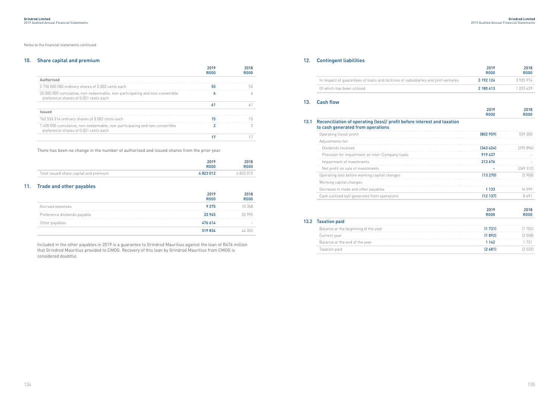#### **Grindrod Limited** 2019 Audited Annual Financial Statements

Notes to the financial statements continued

## 10. Share capital and premium

|                                                                                                                       | 2019<br><b>R000</b> | 2018<br><b>R000</b> |
|-----------------------------------------------------------------------------------------------------------------------|---------------------|---------------------|
| Authorised                                                                                                            |                     |                     |
| 2750 000 000 ordinary shares of 0.002 cents each                                                                      | 55                  | .hh                 |
| 20 000 000 cumulative, non-redeemable, non-participating and non-convertible<br>preference shares of 0.031 cents each | o                   |                     |
|                                                                                                                       | 61                  |                     |
| Issued                                                                                                                |                     |                     |
| 762 553 314 ordinary shares of 0.002 cents each                                                                       | 15                  | 15                  |
| 7400000 cumulative, non-redeemable, non-participating and non-convertible<br>preference shares of 0.031 cents each    |                     |                     |
|                                                                                                                       | 17                  |                     |
|                                                                                                                       |                     |                     |

There has been no change in the number of authorised and issued shares from the prior year.

|                                        | 2019<br><b>R000</b> | 2018<br><b>R000</b> |
|----------------------------------------|---------------------|---------------------|
| Total issued share capital and premium | 4823012             | 4823012             |

## 11. Trade and other payables

|                              | 2019<br><b>R000</b> | 2018<br><b>R000</b> |
|------------------------------|---------------------|---------------------|
| Accrued expenses             | 9 2 7 5             | 10 358              |
| Preference dividends payable | 33 945              | 33 995              |
| Other payables               | 476 614             | $\sim$              |
|                              | 519834              | 44 353              |

Included in the other payables in 2019 is a guarantee to Grindrod Mauritius against the loan of R476 million that Grindrod Mauritius provided to CMOG. Recovery of this loan by Grindrod Mauritius from CMOG is considered doubtful.

## 12. Contingent liabilities

|                                                                                     | 2019<br><b>R000</b> | 2018<br><b>R000</b> |
|-------------------------------------------------------------------------------------|---------------------|---------------------|
| In respect of quarantees of loans and facilities of subsidiaries and joint ventures | 3 192 124           | 3 920 974           |
| Of which has been utilised                                                          | 2 180 413           | 1 223 429           |

13. Cash flow

|      |                                                                                                              | 2019<br><b>R000</b> | 2018<br><b>R000</b> |
|------|--------------------------------------------------------------------------------------------------------------|---------------------|---------------------|
| 13.1 | Reconciliation of operating (loss)/ profit before interest and taxation<br>to cash generated from operations |                     |                     |
|      | Operating (loss)/ profit                                                                                     | [802959]            | 559 300             |
|      | Adjustments for:                                                                                             |                     |                     |
|      | Dividends received                                                                                           | [343 424]           | [295896]            |
|      | Provision for impairment on inter-Company loans                                                              | 919 437             |                     |
|      | Impairment of investments                                                                                    | 213 676             |                     |
|      | Net profit on sale of investments                                                                            |                     | [269 312]           |
|      | Operating loss before working capital changes                                                                | (13 270)            | (5908)              |
|      | Working capital changes                                                                                      |                     |                     |
|      | Decrease in trade and other payables                                                                         | 1 1 3 3             | 14599               |
|      | Cash (utilised by)/ generated from operations                                                                | (12137)             | 8691                |
|      |                                                                                                              | 2019<br><b>R000</b> | 2018<br><b>R000</b> |
| 13.2 | <b>Taxation paid</b>                                                                                         |                     |                     |
|      | Balance at the beginning of the year                                                                         | (1731)              | (1705)              |
|      | Current year                                                                                                 | (1892)              | (2058)              |
|      |                                                                                                              |                     |                     |

| 13.2 | <b>Taxation paid</b>                 |          |         |  |  |  |  |
|------|--------------------------------------|----------|---------|--|--|--|--|
|      | Balance at the beginning of the year | [1 731]  | 7051    |  |  |  |  |
|      | Current year                         | [1892]   | 2 0 5 8 |  |  |  |  |
|      | Balance at the end of the year       | 1 1 4 2  | 731     |  |  |  |  |
|      | Taxation paid                        | [2, 481] | וכרת כ  |  |  |  |  |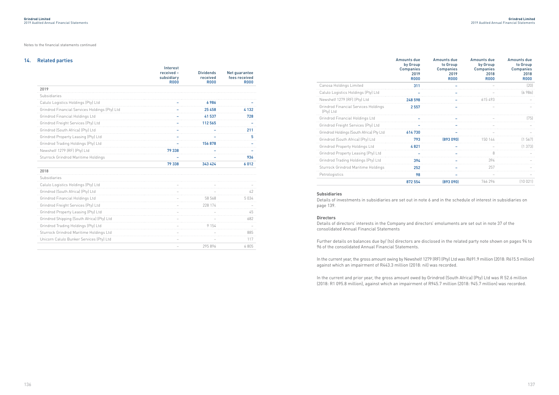## 14. Related parties

|                                                | Interest<br>received -<br>subsidiary<br><b>R000</b> | <b>Dividends</b><br>received<br><b>R000</b> | Net guarantee<br>fees received<br><b>R000</b> |
|------------------------------------------------|-----------------------------------------------------|---------------------------------------------|-----------------------------------------------|
| 2019                                           |                                                     |                                             |                                               |
| Subsidiaries                                   |                                                     |                                             |                                               |
| Calulo Logistics Holdings (Pty) Ltd            |                                                     | 6986                                        |                                               |
| Grindrod Financial Services Holdings (Pty) Ltd |                                                     | 25 4 58                                     | 4 1 3 2                                       |
| Grindrod Financial Holdings Ltd                |                                                     | 41 537                                      | 728                                           |
| Grindrod Freight Services (Pty) Ltd            |                                                     | 112 565                                     |                                               |
| Grindrod (South Africa) (Pty) Ltd              |                                                     |                                             | 211                                           |
| Grindrod Property Leasing (Pty) Ltd            |                                                     |                                             | 5                                             |
| Grindrod Trading Holdings (Pty) Ltd            |                                                     | 156 878                                     |                                               |
| Newshelf 1279 (RF) (Pty) Ltd                   | 79 338                                              |                                             |                                               |
| Sturrock Grindrod Maritime Holdings            |                                                     |                                             | 936                                           |
|                                                | 79 338                                              | 343 424                                     | 6012                                          |
| 2018                                           |                                                     |                                             |                                               |
| Subsidiaries                                   |                                                     |                                             |                                               |
| Calulo Logistics Holdings (Pty) Ltd            |                                                     |                                             |                                               |
| Grindrod (South Africa) (Pty) Ltd              |                                                     |                                             | 42                                            |
| Grindrod Financial Holdings Ltd                |                                                     | 58 568                                      | 5034                                          |
| Grindrod Freight Services (Pty) Ltd            |                                                     | 228 174                                     |                                               |
| Grindrod Property Leasing (Pty) Ltd            |                                                     |                                             | 45                                            |
| Grindrod Shipping (South Africa) (Pty) Ltd     |                                                     |                                             | 682                                           |
| Grindrod Trading Holdings (Pty) Ltd            |                                                     | 9 154                                       |                                               |
| Sturrock Grindrod Maritime Holdings Ltd        |                                                     |                                             | 885                                           |
| Unicorn Calulo Bunker Services (Pty) Ltd       |                                                     |                                             | 117                                           |
|                                                |                                                     | 295 896                                     | 6805                                          |

|                                                   | Amounts due<br>by Group<br><b>Companies</b><br>2019<br><b>R000</b> | Amounts due<br>to Group<br><b>Companies</b><br>2019<br><b>R000</b> | Amounts due<br>by Group<br><b>Companies</b><br>2018<br><b>R000</b> | Amounts due<br>to Group<br><b>Companies</b><br>2018<br><b>R000</b> |
|---------------------------------------------------|--------------------------------------------------------------------|--------------------------------------------------------------------|--------------------------------------------------------------------|--------------------------------------------------------------------|
| Canosa Holdings Limited                           | 311                                                                |                                                                    |                                                                    | [20]                                                               |
| Calulo Logistics Holdings (Pty) Ltd               |                                                                    |                                                                    |                                                                    | (6986)                                                             |
| Newshelf 1279 (RF) (Pty) Ltd                      | 248 598                                                            |                                                                    | 615493                                                             |                                                                    |
| Grindrod Financial Services Holdings<br>(Pty) Ltd | 2557                                                               |                                                                    |                                                                    |                                                                    |
| Grindrod Financial Holdings Ltd                   |                                                                    |                                                                    |                                                                    | [75]                                                               |
| Grindrod Freight Services (Pty) Ltd               |                                                                    |                                                                    |                                                                    |                                                                    |
| Grindrod Holdings (South Africa) Pty Ltd          | 614730                                                             |                                                                    |                                                                    |                                                                    |
| Grindrod (South Africa) (Pty) Ltd                 | 793                                                                | [893 090]                                                          | 150 144                                                            | (1567)                                                             |
| Grindrod Property Holdings Ltd                    | 4821                                                               |                                                                    |                                                                    | [1 373]                                                            |
| Grindrod Property Leasing (Pty) Ltd               |                                                                    |                                                                    | 8                                                                  |                                                                    |
| Grindrod Trading Holdings (Pty) Ltd               | 394                                                                |                                                                    | 394                                                                |                                                                    |
| Sturrock Grindrod Maritime Holdings               | 252                                                                |                                                                    | 257                                                                |                                                                    |
| Petrologistics                                    | 98                                                                 |                                                                    |                                                                    |                                                                    |
|                                                   | 872 554                                                            | [893 090]                                                          | 766 296                                                            | (10021)                                                            |

### **Subsidiaries**

Details of investments in subsidiaries are set out in note 6 and in the schedule of interest in subsidiaries on page 139.

## **Directors**

Details of directors' interests in the Company and directors' emoluments are set out in note 37 of the consolidated Annual Financial Statements

Further details on balances due by/ (to) directors are disclosed in the related party note shown on pages 94 to 96 of the consolidated Annual Financial Statements.

In the current year, the gross amount owing by Newshelf 1279 (RF) (Pty) Ltd was R691.9 million (2018: R615.5 million) against which an impairment of R443.3 million (2018: nil) was recorded.

In the current and prior year, the gross amount owed by Grindrod (South Africa) (Pty) Ltd was R 52.6 million (2018: R1 095.8 million), against which an impairment of R945.7 million (2018: 945.7 million) was recorded.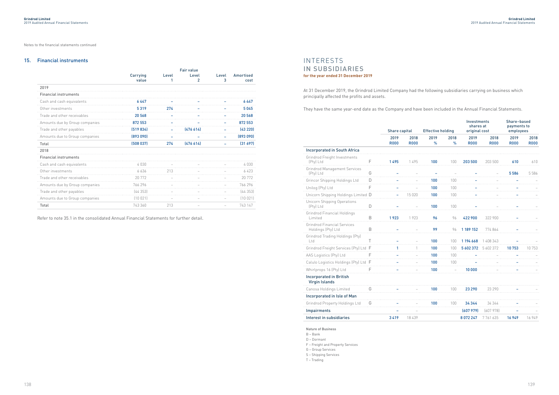## 15. Financial instruments

|                                | <b>Fair value</b> |       |           |       |           |
|--------------------------------|-------------------|-------|-----------|-------|-----------|
|                                | Carrying          | Level | Level     | Level | Amortised |
|                                | value             |       | 2         | 3     | cost      |
| 2019                           |                   |       |           |       |           |
| <b>Financial instruments</b>   |                   |       |           |       |           |
| Cash and cash equivalents      | 6447              |       |           |       | 6447      |
| Other investments              | 5319              | 274   |           |       | 5045      |
| Trade and other receivables    | 20 568            |       |           |       | 20 568    |
| Amounts due by Group companies | 872 553           |       |           |       | 872 553   |
| Trade and other payables       | (519834)          |       | [476 614] |       | (43 220)  |
| Amounts due to Group companies | [893 090]         |       |           |       | [893 090] |
| Total                          | (508037)          | 274   | [476614]  |       | (31697)   |
| 2018                           |                   |       |           |       |           |
| <b>Financial instruments</b>   |                   |       |           |       |           |
| Cash and cash equivalents      | 4030              |       |           |       | 4030      |
| Other investments              | 6636              | 213   |           |       | 6423      |
| Trade and other receivables    | 20 772            |       |           |       | 20772     |
| Amounts due by Group companies | 766 296           |       |           |       | 766 296   |
| Trade and other payables       | (44353)           |       |           |       | [44353]   |
| Amounts due to Group companies | (10021)           |       |           |       | (10021)   |
| Total                          | 743 360           | 213   |           |       | 743 147   |

Refer to note 35.1 in the consolidated Annual Financial Statements for further detail.

At 31 December 2019, the Grindrod Limited Company had the following subsidiaries carrying on business which principally affected the profits and assets.

They have the same year-end date as the Company and have been included in the Annual Financial Statements.

# INTERESTS IN SUBSIDIARIES **for the year ended 31 December 2019**

|                                                          |             |                                      |                     | <b>Effective holding</b> |                       |                     | Investments<br>shares at<br>original cost |                     | Share-based<br>payments to<br>employees |  |
|----------------------------------------------------------|-------------|--------------------------------------|---------------------|--------------------------|-----------------------|---------------------|-------------------------------------------|---------------------|-----------------------------------------|--|
|                                                          |             | Share capital<br>2019<br><b>R000</b> | 2018<br><b>R000</b> | 2019<br>$\frac{9}{6}$    | 2018<br>$\frac{9}{6}$ | 2019<br><b>R000</b> | 2018<br><b>R000</b>                       | 2019<br><b>R000</b> | 2018<br><b>R000</b>                     |  |
| <b>Incorporated in South Africa</b>                      |             |                                      |                     |                          |                       |                     |                                           |                     |                                         |  |
| Grindrod Freight Investments<br>(Pty) Ltd                | F           | 1495                                 | 1495                | 100                      | 100                   | 203 500             | 203 500                                   | 610                 | 610                                     |  |
| <b>Grindrod Management Services</b><br>(Pty) Ltd         | G           |                                      |                     |                          |                       |                     |                                           | 5586                | 5586                                    |  |
| Grincor Shipping Holdings Ltd                            | D           |                                      |                     | 100                      | 100                   |                     |                                           |                     |                                         |  |
| Unilog (Pty) Ltd                                         | F           |                                      |                     | 100                      | 100                   |                     |                                           |                     |                                         |  |
| Unicorn Shipping Holdings Limited D                      |             |                                      | 15 0 20             | 100                      | 100                   |                     |                                           |                     |                                         |  |
| <b>Unicorn Shipping Operations</b><br>(Pty) Ltd          | $\mathsf D$ |                                      |                     | 100                      | 100                   | ۳                   |                                           |                     |                                         |  |
| Grindrod Financial Holdings<br>Limited                   | B           | 1923                                 | 1923                | 96                       | 96                    | 422 900             | 322 900                                   |                     |                                         |  |
| <b>Grindrod Financial Services</b><br>Holdings (Pty) Ltd | B           |                                      |                     | 99                       | 96                    | 1 189 152           | 774 864                                   |                     |                                         |  |
| Grindrod Trading Holdings (Pty)<br>Ltd                   | т           |                                      |                     | 100                      | 100                   | 1 194 6 68          | 1 408 343                                 |                     |                                         |  |
| Grindrod Freight Services (Pty) Ltd F                    |             |                                      |                     | 100                      | 100                   | 5 602 372           | 5 602 372                                 | 10753               | 10 753                                  |  |
| AAS Logistics (Pty) Ltd                                  | F           |                                      |                     | 100                      | 100                   |                     |                                           |                     |                                         |  |
| Calulo Logistics Holdings (Pty) Ltd F                    |             |                                      |                     | 100                      | 100                   |                     |                                           |                     |                                         |  |
| Whirlprops 16 (Pty) Ltd                                  | F           |                                      |                     | 100                      |                       | 10000               |                                           |                     |                                         |  |
| <b>Incorporated in British</b><br><b>Virgin Islands</b>  |             |                                      |                     |                          |                       |                     |                                           |                     |                                         |  |
| Canosa Holdings Limited                                  | G           |                                      |                     | 100                      | 100                   | 23 290              | 23 290                                    |                     |                                         |  |
| Incorporated in Isle of Man                              |             |                                      |                     |                          |                       |                     |                                           |                     |                                         |  |
| Grindrod Property Holdings Ltd                           | G           |                                      |                     | 100                      | 100                   | 34344               | 34 344                                    |                     |                                         |  |
| Impairments                                              |             |                                      |                     |                          |                       | (60797)             | (607978)                                  |                     |                                         |  |
| Interest in subsidiaries                                 |             | 3419                                 | 18 439              |                          |                       | 8 0 7 2 2 4 7       | 7761635                                   | 16949               | 16949                                   |  |

Nature of Business

B – Bank D – Dormant

F – Freight and Property Services

G – Group Services

S – Shipping Services

T – Trading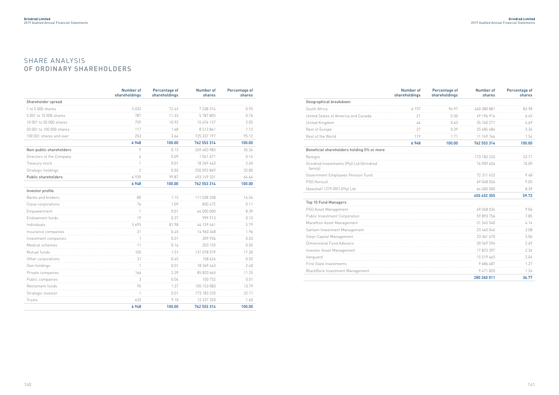|                          | Number of<br>shareholdings | Percentage of<br>shareholdings | Number of<br>shares | Percentage of<br>shares |
|--------------------------|----------------------------|--------------------------------|---------------------|-------------------------|
| Shareholder spread       |                            |                                |                     |                         |
| 1 to 5 000 shares        | 5032                       | 72.43                          | 7 238 314           | 0.95                    |
| 5 001 to 10 000 shares   | 787                        | 11 33                          | 5 787 805           | 0.76                    |
| 10 001 to 50 000 shares  | 759                        | 10.92                          | 15 676 137          | 2.05                    |
| 50 001 to 100 000 shares | 117                        | 1.68                           | 8 5 1 3 8 6 1       | 1.12                    |
| 100 001 shares and over  | 253                        | 3.64                           | 725 337 197         | 95.12                   |
|                          | 6948                       | 100.00                         | 762 553 314         | 100.00                  |
| Non-public shareholders  | 9                          | 0.13                           | 269 403 983         | 35.34                   |
| Directors of the Company | 6                          | 0.09                           | 1 041 671           | 0.14                    |
| Treasury stock           |                            | 0.01                           | 18 269 443          | 2.40                    |
| Strategic holdings       | $\sqrt{2}$                 | 0.03                           | 250 092 869         | 32.80                   |
| Public shareholders      | 6939                       | 99.87                          | 493 149 331         | 64.66                   |
|                          | 6948                       | 100.00                         | 762 553 314         | 100.00                  |
| Investor profile         |                            |                                |                     |                         |
| <b>Banks and brokers</b> | 80                         | 1.15                           | 111 038 338         | 14.56                   |
| Close corporations       | 76                         | 1.09                           | 830 472             | 0.11                    |
| Empowerment              | 1                          | 0.01                           | 64 000 000          | 8.39                    |
| Endowment funds          | 19                         | 0.27                           | 999 913             | 0.13                    |
| Individuals              | 5695                       | 81.98                          | 44 159 461          | 5.79                    |
| Insurance companies      | 31                         | 0.45                           | 14 960 348          | 1.96                    |
| Investment companies     | 1                          | 0.01                           | 209 926             | 0.03                    |
| Medical schemes          | 11                         | 0.16                           | 353 155             | 0.05                    |
| Mutual funds             | 105                        | 1.51                           | 131 078 579         | 17.20                   |
| Other corporations       | 31                         | 0.45                           | 158 624             | 0.02                    |
| Own holdings             |                            | 0.01                           | 18 269 443          | 2.40                    |
| Private companies        | 166                        | 2.39                           | 85 820 665          | 11.25                   |
| Public companies         | 3                          | 0.04                           | 100 752             | 0.01                    |
| Retirement funds         | 95                         | 1.37                           | 105 153 083         | 13.79                   |
| Strategic investor       | $\mathbf{1}$               | 0.01                           | 173 183 235         | 22.71                   |
| Trusts                   | 632                        | 9.10                           | 12 237 320          | 1.60                    |
|                          | 6948                       | 100.00                         | 762 553 314         | 100.00                  |

# SHARE ANALYSIS OF ORDINARY SHAREHOLDERS

|                                                     | Number of<br>shareholdings | Percentage of<br>shareholdings | Number of<br>shares | Percentage of<br>shares |
|-----------------------------------------------------|----------------------------|--------------------------------|---------------------|-------------------------|
| Geographical breakdown                              |                            |                                |                     |                         |
| South Africa                                        | 6737                       | 9697                           | 640 380 881         | 83.98                   |
| United States of America and Canada                 | 21                         | 0.30                           | 49 196 914          | 6.45                    |
| United Kingdom                                      | 44                         | 0.63                           | 35 740 271          | 4.69                    |
| Rest of Europe                                      | 27                         | 0.39                           | 25 485 484          | 3.34                    |
| Rest of the World                                   | 119                        | 1.71                           | 11 749 764          | 1.54                    |
|                                                     | 6948                       | 100.00                         | 762 553 314         | 100.00                  |
| Beneficial shareholders holding 5% or more          |                            |                                |                     |                         |
| Remgro                                              |                            |                                | 173 183 235         | 22.71                   |
| Grindrod Investments (Pty) Ltd (Grindrod<br>family) |                            |                                | 76 909 634          | 10.09                   |
| Government Employees Pension Fund                   |                            |                                | 72 311 452          | 9.48                    |
| PSG Konsult                                         |                            |                                | 69 048 034          | 9.05                    |
| Newshelf 1279 (RF) (Pty) Ltd                        |                            |                                | 64 000 000          | 8.39                    |
|                                                     |                            |                                | 455 452 355         | 59.72                   |
| <b>Top 10 Fund Managers</b>                         |                            |                                |                     |                         |
| PSG Asset Management                                |                            |                                | 69 048 034          | 9.06                    |
| Public Investment Corporation                       |                            |                                | 59 893 756          | 7.85                    |
| Marathon Asset Management                           |                            |                                | 31 545 540          | 4.14                    |
| Sanlam Investment Management                        |                            |                                | 23 460 046          | 3.08                    |
| Steyn Capital Management                            |                            |                                | 23 361 670          | 3.06                    |
| Dimensional Fund Advisors                           |                            |                                | 20 549 596          | 2.69                    |
| Investec Asset Management                           |                            |                                | 17823397            | 2.34                    |
| Vanguard                                            |                            |                                | 15 519 665          | 2.04                    |
| <b>First State Investments</b>                      |                            |                                | 9686487             | 1.27                    |
| <b>BlackRock Investment Management</b>              |                            |                                | 9 471 820           | 1.24                    |
|                                                     |                            |                                | 280 360 011         | 36.77                   |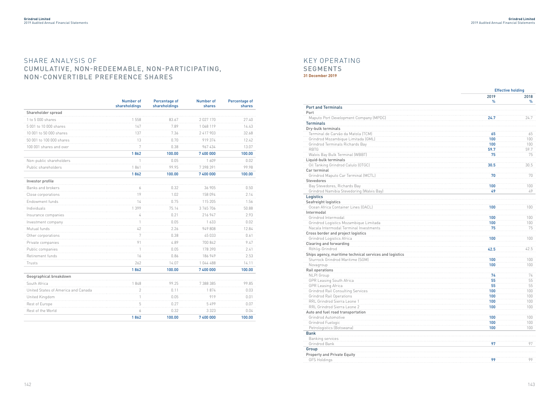# SHARE ANALYSIS OF CUMUL ATIVE, NON-REDEEMABLE, NON-PARTICIPATING, NON-CONVERTIBLE PREFERENCE SHARES

|                                     | Number of<br>shareholdings | Percentage of<br>shareholdings | Number of<br>shares | Percentage of<br>shares |
|-------------------------------------|----------------------------|--------------------------------|---------------------|-------------------------|
| Shareholder spread                  |                            |                                |                     |                         |
| 1 to 5 000 shares                   | 1558                       | 83.67                          | 2027170             | 27.40                   |
| 5 001 to 10 000 shares              | 147                        | 7.89                           | 1068119             | 14.43                   |
| 10 001 to 50 000 shares             | 137                        | 7.36                           | 2 417 903           | 32.68                   |
| 50 001 to 100 000 shares            | 13                         | 0.70                           | 919374              | 12.42                   |
| 100 001 shares and over             | 7                          | 0.38                           | 967434              | 13.07                   |
|                                     | 1862                       | 100.00                         | 7 400 000           | 100.00                  |
| Non-public shareholders             | $\mathbf{1}$               | 0.05                           | 1609                | 0.02                    |
| Public shareholders                 | 1861                       | 99.95                          | 7 398 391           | 99.98                   |
|                                     | 1862                       | 100.00                         | 7 400 000           | 100.00                  |
| Investor profile                    |                            |                                |                     |                         |
| Banks and brokers                   | 6                          | 0.32                           | 36 905              | 0.50                    |
| Close corporations                  | 19                         | 1.02                           | 158 094             | 2.14                    |
| Endowment funds                     | 14                         | 0.75                           | 115 205             | 1.56                    |
| Individuals                         | 1399                       | 75.14                          | 3765706             | 50.88                   |
| Insurance companies                 | 4                          | 0.21                           | 216 947             | 2.93                    |
| Investment company                  | 1                          | 0.05                           | 1 633               | 0.02                    |
| Mutual funds                        | 42                         | 2.26                           | 949 808             | 12.84                   |
| Other corporations                  | $\overline{7}$             | 0.38                           | 45 033              | 0.61                    |
| Private companies                   | 91                         | 4.89                           | 700 842             | 9.47                    |
| Public companies                    | 1                          | 0.05                           | 178 390             | 2.41                    |
| Retirement funds                    | 16                         | 0.86                           | 186 949             | 2.53                    |
| Trusts                              | 262                        | 14.07                          | 1044488             | 14.11                   |
|                                     | 1862                       | 100.00                         | 7 400 000           | 100.00                  |
| Geographical breakdown              |                            |                                |                     |                         |
| South Africa                        | 1848                       | 99.25                          | 7 388 385           | 99.85                   |
| United States of America and Canada | $\overline{2}$             | 0.11                           | 1874                | 0.03                    |
| United Kingdom                      | 1                          | 0.05                           | 919                 | 0.01                    |
| Rest of Europe                      | 5                          | 0.27                           | 5499                | 0.07                    |
| Rest of the World                   | 6                          | 0.32                           | 3 3 2 3             | 0.04                    |
|                                     | 1862                       | 100.00                         | 7 400 000           | 100.00                  |

## KEY OPERATING SEGMENTS **31 December 2019**

| 2019<br>2018<br>%<br>%<br>24.7<br>24.7<br>65<br>65<br>100<br>100<br>100<br>100<br>59.7<br>59.7<br>75<br>75<br>30.5<br>30.5<br>70<br>70<br>100<br>100<br>49<br>49<br>100<br>100<br>100<br>100<br>100<br>100<br>75<br>75<br>100<br>100<br>42.5<br>42.5<br>100<br>100<br>100<br>100<br>74<br>74<br>55<br>55<br>55<br>55<br>100<br>100<br>100<br>100<br>100<br>100<br>100<br>100<br>Grindrod Automotive<br>100<br>100<br>100<br>100<br>100<br>100<br>97<br>97<br>99<br>99                                                                                                                                                                                                                                                                                                                                                                                                                                                                                                                                                                                                                                                                                                                                                                                                                                                                                                      | <b>Effective holding</b> |  |
|----------------------------------------------------------------------------------------------------------------------------------------------------------------------------------------------------------------------------------------------------------------------------------------------------------------------------------------------------------------------------------------------------------------------------------------------------------------------------------------------------------------------------------------------------------------------------------------------------------------------------------------------------------------------------------------------------------------------------------------------------------------------------------------------------------------------------------------------------------------------------------------------------------------------------------------------------------------------------------------------------------------------------------------------------------------------------------------------------------------------------------------------------------------------------------------------------------------------------------------------------------------------------------------------------------------------------------------------------------------------------|--------------------------|--|
| ort and Terminals<br>ort<br>Maputo Port Development Company (MPDC)<br>erminals<br>ry-bulk terminals<br>Terminal de Carvão da Matola (TCM)<br>Grindrod Mozambique Limitada (GML)<br>Grindrod Terminals Richards Bay<br><b>RBTG</b><br>Walvis Bay Bulk Terminal (WBBT)<br>iquid-bulk terminals<br>Oil Tanking Grindrod Calulo (OTGC)<br>ar terminal<br>Grindrod Maputo Car Terminal (MCTL)<br>tevedores<br>Bay Stevedores, Richards Bay<br>Grindrod Namibia Stevedoring (Walvis Bay)<br>ogistics<br>eafreight logistics<br>Ocean Africa Container Lines (OACL)<br><b>Information</b><br>Grindrod Intermodal<br>Grindrod Logistics Mozambique Limitada<br>Nacala Intermodal Terminal Investments<br>ross border and project logistics<br>Grindrod Logistics Africa<br>learing and forwarding<br>Röhlig-Grindrod<br>hips agency, maritime technical services and logistics<br>Sturrock Grindrod Maritime (SGM)<br>Novagroup<br>ail operations<br><b>NLPI Group</b><br><b>GPR Leasing South Africa</b><br><b>GPR Leasing Africa</b><br><b>Grindrod Rail Consulting Services</b><br><b>Grindrod Rail Operations</b><br>RRL Grindrod Sierra Leone 1<br>RRL Grindrod Sierra Leone 2<br>uto and fuel road transportation<br>Grindrod Fuelogic<br>Petrologistics (Botswana)<br>ank<br><b>Banking services</b><br>Grindrod Bank<br>roup<br>roperty and Private Equity<br>GFS Holdings |                          |  |
|                                                                                                                                                                                                                                                                                                                                                                                                                                                                                                                                                                                                                                                                                                                                                                                                                                                                                                                                                                                                                                                                                                                                                                                                                                                                                                                                                                            |                          |  |
|                                                                                                                                                                                                                                                                                                                                                                                                                                                                                                                                                                                                                                                                                                                                                                                                                                                                                                                                                                                                                                                                                                                                                                                                                                                                                                                                                                            |                          |  |
|                                                                                                                                                                                                                                                                                                                                                                                                                                                                                                                                                                                                                                                                                                                                                                                                                                                                                                                                                                                                                                                                                                                                                                                                                                                                                                                                                                            |                          |  |
|                                                                                                                                                                                                                                                                                                                                                                                                                                                                                                                                                                                                                                                                                                                                                                                                                                                                                                                                                                                                                                                                                                                                                                                                                                                                                                                                                                            |                          |  |
|                                                                                                                                                                                                                                                                                                                                                                                                                                                                                                                                                                                                                                                                                                                                                                                                                                                                                                                                                                                                                                                                                                                                                                                                                                                                                                                                                                            |                          |  |
|                                                                                                                                                                                                                                                                                                                                                                                                                                                                                                                                                                                                                                                                                                                                                                                                                                                                                                                                                                                                                                                                                                                                                                                                                                                                                                                                                                            |                          |  |
|                                                                                                                                                                                                                                                                                                                                                                                                                                                                                                                                                                                                                                                                                                                                                                                                                                                                                                                                                                                                                                                                                                                                                                                                                                                                                                                                                                            |                          |  |
|                                                                                                                                                                                                                                                                                                                                                                                                                                                                                                                                                                                                                                                                                                                                                                                                                                                                                                                                                                                                                                                                                                                                                                                                                                                                                                                                                                            |                          |  |
|                                                                                                                                                                                                                                                                                                                                                                                                                                                                                                                                                                                                                                                                                                                                                                                                                                                                                                                                                                                                                                                                                                                                                                                                                                                                                                                                                                            |                          |  |
|                                                                                                                                                                                                                                                                                                                                                                                                                                                                                                                                                                                                                                                                                                                                                                                                                                                                                                                                                                                                                                                                                                                                                                                                                                                                                                                                                                            |                          |  |
|                                                                                                                                                                                                                                                                                                                                                                                                                                                                                                                                                                                                                                                                                                                                                                                                                                                                                                                                                                                                                                                                                                                                                                                                                                                                                                                                                                            |                          |  |
|                                                                                                                                                                                                                                                                                                                                                                                                                                                                                                                                                                                                                                                                                                                                                                                                                                                                                                                                                                                                                                                                                                                                                                                                                                                                                                                                                                            |                          |  |
|                                                                                                                                                                                                                                                                                                                                                                                                                                                                                                                                                                                                                                                                                                                                                                                                                                                                                                                                                                                                                                                                                                                                                                                                                                                                                                                                                                            |                          |  |
|                                                                                                                                                                                                                                                                                                                                                                                                                                                                                                                                                                                                                                                                                                                                                                                                                                                                                                                                                                                                                                                                                                                                                                                                                                                                                                                                                                            |                          |  |
|                                                                                                                                                                                                                                                                                                                                                                                                                                                                                                                                                                                                                                                                                                                                                                                                                                                                                                                                                                                                                                                                                                                                                                                                                                                                                                                                                                            |                          |  |
|                                                                                                                                                                                                                                                                                                                                                                                                                                                                                                                                                                                                                                                                                                                                                                                                                                                                                                                                                                                                                                                                                                                                                                                                                                                                                                                                                                            |                          |  |
|                                                                                                                                                                                                                                                                                                                                                                                                                                                                                                                                                                                                                                                                                                                                                                                                                                                                                                                                                                                                                                                                                                                                                                                                                                                                                                                                                                            |                          |  |
|                                                                                                                                                                                                                                                                                                                                                                                                                                                                                                                                                                                                                                                                                                                                                                                                                                                                                                                                                                                                                                                                                                                                                                                                                                                                                                                                                                            |                          |  |
|                                                                                                                                                                                                                                                                                                                                                                                                                                                                                                                                                                                                                                                                                                                                                                                                                                                                                                                                                                                                                                                                                                                                                                                                                                                                                                                                                                            |                          |  |
|                                                                                                                                                                                                                                                                                                                                                                                                                                                                                                                                                                                                                                                                                                                                                                                                                                                                                                                                                                                                                                                                                                                                                                                                                                                                                                                                                                            |                          |  |
|                                                                                                                                                                                                                                                                                                                                                                                                                                                                                                                                                                                                                                                                                                                                                                                                                                                                                                                                                                                                                                                                                                                                                                                                                                                                                                                                                                            |                          |  |
|                                                                                                                                                                                                                                                                                                                                                                                                                                                                                                                                                                                                                                                                                                                                                                                                                                                                                                                                                                                                                                                                                                                                                                                                                                                                                                                                                                            |                          |  |
|                                                                                                                                                                                                                                                                                                                                                                                                                                                                                                                                                                                                                                                                                                                                                                                                                                                                                                                                                                                                                                                                                                                                                                                                                                                                                                                                                                            |                          |  |
|                                                                                                                                                                                                                                                                                                                                                                                                                                                                                                                                                                                                                                                                                                                                                                                                                                                                                                                                                                                                                                                                                                                                                                                                                                                                                                                                                                            |                          |  |
|                                                                                                                                                                                                                                                                                                                                                                                                                                                                                                                                                                                                                                                                                                                                                                                                                                                                                                                                                                                                                                                                                                                                                                                                                                                                                                                                                                            |                          |  |
|                                                                                                                                                                                                                                                                                                                                                                                                                                                                                                                                                                                                                                                                                                                                                                                                                                                                                                                                                                                                                                                                                                                                                                                                                                                                                                                                                                            |                          |  |
|                                                                                                                                                                                                                                                                                                                                                                                                                                                                                                                                                                                                                                                                                                                                                                                                                                                                                                                                                                                                                                                                                                                                                                                                                                                                                                                                                                            |                          |  |
|                                                                                                                                                                                                                                                                                                                                                                                                                                                                                                                                                                                                                                                                                                                                                                                                                                                                                                                                                                                                                                                                                                                                                                                                                                                                                                                                                                            |                          |  |
|                                                                                                                                                                                                                                                                                                                                                                                                                                                                                                                                                                                                                                                                                                                                                                                                                                                                                                                                                                                                                                                                                                                                                                                                                                                                                                                                                                            |                          |  |
|                                                                                                                                                                                                                                                                                                                                                                                                                                                                                                                                                                                                                                                                                                                                                                                                                                                                                                                                                                                                                                                                                                                                                                                                                                                                                                                                                                            |                          |  |
|                                                                                                                                                                                                                                                                                                                                                                                                                                                                                                                                                                                                                                                                                                                                                                                                                                                                                                                                                                                                                                                                                                                                                                                                                                                                                                                                                                            |                          |  |
|                                                                                                                                                                                                                                                                                                                                                                                                                                                                                                                                                                                                                                                                                                                                                                                                                                                                                                                                                                                                                                                                                                                                                                                                                                                                                                                                                                            |                          |  |
|                                                                                                                                                                                                                                                                                                                                                                                                                                                                                                                                                                                                                                                                                                                                                                                                                                                                                                                                                                                                                                                                                                                                                                                                                                                                                                                                                                            |                          |  |
|                                                                                                                                                                                                                                                                                                                                                                                                                                                                                                                                                                                                                                                                                                                                                                                                                                                                                                                                                                                                                                                                                                                                                                                                                                                                                                                                                                            |                          |  |
|                                                                                                                                                                                                                                                                                                                                                                                                                                                                                                                                                                                                                                                                                                                                                                                                                                                                                                                                                                                                                                                                                                                                                                                                                                                                                                                                                                            |                          |  |
|                                                                                                                                                                                                                                                                                                                                                                                                                                                                                                                                                                                                                                                                                                                                                                                                                                                                                                                                                                                                                                                                                                                                                                                                                                                                                                                                                                            |                          |  |
|                                                                                                                                                                                                                                                                                                                                                                                                                                                                                                                                                                                                                                                                                                                                                                                                                                                                                                                                                                                                                                                                                                                                                                                                                                                                                                                                                                            |                          |  |
|                                                                                                                                                                                                                                                                                                                                                                                                                                                                                                                                                                                                                                                                                                                                                                                                                                                                                                                                                                                                                                                                                                                                                                                                                                                                                                                                                                            |                          |  |
|                                                                                                                                                                                                                                                                                                                                                                                                                                                                                                                                                                                                                                                                                                                                                                                                                                                                                                                                                                                                                                                                                                                                                                                                                                                                                                                                                                            |                          |  |
|                                                                                                                                                                                                                                                                                                                                                                                                                                                                                                                                                                                                                                                                                                                                                                                                                                                                                                                                                                                                                                                                                                                                                                                                                                                                                                                                                                            |                          |  |
|                                                                                                                                                                                                                                                                                                                                                                                                                                                                                                                                                                                                                                                                                                                                                                                                                                                                                                                                                                                                                                                                                                                                                                                                                                                                                                                                                                            |                          |  |
|                                                                                                                                                                                                                                                                                                                                                                                                                                                                                                                                                                                                                                                                                                                                                                                                                                                                                                                                                                                                                                                                                                                                                                                                                                                                                                                                                                            |                          |  |
|                                                                                                                                                                                                                                                                                                                                                                                                                                                                                                                                                                                                                                                                                                                                                                                                                                                                                                                                                                                                                                                                                                                                                                                                                                                                                                                                                                            |                          |  |
|                                                                                                                                                                                                                                                                                                                                                                                                                                                                                                                                                                                                                                                                                                                                                                                                                                                                                                                                                                                                                                                                                                                                                                                                                                                                                                                                                                            |                          |  |
|                                                                                                                                                                                                                                                                                                                                                                                                                                                                                                                                                                                                                                                                                                                                                                                                                                                                                                                                                                                                                                                                                                                                                                                                                                                                                                                                                                            |                          |  |
|                                                                                                                                                                                                                                                                                                                                                                                                                                                                                                                                                                                                                                                                                                                                                                                                                                                                                                                                                                                                                                                                                                                                                                                                                                                                                                                                                                            |                          |  |
|                                                                                                                                                                                                                                                                                                                                                                                                                                                                                                                                                                                                                                                                                                                                                                                                                                                                                                                                                                                                                                                                                                                                                                                                                                                                                                                                                                            |                          |  |
|                                                                                                                                                                                                                                                                                                                                                                                                                                                                                                                                                                                                                                                                                                                                                                                                                                                                                                                                                                                                                                                                                                                                                                                                                                                                                                                                                                            |                          |  |

| <b>Port and Terminals</b><br>Port  |                                                         |
|------------------------------------|---------------------------------------------------------|
|                                    | Maputo Port Development Company (MPDC)                  |
| Terminals                          |                                                         |
| Dry-bulk terminals                 |                                                         |
|                                    | Terminal de Carvão da Matola (TCM)                      |
|                                    | Grindrod Mozambique Limitada (GML)                      |
|                                    | Grindrod Terminals Richards Bay                         |
| RBTG                               |                                                         |
|                                    | Walvis Bay Bulk Terminal (WBBT)                         |
| Liquid-bulk terminals              |                                                         |
|                                    | Oil Tanking Grindrod Calulo (OTGC)                      |
| Car terminal                       |                                                         |
|                                    | Grindrod Maputo Car Terminal (MCTL)                     |
| Stevedores                         |                                                         |
|                                    | Bay Stevedores, Richards Bay                            |
|                                    | Grindrod Namibia Stevedoring (Walvis Bay)               |
| Logistics                          |                                                         |
| Seafreight logistics               |                                                         |
|                                    | Ocean Africa Container Lines (OACL)                     |
| Intermodal                         |                                                         |
| Grindrod Intermodal                |                                                         |
|                                    | Grindrod Logistics Mozambique Limitada                  |
|                                    | Nacala Intermodal Terminal Investments                  |
|                                    | Cross border and project logistics                      |
| Grindrod Logistics Africa          |                                                         |
| <b>Clearing and forwarding</b>     |                                                         |
| Röhlig-Grindrod                    |                                                         |
|                                    | Ships agency, maritime technical services and logistics |
|                                    | Sturrock Grindrod Maritime (SGM)                        |
| Novagroup                          |                                                         |
| Rail operations                    |                                                         |
| NLPI Group                         |                                                         |
| <b>GPR Leasing South Africa</b>    |                                                         |
| <b>GPR Leasing Africa</b>          |                                                         |
|                                    | <b>Grindrod Rail Consulting Services</b>                |
| <b>Grindrod Rail Operations</b>    |                                                         |
| RRL Grindrod Sierra Leone 1        |                                                         |
| RRL Grindrod Sierra Leone 2        |                                                         |
|                                    | Auto and fuel road transportation                       |
| Grindrod Automotive                |                                                         |
| Grindrod Fuelogic                  |                                                         |
| Petrologistics (Botswana)          |                                                         |
| <b>Bank</b>                        |                                                         |
| <b>Banking services</b>            |                                                         |
| Grindrod Bank                      |                                                         |
| Group                              |                                                         |
| <b>Property and Private Equity</b> |                                                         |
| <b>GFS Holdings</b>                |                                                         |
|                                    |                                                         |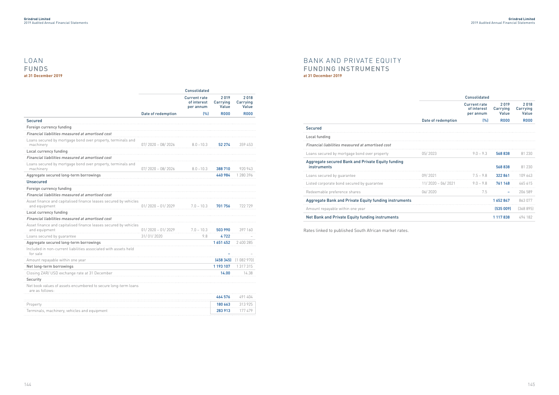## LOAN FUNDS **at 31 December 2019**

## BANK AND PRIVATE EQUITY FUNDING INSTRUMENTS **at 31 December 2019**

|                                                                                               | <b>Consolidated</b> |                                                 |                           |                           |
|-----------------------------------------------------------------------------------------------|---------------------|-------------------------------------------------|---------------------------|---------------------------|
|                                                                                               |                     | <b>Current rate</b><br>of interest<br>per annum | 2019<br>Carrying<br>Value | 2018<br>Carrying<br>Value |
|                                                                                               | Date of redemption  | [%]                                             | <b>R000</b>               | <b>R000</b>               |
| <b>Secured</b>                                                                                |                     |                                                 |                           |                           |
| Foreign currency funding                                                                      |                     |                                                 |                           |                           |
| Financial liabilities measured at amortised cost                                              |                     |                                                 |                           |                           |
| Loans secured by mortgage bond over property, terminals and<br>machinery                      | $07/2020 - 08/2026$ | $8.0 - 10.3$                                    | 52 274                    | 359 453                   |
| Local currency funding                                                                        |                     |                                                 |                           |                           |
| Financial liabilities measured at amortised cost                                              |                     |                                                 |                           |                           |
| Loans secured by mortgage bond over property, terminals and<br>machinery                      | $07/2020 - 08/2026$ | $8.0 - 10.3$                                    | 388710                    | 920 943                   |
| Aggregate secured long-term borrowings                                                        |                     |                                                 | 440 984                   | 1 280 396                 |
| <b>Unsecured</b>                                                                              |                     |                                                 |                           |                           |
| Foreign currency funding                                                                      |                     |                                                 |                           |                           |
| Financial liabilities measured at amortised cost                                              |                     |                                                 |                           |                           |
| Asset finance and capitalised finance leases secured by vehicles<br>and equipment             | $01/2020 - 01/2029$ | $7.0 - 10.3$                                    | 701756                    | 722 729                   |
| Local currency funding                                                                        |                     |                                                 |                           |                           |
| Financial liabilities measured at amortised cost                                              |                     |                                                 |                           |                           |
| Asset finance and capitalised finance leases secured by vehicles<br>and equipment             | $01/2020 - 01/2029$ | $7.0 - 10.3$                                    | 503 990                   | 397 160                   |
| Loans secured by guarantee                                                                    | 31/01/2020          | 9.8                                             | 4722                      |                           |
| Aggregate secured long-term borrowings                                                        |                     |                                                 | 1651452                   | 2400285                   |
| Included in non-current liabilities associated with assets held<br>for sale                   |                     |                                                 |                           |                           |
| Amount repayable within one year                                                              |                     |                                                 | (458345)                  | (1082970)                 |
| Net long-term borrowings                                                                      |                     |                                                 | 1 193 107                 | 1 317 315                 |
| Closing ZAR/ USD exchange rate at 31 December                                                 |                     |                                                 | 14.00                     | 14.38                     |
| Security<br>Net book values of assets encumbered to secure long-term loans<br>are as follows: |                     |                                                 |                           |                           |
|                                                                                               |                     |                                                 | 464 576                   | 491 404                   |
| Property                                                                                      |                     |                                                 | 180 663                   | 313 925                   |
| Terminals, machinery, vehicles and equipment                                                  |                     |                                                 | 283 913                   | 177479                    |
|                                                                                               |                     |                                                 |                           |                           |

|                                                                         |                     | Consolidated                                    |                           |                           |  |
|-------------------------------------------------------------------------|---------------------|-------------------------------------------------|---------------------------|---------------------------|--|
|                                                                         |                     | <b>Current rate</b><br>of interest<br>per annum | 2019<br>Carrying<br>Value | 2018<br>Carrying<br>Value |  |
|                                                                         | Date of redemption  | [%]                                             | <b>R000</b>               | <b>R000</b>               |  |
| <b>Secured</b>                                                          |                     |                                                 |                           |                           |  |
| Local funding                                                           |                     |                                                 |                           |                           |  |
| Financial liabilities measured at amortised cost                        |                     |                                                 |                           |                           |  |
| Loans secured by mortgage bond over property                            | 05/2023             | $9.0 - 9.3$                                     | 568838                    | 81 230                    |  |
| <b>Aggregate secured Bank and Private Equity funding</b><br>instruments |                     |                                                 | 568 838                   | 81 230                    |  |
| Loans secured by quarantee                                              | 09/2021             | $7.5 - 9.8$                                     | 322861                    | 109 643                   |  |
| Listed corporate bond secured by quarantee                              | $11/2020 - 06/2021$ | $9.0 - 9.8$                                     | 761 148                   | 465 615                   |  |
| Redeemable preference shares                                            | 06/2020             | 7.5                                             |                           | 206 589                   |  |
| <b>Aggregate Bank and Private Equity funding instruments</b>            |                     |                                                 | 1652847                   | 863 077                   |  |
| Amount repayable within one year                                        |                     |                                                 | (535009)                  | [368895]                  |  |
| Net Bank and Private Equity funding instruments                         |                     |                                                 | 1 117 838                 | 494 182                   |  |

Rates linked to published South African market rates.